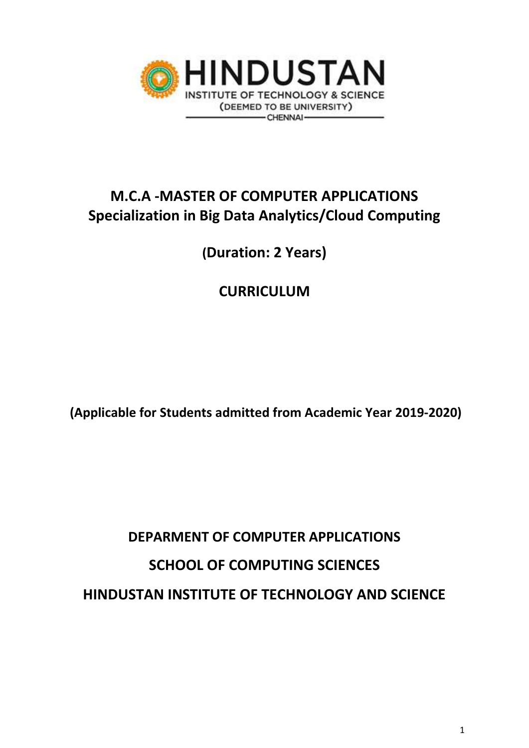

# **M.C.A -MASTER OF COMPUTER APPLICATIONS Specialization in Big Data Analytics/Cloud Computing**

**(Duration: 2 Years)**

# **CURRICULUM**

**(Applicable for Students admitted from Academic Year 2019-2020)**

# **DEPARMENT OF COMPUTER APPLICATIONS SCHOOL OF COMPUTING SCIENCES HINDUSTAN INSTITUTE OF TECHNOLOGY AND SCIENCE**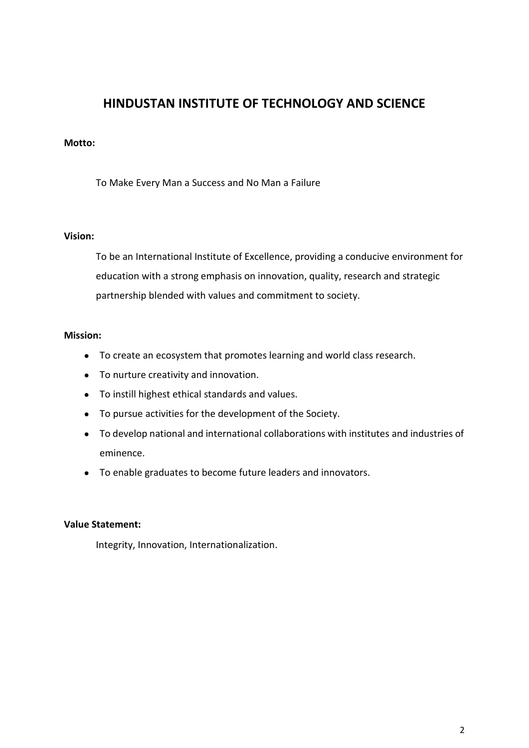## **HINDUSTAN INSTITUTE OF TECHNOLOGY AND SCIENCE**

#### **Motto:**

To Make Every Man a Success and No Man a Failure

#### **Vision:**

To be an International Institute of Excellence, providing a conducive environment for education with a strong emphasis on innovation, quality, research and strategic partnership blended with values and commitment to society.

#### **Mission:**

- To create an ecosystem that promotes learning and world class research.
- To nurture creativity and innovation.
- To instill highest ethical standards and values.
- To pursue activities for the development of the Society.
- To develop national and international collaborations with institutes and industries of eminence.
- To enable graduates to become future leaders and innovators.

#### **Value Statement:**

Integrity, Innovation, Internationalization.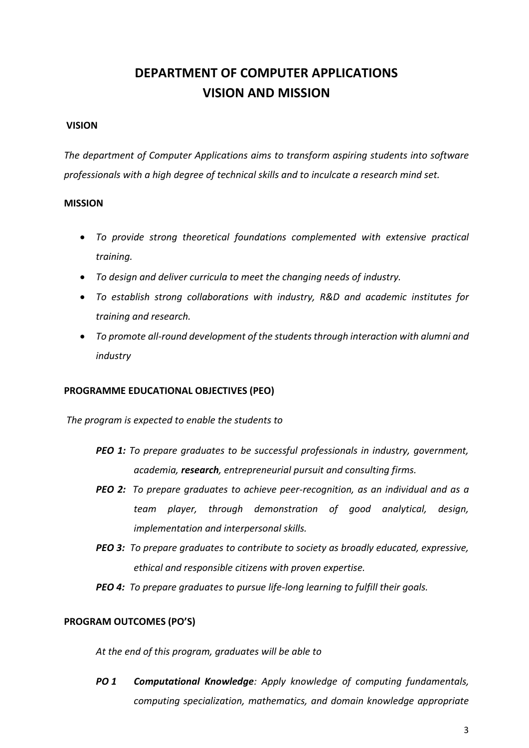# **DEPARTMENT OF COMPUTER APPLICATIONS VISION AND MISSION**

#### **VISION**

*The department of Computer Applications aims to transform aspiring students into software professionals with a high degree of technical skills and to inculcate a research mind set.*

#### **MISSION**

- *To provide strong theoretical foundations complemented with extensive practical training.*
- *To design and deliver curricula to meet the changing needs of industry.*
- *To establish strong collaborations with industry, R&D and academic institutes for training and research.*
- *To promote all-round development of the students through interaction with alumni and industry*

#### **PROGRAMME EDUCATIONAL OBJECTIVES (PEO)**

*The program is expected to enable the students to*

- *PEO 1: To prepare graduates to be successful professionals in industry, government, academia, research, entrepreneurial pursuit and consulting firms.*
- *PEO 2: To prepare graduates to achieve peer-recognition, as an individual and as a team player, through demonstration of good analytical, design, implementation and interpersonal skills.*
- *PEO 3: To prepare graduates to contribute to society as broadly educated, expressive, ethical and responsible citizens with proven expertise.*
- *PEO 4: To prepare graduates to pursue life-long learning to fulfill their goals.*

#### **PROGRAM OUTCOMES (PO'S)**

*At the end of this program, graduates will be able to*

*PO 1 Computational Knowledge: Apply knowledge of computing fundamentals, computing specialization, mathematics, and domain knowledge appropriate*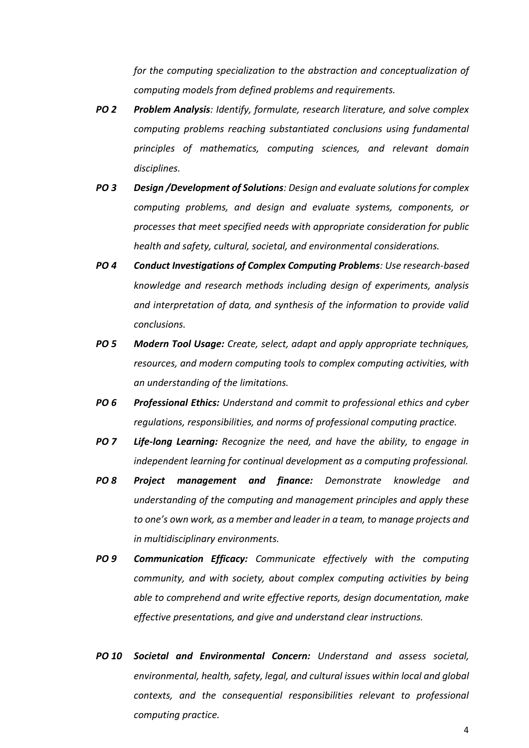*for the computing specialization to the abstraction and conceptualization of computing models from defined problems and requirements.*

- *PO 2 Problem Analysis: Identify, formulate, research literature, and solve complex computing problems reaching substantiated conclusions using fundamental principles of mathematics, computing sciences, and relevant domain disciplines.*
- *PO 3 Design /Development of Solutions: Design and evaluate solutions for complex computing problems, and design and evaluate systems, components, or processes that meet specified needs with appropriate consideration for public health and safety, cultural, societal, and environmental considerations.*
- *PO 4 Conduct Investigations of Complex Computing Problems: Use research-based knowledge and research methods including design of experiments, analysis and interpretation of data, and synthesis of the information to provide valid conclusions.*
- *PO 5 Modern Tool Usage: Create, select, adapt and apply appropriate techniques, resources, and modern computing tools to complex computing activities, with an understanding of the limitations.*
- *PO 6 Professional Ethics: Understand and commit to professional ethics and cyber regulations, responsibilities, and norms of professional computing practice.*
- *PO 7 Life-long Learning: Recognize the need, and have the ability, to engage in independent learning for continual development as a computing professional.*
- *PO 8 Project management and finance: Demonstrate knowledge and understanding of the computing and management principles and apply these to one's own work, as a member and leader in a team, to manage projects and in multidisciplinary environments.*
- *PO 9 Communication Efficacy: Communicate effectively with the computing community, and with society, about complex computing activities by being able to comprehend and write effective reports, design documentation, make effective presentations, and give and understand clear instructions.*
- *PO 10 Societal and Environmental Concern: Understand and assess societal, environmental, health, safety, legal, and cultural issues within local and global contexts, and the consequential responsibilities relevant to professional computing practice.*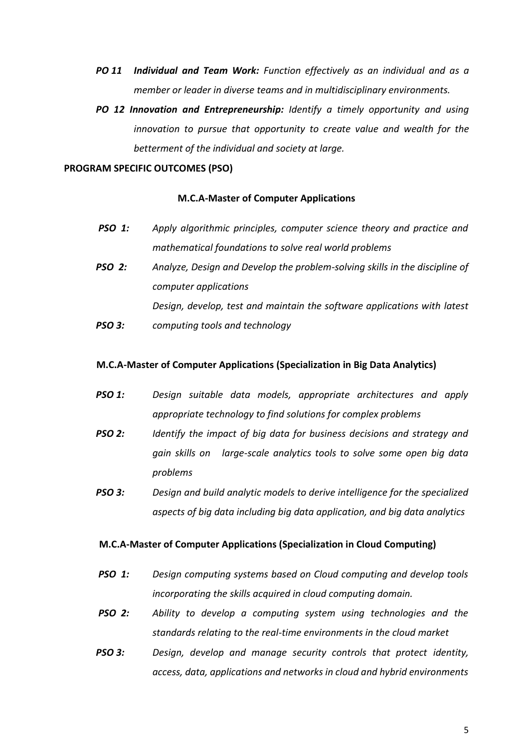- *PO 11 Individual and Team Work: Function effectively as an individual and as a member or leader in diverse teams and in multidisciplinary environments.*
- *PO 12 Innovation and Entrepreneurship: Identify a timely opportunity and using innovation to pursue that opportunity to create value and wealth for the betterment of the individual and society at large.*

#### **PROGRAM SPECIFIC OUTCOMES (PSO)**

#### **M.C.A-Master of Computer Applications**

- *PSO 1: Apply algorithmic principles, computer science theory and practice and mathematical foundations to solve real world problems*
- *PSO 2: Analyze, Design and Develop the problem-solving skills in the discipline of computer applications Design, develop, test and maintain the software applications with latest*
- *PSO 3: computing tools and technology*

#### **M.C.A-Master of Computer Applications (Specialization in Big Data Analytics)**

- *PSO 1: Design suitable data models, appropriate architectures and apply appropriate technology to find solutions for complex problems*
- *PSO 2: Identify the impact of big data for business decisions and strategy and gain skills on large-scale analytics tools to solve some open big data problems*
- *PSO 3: Design and build analytic models to derive intelligence for the specialized aspects of big data including big data application, and big data analytics*

#### **M.C.A-Master of Computer Applications (Specialization in Cloud Computing)**

- *PSO 1: Design computing systems based on Cloud computing and develop tools incorporating the skills acquired in cloud computing domain.*
- *PSO 2: Ability to develop a computing system using technologies and the standards relating to the real-time environments in the cloud market*
- *PSO 3: Design, develop and manage security controls that protect identity, access, data, applications and networks in cloud and hybrid environments*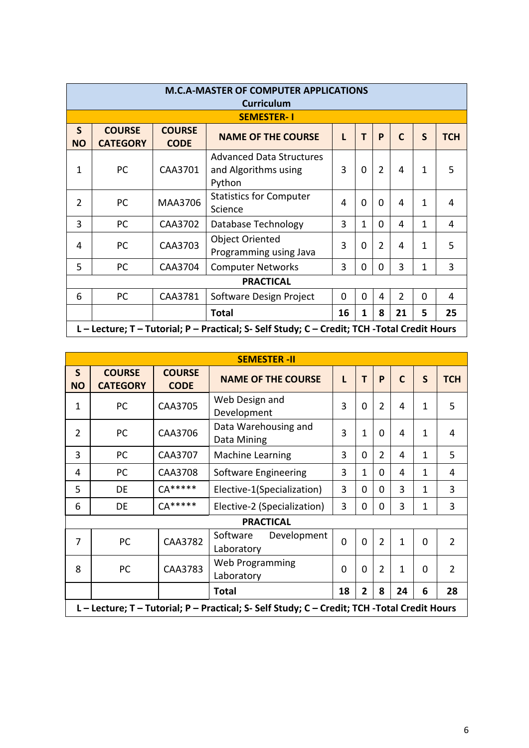|                                                                                              | <b>M.C.A-MASTER OF COMPUTER APPLICATIONS</b><br><b>Curriculum</b> |                              |                                                                   |          |          |                |                |              |            |  |  |  |
|----------------------------------------------------------------------------------------------|-------------------------------------------------------------------|------------------------------|-------------------------------------------------------------------|----------|----------|----------------|----------------|--------------|------------|--|--|--|
| <b>SEMESTER-1</b>                                                                            |                                                                   |                              |                                                                   |          |          |                |                |              |            |  |  |  |
| $\mathsf{S}$<br><b>NO</b>                                                                    | <b>COURSE</b><br><b>CATEGORY</b>                                  | <b>COURSE</b><br><b>CODE</b> | <b>NAME OF THE COURSE</b>                                         | L        | T        | P              | $\mathsf{C}$   | S            | <b>TCH</b> |  |  |  |
| 1                                                                                            | PC                                                                | CAA3701                      | <b>Advanced Data Structures</b><br>and Algorithms using<br>Python | 3        | $\Omega$ | $\overline{2}$ | 4              | $\mathbf{1}$ | 5          |  |  |  |
| $\overline{2}$                                                                               | PC                                                                | MAA3706                      | <b>Statistics for Computer</b><br>Science                         | 4        | $\Omega$ | $\Omega$       | 4              | 1            | 4          |  |  |  |
| 3                                                                                            | PC                                                                | CAA3702                      | <b>Database Technology</b>                                        | 3        | 1        | $\Omega$       | 4              | $\mathbf{1}$ | 4          |  |  |  |
| 4                                                                                            | PC                                                                | CAA3703                      | <b>Object Oriented</b><br>Programming using Java                  | 3        | $\Omega$ | $\overline{2}$ | 4              | $\mathbf{1}$ | 5          |  |  |  |
| 5                                                                                            | PC                                                                | CAA3704                      | <b>Computer Networks</b>                                          | 3        | $\Omega$ | $\Omega$       | 3              | 1            | 3          |  |  |  |
|                                                                                              |                                                                   |                              | <b>PRACTICAL</b>                                                  |          |          |                |                |              |            |  |  |  |
| 6                                                                                            | PC                                                                | CAA3781                      | Software Design Project                                           | $\Omega$ | $\Omega$ | 4              | $\overline{2}$ | $\Omega$     | 4          |  |  |  |
|                                                                                              |                                                                   |                              | <b>Total</b>                                                      | 16       | 1        | 8              | 21             | 5            | 25         |  |  |  |
| L – Lecture; T – Tutorial; P – Practical; S- Self Study; C – Credit; TCH -Total Credit Hours |                                                                   |                              |                                                                   |          |          |                |                |              |            |  |  |  |

|                           |                                  |                              | <b>SEMESTER -II</b>                                                                          |             |              |                |              |              |                |
|---------------------------|----------------------------------|------------------------------|----------------------------------------------------------------------------------------------|-------------|--------------|----------------|--------------|--------------|----------------|
| $\mathsf{S}$<br><b>NO</b> | <b>COURSE</b><br><b>CATEGORY</b> | <b>COURSE</b><br><b>CODE</b> | <b>NAME OF THE COURSE</b>                                                                    | L           | т            | P              | $\mathbf C$  | S            | <b>TCH</b>     |
| $\mathbf{1}$              | PC                               | CAA3705                      | Web Design and<br>Development                                                                | 3           | $\Omega$     | $\overline{2}$ | 4            | 1            | 5              |
| $\overline{2}$            | PC                               | CAA3706                      | Data Warehousing and<br>Data Mining                                                          | 3           | 1            | 0              | 4            | 1            | 4              |
| 3                         | PC                               | CAA3707                      | <b>Machine Learning</b>                                                                      | 3           | $\Omega$     | $\overline{2}$ | 4            | $\mathbf{1}$ | 5              |
| 4                         | PC                               | CAA3708                      | Software Engineering                                                                         | 3           | $\mathbf{1}$ | 0              | 4            | 1            | 4              |
| 5                         | DE                               | $CA*****$                    | Elective-1(Specialization)                                                                   | 3           | $\Omega$     | 0              | 3            | 1            | 3              |
| 6                         | DE                               | $CA*****$                    | Elective-2 (Specialization)                                                                  | 3           | 0            | 0              | 3            | 1            | 3              |
|                           |                                  |                              | <b>PRACTICAL</b>                                                                             |             |              |                |              |              |                |
| $\overline{7}$            | <b>PC</b>                        | CAA3782                      | Development<br>Software<br>Laboratory                                                        | $\mathbf 0$ | $\Omega$     | $\overline{2}$ | $\mathbf{1}$ | $\Omega$     | $\mathcal{P}$  |
| 8                         | <b>PC</b>                        | CAA3783                      | Web Programming<br>Laboratory                                                                | 0           | $\Omega$     | $\overline{2}$ | $\mathbf{1}$ | $\Omega$     | $\overline{2}$ |
|                           |                                  |                              | 18<br>$\mathbf{2}$<br>8<br>24<br><b>Total</b><br>6                                           |             |              |                |              |              | 28             |
|                           |                                  |                              | L - Lecture; T - Tutorial; P - Practical; S- Self Study; C - Credit; TCH -Total Credit Hours |             |              |                |              |              |                |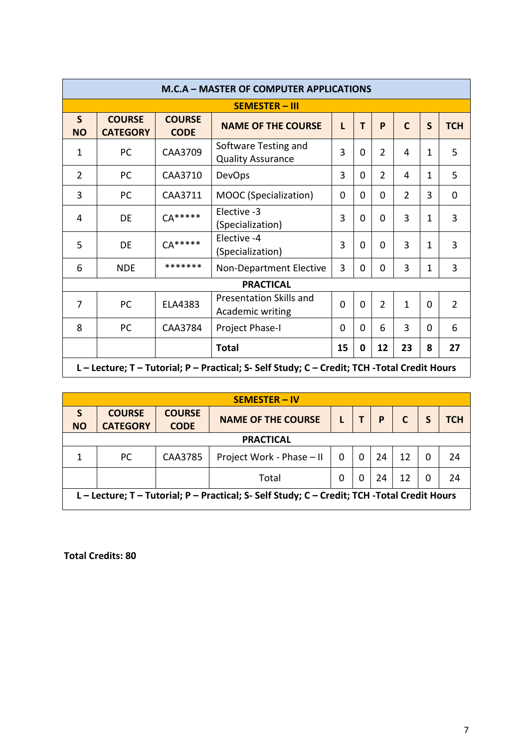|                                                                                              | <b>M.C.A - MASTER OF COMPUTER APPLICATIONS</b> |                              |                                                    |          |          |                |               |              |                |  |  |  |
|----------------------------------------------------------------------------------------------|------------------------------------------------|------------------------------|----------------------------------------------------|----------|----------|----------------|---------------|--------------|----------------|--|--|--|
| <b>SEMESTER - III</b>                                                                        |                                                |                              |                                                    |          |          |                |               |              |                |  |  |  |
| S<br><b>NO</b>                                                                               | <b>COURSE</b><br><b>CATEGORY</b>               | <b>COURSE</b><br><b>CODE</b> | <b>NAME OF THE COURSE</b>                          | L        | т        | P              | $\mathbf C$   | $\mathsf{S}$ | <b>TCH</b>     |  |  |  |
| $\mathbf{1}$                                                                                 | <b>PC</b>                                      | CAA3709                      | Software Testing and<br><b>Quality Assurance</b>   | 3        | $\Omega$ | $\overline{2}$ | 4             | $\mathbf{1}$ | 5              |  |  |  |
| $\overline{2}$                                                                               | <b>PC</b>                                      | CAA3710                      | <b>DevOps</b>                                      | 3        | 0        | $\overline{2}$ | 4             | 1            | 5              |  |  |  |
| 3                                                                                            | <b>PC</b>                                      | CAA3711                      | MOOC (Specialization)                              | 0        | 0        | $\Omega$       | $\mathcal{P}$ | 3            | $\overline{0}$ |  |  |  |
| 4                                                                                            | DE                                             | $CA*****$                    | Elective -3<br>(Specialization)                    | 3        | $\Omega$ | 0              | 3             | 1            | 3              |  |  |  |
| 5                                                                                            | DE                                             | $CA*****$                    | Elective -4<br>(Specialization)                    | 3        | $\Omega$ | $\Omega$       | 3             | 1            | 3              |  |  |  |
| 6                                                                                            | <b>NDE</b>                                     | *******                      | Non-Department Elective                            | 3        | 0        | 0              | 3             | 1            | 3              |  |  |  |
|                                                                                              |                                                |                              | <b>PRACTICAL</b>                                   |          |          |                |               |              |                |  |  |  |
| $\overline{7}$                                                                               | <b>PC</b>                                      | ELA4383                      | <b>Presentation Skills and</b><br>Academic writing | $\Omega$ | $\Omega$ | $\overline{2}$ | 1             | 0            | $\overline{2}$ |  |  |  |
| 8                                                                                            | <b>PC</b>                                      | CAA3784                      | Project Phase-I                                    | $\Omega$ | 0        | 6              | 3             | 0            | 6              |  |  |  |
|                                                                                              |                                                |                              | <b>Total</b>                                       | 15       | 0        | 12             | 23            | 8            | 27             |  |  |  |
| L - Lecture; T - Tutorial; P - Practical; S- Self Study; C - Credit; TCH -Total Credit Hours |                                                |                              |                                                    |          |          |                |               |              |                |  |  |  |

| <b>SEMESTER - IV</b>                                                                         |                                  |                              |                           |   |   |    |              |  |     |  |  |
|----------------------------------------------------------------------------------------------|----------------------------------|------------------------------|---------------------------|---|---|----|--------------|--|-----|--|--|
| S<br><b>NO</b>                                                                               | <b>COURSE</b><br><b>CATEGORY</b> | <b>COURSE</b><br><b>CODE</b> | <b>NAME OF THE COURSE</b> |   |   | P  | $\mathsf{C}$ |  | тсн |  |  |
|                                                                                              |                                  |                              | <b>PRACTICAL</b>          |   |   |    |              |  |     |  |  |
| 1                                                                                            | <sub>PC</sub>                    | CAA3785                      | Project Work - Phase - II | 0 | 0 | 24 | 12           |  | 24  |  |  |
|                                                                                              |                                  |                              | Total                     | 0 | 0 | 24 | 12           |  | 24  |  |  |
| L - Lecture; T - Tutorial; P - Practical; S- Self Study; C - Credit; TCH -Total Credit Hours |                                  |                              |                           |   |   |    |              |  |     |  |  |

**Total Credits: 80**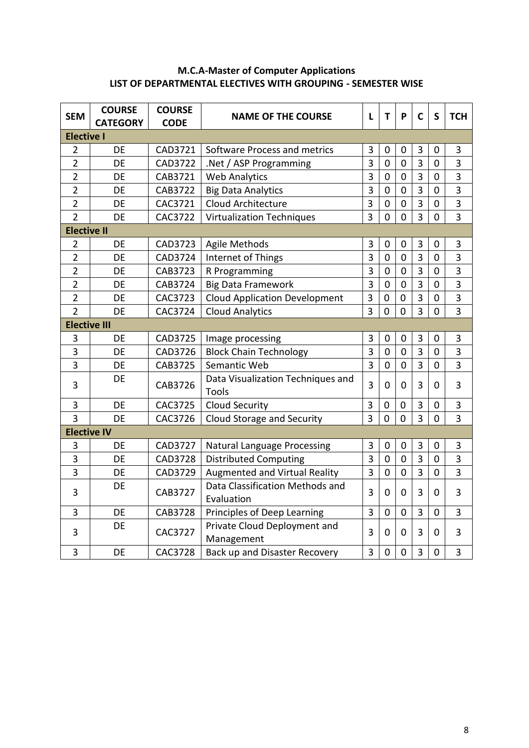## **M.C.A-Master of Computer Applications LIST OF DEPARTMENTAL ELECTIVES WITH GROUPING - SEMESTER WISE**

| <b>SEM</b>          | <b>COURSE</b><br><b>CATEGORY</b> | <b>COURSE</b><br><b>CODE</b> | <b>NAME OF THE COURSE</b>                     | L              | T              | P              | $\mathsf{C}$   | $\mathsf{S}$   | <b>TCH</b>     |
|---------------------|----------------------------------|------------------------------|-----------------------------------------------|----------------|----------------|----------------|----------------|----------------|----------------|
| <b>Elective I</b>   |                                  |                              |                                               |                |                |                |                |                |                |
| $\overline{2}$      | DE                               | CAD3721                      | Software Process and metrics                  | 3              | 0              | 0              | 3              | 0              | 3              |
| $\overline{2}$      | DE                               | CAD3722                      | .Net / ASP Programming                        | $\overline{3}$ | $\mathbf 0$    | 0              | $\overline{3}$ | $\mathbf 0$    | 3              |
| $\overline{2}$      | DE                               | CAB3721                      | <b>Web Analytics</b>                          | 3              | $\mathbf 0$    | $\mathbf 0$    | $\overline{3}$ | $\mathbf 0$    | 3              |
| $\overline{2}$      | DE                               | CAB3722                      | <b>Big Data Analytics</b>                     | 3              | $\mathbf 0$    | $\mathbf 0$    | 3              | $\mathbf 0$    | 3              |
| $\overline{2}$      | DE                               | CAC3721                      | Cloud Architecture                            | 3              | $\mathbf 0$    | $\mathbf 0$    | $\overline{3}$ | $\mathbf 0$    | 3              |
| $\overline{2}$      | DE                               | CAC3722                      | <b>Virtualization Techniques</b>              | 3              | $\overline{0}$ | $\mathbf 0$    | 3              | 0              | 3              |
| <b>Elective II</b>  |                                  |                              |                                               |                |                |                |                |                |                |
| $\overline{2}$      | DE                               | CAD3723                      | <b>Agile Methods</b>                          | 3              | $\mathbf 0$    | $\mathbf 0$    | 3              | $\mathbf 0$    | 3              |
| $\overline{2}$      | <b>DE</b>                        | CAD3724                      | Internet of Things                            | 3              | $\mathbf 0$    | $\mathbf 0$    | 3              | $\mathbf 0$    | 3              |
| $\overline{2}$      | DE                               | CAB3723                      | R Programming                                 | 3              | $\overline{0}$ | $\mathbf 0$    | $\overline{3}$ | $\mathbf 0$    | 3              |
| $\overline{2}$      | DE                               | CAB3724                      | <b>Big Data Framework</b>                     | 3              | $\mathbf 0$    | $\mathbf 0$    | $\overline{3}$ | $\mathbf 0$    | 3              |
| $\overline{2}$      | DE                               | CAC3723                      | <b>Cloud Application Development</b>          | 3              | $\mathbf 0$    | 0              | $\overline{3}$ | $\overline{0}$ | 3              |
| $\overline{2}$      | DE                               | CAC3724                      | <b>Cloud Analytics</b>                        | 3              | $\overline{0}$ | $\overline{0}$ | $\overline{3}$ | $\overline{0}$ | $\overline{3}$ |
| <b>Elective III</b> |                                  |                              |                                               |                |                |                |                |                |                |
| 3                   | DE                               | CAD3725                      | Image processing                              | 3              | $\mathbf 0$    | $\pmb{0}$      | 3              | $\overline{0}$ | 3              |
| 3                   | DE                               | CAD3726                      | <b>Block Chain Technology</b>                 | 3              | $\overline{0}$ | $\mathbf 0$    | $\overline{3}$ | $\mathbf 0$    | 3              |
| 3                   | DE                               | CAB3725                      | Semantic Web                                  | 3              | $\mathbf 0$    | $\mathbf 0$    | $\overline{3}$ | 0              | 3              |
| 3                   | DE                               | CAB3726                      | Data Visualization Techniques and<br>Tools    | 3              | $\Omega$       | $\mathbf 0$    | 3              | 0              | 3              |
| 3                   | DE                               | CAC3725                      | <b>Cloud Security</b>                         | 3              | 0              | 0              | 3              | $\mathbf 0$    | 3              |
| $\overline{3}$      | DE                               | CAC3726                      | Cloud Storage and Security                    | $\overline{3}$ | $\overline{0}$ | $\mathbf 0$    | $\overline{3}$ | $\mathbf 0$    | $\overline{3}$ |
| <b>Elective IV</b>  |                                  |                              |                                               |                |                |                |                |                |                |
| 3                   | DE                               | CAD3727                      | Natural Language Processing                   | 3              | $\mathbf 0$    | $\pmb{0}$      | $\overline{3}$ | $\mathbf 0$    | 3              |
| 3                   | DE                               | CAD3728                      | <b>Distributed Computing</b>                  | 3              | $\overline{0}$ | $\mathbf 0$    | $\overline{3}$ | $\overline{0}$ | 3              |
| 3                   | DE                               | CAD3729                      | Augmented and Virtual Reality                 | 3              | $\overline{0}$ | $\overline{0}$ | $\overline{3}$ | $\overline{0}$ | 3              |
| 3                   | DE                               | CAB3727                      | Data Classification Methods and<br>Evaluation | 3              | $\overline{0}$ | $\mathbf 0$    | 3              | 0              | 3              |
| 3                   | DE                               | <b>CAB3728</b>               | Principles of Deep Learning                   | 3              | $\mathbf 0$    | $\mathbf 0$    | 3              | 0              | 3              |
| 3                   | DE                               | CAC3727                      | Private Cloud Deployment and<br>Management    | 3              | 0              | $\mathbf 0$    | 3              | $\mathbf 0$    | 3              |
| 3                   | DE                               | CAC3728                      | Back up and Disaster Recovery                 | 3              | $\overline{0}$ | $\overline{0}$ | 3              | $\overline{0}$ | 3              |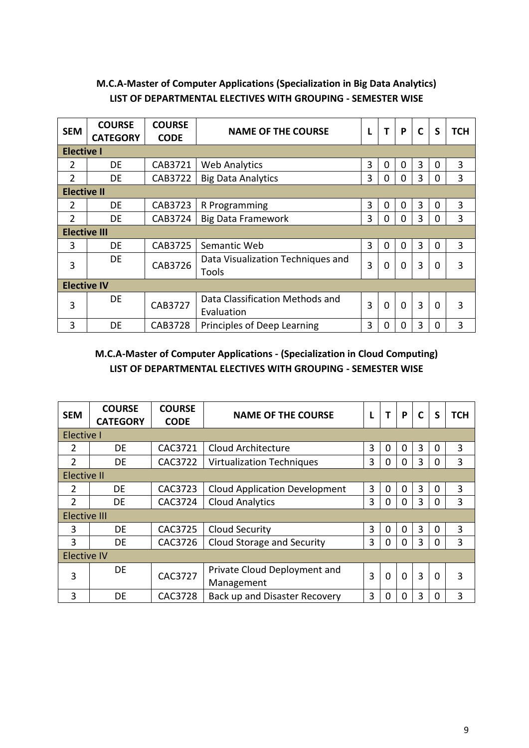## **M.C.A-Master of Computer Applications (Specialization in Big Data Analytics) LIST OF DEPARTMENTAL ELECTIVES WITH GROUPING - SEMESTER WISE**

| <b>SEM</b>          | <b>COURSE</b><br><b>CATEGORY</b> | <b>COURSE</b><br><b>CODE</b> | <b>NAME OF THE COURSE</b>                     | L | т           | P           | $\mathbf C$    | S        | <b>TCH</b> |
|---------------------|----------------------------------|------------------------------|-----------------------------------------------|---|-------------|-------------|----------------|----------|------------|
| <b>Elective I</b>   |                                  |                              |                                               |   |             |             |                |          |            |
| 2                   | DE                               | CAB3721                      | <b>Web Analytics</b>                          | 3 | 0           | 0           | 3              | $\Omega$ | 3          |
| $\overline{2}$      | DE.                              | CAB3722                      | <b>Big Data Analytics</b>                     | 3 | 0           | $\mathbf 0$ | 3              | 0        | 3          |
| <b>Elective II</b>  |                                  |                              |                                               |   |             |             |                |          |            |
| $\overline{2}$      | DE                               | CAB3723                      | R Programming                                 | 3 | 0           | 0           | 3              | $\Omega$ | 3          |
| $\overline{2}$      | DE                               | CAB3724                      | <b>Big Data Framework</b>                     | 3 | 0           | 0           | 3              | 0        | 3          |
| <b>Elective III</b> |                                  |                              |                                               |   |             |             |                |          |            |
| 3                   | DE                               | CAB3725                      | Semantic Web                                  | 3 | $\Omega$    | $\Omega$    | 3              | $\Omega$ | 3          |
| 3                   | DE                               | CAB3726                      | Data Visualization Techniques and<br>Tools    | 3 | 0           | 0           | 3              | 0        | 3          |
| <b>Elective IV</b>  |                                  |                              |                                               |   |             |             |                |          |            |
| 3                   | DE.                              | CAB3727                      | Data Classification Methods and<br>Evaluation | 3 | $\mathbf 0$ | $\Omega$    | $\overline{3}$ | $\Omega$ | 3          |
| 3                   | DE                               | CAB3728                      | Principles of Deep Learning                   | 3 | 0           | $\Omega$    | 3              | 0        | 3          |

### **M.C.A-Master of Computer Applications - (Specialization in Cloud Computing) LIST OF DEPARTMENTAL ELECTIVES WITH GROUPING - SEMESTER WISE**

| <b>SEM</b>          | <b>COURSE</b><br><b>CATEGORY</b> | <b>COURSE</b><br><b>CODE</b> | <b>NAME OF THE COURSE</b>            | L |          | P        | $\mathsf{C}$ | S           | <b>TCH</b> |
|---------------------|----------------------------------|------------------------------|--------------------------------------|---|----------|----------|--------------|-------------|------------|
| <b>Elective I</b>   |                                  |                              |                                      |   |          |          |              |             |            |
| $\overline{2}$      | DE                               | CAC3721                      | Cloud Architecture                   | 3 | 0        | 0        | 3            | 0           | 3          |
| $\mathcal{P}$       | DE                               | CAC3722                      | <b>Virtualization Techniques</b>     | 3 | 0        | 0        | 3            | 0           | 3          |
| Elective II         |                                  |                              |                                      |   |          |          |              |             |            |
| 2                   | DE                               | CAC3723                      | <b>Cloud Application Development</b> | 3 | 0        | 0        | 3            | $\Omega$    | 3          |
| $\overline{2}$      | DE                               | CAC3724                      | <b>Cloud Analytics</b>               | 3 | $\Omega$ | 0        | 3            | $\Omega$    | 3          |
| <b>Elective III</b> |                                  |                              |                                      |   |          |          |              |             |            |
| 3                   | DE                               | CAC3725                      | Cloud Security                       | 3 | 0        | 0        | 3            | 0           | 3          |
| 3                   | DE                               | CAC3726                      | Cloud Storage and Security           | 3 | 0        | 0        | 3            | $\Omega$    | 3          |
| <b>Elective IV</b>  |                                  |                              |                                      |   |          |          |              |             |            |
| 3                   | DE                               | CAC3727                      | Private Cloud Deployment and         | 3 | 0        | $\Omega$ | 3            | $\mathbf 0$ | 3          |
|                     |                                  |                              | Management                           |   |          |          |              |             |            |
| 3                   | DE                               | CAC3728                      | Back up and Disaster Recovery        | 3 | ი        | 0        | 3            | $\Omega$    | 3          |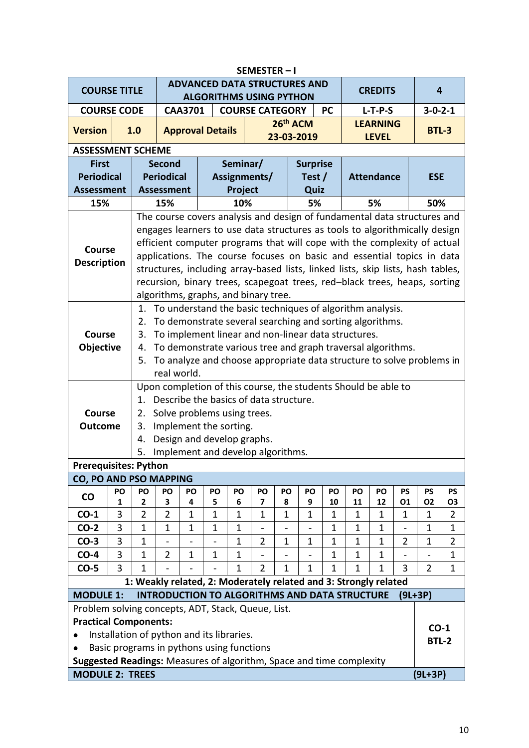|                                                                      | SEMESTER-I                                                |                                                                                                                                   |                                                                                                                                                           |                |                                           |             |                                                                            |                          |                                    |              |              |                                 |                |                 |                |
|----------------------------------------------------------------------|-----------------------------------------------------------|-----------------------------------------------------------------------------------------------------------------------------------|-----------------------------------------------------------------------------------------------------------------------------------------------------------|----------------|-------------------------------------------|-------------|----------------------------------------------------------------------------|--------------------------|------------------------------------|--------------|--------------|---------------------------------|----------------|-----------------|----------------|
| <b>COURSE TITLE</b>                                                  |                                                           |                                                                                                                                   |                                                                                                                                                           |                |                                           |             | <b>ADVANCED DATA STRUCTURES AND</b><br><b>ALGORITHMS USING PYTHON</b>      |                          |                                    |              |              | <b>CREDITS</b>                  |                | 4               |                |
| <b>COURSE CODE</b>                                                   |                                                           |                                                                                                                                   |                                                                                                                                                           | <b>CAA3701</b> |                                           |             | <b>COURSE CATEGORY</b>                                                     |                          |                                    | <b>PC</b>    |              | $L-T-P-S$                       |                | $3 - 0 - 2 - 1$ |                |
| <b>Version</b>                                                       |                                                           | 1.0                                                                                                                               |                                                                                                                                                           |                | <b>Approval Details</b>                   |             |                                                                            |                          | 26 <sup>th</sup> ACM<br>23-03-2019 |              |              | <b>LEARNING</b><br><b>LEVEL</b> |                | <b>BTL-3</b>    |                |
| <b>ASSESSMENT SCHEME</b>                                             |                                                           |                                                                                                                                   |                                                                                                                                                           |                |                                           |             |                                                                            |                          |                                    |              |              |                                 |                |                 |                |
| <b>First</b>                                                         |                                                           |                                                                                                                                   | <b>Second</b>                                                                                                                                             |                |                                           |             | Seminar/                                                                   |                          | <b>Surprise</b>                    |              |              |                                 |                |                 |                |
| <b>Periodical</b>                                                    |                                                           |                                                                                                                                   | <b>Periodical</b>                                                                                                                                         |                |                                           |             | Assignments/                                                               |                          | Test $/$                           |              |              | <b>Attendance</b>               |                | <b>ESE</b>      |                |
| <b>Assessment</b>                                                    |                                                           |                                                                                                                                   | <b>Assessment</b>                                                                                                                                         |                |                                           | Project     |                                                                            |                          | Quiz                               |              |              |                                 |                |                 |                |
| 15%                                                                  |                                                           |                                                                                                                                   | 15%                                                                                                                                                       |                |                                           | 10%         |                                                                            |                          | 5%                                 |              |              | 5%                              |                | 50%             |                |
|                                                                      |                                                           |                                                                                                                                   |                                                                                                                                                           |                |                                           |             | The course covers analysis and design of fundamental data structures and   |                          |                                    |              |              |                                 |                |                 |                |
|                                                                      |                                                           |                                                                                                                                   |                                                                                                                                                           |                |                                           |             | engages learners to use data structures as tools to algorithmically design |                          |                                    |              |              |                                 |                |                 |                |
| <b>Course</b>                                                        |                                                           | efficient computer programs that will cope with the complexity of actual                                                          |                                                                                                                                                           |                |                                           |             |                                                                            |                          |                                    |              |              |                                 |                |                 |                |
| <b>Description</b>                                                   |                                                           |                                                                                                                                   | applications. The course focuses on basic and essential topics in data<br>structures, including array-based lists, linked lists, skip lists, hash tables, |                |                                           |             |                                                                            |                          |                                    |              |              |                                 |                |                 |                |
|                                                                      |                                                           |                                                                                                                                   |                                                                                                                                                           |                |                                           |             |                                                                            |                          |                                    |              |              |                                 |                |                 |                |
|                                                                      |                                                           |                                                                                                                                   |                                                                                                                                                           |                |                                           |             | recursion, binary trees, scapegoat trees, red-black trees, heaps, sorting  |                          |                                    |              |              |                                 |                |                 |                |
|                                                                      |                                                           |                                                                                                                                   |                                                                                                                                                           |                |                                           |             | algorithms, graphs, and binary tree.                                       |                          |                                    |              |              |                                 |                |                 |                |
|                                                                      |                                                           | To understand the basic techniques of algorithm analysis.<br>1.<br>To demonstrate several searching and sorting algorithms.<br>2. |                                                                                                                                                           |                |                                           |             |                                                                            |                          |                                    |              |              |                                 |                |                 |                |
| <b>Course</b>                                                        | To implement linear and non-linear data structures.<br>3. |                                                                                                                                   |                                                                                                                                                           |                |                                           |             |                                                                            |                          |                                    |              |              |                                 |                |                 |                |
| <b>Objective</b>                                                     |                                                           | 4.                                                                                                                                |                                                                                                                                                           |                |                                           |             | To demonstrate various tree and graph traversal algorithms.                |                          |                                    |              |              |                                 |                |                 |                |
|                                                                      |                                                           | 5.                                                                                                                                |                                                                                                                                                           |                |                                           |             | To analyze and choose appropriate data structure to solve problems in      |                          |                                    |              |              |                                 |                |                 |                |
|                                                                      |                                                           |                                                                                                                                   | real world.                                                                                                                                               |                |                                           |             |                                                                            |                          |                                    |              |              |                                 |                |                 |                |
|                                                                      |                                                           |                                                                                                                                   |                                                                                                                                                           |                |                                           |             | Upon completion of this course, the students Should be able to             |                          |                                    |              |              |                                 |                |                 |                |
|                                                                      |                                                           | $\mathbf{1}$ .                                                                                                                    |                                                                                                                                                           |                |                                           |             | Describe the basics of data structure.                                     |                          |                                    |              |              |                                 |                |                 |                |
| <b>Course</b>                                                        |                                                           | 2.                                                                                                                                |                                                                                                                                                           |                |                                           |             | Solve problems using trees.                                                |                          |                                    |              |              |                                 |                |                 |                |
| <b>Outcome</b>                                                       |                                                           | 3.                                                                                                                                |                                                                                                                                                           |                | Implement the sorting.                    |             |                                                                            |                          |                                    |              |              |                                 |                |                 |                |
|                                                                      |                                                           | 4.                                                                                                                                |                                                                                                                                                           |                |                                           |             | Design and develop graphs.                                                 |                          |                                    |              |              |                                 |                |                 |                |
|                                                                      |                                                           | 5.                                                                                                                                |                                                                                                                                                           |                |                                           |             | Implement and develop algorithms.                                          |                          |                                    |              |              |                                 |                |                 |                |
| <b>Prerequisites: Python</b>                                         |                                                           |                                                                                                                                   |                                                                                                                                                           |                |                                           |             |                                                                            |                          |                                    |              |              |                                 |                |                 |                |
| <b>CO, PO AND PSO MAPPING</b>                                        | PO                                                        | PO                                                                                                                                | PO                                                                                                                                                        | PO             | PO                                        | PO          | PO                                                                         | PO                       | PO                                 | PO           | PO           | PO                              | <b>PS</b>      | <b>PS</b>       | <b>PS</b>      |
| CO                                                                   | 1                                                         | 2                                                                                                                                 | 3                                                                                                                                                         | 4              | 5                                         | 6           | $\overline{\mathbf{z}}$                                                    | 8                        | 9                                  | 10           | 11           | 12                              | 01             | <b>O2</b>       | 03             |
| $CO-1$                                                               | 3                                                         | $\overline{2}$                                                                                                                    | $\overline{2}$                                                                                                                                            | $\mathbf{1}$   | $\mathbf{1}$                              | $\mathbf 1$ | $\mathbf{1}$                                                               | $\mathbf{1}$             | $\mathbf 1$                        | $\mathbf 1$  | $\mathbf 1$  | $\mathbf 1$                     | $\mathbf{1}$   | $\mathbf{1}$    | $\overline{2}$ |
| $CO-2$                                                               | 3                                                         | $\mathbf{1}$                                                                                                                      | $\mathbf{1}$                                                                                                                                              | $\mathbf{1}$   | $\mathbf{1}$                              | $\mathbf 1$ |                                                                            | $\overline{\phantom{0}}$ | $\overline{a}$                     | $\mathbf 1$  | $\mathbf 1$  | $\mathbf 1$                     | $\overline{a}$ | $\mathbf{1}$    | $\mathbf{1}$   |
| $CO-3$                                                               | 3                                                         | $\mathbf{1}$                                                                                                                      |                                                                                                                                                           |                |                                           | $\mathbf 1$ | $\overline{2}$                                                             | $\mathbf{1}$             | $\mathbf{1}$                       | $\mathbf{1}$ | $\mathbf{1}$ | $\mathbf 1$                     | $\overline{2}$ | $\mathbf 1$     | $\overline{2}$ |
| $CO-4$                                                               | 3                                                         | $\mathbf{1}$                                                                                                                      | $\overline{2}$                                                                                                                                            | $\mathbf 1$    | $\mathbf{1}$                              | $\mathbf 1$ |                                                                            | $\overline{a}$           | $\overline{a}$                     | $\mathbf{1}$ | $\mathbf 1$  | $\mathbf{1}$                    | $\overline{a}$ | $\overline{a}$  | $\mathbf{1}$   |
| $CO-5$                                                               | 3                                                         | $\mathbf{1}$                                                                                                                      |                                                                                                                                                           |                |                                           | 1           | $\overline{2}$                                                             | 1                        | 1                                  | 1            | 1            | 1                               | 3              | 2               | $\mathbf{1}$   |
|                                                                      |                                                           |                                                                                                                                   |                                                                                                                                                           |                |                                           |             | 1: Weakly related, 2: Moderately related and 3: Strongly related           |                          |                                    |              |              |                                 |                |                 |                |
| <b>MODULE 1:</b>                                                     |                                                           |                                                                                                                                   |                                                                                                                                                           |                |                                           |             | <b>INTRODUCTION TO ALGORITHMS AND DATA STRUCTURE</b>                       |                          |                                    |              |              |                                 | $(9L+3P)$      |                 |                |
| Problem solving concepts, ADT, Stack, Queue, List.                   |                                                           |                                                                                                                                   |                                                                                                                                                           |                |                                           |             |                                                                            |                          |                                    |              |              |                                 |                |                 |                |
| <b>Practical Components:</b>                                         |                                                           |                                                                                                                                   |                                                                                                                                                           |                |                                           |             |                                                                            |                          |                                    |              |              |                                 |                | $CO-1$          |                |
|                                                                      |                                                           |                                                                                                                                   |                                                                                                                                                           |                | Installation of python and its libraries. |             |                                                                            |                          |                                    |              |              |                                 |                | <b>BTL-2</b>    |                |
| Suggested Readings: Measures of algorithm, Space and time complexity |                                                           |                                                                                                                                   |                                                                                                                                                           |                |                                           |             | Basic programs in pythons using functions                                  |                          |                                    |              |              |                                 |                |                 |                |
| <b>MODULE 2: TREES</b>                                               |                                                           |                                                                                                                                   |                                                                                                                                                           |                |                                           |             |                                                                            |                          |                                    |              |              |                                 |                | $(9L+3P)$       |                |
|                                                                      |                                                           |                                                                                                                                   |                                                                                                                                                           |                |                                           |             |                                                                            |                          |                                    |              |              |                                 |                |                 |                |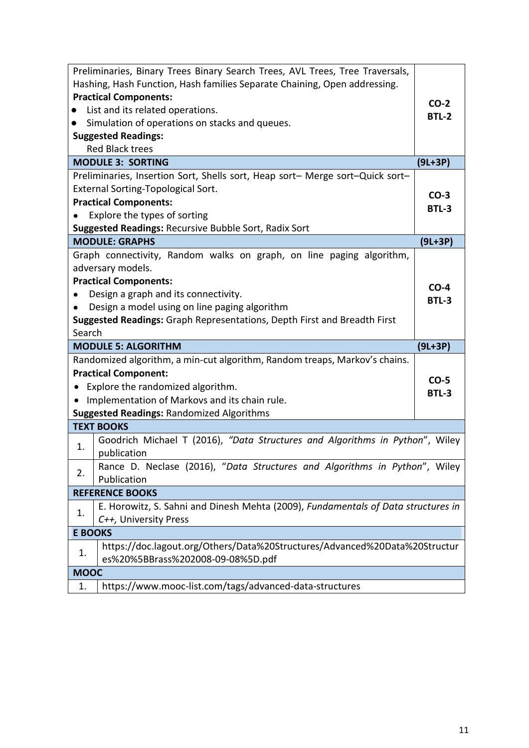| Preliminaries, Binary Trees Binary Search Trees, AVL Trees, Tree Traversals,      |                 |
|-----------------------------------------------------------------------------------|-----------------|
| Hashing, Hash Function, Hash families Separate Chaining, Open addressing.         |                 |
| <b>Practical Components:</b>                                                      | $CO-2$          |
| List and its related operations.                                                  | <b>BTL-2</b>    |
| Simulation of operations on stacks and queues.                                    |                 |
| <b>Suggested Readings:</b>                                                        |                 |
| <b>Red Black trees</b>                                                            |                 |
| <b>MODULE 3: SORTING</b>                                                          | $(9L+3P)$       |
| Preliminaries, Insertion Sort, Shells sort, Heap sort- Merge sort-Quick sort-     |                 |
| <b>External Sorting-Topological Sort.</b>                                         | $CO-3$          |
| <b>Practical Components:</b>                                                      | BTL-3           |
| Explore the types of sorting                                                      |                 |
| <b>Suggested Readings: Recursive Bubble Sort, Radix Sort</b>                      |                 |
| <b>MODULE: GRAPHS</b>                                                             | $(9L+3P)$       |
| Graph connectivity, Random walks on graph, on line paging algorithm,              |                 |
| adversary models.                                                                 |                 |
| <b>Practical Components:</b>                                                      | $CO-4$          |
| Design a graph and its connectivity.                                              | BTL-3           |
| Design a model using on line paging algorithm                                     |                 |
| <b>Suggested Readings:</b> Graph Representations, Depth First and Breadth First   |                 |
| Search                                                                            |                 |
|                                                                                   |                 |
| <b>MODULE 5: ALGORITHM</b>                                                        | $(9L+3P)$       |
| Randomized algorithm, a min-cut algorithm, Random treaps, Markov's chains.        |                 |
| <b>Practical Component:</b>                                                       |                 |
| • Explore the randomized algorithm.                                               | $CO-5$<br>BTL-3 |
| • Implementation of Markovs and its chain rule.                                   |                 |
| <b>Suggested Readings: Randomized Algorithms</b>                                  |                 |
| <b>TEXT BOOKS</b>                                                                 |                 |
| Goodrich Michael T (2016), "Data Structures and Algorithms in Python", Wiley      |                 |
| 1.<br>publication                                                                 |                 |
| Rance D. Neclase (2016), "Data Structures and Algorithms in Python", Wiley        |                 |
| 2.<br>Publication                                                                 |                 |
| <b>REFERENCE BOOKS</b>                                                            |                 |
| E. Horowitz, S. Sahni and Dinesh Mehta (2009), Fundamentals of Data structures in |                 |
| 1.<br>C++, University Press                                                       |                 |
| <b>E BOOKS</b>                                                                    |                 |
| https://doc.lagout.org/Others/Data%20Structures/Advanced%20Data%20Structur<br>1.  |                 |
| es%20%5BBrass%202008-09-08%5D.pdf                                                 |                 |
| <b>MOOC</b><br>https://www.mooc-list.com/tags/advanced-data-structures<br>1.      |                 |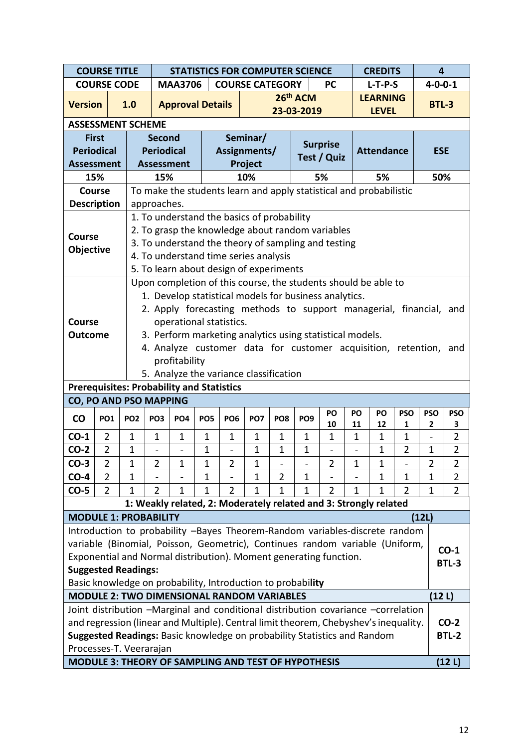|                                                  | <b>COURSE TITLE</b> |                 | <b>STATISTICS FOR COMPUTER SCIENCE</b><br><b>CREDITS</b>                                                                      |                         |                 |                 |                                                                                                                                                                           |                          |                 |                    | $\overline{\mathbf{4}}$ |                   |                |              |                 |
|--------------------------------------------------|---------------------|-----------------|-------------------------------------------------------------------------------------------------------------------------------|-------------------------|-----------------|-----------------|---------------------------------------------------------------------------------------------------------------------------------------------------------------------------|--------------------------|-----------------|--------------------|-------------------------|-------------------|----------------|--------------|-----------------|
|                                                  | <b>COURSE CODE</b>  |                 |                                                                                                                               | <b>MAA3706</b>          |                 |                 | <b>COURSE CATEGORY</b>                                                                                                                                                    |                          |                 | <b>PC</b>          |                         | $L-T-P-S$         |                |              | $4 - 0 - 0 - 1$ |
| <b>Version</b>                                   |                     | 1.0             |                                                                                                                               | <b>Approval Details</b> |                 |                 |                                                                                                                                                                           |                          | 26th ACM        |                    |                         | <b>LEARNING</b>   |                |              | <b>BTL-3</b>    |
|                                                  |                     |                 |                                                                                                                               |                         |                 |                 |                                                                                                                                                                           |                          | 23-03-2019      |                    |                         | <b>LEVEL</b>      |                |              |                 |
| <b>ASSESSMENT SCHEME</b>                         |                     |                 |                                                                                                                               |                         |                 |                 |                                                                                                                                                                           |                          |                 |                    |                         |                   |                |              |                 |
|                                                  | <b>First</b>        |                 | <b>Second</b>                                                                                                                 |                         |                 |                 | Seminar/                                                                                                                                                                  |                          |                 | <b>Surprise</b>    |                         |                   |                |              |                 |
|                                                  | <b>Periodical</b>   |                 | <b>Periodical</b>                                                                                                             |                         |                 |                 | Assignments/                                                                                                                                                              |                          |                 | <b>Test / Quiz</b> |                         | <b>Attendance</b> |                |              | <b>ESE</b>      |
| <b>Assessment</b>                                |                     |                 | <b>Assessment</b>                                                                                                             |                         |                 |                 | Project                                                                                                                                                                   |                          |                 |                    |                         |                   |                |              |                 |
|                                                  | 15%                 |                 | 15%                                                                                                                           |                         |                 |                 | 10%                                                                                                                                                                       |                          |                 | 5%                 |                         | 5%                |                |              | 50%             |
|                                                  | <b>Course</b>       |                 |                                                                                                                               |                         |                 |                 | To make the students learn and apply statistical and probabilistic                                                                                                        |                          |                 |                    |                         |                   |                |              |                 |
| <b>Description</b>                               |                     |                 | approaches.                                                                                                                   |                         |                 |                 |                                                                                                                                                                           |                          |                 |                    |                         |                   |                |              |                 |
|                                                  |                     |                 |                                                                                                                               |                         |                 |                 | 1. To understand the basics of probability                                                                                                                                |                          |                 |                    |                         |                   |                |              |                 |
| Course                                           |                     |                 |                                                                                                                               |                         |                 |                 | 2. To grasp the knowledge about random variables                                                                                                                          |                          |                 |                    |                         |                   |                |              |                 |
| Objective                                        |                     |                 |                                                                                                                               |                         |                 |                 | 3. To understand the theory of sampling and testing                                                                                                                       |                          |                 |                    |                         |                   |                |              |                 |
|                                                  |                     |                 |                                                                                                                               |                         |                 |                 | 4. To understand time series analysis                                                                                                                                     |                          |                 |                    |                         |                   |                |              |                 |
|                                                  |                     |                 |                                                                                                                               |                         |                 |                 | 5. To learn about design of experiments<br>Upon completion of this course, the students should be able to                                                                 |                          |                 |                    |                         |                   |                |              |                 |
|                                                  |                     |                 |                                                                                                                               |                         |                 |                 | 1. Develop statistical models for business analytics.                                                                                                                     |                          |                 |                    |                         |                   |                |              |                 |
|                                                  |                     |                 |                                                                                                                               |                         |                 |                 | 2. Apply forecasting methods to support managerial, financial, and                                                                                                        |                          |                 |                    |                         |                   |                |              |                 |
| Course                                           |                     |                 |                                                                                                                               | operational statistics. |                 |                 |                                                                                                                                                                           |                          |                 |                    |                         |                   |                |              |                 |
| <b>Outcome</b>                                   |                     |                 |                                                                                                                               |                         |                 |                 |                                                                                                                                                                           |                          |                 |                    |                         |                   |                |              |                 |
|                                                  |                     |                 | 3. Perform marketing analytics using statistical models.<br>4. Analyze customer data for customer acquisition, retention, and |                         |                 |                 |                                                                                                                                                                           |                          |                 |                    |                         |                   |                |              |                 |
|                                                  |                     |                 |                                                                                                                               | profitability           |                 |                 |                                                                                                                                                                           |                          |                 |                    |                         |                   |                |              |                 |
|                                                  |                     |                 |                                                                                                                               |                         |                 |                 | 5. Analyze the variance classification                                                                                                                                    |                          |                 |                    |                         |                   |                |              |                 |
| <b>Prerequisites: Probability and Statistics</b> |                     |                 |                                                                                                                               |                         |                 |                 |                                                                                                                                                                           |                          |                 |                    |                         |                   |                |              |                 |
| CO, PO AND PSO MAPPING                           |                     |                 |                                                                                                                               |                         |                 |                 |                                                                                                                                                                           |                          |                 |                    |                         |                   |                |              |                 |
| <b>CO</b>                                        | PO <sub>1</sub>     | PO <sub>2</sub> | PO <sub>3</sub>                                                                                                               | PO <sub>4</sub>         | PO <sub>5</sub> | PO <sub>6</sub> | PO <sub>7</sub>                                                                                                                                                           | PO <sub>8</sub>          | PO <sub>9</sub> | PO                 | PO                      | PO                | <b>PSO</b>     | <b>PSO</b>   | <b>PSO</b>      |
|                                                  |                     |                 |                                                                                                                               |                         |                 |                 |                                                                                                                                                                           |                          |                 | 10                 | 11                      | 12                | 1              | $\mathbf{2}$ | 3               |
| $CO-1$                                           | $\overline{2}$      | $\mathbf{1}$    | $\mathbf 1$                                                                                                                   | $\mathbf 1$             | $\mathbf 1$     | $\mathbf 1$     | $\mathbf{1}$                                                                                                                                                              | $\mathbf 1$              | $\mathbf{1}$    | $\mathbf{1}$       | 1                       | $\mathbf 1$       | 1              |              | $\overline{2}$  |
| $CO-2$                                           | $\overline{2}$      | $\mathbf{1}$    |                                                                                                                               |                         | 1               |                 | $\mathbf{1}$                                                                                                                                                              | $\mathbf 1$              | $\mathbf{1}$    |                    |                         | $\mathbf{1}$      | $\overline{2}$ | $\mathbf 1$  | $\overline{2}$  |
| $CO-3$                                           | 2                   | 1               | 2                                                                                                                             | 1                       | 1               | 2               | 1                                                                                                                                                                         | $\overline{\phantom{0}}$ |                 | 2                  | 1                       | 1                 |                | 2            | $\overline{z}$  |
| $CO-4$                                           | $\overline{2}$      | $\mathbf 1$     |                                                                                                                               |                         | $\mathbf 1$     |                 | 1                                                                                                                                                                         | $\overline{2}$           | $\mathbf{1}$    |                    |                         | $\mathbf{1}$      | 1              | $\mathbf{1}$ | $\overline{2}$  |
| $CO-5$                                           | $\overline{2}$      | 1               | $\overline{2}$                                                                                                                | 1                       | 1               | 2               | 1                                                                                                                                                                         | 1                        | 1               | $\overline{2}$     | 1                       | $\mathbf 1$       | 2              | 1            | $\overline{2}$  |
|                                                  |                     |                 |                                                                                                                               |                         |                 |                 | 1: Weakly related, 2: Moderately related and 3: Strongly related                                                                                                          |                          |                 |                    |                         |                   |                |              |                 |
| <b>MODULE 1: PROBABILITY</b>                     |                     |                 |                                                                                                                               |                         |                 |                 |                                                                                                                                                                           |                          |                 |                    |                         |                   |                | (12L)        |                 |
|                                                  |                     |                 |                                                                                                                               |                         |                 |                 | Introduction to probability -Bayes Theorem-Random variables-discrete random                                                                                               |                          |                 |                    |                         |                   |                |              |                 |
|                                                  |                     |                 |                                                                                                                               |                         |                 |                 | variable (Binomial, Poisson, Geometric), Continues random variable (Uniform,                                                                                              |                          |                 |                    |                         |                   |                |              | $CO-1$          |
|                                                  |                     |                 |                                                                                                                               |                         |                 |                 | Exponential and Normal distribution). Moment generating function.                                                                                                         |                          |                 |                    |                         |                   |                |              | <b>BTL-3</b>    |
| <b>Suggested Readings:</b>                       |                     |                 |                                                                                                                               |                         |                 |                 |                                                                                                                                                                           |                          |                 |                    |                         |                   |                |              |                 |
|                                                  |                     |                 |                                                                                                                               |                         |                 |                 | Basic knowledge on probability, Introduction to probability<br><b>MODULE 2: TWO DIMENSIONAL RANDOM VARIABLES</b>                                                          |                          |                 |                    |                         |                   |                |              |                 |
|                                                  |                     |                 |                                                                                                                               |                         |                 |                 |                                                                                                                                                                           |                          |                 |                    |                         |                   |                |              | (12 L)          |
|                                                  |                     |                 |                                                                                                                               |                         |                 |                 | Joint distribution -Marginal and conditional distribution covariance -correlation<br>and regression (linear and Multiple). Central limit theorem, Chebyshev's inequality. |                          |                 |                    |                         |                   |                |              | $CO-2$          |
|                                                  |                     |                 |                                                                                                                               |                         |                 |                 | Suggested Readings: Basic knowledge on probability Statistics and Random                                                                                                  |                          |                 |                    |                         |                   |                |              | <b>BTL-2</b>    |
| Processes-T. Veerarajan                          |                     |                 |                                                                                                                               |                         |                 |                 |                                                                                                                                                                           |                          |                 |                    |                         |                   |                |              |                 |
|                                                  |                     |                 |                                                                                                                               |                         |                 |                 |                                                                                                                                                                           |                          |                 |                    |                         |                   |                |              |                 |
|                                                  |                     |                 |                                                                                                                               |                         |                 |                 | <b>MODULE 3: THEORY OF SAMPLING AND TEST OF HYPOTHESIS</b>                                                                                                                |                          |                 |                    |                         |                   |                |              | (12 L)          |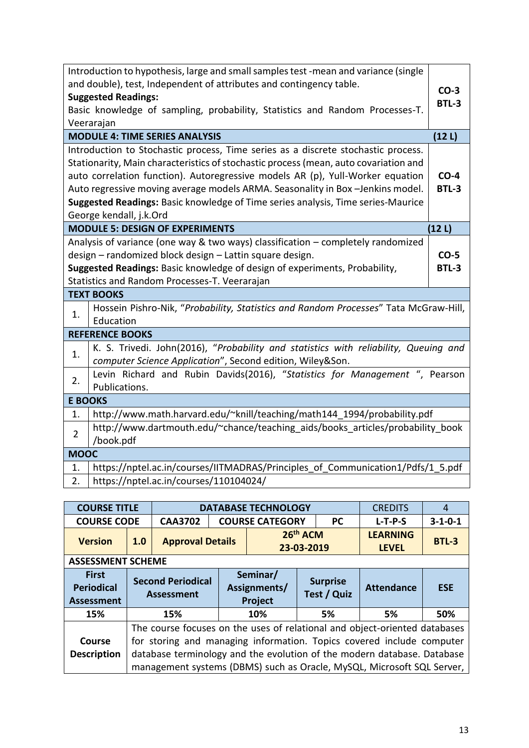| Introduction to hypothesis, large and small samples test -mean and variance (single<br>and double), test, Independent of attributes and contingency table.<br><b>Suggested Readings:</b><br>Basic knowledge of sampling, probability, Statistics and Random Processes-T.<br>Veerarajan                                                                                                                                                                      | $CO-3$<br><b>BTL-3</b> |
|-------------------------------------------------------------------------------------------------------------------------------------------------------------------------------------------------------------------------------------------------------------------------------------------------------------------------------------------------------------------------------------------------------------------------------------------------------------|------------------------|
| <b>MODULE 4: TIME SERIES ANALYSIS</b>                                                                                                                                                                                                                                                                                                                                                                                                                       | (12L)                  |
| Introduction to Stochastic process, Time series as a discrete stochastic process.<br>Stationarity, Main characteristics of stochastic process (mean, auto covariation and<br>auto correlation function). Autoregressive models AR (p), Yull-Worker equation<br>Auto regressive moving average models ARMA. Seasonality in Box-Jenkins model.<br>Suggested Readings: Basic knowledge of Time series analysis, Time series-Maurice<br>George kendall, j.k.Ord | $CO-4$<br>BTL-3        |
| <b>MODULE 5: DESIGN OF EXPERIMENTS</b>                                                                                                                                                                                                                                                                                                                                                                                                                      | (12L)                  |
| Analysis of variance (one way & two ways) classification – completely randomized<br>design - randomized block design - Lattin square design.<br>Suggested Readings: Basic knowledge of design of experiments, Probability,<br>Statistics and Random Processes-T. Veerarajan                                                                                                                                                                                 | $CO-5$<br><b>BTL-3</b> |
| <b>TEXT BOOKS</b>                                                                                                                                                                                                                                                                                                                                                                                                                                           |                        |
| Hossein Pishro-Nik, "Probability, Statistics and Random Processes" Tata McGraw-Hill,<br>1.<br>Education                                                                                                                                                                                                                                                                                                                                                     |                        |
| <b>REFERENCE BOOKS</b>                                                                                                                                                                                                                                                                                                                                                                                                                                      |                        |
| K. S. Trivedi. John(2016), "Probability and statistics with reliability, Queuing and<br>1.<br>computer Science Application", Second edition, Wiley&Son.                                                                                                                                                                                                                                                                                                     |                        |
| Levin Richard and Rubin Davids(2016), "Statistics for Management ", Pearson<br>2.<br>Publications.                                                                                                                                                                                                                                                                                                                                                          |                        |
| <b>E BOOKS</b>                                                                                                                                                                                                                                                                                                                                                                                                                                              |                        |
| http://www.math.harvard.edu/~knill/teaching/math144_1994/probability.pdf<br>1.                                                                                                                                                                                                                                                                                                                                                                              |                        |
| http://www.dartmouth.edu/~chance/teaching aids/books articles/probability book<br>$\overline{2}$<br>/book.pdf                                                                                                                                                                                                                                                                                                                                               |                        |
| <b>MOOC</b>                                                                                                                                                                                                                                                                                                                                                                                                                                                 |                        |
| https://nptel.ac.in/courses/IITMADRAS/Principles_of_Communication1/Pdfs/1_5.pdf<br>1.<br>https://nptel.ac.in/courses/110104024/<br>2.                                                                                                                                                                                                                                                                                                                       |                        |

| <b>COURSE TITLE</b>                                    |     |                                                                            |  | <b>DATABASE TECHNOLOGY</b>          |                        |                                | <b>CREDITS</b>                                                        | 4               |
|--------------------------------------------------------|-----|----------------------------------------------------------------------------|--|-------------------------------------|------------------------|--------------------------------|-----------------------------------------------------------------------|-----------------|
| <b>COURSE CODE</b>                                     |     | <b>CAA3702</b>                                                             |  | <b>COURSE CATEGORY</b>              |                        | <b>PC</b>                      | $L-T-P-S$                                                             | $3 - 1 - 0 - 1$ |
| <b>Version</b>                                         | 1.0 | <b>Approval Details</b>                                                    |  |                                     | 26th ACM<br>23-03-2019 |                                | <b>LEARNING</b><br><b>LEVEL</b>                                       | <b>BTL-3</b>    |
| <b>ASSESSMENT SCHEME</b>                               |     |                                                                            |  |                                     |                        |                                |                                                                       |                 |
| <b>First</b><br><b>Periodical</b><br><b>Assessment</b> |     | <b>Second Periodical</b><br><b>Assessment</b>                              |  | Seminar/<br>Assignments/<br>Project |                        | <b>Surprise</b><br>Test / Quiz | <b>Attendance</b>                                                     | <b>ESE</b>      |
| 15%                                                    |     | 15%                                                                        |  | 10%                                 |                        | 5%                             | 5%                                                                    | 50%             |
| Course                                                 |     | The course focuses on the uses of relational and object-oriented databases |  |                                     |                        |                                | for storing and managing information. Topics covered include computer |                 |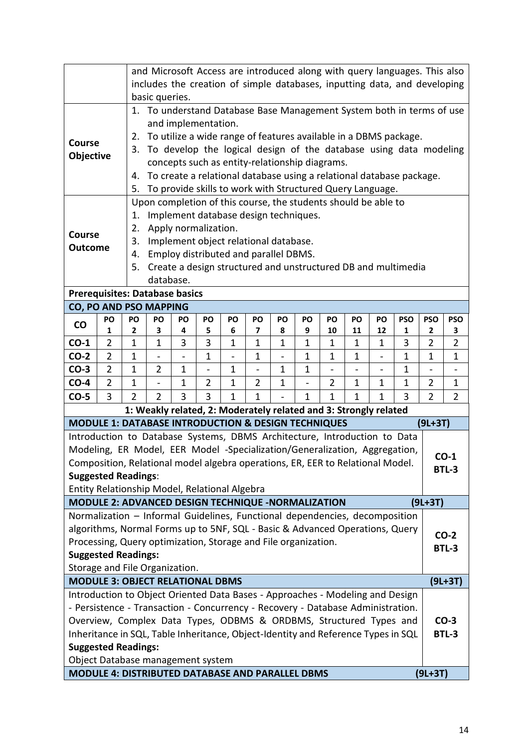| and Microsoft Access are introduced along with query languages. This also<br>includes the creation of simple databases, inputting data, and developing  |                |                            |                                                                     |                          |                |                   |                                                |                |              |                          |                          |                              |                                                                       |                |                |
|---------------------------------------------------------------------------------------------------------------------------------------------------------|----------------|----------------------------|---------------------------------------------------------------------|--------------------------|----------------|-------------------|------------------------------------------------|----------------|--------------|--------------------------|--------------------------|------------------------------|-----------------------------------------------------------------------|----------------|----------------|
|                                                                                                                                                         |                |                            | basic queries.                                                      |                          |                |                   |                                                |                |              |                          |                          |                              |                                                                       |                |                |
|                                                                                                                                                         |                |                            |                                                                     |                          |                |                   |                                                |                |              |                          |                          |                              | 1. To understand Database Base Management System both in terms of use |                |                |
|                                                                                                                                                         |                |                            |                                                                     | and implementation.      |                |                   |                                                |                |              |                          |                          |                              |                                                                       |                |                |
|                                                                                                                                                         |                | 2.                         |                                                                     |                          |                |                   |                                                |                |              |                          |                          |                              | To utilize a wide range of features available in a DBMS package.      |                |                |
| <b>Course</b>                                                                                                                                           |                | 3.                         |                                                                     |                          |                |                   |                                                |                |              |                          |                          |                              | To develop the logical design of the database using data modeling     |                |                |
| Objective                                                                                                                                               |                |                            |                                                                     |                          |                |                   | concepts such as entity-relationship diagrams. |                |              |                          |                          |                              |                                                                       |                |                |
|                                                                                                                                                         |                | 4.                         |                                                                     |                          |                |                   |                                                |                |              |                          |                          |                              | To create a relational database using a relational database package.  |                |                |
|                                                                                                                                                         |                | 5.                         | To provide skills to work with Structured Query Language.           |                          |                |                   |                                                |                |              |                          |                          |                              |                                                                       |                |                |
|                                                                                                                                                         |                |                            | Upon completion of this course, the students should be able to      |                          |                |                   |                                                |                |              |                          |                          |                              |                                                                       |                |                |
|                                                                                                                                                         |                | 1.                         |                                                                     |                          |                |                   | Implement database design techniques.          |                |              |                          |                          |                              |                                                                       |                |                |
| <b>Course</b>                                                                                                                                           |                | Apply normalization.<br>2. |                                                                     |                          |                |                   |                                                |                |              |                          |                          |                              |                                                                       |                |                |
| <b>Outcome</b>                                                                                                                                          |                | 3.                         | Implement object relational database.                               |                          |                |                   |                                                |                |              |                          |                          |                              |                                                                       |                |                |
|                                                                                                                                                         |                | 4.                         | Employ distributed and parallel DBMS.                               |                          |                |                   |                                                |                |              |                          |                          |                              |                                                                       |                |                |
|                                                                                                                                                         |                |                            | Create a design structured and unstructured DB and multimedia<br>5. |                          |                |                   |                                                |                |              |                          |                          |                              |                                                                       |                |                |
| database.                                                                                                                                               |                |                            |                                                                     |                          |                |                   |                                                |                |              |                          |                          |                              |                                                                       |                |                |
| <b>Prerequisites: Database basics</b><br><b>CO, PO AND PSO MAPPING</b>                                                                                  |                |                            |                                                                     |                          |                |                   |                                                |                |              |                          |                          |                              |                                                                       |                |                |
|                                                                                                                                                         | PO             | PO                         | PO                                                                  | PO                       | PO             | PO                | PO                                             | PO             | PO           | PO                       | PO                       | PO                           | <b>PSO</b>                                                            | <b>PSO</b>     | <b>PSO</b>     |
| $\mathsf{co}$                                                                                                                                           | 1              | 2                          | 3                                                                   | 4                        | 5              | 6                 | 7                                              | 8              | 9            | 10                       | 11                       | 12                           | 1                                                                     | 2              | 3              |
| $CO-1$                                                                                                                                                  | $\overline{2}$ | 1                          | 1                                                                   | 3                        | 3              | 1                 | 1                                              | 1              | 1            | 1                        | 1                        | 1                            | 3                                                                     | 2              | 2              |
| $CO-2$                                                                                                                                                  | $\overline{2}$ | $\mathbf{1}$               |                                                                     | $\overline{\phantom{0}}$ | $\mathbf 1$    | $\qquad \qquad -$ | 1                                              | $\overline{a}$ | 1            | $\mathbf 1$              | 1                        | $\overline{\phantom{0}}$     | 1                                                                     | 1              | $\mathbf{1}$   |
| $CO-3$                                                                                                                                                  | $\overline{2}$ | $\mathbf{1}$               | $\overline{2}$                                                      | $\mathbf 1$              | $\blacksquare$ | $\mathbf 1$       | $\overline{\phantom{0}}$                       | 1              | $\mathbf{1}$ | $\overline{\phantom{0}}$ | $\overline{\phantom{0}}$ | $\qquad \qquad \blacksquare$ | 1                                                                     |                |                |
| $CO-4$                                                                                                                                                  | $\overline{2}$ | $\mathbf 1$                |                                                                     | $\mathbf 1$              | $\overline{2}$ | $\mathbf{1}$      | 2                                              | 1              |              | $\overline{2}$           | 1                        | 1                            | 1                                                                     | 2              | $\mathbf{1}$   |
| $CO-5$                                                                                                                                                  | 3              | $\overline{2}$             | $\overline{2}$                                                      | 3                        | 3              | $\mathbf{1}$      | 1                                              |                | $\mathbf{1}$ | 1                        | $\mathbf{1}$             | $\mathbf{1}$                 | 3                                                                     | $\overline{2}$ | $\overline{2}$ |
|                                                                                                                                                         |                |                            | 1: Weakly related, 2: Moderately related and 3: Strongly related    |                          |                |                   |                                                |                |              |                          |                          |                              |                                                                       |                |                |
| MODULE 1: DATABASE INTRODUCTION & DESIGN TECHNIQUES                                                                                                     |                |                            |                                                                     |                          |                |                   |                                                |                |              |                          |                          |                              |                                                                       | $(9L+3T)$      |                |
| Introduction to Database Systems, DBMS Architecture, Introduction to Data                                                                               |                |                            |                                                                     |                          |                |                   |                                                |                |              |                          |                          |                              |                                                                       |                |                |
| Modeling, ER Model, EER Model -Specialization/Generalization, Aggregation,                                                                              |                |                            |                                                                     |                          |                |                   |                                                |                |              |                          |                          |                              |                                                                       |                | $CO-1$         |
| Composition, Relational model algebra operations, ER, EER to Relational Model.<br><b>Suggested Readings:</b>                                            |                |                            |                                                                     |                          |                |                   |                                                |                |              |                          |                          |                              |                                                                       |                | <b>BTL-3</b>   |
| Entity Relationship Model, Relational Algebra                                                                                                           |                |                            |                                                                     |                          |                |                   |                                                |                |              |                          |                          |                              |                                                                       |                |                |
| MODULE 2: ADVANCED DESIGN TECHNIQUE -NORMALIZATION                                                                                                      |                |                            |                                                                     |                          |                |                   |                                                |                |              |                          |                          |                              |                                                                       | $(9L+3T)$      |                |
| Normalization - Informal Guidelines, Functional dependencies, decomposition                                                                             |                |                            |                                                                     |                          |                |                   |                                                |                |              |                          |                          |                              |                                                                       |                |                |
| algorithms, Normal Forms up to 5NF, SQL - Basic & Advanced Operations, Query                                                                            |                |                            |                                                                     |                          |                |                   |                                                |                |              |                          |                          |                              |                                                                       |                |                |
| Processing, Query optimization, Storage and File organization.                                                                                          |                |                            |                                                                     |                          |                |                   |                                                |                |              |                          |                          |                              |                                                                       |                | $CO-2$         |
| <b>Suggested Readings:</b>                                                                                                                              |                |                            |                                                                     |                          |                |                   |                                                |                |              |                          |                          |                              |                                                                       |                | <b>BTL-3</b>   |
| Storage and File Organization.                                                                                                                          |                |                            |                                                                     |                          |                |                   |                                                |                |              |                          |                          |                              |                                                                       |                |                |
| <b>MODULE 3: OBJECT RELATIONAL DBMS</b>                                                                                                                 |                |                            |                                                                     |                          |                |                   |                                                |                |              | $(9L+3T)$                |                          |                              |                                                                       |                |                |
| Introduction to Object Oriented Data Bases - Approaches - Modeling and Design                                                                           |                |                            |                                                                     |                          |                |                   |                                                |                |              |                          |                          |                              |                                                                       |                |                |
| - Persistence - Transaction - Concurrency - Recovery - Database Administration.                                                                         |                |                            |                                                                     |                          |                |                   |                                                |                |              |                          |                          |                              |                                                                       |                |                |
| Overview, Complex Data Types, ODBMS & ORDBMS, Structured Types and<br>Inheritance in SQL, Table Inheritance, Object-Identity and Reference Types in SQL |                |                            |                                                                     |                          |                |                   |                                                |                |              | $CO-3$                   |                          |                              |                                                                       |                |                |
|                                                                                                                                                         |                |                            |                                                                     |                          |                |                   |                                                |                |              |                          |                          |                              |                                                                       |                | <b>BTL-3</b>   |
| <b>Suggested Readings:</b>                                                                                                                              |                |                            |                                                                     |                          |                |                   |                                                |                |              |                          |                          |                              |                                                                       |                |                |
| Object Database management system<br>MODULE 4: DISTRIBUTED DATABASE AND PARALLEL DBMS                                                                   |                |                            |                                                                     |                          |                |                   |                                                |                |              |                          |                          |                              |                                                                       |                |                |
|                                                                                                                                                         |                |                            |                                                                     |                          |                |                   |                                                |                |              |                          |                          |                              |                                                                       | $(9L+3T)$      |                |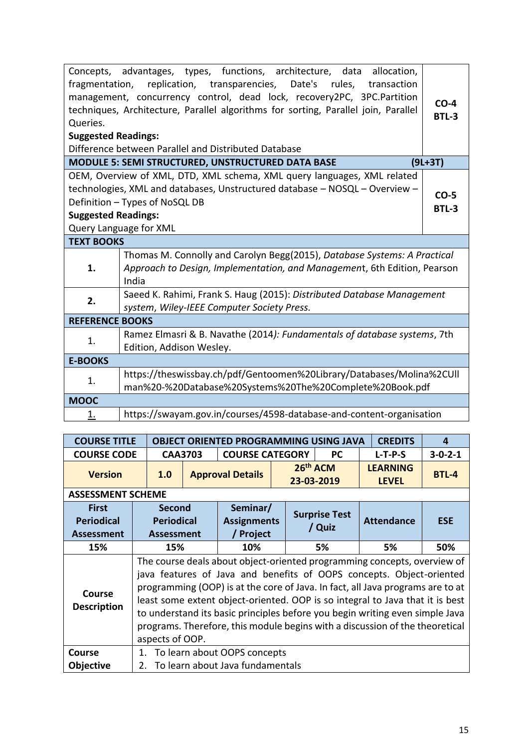| Queries.<br><b>Suggested Readings:</b> | Concepts, advantages, types, functions, architecture, data allocation,<br>fragmentation, replication, transparencies, Date's rules, transaction<br>management, concurrency control, dead lock, recovery2PC, 3PC.Partition<br>techniques, Architecture, Parallel algorithms for sorting, Parallel join, Parallel<br>Difference between Parallel and Distributed Database | $CO-4$<br><b>BTL-3</b> |
|----------------------------------------|-------------------------------------------------------------------------------------------------------------------------------------------------------------------------------------------------------------------------------------------------------------------------------------------------------------------------------------------------------------------------|------------------------|
|                                        | <b>MODULE 5: SEMI STRUCTURED, UNSTRUCTURED DATA BASE</b>                                                                                                                                                                                                                                                                                                                | $(9L+3T)$              |
| <b>Suggested Readings:</b>             | OEM, Overview of XML, DTD, XML schema, XML query languages, XML related<br>technologies, XML and databases, Unstructured database - NOSQL - Overview -<br>Definition - Types of NoSQL DB<br>Query Language for XML                                                                                                                                                      | $CO-5$<br><b>BTL-3</b> |
| <b>TEXT BOOKS</b>                      |                                                                                                                                                                                                                                                                                                                                                                         |                        |
| 1.                                     | Thomas M. Connolly and Carolyn Begg(2015), Database Systems: A Practical<br>Approach to Design, Implementation, and Management, 6th Edition, Pearson<br>India                                                                                                                                                                                                           |                        |
| 2.                                     | Saeed K. Rahimi, Frank S. Haug (2015): Distributed Database Management<br>system, Wiley-IEEE Computer Society Press.                                                                                                                                                                                                                                                    |                        |
| <b>REFERENCE BOOKS</b>                 |                                                                                                                                                                                                                                                                                                                                                                         |                        |
| 1.                                     | Ramez Elmasri & B. Navathe (2014): Fundamentals of database systems, 7th<br>Edition, Addison Wesley.                                                                                                                                                                                                                                                                    |                        |
| <b>E-BOOKS</b>                         |                                                                                                                                                                                                                                                                                                                                                                         |                        |
| 1.                                     | https://theswissbay.ch/pdf/Gentoomen%20Library/Databases/Molina%2CUll<br>man%20-%20Database%20Systems%20The%20Complete%20Book.pdf                                                                                                                                                                                                                                       |                        |
| <b>MOOC</b>                            |                                                                                                                                                                                                                                                                                                                                                                         |                        |
| 1.                                     | https://swayam.gov.in/courses/4598-database-and-content-organisation                                                                                                                                                                                                                                                                                                    |                        |

| <b>COURSE TITLE</b>          | <b>OBJECT ORIENTED PROGRAMMING USING JAVA</b> | <b>CREDITS</b>                                                                                                                                                                                                                                                                                                                                                                                                                                                                      | 4                               |  |                      |                   |                 |  |  |  |  |  |
|------------------------------|-----------------------------------------------|-------------------------------------------------------------------------------------------------------------------------------------------------------------------------------------------------------------------------------------------------------------------------------------------------------------------------------------------------------------------------------------------------------------------------------------------------------------------------------------|---------------------------------|--|----------------------|-------------------|-----------------|--|--|--|--|--|
| <b>COURSE CODE</b>           | <b>CAA3703</b>                                |                                                                                                                                                                                                                                                                                                                                                                                                                                                                                     | <b>COURSE CATEGORY</b>          |  | <b>PC</b>            | $L-T-P-S$         | $3 - 0 - 2 - 1$ |  |  |  |  |  |
| <b>Version</b>               | 1.0                                           |                                                                                                                                                                                                                                                                                                                                                                                                                                                                                     | <b>Approval Details</b>         |  | 26 <sup>th</sup> ACM | <b>LEARNING</b>   | <b>BTL-4</b>    |  |  |  |  |  |
|                              |                                               |                                                                                                                                                                                                                                                                                                                                                                                                                                                                                     |                                 |  | 23-03-2019           | <b>LEVEL</b>      |                 |  |  |  |  |  |
| <b>ASSESSMENT SCHEME</b>     |                                               |                                                                                                                                                                                                                                                                                                                                                                                                                                                                                     |                                 |  |                      |                   |                 |  |  |  |  |  |
| <b>First</b>                 | Second                                        |                                                                                                                                                                                                                                                                                                                                                                                                                                                                                     | Seminar/                        |  | <b>Surprise Test</b> |                   |                 |  |  |  |  |  |
| <b>Periodical</b>            | <b>Periodical</b>                             |                                                                                                                                                                                                                                                                                                                                                                                                                                                                                     | <b>Assignments</b>              |  |                      | <b>Attendance</b> | <b>ESE</b>      |  |  |  |  |  |
| <b>Assessment</b>            | <b>Assessment</b>                             |                                                                                                                                                                                                                                                                                                                                                                                                                                                                                     | / Project                       |  | / Quiz               |                   |                 |  |  |  |  |  |
| 15%                          | 15%                                           |                                                                                                                                                                                                                                                                                                                                                                                                                                                                                     | 10%                             |  | 5%                   | 5%                | 50%             |  |  |  |  |  |
| Course<br><b>Description</b> |                                               | The course deals about object-oriented programming concepts, overview of<br>java features of Java and benefits of OOPS concepts. Object-oriented<br>programming (OOP) is at the core of Java. In fact, all Java programs are to at<br>least some extent object-oriented. OOP is so integral to Java that it is best<br>to understand its basic principles before you begin writing even simple Java<br>programs. Therefore, this module begins with a discussion of the theoretical |                                 |  |                      |                   |                 |  |  |  |  |  |
|                              | aspects of OOP.                               |                                                                                                                                                                                                                                                                                                                                                                                                                                                                                     |                                 |  |                      |                   |                 |  |  |  |  |  |
| <b>Course</b>                |                                               |                                                                                                                                                                                                                                                                                                                                                                                                                                                                                     | 1. To learn about OOPS concepts |  |                      |                   |                 |  |  |  |  |  |
| <b>Objective</b>             | 2. To learn about Java fundamentals           |                                                                                                                                                                                                                                                                                                                                                                                                                                                                                     |                                 |  |                      |                   |                 |  |  |  |  |  |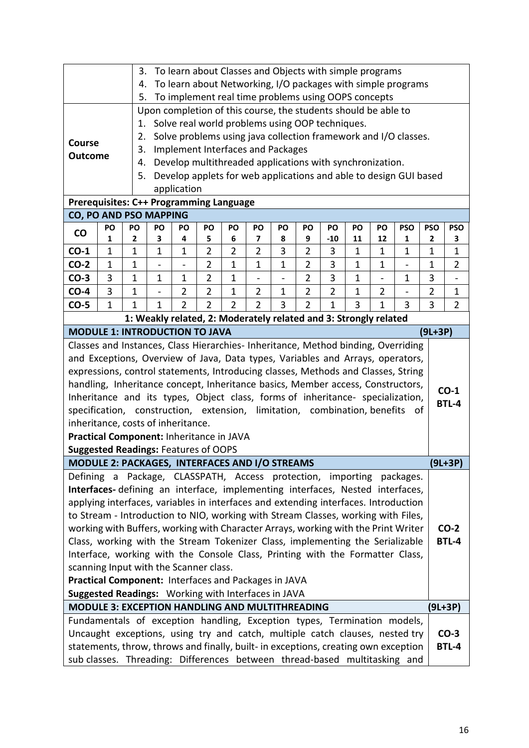|                                                                                                                                                                  |              | To learn about Classes and Objects with simple programs<br>3.<br>To learn about Networking, I/O packages with simple programs |              |                |                |                |                                          |                          |                                                                |                |              |                          |                                                                   |                            |                          |
|------------------------------------------------------------------------------------------------------------------------------------------------------------------|--------------|-------------------------------------------------------------------------------------------------------------------------------|--------------|----------------|----------------|----------------|------------------------------------------|--------------------------|----------------------------------------------------------------|----------------|--------------|--------------------------|-------------------------------------------------------------------|----------------------------|--------------------------|
|                                                                                                                                                                  |              | 4.                                                                                                                            |              |                |                |                |                                          |                          |                                                                |                |              |                          |                                                                   |                            |                          |
|                                                                                                                                                                  |              | 5.                                                                                                                            |              |                |                |                |                                          |                          | To implement real time problems using OOPS concepts            |                |              |                          |                                                                   |                            |                          |
|                                                                                                                                                                  |              |                                                                                                                               |              |                |                |                |                                          |                          | Upon completion of this course, the students should be able to |                |              |                          |                                                                   |                            |                          |
|                                                                                                                                                                  |              | 1.                                                                                                                            |              |                |                |                |                                          |                          | Solve real world problems using OOP techniques.                |                |              |                          |                                                                   |                            |                          |
| <b>Course</b>                                                                                                                                                    |              | 2.                                                                                                                            |              |                |                |                |                                          |                          |                                                                |                |              |                          | Solve problems using java collection framework and I/O classes.   |                            |                          |
| <b>Outcome</b>                                                                                                                                                   |              | 3.                                                                                                                            |              |                |                |                | <b>Implement Interfaces and Packages</b> |                          |                                                                |                |              |                          |                                                                   |                            |                          |
|                                                                                                                                                                  |              | 4.                                                                                                                            |              |                |                |                |                                          |                          | Develop multithreaded applications with synchronization.       |                |              |                          |                                                                   |                            |                          |
|                                                                                                                                                                  |              | 5.                                                                                                                            |              |                |                |                |                                          |                          |                                                                |                |              |                          | Develop applets for web applications and able to design GUI based |                            |                          |
| application                                                                                                                                                      |              |                                                                                                                               |              |                |                |                |                                          |                          |                                                                |                |              |                          |                                                                   |                            |                          |
| <b>Prerequisites: C++ Programming Language</b>                                                                                                                   |              |                                                                                                                               |              |                |                |                |                                          |                          |                                                                |                |              |                          |                                                                   |                            |                          |
| CO, PO AND PSO MAPPING<br>PO<br>PO<br>PO<br>PO<br>PO<br>PO<br>PO<br>PO<br>PO<br>PO<br><b>PSO</b><br>PO<br>PO                                                     |              |                                                                                                                               |              |                |                |                |                                          |                          |                                                                |                |              |                          |                                                                   |                            |                          |
| $\mathbf{CO}$                                                                                                                                                    | 1            | 2                                                                                                                             | 3            | 4              | 5              | 6              | 7                                        | 8                        | 9                                                              | $-10$          | 11           | 12                       | 1                                                                 | <b>PSO</b><br>$\mathbf{2}$ | <b>PSO</b><br>3          |
| $CO-1$                                                                                                                                                           | $\mathbf{1}$ | $\mathbf 1$                                                                                                                   | $\mathbf{1}$ | $\mathbf{1}$   | $\overline{2}$ | $\overline{2}$ | $\overline{2}$                           | 3                        | $\overline{2}$                                                 | 3              | $\mathbf 1$  | $\mathbf{1}$             | $\mathbf{1}$                                                      | $\mathbf 1$                | $\mathbf{1}$             |
| $CO-2$                                                                                                                                                           | 1            | 1                                                                                                                             |              |                | $\overline{2}$ | $\mathbf 1$    | 1                                        | 1                        | $\overline{2}$                                                 | 3              | 1            | $\mathbf 1$              |                                                                   | $\mathbf{1}$               | $\overline{2}$           |
| $CO-3$                                                                                                                                                           | 3            | 1                                                                                                                             | $\mathbf 1$  | $\mathbf 1$    | $\overline{2}$ | $\mathbf{1}$   | $\overline{\phantom{0}}$                 | $\overline{\phantom{0}}$ | $\overline{2}$                                                 | 3              | $\mathbf 1$  | $\overline{\phantom{0}}$ | $\mathbf 1$                                                       | 3                          | $\overline{\phantom{a}}$ |
| $CO-4$                                                                                                                                                           | 3            | 1                                                                                                                             |              | $\overline{2}$ | $\overline{2}$ | $\mathbf 1$    | $\overline{2}$                           | $\mathbf 1$              | $\overline{2}$                                                 | $\overline{2}$ | 1            | $\overline{2}$           | -                                                                 | $\overline{2}$             | 1                        |
| $CO-5$                                                                                                                                                           | $\mathbf{1}$ | $\mathbf{1}$                                                                                                                  | $\mathbf{1}$ | $\overline{2}$ | $\overline{2}$ | $\overline{2}$ | $\overline{2}$                           | 3                        | $\overline{2}$                                                 | $\mathbf{1}$   | 3            | $\mathbf{1}$             | 3                                                                 | 3                          | $\overline{2}$           |
| 1: Weakly related, 2: Moderately related and 3: Strongly related                                                                                                 |              |                                                                                                                               |              |                |                |                |                                          |                          |                                                                |                |              |                          |                                                                   |                            |                          |
| <b>MODULE 1: INTRODUCTION TO JAVA</b>                                                                                                                            |              |                                                                                                                               |              |                |                |                |                                          |                          |                                                                |                |              |                          | $(9L+3P)$                                                         |                            |                          |
| Classes and Instances, Class Hierarchies- Inheritance, Method binding, Overriding                                                                                |              |                                                                                                                               |              |                |                |                |                                          |                          |                                                                |                |              |                          |                                                                   |                            |                          |
| and Exceptions, Overview of Java, Data types, Variables and Arrays, operators,                                                                                   |              |                                                                                                                               |              |                |                |                |                                          |                          |                                                                |                |              |                          |                                                                   |                            |                          |
| expressions, control statements, Introducing classes, Methods and Classes, String                                                                                |              |                                                                                                                               |              |                |                |                |                                          |                          |                                                                |                |              |                          |                                                                   |                            |                          |
| handling, Inheritance concept, Inheritance basics, Member access, Constructors,                                                                                  |              |                                                                                                                               |              |                |                |                |                                          |                          |                                                                |                |              |                          |                                                                   |                            |                          |
| Inheritance and its types, Object class, forms of inheritance- specialization,                                                                                   |              |                                                                                                                               |              |                |                |                |                                          |                          |                                                                |                |              |                          |                                                                   |                            | $CO-1$                   |
| specification, construction, extension, limitation, combination, benefits                                                                                        |              |                                                                                                                               |              |                |                |                |                                          |                          |                                                                |                |              |                          | 0t                                                                |                            | <b>BTL-4</b>             |
| inheritance, costs of inheritance.                                                                                                                               |              |                                                                                                                               |              |                |                |                |                                          |                          |                                                                |                |              |                          |                                                                   |                            |                          |
| Practical Component: Inheritance in JAVA                                                                                                                         |              |                                                                                                                               |              |                |                |                |                                          |                          |                                                                |                |              |                          |                                                                   |                            |                          |
| <b>Suggested Readings: Features of OOPS</b>                                                                                                                      |              |                                                                                                                               |              |                |                |                |                                          |                          |                                                                |                |              |                          |                                                                   |                            |                          |
| <b>MODULE 2: PACKAGES, INTERFACES AND I/O STREAMS</b>                                                                                                            |              |                                                                                                                               |              |                |                |                |                                          |                          |                                                                |                |              |                          |                                                                   |                            | $(9L+3P)$                |
| Defining a Package, CLASSPATH, Access protection, importing packages.                                                                                            |              |                                                                                                                               |              |                |                |                |                                          |                          |                                                                |                |              |                          |                                                                   |                            |                          |
| Interfaces-defining an interface, implementing interfaces, Nested interfaces,                                                                                    |              |                                                                                                                               |              |                |                |                |                                          |                          |                                                                |                |              |                          |                                                                   |                            |                          |
| applying interfaces, variables in interfaces and extending interfaces. Introduction                                                                              |              |                                                                                                                               |              |                |                |                |                                          |                          |                                                                |                |              |                          |                                                                   |                            |                          |
| to Stream - Introduction to NIO, working with Stream Classes, working with Files,                                                                                |              |                                                                                                                               |              |                |                |                |                                          |                          |                                                                |                |              |                          |                                                                   |                            |                          |
| working with Buffers, working with Character Arrays, working with the Print Writer                                                                               |              |                                                                                                                               |              |                |                |                |                                          |                          |                                                                |                |              |                          |                                                                   |                            | $CO-2$                   |
| Class, working with the Stream Tokenizer Class, implementing the Serializable                                                                                    |              |                                                                                                                               |              |                |                |                |                                          |                          |                                                                |                |              |                          |                                                                   |                            | <b>BTL-4</b>             |
| Interface, working with the Console Class, Printing with the Formatter Class,                                                                                    |              |                                                                                                                               |              |                |                |                |                                          |                          |                                                                |                |              |                          |                                                                   |                            |                          |
| scanning Input with the Scanner class.                                                                                                                           |              |                                                                                                                               |              |                |                |                |                                          |                          |                                                                |                |              |                          |                                                                   |                            |                          |
| Practical Component: Interfaces and Packages in JAVA                                                                                                             |              |                                                                                                                               |              |                |                |                |                                          |                          |                                                                |                |              |                          |                                                                   |                            |                          |
| Suggested Readings: Working with Interfaces in JAVA<br>MODULE 3: EXCEPTION HANDLING AND MULTITHREADING                                                           |              |                                                                                                                               |              |                |                |                |                                          |                          |                                                                |                |              |                          |                                                                   |                            |                          |
|                                                                                                                                                                  |              |                                                                                                                               |              |                |                |                |                                          |                          |                                                                |                |              |                          |                                                                   |                            | (9L+3P)                  |
| Fundamentals of exception handling, Exception types, Termination models,                                                                                         |              |                                                                                                                               |              |                |                |                |                                          |                          |                                                                |                |              |                          |                                                                   |                            |                          |
| Uncaught exceptions, using try and catch, multiple catch clauses, nested try                                                                                     |              |                                                                                                                               |              |                |                |                |                                          |                          |                                                                |                |              |                          |                                                                   |                            | $CO-3$                   |
| statements, throw, throws and finally, built- in exceptions, creating own exception<br>sub classes. Threading: Differences between thread-based multitasking and |              |                                                                                                                               |              |                |                |                |                                          |                          |                                                                |                | <b>BTL-4</b> |                          |                                                                   |                            |                          |
|                                                                                                                                                                  |              |                                                                                                                               |              |                |                |                |                                          |                          |                                                                |                |              |                          |                                                                   |                            |                          |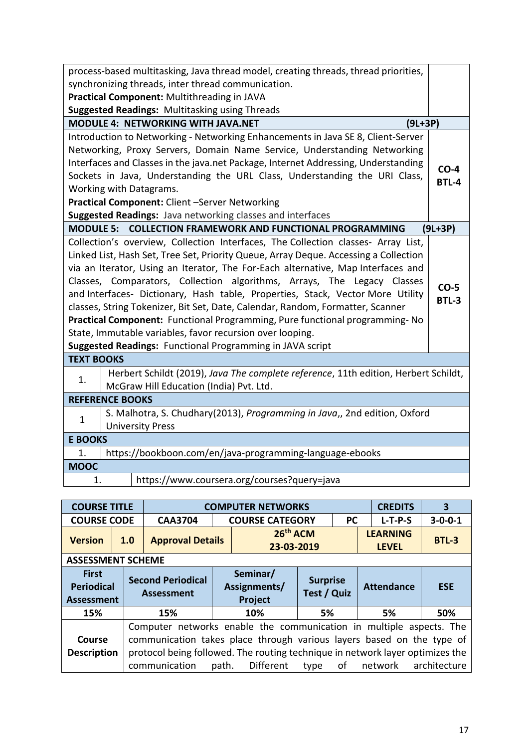| process-based multitasking, Java thread model, creating threads, thread priorities,                                                                                                                                                                                                                                                                                                                                                                                                                                                                                                                                                                                                                                    |                 |  |  |  |  |  |  |  |  |
|------------------------------------------------------------------------------------------------------------------------------------------------------------------------------------------------------------------------------------------------------------------------------------------------------------------------------------------------------------------------------------------------------------------------------------------------------------------------------------------------------------------------------------------------------------------------------------------------------------------------------------------------------------------------------------------------------------------------|-----------------|--|--|--|--|--|--|--|--|
| synchronizing threads, inter thread communication.                                                                                                                                                                                                                                                                                                                                                                                                                                                                                                                                                                                                                                                                     |                 |  |  |  |  |  |  |  |  |
| Practical Component: Multithreading in JAVA                                                                                                                                                                                                                                                                                                                                                                                                                                                                                                                                                                                                                                                                            |                 |  |  |  |  |  |  |  |  |
| <b>Suggested Readings: Multitasking using Threads</b>                                                                                                                                                                                                                                                                                                                                                                                                                                                                                                                                                                                                                                                                  |                 |  |  |  |  |  |  |  |  |
| <b>MODULE 4: NETWORKING WITH JAVA.NET</b><br>$(9L+3P)$                                                                                                                                                                                                                                                                                                                                                                                                                                                                                                                                                                                                                                                                 |                 |  |  |  |  |  |  |  |  |
| Introduction to Networking - Networking Enhancements in Java SE 8, Client-Server<br>Networking, Proxy Servers, Domain Name Service, Understanding Networking<br>Interfaces and Classes in the java.net Package, Internet Addressing, Understanding<br>$CO-4$<br>Sockets in Java, Understanding the URL Class, Understanding the URI Class,<br><b>BTL-4</b><br>Working with Datagrams.<br>Practical Component: Client -Server Networking<br>Suggested Readings: Java networking classes and interfaces                                                                                                                                                                                                                  |                 |  |  |  |  |  |  |  |  |
|                                                                                                                                                                                                                                                                                                                                                                                                                                                                                                                                                                                                                                                                                                                        |                 |  |  |  |  |  |  |  |  |
| MODULE 5: COLLECTION FRAMEWORK AND FUNCTIONAL PROGRAMMING                                                                                                                                                                                                                                                                                                                                                                                                                                                                                                                                                                                                                                                              | $(9L+3P)$       |  |  |  |  |  |  |  |  |
| Collection's overview, Collection Interfaces, The Collection classes- Array List,<br>Linked List, Hash Set, Tree Set, Priority Queue, Array Deque. Accessing a Collection<br>via an Iterator, Using an Iterator, The For-Each alternative, Map Interfaces and<br>Classes, Comparators, Collection algorithms, Arrays, The Legacy Classes<br>and Interfaces- Dictionary, Hash table, Properties, Stack, Vector More Utility<br>classes, String Tokenizer, Bit Set, Date, Calendar, Random, Formatter, Scanner<br>Practical Component: Functional Programming, Pure functional programming- No<br>State, Immutable variables, favor recursion over looping.<br>Suggested Readings: Functional Programming in JAVA script | $CO-5$<br>BTL-3 |  |  |  |  |  |  |  |  |
| <b>TEXT BOOKS</b>                                                                                                                                                                                                                                                                                                                                                                                                                                                                                                                                                                                                                                                                                                      |                 |  |  |  |  |  |  |  |  |
| Herbert Schildt (2019), Java The complete reference, 11th edition, Herbert Schildt,<br>1.<br>McGraw Hill Education (India) Pvt. Ltd.                                                                                                                                                                                                                                                                                                                                                                                                                                                                                                                                                                                   |                 |  |  |  |  |  |  |  |  |
| <b>REFERENCE BOOKS</b>                                                                                                                                                                                                                                                                                                                                                                                                                                                                                                                                                                                                                                                                                                 |                 |  |  |  |  |  |  |  |  |
| S. Malhotra, S. Chudhary(2013), Programming in Java,, 2nd edition, Oxford<br>$\mathbf{1}$<br><b>University Press</b>                                                                                                                                                                                                                                                                                                                                                                                                                                                                                                                                                                                                   |                 |  |  |  |  |  |  |  |  |
| <b>E BOOKS</b>                                                                                                                                                                                                                                                                                                                                                                                                                                                                                                                                                                                                                                                                                                         |                 |  |  |  |  |  |  |  |  |
| https://bookboon.com/en/java-programming-language-ebooks<br>1.                                                                                                                                                                                                                                                                                                                                                                                                                                                                                                                                                                                                                                                         |                 |  |  |  |  |  |  |  |  |
| <b>MOOC</b>                                                                                                                                                                                                                                                                                                                                                                                                                                                                                                                                                                                                                                                                                                            |                 |  |  |  |  |  |  |  |  |
| https://www.coursera.org/courses?query=java<br>1.                                                                                                                                                                                                                                                                                                                                                                                                                                                                                                                                                                                                                                                                      |                 |  |  |  |  |  |  |  |  |

| <b>COURSE TITLE</b>                                    |     | <b>COMPUTER NETWORKS</b><br><b>CREDITS</b>                                                                                                                                                                                                                                                                    |  |                                     |                                |           |                                 |                   |                 |  |  |  |  |
|--------------------------------------------------------|-----|---------------------------------------------------------------------------------------------------------------------------------------------------------------------------------------------------------------------------------------------------------------------------------------------------------------|--|-------------------------------------|--------------------------------|-----------|---------------------------------|-------------------|-----------------|--|--|--|--|
| <b>COURSE CODE</b>                                     |     | <b>CAA3704</b>                                                                                                                                                                                                                                                                                                |  | <b>COURSE CATEGORY</b>              |                                | <b>PC</b> |                                 | $L-T-P-S$         | $3 - 0 - 0 - 1$ |  |  |  |  |
| <b>Version</b>                                         | 1.0 | <b>Approval Details</b>                                                                                                                                                                                                                                                                                       |  | 26 <sup>th</sup> ACM<br>23-03-2019  |                                |           | <b>LEARNING</b><br><b>LEVEL</b> | <b>BTL-3</b>      |                 |  |  |  |  |
| <b>ASSESSMENT SCHEME</b>                               |     |                                                                                                                                                                                                                                                                                                               |  |                                     |                                |           |                                 |                   |                 |  |  |  |  |
| <b>First</b><br><b>Periodical</b><br><b>Assessment</b> |     | <b>Second Periodical</b><br><b>Assessment</b>                                                                                                                                                                                                                                                                 |  | Seminar/<br>Assignments/<br>Project | <b>Surprise</b><br>Test / Quiz |           |                                 | <b>Attendance</b> | <b>ESE</b>      |  |  |  |  |
| 15%                                                    |     | 15%                                                                                                                                                                                                                                                                                                           |  | 10%<br>5%                           |                                |           |                                 | 5%                | 50%             |  |  |  |  |
| Course<br><b>Description</b>                           |     | Computer networks enable the communication in multiple aspects. The<br>communication takes place through various layers based on the type of<br>protocol being followed. The routing technique in network layer optimizes the<br>Different<br>architecture<br>communication<br>of<br>network<br>path.<br>type |  |                                     |                                |           |                                 |                   |                 |  |  |  |  |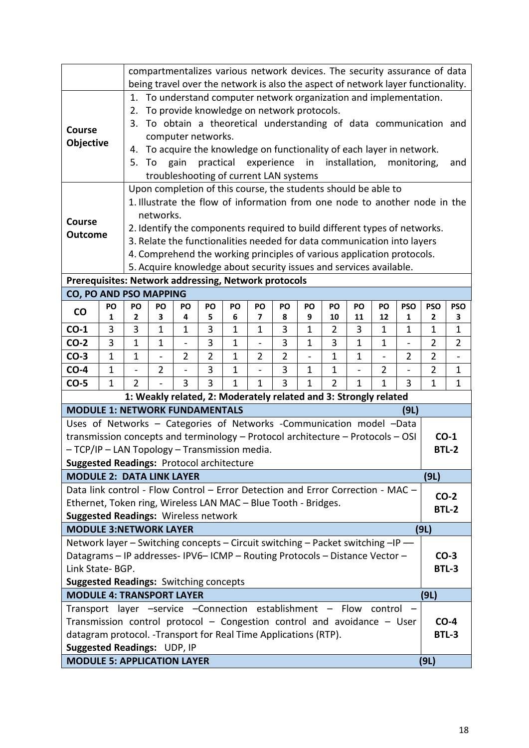|                                                                                                                                                                                                                                                       |                |                            | compartmentalizes various network devices. The security assurance of data<br>being travel over the network is also the aspect of network layer functionality.                                                                                                                                                                                                                                                                                                                                                             |                                                                                                                    |                |              |                          |                |                |                        |                   |                |                                                                                                                                                                                                                          |                 |                        |
|-------------------------------------------------------------------------------------------------------------------------------------------------------------------------------------------------------------------------------------------------------|----------------|----------------------------|---------------------------------------------------------------------------------------------------------------------------------------------------------------------------------------------------------------------------------------------------------------------------------------------------------------------------------------------------------------------------------------------------------------------------------------------------------------------------------------------------------------------------|--------------------------------------------------------------------------------------------------------------------|----------------|--------------|--------------------------|----------------|----------------|------------------------|-------------------|----------------|--------------------------------------------------------------------------------------------------------------------------------------------------------------------------------------------------------------------------|-----------------|------------------------|
| Course<br><b>Objective</b>                                                                                                                                                                                                                            |                | 1.<br>2.<br>3.<br>4.<br>5. | To                                                                                                                                                                                                                                                                                                                                                                                                                                                                                                                        | To provide knowledge on network protocols.<br>computer networks.<br>gain<br>troubleshooting of current LAN systems | practical      |              | experience               |                | in             |                        | installation,     |                | To understand computer network organization and implementation.<br>To obtain a theoretical understanding of data communication and<br>To acquire the knowledge on functionality of each layer in network.<br>monitoring, |                 | and                    |
| <b>Course</b><br><b>Outcome</b>                                                                                                                                                                                                                       |                |                            | Upon completion of this course, the students should be able to<br>1. Illustrate the flow of information from one node to another node in the<br>networks.<br>2. Identify the components required to build different types of networks.<br>3. Relate the functionalities needed for data communication into layers<br>4. Comprehend the working principles of various application protocols.<br>5. Acquire knowledge about security issues and services available.<br>Prerequisites: Network addressing, Network protocols |                                                                                                                    |                |              |                          |                |                |                        |                   |                |                                                                                                                                                                                                                          |                 |                        |
| CO, PO AND PSO MAPPING                                                                                                                                                                                                                                |                |                            |                                                                                                                                                                                                                                                                                                                                                                                                                                                                                                                           |                                                                                                                    |                |              |                          |                |                |                        |                   |                |                                                                                                                                                                                                                          |                 |                        |
| $\mathsf{co}$                                                                                                                                                                                                                                         | PO<br>1        | PO<br>$\mathbf{2}$         | PO<br>3                                                                                                                                                                                                                                                                                                                                                                                                                                                                                                                   | PO<br>4                                                                                                            | PO<br>5        | PO<br>6      | PO<br>7                  | PO<br>8        | PO<br>9        | PO<br>10               | PO<br>11          | PO<br>12       | <b>PSO</b><br>1                                                                                                                                                                                                          | <b>PSO</b><br>2 | <b>PSO</b><br>3        |
| $CO-1$                                                                                                                                                                                                                                                | 3              | 3                          | $\mathbf{1}$                                                                                                                                                                                                                                                                                                                                                                                                                                                                                                              | $\mathbf{1}$                                                                                                       | 3              | $\mathbf{1}$ | $\mathbf{1}$             | 3              | $\mathbf{1}$   | $\overline{2}$         | 3                 | $\mathbf{1}$   | $\mathbf{1}$                                                                                                                                                                                                             | $\mathbf 1$     | $\mathbf{1}$           |
| $CO-2$                                                                                                                                                                                                                                                | 3              | $\mathbf{1}$               | 1                                                                                                                                                                                                                                                                                                                                                                                                                                                                                                                         | $\overline{\phantom{a}}$                                                                                           | 3              | $\mathbf{1}$ | $\overline{\phantom{0}}$ | 3              | $\mathbf{1}$   | 3                      | $\mathbf{1}$      | $\mathbf{1}$   | -                                                                                                                                                                                                                        | $\overline{2}$  | $\overline{2}$         |
| $CO-3$                                                                                                                                                                                                                                                | $\overline{1}$ | 1                          | $\overline{\phantom{0}}$                                                                                                                                                                                                                                                                                                                                                                                                                                                                                                  | $\overline{2}$                                                                                                     | $\overline{2}$ | $\mathbf{1}$ | $\overline{2}$           | $\overline{2}$ | $\overline{a}$ | $\mathbf{1}$           | $\overline{1}$    |                | $\overline{2}$                                                                                                                                                                                                           | $\overline{2}$  |                        |
| $CO-4$                                                                                                                                                                                                                                                | $\mathbf{1}$   | $\overline{\phantom{a}}$   | $\overline{2}$                                                                                                                                                                                                                                                                                                                                                                                                                                                                                                            | $\overline{\phantom{m}}$                                                                                           | 3              | $\mathbf{1}$ | $\overline{\phantom{0}}$ | 3              | $\mathbf{1}$   | $\mathbf 1$            | $\qquad \qquad -$ | $\overline{2}$ | -                                                                                                                                                                                                                        | 2               | $\mathbf{1}$           |
| $CO-5$                                                                                                                                                                                                                                                | $\mathbf{1}$   | $\overline{2}$             |                                                                                                                                                                                                                                                                                                                                                                                                                                                                                                                           | 3                                                                                                                  | 3              | $\mathbf{1}$ | $\mathbf{1}$             | 3              | $\mathbf{1}$   | $\overline{2}$         | $\mathbf{1}$      | $\mathbf{1}$   | 3                                                                                                                                                                                                                        | $\mathbf 1$     | $\mathbf{1}$           |
|                                                                                                                                                                                                                                                       |                |                            |                                                                                                                                                                                                                                                                                                                                                                                                                                                                                                                           | 1: Weakly related, 2: Moderately related and 3: Strongly related                                                   |                |              |                          |                |                |                        |                   |                |                                                                                                                                                                                                                          |                 |                        |
| <b>MODULE 1: NETWORK FUNDAMENTALS</b>                                                                                                                                                                                                                 |                |                            |                                                                                                                                                                                                                                                                                                                                                                                                                                                                                                                           |                                                                                                                    |                |              |                          |                |                |                        |                   |                | (9L)                                                                                                                                                                                                                     |                 |                        |
| Uses of Networks - Categories of Networks -Communication model -Data<br>transmission concepts and terminology - Protocol architecture - Protocols - OSI<br>- TCP/IP - LAN Topology - Transmission media.<br>Suggested Readings: Protocol architecture |                |                            |                                                                                                                                                                                                                                                                                                                                                                                                                                                                                                                           |                                                                                                                    |                |              |                          |                |                |                        |                   |                |                                                                                                                                                                                                                          |                 | $CO-1$<br><b>BTL-2</b> |
| <b>MODULE 2: DATA LINK LAYER</b>                                                                                                                                                                                                                      |                |                            |                                                                                                                                                                                                                                                                                                                                                                                                                                                                                                                           |                                                                                                                    |                |              |                          |                |                |                        |                   |                |                                                                                                                                                                                                                          | (9L)            |                        |
| Data link control - Flow Control - Error Detection and Error Correction - MAC -<br>Ethernet, Token ring, Wireless LAN MAC - Blue Tooth - Bridges.<br><b>Suggested Readings: Wireless network</b>                                                      |                |                            |                                                                                                                                                                                                                                                                                                                                                                                                                                                                                                                           |                                                                                                                    |                |              |                          |                |                |                        |                   |                |                                                                                                                                                                                                                          |                 | $CO-2$<br><b>BTL-2</b> |
| <b>MODULE 3:NETWORK LAYER</b>                                                                                                                                                                                                                         |                |                            |                                                                                                                                                                                                                                                                                                                                                                                                                                                                                                                           |                                                                                                                    |                |              |                          |                |                |                        |                   |                |                                                                                                                                                                                                                          | (9L)            |                        |
| Network layer - Switching concepts - Circuit switching - Packet switching -IP -<br>Datagrams - IP addresses-IPV6-ICMP - Routing Protocols - Distance Vector -<br>Link State-BGP.<br><b>Suggested Readings: Switching concepts</b>                     |                |                            |                                                                                                                                                                                                                                                                                                                                                                                                                                                                                                                           |                                                                                                                    |                |              |                          |                |                | $CO-3$<br><b>BTL-3</b> |                   |                |                                                                                                                                                                                                                          |                 |                        |
| <b>MODULE 4: TRANSPORT LAYER</b>                                                                                                                                                                                                                      |                |                            |                                                                                                                                                                                                                                                                                                                                                                                                                                                                                                                           |                                                                                                                    |                |              |                          |                |                |                        |                   |                |                                                                                                                                                                                                                          | (9L)            |                        |
| Transport layer -service -Connection establishment - Flow<br>control<br>Transmission control protocol - Congestion control and avoidance - User<br>datagram protocol. -Transport for Real Time Applications (RTP).<br>Suggested Readings: UDP, IP     |                |                            |                                                                                                                                                                                                                                                                                                                                                                                                                                                                                                                           |                                                                                                                    |                |              |                          |                |                | $CO-4$<br>BTL-3        |                   |                |                                                                                                                                                                                                                          |                 |                        |
| <b>MODULE 5: APPLICATION LAYER</b>                                                                                                                                                                                                                    |                |                            |                                                                                                                                                                                                                                                                                                                                                                                                                                                                                                                           |                                                                                                                    |                |              |                          |                |                |                        |                   |                |                                                                                                                                                                                                                          | (9L)            |                        |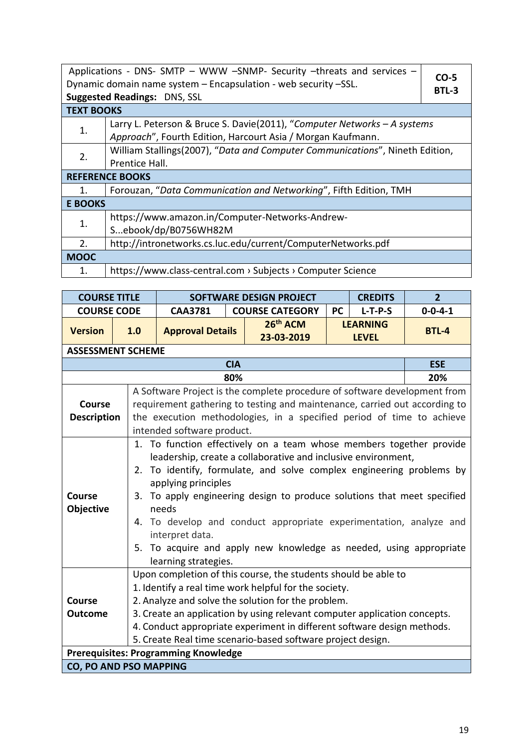| Applications - DNS- SMTP - WWW -SNMP- Security -threats and services -<br>Dynamic domain name system - Encapsulation - web security -SSL.<br><b>Suggested Readings: DNS, SSL</b> |                                                                                                                                         |  |  |  |  |  |  |  |  |
|----------------------------------------------------------------------------------------------------------------------------------------------------------------------------------|-----------------------------------------------------------------------------------------------------------------------------------------|--|--|--|--|--|--|--|--|
| <b>TEXT BOOKS</b>                                                                                                                                                                |                                                                                                                                         |  |  |  |  |  |  |  |  |
| 1.                                                                                                                                                                               | Larry L. Peterson & Bruce S. Davie(2011), "Computer Networks - A systems<br>Approach", Fourth Edition, Harcourt Asia / Morgan Kaufmann. |  |  |  |  |  |  |  |  |
| 2.                                                                                                                                                                               | William Stallings(2007), "Data and Computer Communications", Nineth Edition,<br>Prentice Hall.                                          |  |  |  |  |  |  |  |  |
|                                                                                                                                                                                  | <b>REFERENCE BOOKS</b>                                                                                                                  |  |  |  |  |  |  |  |  |
| 1.                                                                                                                                                                               | Forouzan, "Data Communication and Networking", Fifth Edition, TMH                                                                       |  |  |  |  |  |  |  |  |
| <b>E BOOKS</b>                                                                                                                                                                   |                                                                                                                                         |  |  |  |  |  |  |  |  |
| 1.                                                                                                                                                                               | https://www.amazon.in/Computer-Networks-Andrew-<br>Sebook/dp/B0756WH82M                                                                 |  |  |  |  |  |  |  |  |
| 2.                                                                                                                                                                               | http://intronetworks.cs.luc.edu/current/ComputerNetworks.pdf                                                                            |  |  |  |  |  |  |  |  |
| <b>MOOC</b>                                                                                                                                                                      |                                                                                                                                         |  |  |  |  |  |  |  |  |
| 1.                                                                                                                                                                               | https://www.class-central.com > Subjects > Computer Science                                                                             |  |  |  |  |  |  |  |  |

| <b>COURSE TITLE</b>                                                                                                                                                                                                                                                                                                                                                                                                                                                                                       |                          | <b>SOFTWARE DESIGN PROJECT</b>                                                                                                                                                                                                                                 | 2 <sup>2</sup> |                                                                                                                                                                                                                                                                                                                                                                                                                                  |           |                 |                 |  |  |  |  |  |  |
|-----------------------------------------------------------------------------------------------------------------------------------------------------------------------------------------------------------------------------------------------------------------------------------------------------------------------------------------------------------------------------------------------------------------------------------------------------------------------------------------------------------|--------------------------|----------------------------------------------------------------------------------------------------------------------------------------------------------------------------------------------------------------------------------------------------------------|----------------|----------------------------------------------------------------------------------------------------------------------------------------------------------------------------------------------------------------------------------------------------------------------------------------------------------------------------------------------------------------------------------------------------------------------------------|-----------|-----------------|-----------------|--|--|--|--|--|--|
| <b>COURSE CODE</b>                                                                                                                                                                                                                                                                                                                                                                                                                                                                                        |                          | <b>CAA3781</b>                                                                                                                                                                                                                                                 |                | <b>COURSE CATEGORY</b>                                                                                                                                                                                                                                                                                                                                                                                                           | <b>PC</b> | $L-T-P-S$       | $0 - 0 - 4 - 1$ |  |  |  |  |  |  |
| <b>Version</b>                                                                                                                                                                                                                                                                                                                                                                                                                                                                                            | 1.0                      | <b>Approval Details</b>                                                                                                                                                                                                                                        |                | 26 <sup>th</sup> ACM                                                                                                                                                                                                                                                                                                                                                                                                             |           | <b>LEARNING</b> | <b>BTL-4</b>    |  |  |  |  |  |  |
|                                                                                                                                                                                                                                                                                                                                                                                                                                                                                                           |                          |                                                                                                                                                                                                                                                                |                | 23-03-2019                                                                                                                                                                                                                                                                                                                                                                                                                       |           | <b>LEVEL</b>    |                 |  |  |  |  |  |  |
|                                                                                                                                                                                                                                                                                                                                                                                                                                                                                                           | <b>ASSESSMENT SCHEME</b> |                                                                                                                                                                                                                                                                |                |                                                                                                                                                                                                                                                                                                                                                                                                                                  |           |                 |                 |  |  |  |  |  |  |
|                                                                                                                                                                                                                                                                                                                                                                                                                                                                                                           | <b>CIA</b>               |                                                                                                                                                                                                                                                                |                |                                                                                                                                                                                                                                                                                                                                                                                                                                  |           |                 |                 |  |  |  |  |  |  |
|                                                                                                                                                                                                                                                                                                                                                                                                                                                                                                           | 20%                      |                                                                                                                                                                                                                                                                |                |                                                                                                                                                                                                                                                                                                                                                                                                                                  |           |                 |                 |  |  |  |  |  |  |
| <b>Course</b><br><b>Description</b>                                                                                                                                                                                                                                                                                                                                                                                                                                                                       |                          | A Software Project is the complete procedure of software development from<br>requirement gathering to testing and maintenance, carried out according to<br>the execution methodologies, in a specified period of time to achieve<br>intended software product. |                |                                                                                                                                                                                                                                                                                                                                                                                                                                  |           |                 |                 |  |  |  |  |  |  |
| <b>Course</b><br>Objective                                                                                                                                                                                                                                                                                                                                                                                                                                                                                | 5.                       | applying principles<br>needs<br>interpret data.<br>learning strategies.                                                                                                                                                                                        |                | 1. To function effectively on a team whose members together provide<br>leadership, create a collaborative and inclusive environment,<br>2. To identify, formulate, and solve complex engineering problems by<br>3. To apply engineering design to produce solutions that meet specified<br>4. To develop and conduct appropriate experimentation, analyze and<br>To acquire and apply new knowledge as needed, using appropriate |           |                 |                 |  |  |  |  |  |  |
| Upon completion of this course, the students should be able to<br>1. Identify a real time work helpful for the society.<br>2. Analyze and solve the solution for the problem.<br>Course<br>3. Create an application by using relevant computer application concepts.<br><b>Outcome</b><br>4. Conduct appropriate experiment in different software design methods.<br>5. Create Real time scenario-based software project design.<br><b>Prerequisites: Programming Knowledge</b><br>CO, PO AND PSO MAPPING |                          |                                                                                                                                                                                                                                                                |                |                                                                                                                                                                                                                                                                                                                                                                                                                                  |           |                 |                 |  |  |  |  |  |  |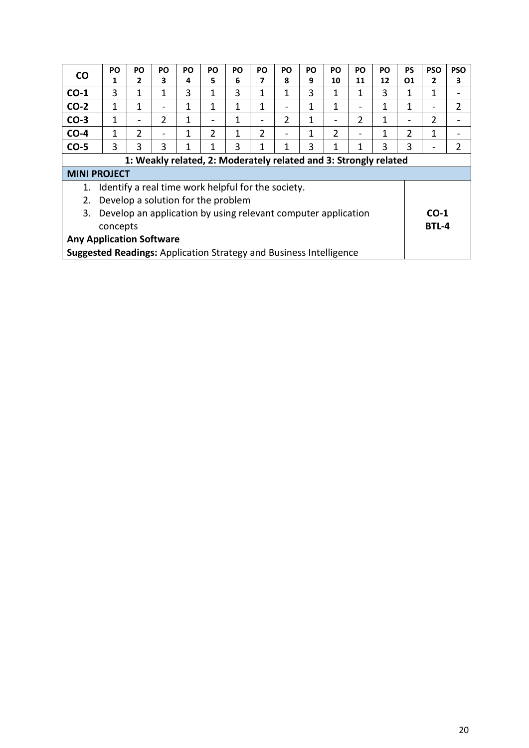| <b>CO</b>                                                                 | <b>PO</b>                                                        | <b>PO</b>      | <b>PO</b>                    | PO | PO                       | <b>PO</b> | PO.            | PO            | PO | <b>PO</b> | <b>PO</b> | <b>PO</b> | <b>PS</b> | <b>PSO</b>               | <b>PSO</b>     |
|---------------------------------------------------------------------------|------------------------------------------------------------------|----------------|------------------------------|----|--------------------------|-----------|----------------|---------------|----|-----------|-----------|-----------|-----------|--------------------------|----------------|
|                                                                           | 1                                                                | 2              | 3                            | 4  | 5                        | 6         | 7              | 8             | 9  | 10        | 11        | 12        | 01        | 2                        | 3              |
| $CO-1$                                                                    | 3                                                                | 1              | 1                            | 3  | 1                        | 3         | 1              | 1             | 3  | 1         | 1         | 3         | 1         | 1                        |                |
| $CO-2$                                                                    | 1                                                                | 1              | $\overline{\phantom{0}}$     | 1  | 1                        | 1         | 1              | -             | 1  | 1         | -         | 1         | 1         | $\overline{\phantom{0}}$ | $\overline{2}$ |
| $CO-3$                                                                    | 1                                                                |                | $\overline{2}$               | 1  | $\overline{\phantom{0}}$ | 1         | -              | $\mathcal{P}$ | 1  |           | 2         | 1         | -         | 2                        |                |
| $CO-4$                                                                    | 1                                                                | $\overline{2}$ | $\qquad \qquad \blacksquare$ | 1  | $\overline{2}$           | 1         | $\overline{2}$ | -             | 1  | 2         | -         |           | 2         | 1                        |                |
| $CO-5$                                                                    | 3                                                                | 3              | 3                            | 1  | 1                        | 3         | 1              | 1             | 3  |           | 1         | 3         | 3         |                          | 2              |
|                                                                           | 1: Weakly related, 2: Moderately related and 3: Strongly related |                |                              |    |                          |           |                |               |    |           |           |           |           |                          |                |
| <b>MINI PROJECT</b>                                                       |                                                                  |                |                              |    |                          |           |                |               |    |           |           |           |           |                          |                |
| 1.                                                                        | Identify a real time work helpful for the society.               |                |                              |    |                          |           |                |               |    |           |           |           |           |                          |                |
| 2.                                                                        | Develop a solution for the problem                               |                |                              |    |                          |           |                |               |    |           |           |           |           |                          |                |
| 3.                                                                        | Develop an application by using relevant computer application    |                |                              |    |                          |           |                |               |    |           |           |           |           | $CO-1$                   |                |
| concepts                                                                  |                                                                  |                |                              |    |                          |           |                |               |    |           |           |           | BTL-4     |                          |                |
| <b>Any Application Software</b>                                           |                                                                  |                |                              |    |                          |           |                |               |    |           |           |           |           |                          |                |
| <b>Suggested Readings:</b> Application Strategy and Business Intelligence |                                                                  |                |                              |    |                          |           |                |               |    |           |           |           |           |                          |                |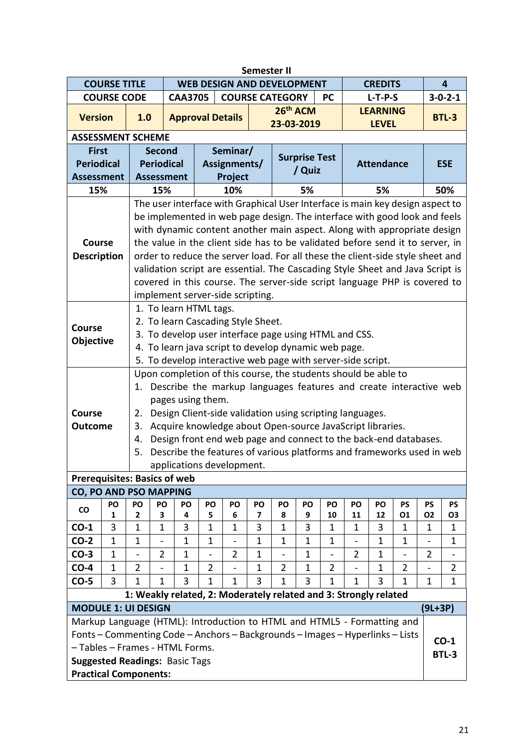| <b>Semester II</b>                                   |                                                                                                                                        |                                                                                                                                                                 |                |                |                                   |                                                           |             |                              |                      |                          |                |                   |                                                                               |                |                          |
|------------------------------------------------------|----------------------------------------------------------------------------------------------------------------------------------------|-----------------------------------------------------------------------------------------------------------------------------------------------------------------|----------------|----------------|-----------------------------------|-----------------------------------------------------------|-------------|------------------------------|----------------------|--------------------------|----------------|-------------------|-------------------------------------------------------------------------------|----------------|--------------------------|
|                                                      | <b>COURSE TITLE</b>                                                                                                                    |                                                                                                                                                                 |                |                | <b>WEB DESIGN AND DEVELOPMENT</b> |                                                           |             |                              |                      |                          |                | <b>CREDITS</b>    |                                                                               |                | 4                        |
|                                                      | <b>COURSE CODE</b>                                                                                                                     |                                                                                                                                                                 |                | <b>CAA3705</b> |                                   | <b>COURSE CATEGORY</b>                                    |             |                              |                      | <b>PC</b>                |                | $L-T-P-S$         |                                                                               |                | $3 - 0 - 2 - 1$          |
| <b>Version</b>                                       |                                                                                                                                        | 1.0                                                                                                                                                             |                |                | <b>Approval Details</b>           |                                                           |             | 26th ACM                     |                      |                          |                | <b>LEARNING</b>   |                                                                               |                | <b>BTL-3</b>             |
|                                                      |                                                                                                                                        |                                                                                                                                                                 |                |                |                                   |                                                           |             | 23-03-2019                   |                      |                          |                | <b>LEVEL</b>      |                                                                               |                |                          |
|                                                      |                                                                                                                                        | <b>ASSESSMENT SCHEME</b>                                                                                                                                        |                |                |                                   |                                                           |             |                              |                      |                          |                |                   |                                                                               |                |                          |
| <b>First</b>                                         |                                                                                                                                        |                                                                                                                                                                 | <b>Second</b>  |                |                                   | Seminar/                                                  |             |                              | <b>Surprise Test</b> |                          |                |                   |                                                                               |                |                          |
| <b>Periodical</b>                                    |                                                                                                                                        | <b>Periodical</b>                                                                                                                                               |                |                |                                   | Assignments/                                              |             |                              | / Quiz               |                          |                | <b>Attendance</b> |                                                                               |                | <b>ESE</b>               |
| <b>Assessment</b>                                    |                                                                                                                                        | <b>Assessment</b>                                                                                                                                               |                |                |                                   | Project                                                   |             |                              |                      |                          |                |                   |                                                                               |                |                          |
| 15%                                                  |                                                                                                                                        | 5%<br>5%<br>15%<br>10%                                                                                                                                          |                |                |                                   |                                                           |             |                              |                      |                          |                |                   |                                                                               |                | 50%                      |
|                                                      |                                                                                                                                        | The user interface with Graphical User Interface is main key design aspect to                                                                                   |                |                |                                   |                                                           |             |                              |                      |                          |                |                   |                                                                               |                |                          |
|                                                      |                                                                                                                                        | be implemented in web page design. The interface with good look and feels                                                                                       |                |                |                                   |                                                           |             |                              |                      |                          |                |                   |                                                                               |                |                          |
|                                                      |                                                                                                                                        | with dynamic content another main aspect. Along with appropriate design                                                                                         |                |                |                                   |                                                           |             |                              |                      |                          |                |                   |                                                                               |                |                          |
| Course                                               |                                                                                                                                        | the value in the client side has to be validated before send it to server, in<br>order to reduce the server load. For all these the client-side style sheet and |                |                |                                   |                                                           |             |                              |                      |                          |                |                   |                                                                               |                |                          |
| <b>Description</b>                                   |                                                                                                                                        |                                                                                                                                                                 |                |                |                                   |                                                           |             |                              |                      |                          |                |                   |                                                                               |                |                          |
|                                                      |                                                                                                                                        |                                                                                                                                                                 |                |                |                                   |                                                           |             |                              |                      |                          |                |                   | validation script are essential. The Cascading Style Sheet and Java Script is |                |                          |
|                                                      |                                                                                                                                        | covered in this course. The server-side script language PHP is covered to<br>implement server-side scripting.                                                   |                |                |                                   |                                                           |             |                              |                      |                          |                |                   |                                                                               |                |                          |
|                                                      |                                                                                                                                        |                                                                                                                                                                 |                |                |                                   |                                                           |             |                              |                      |                          |                |                   |                                                                               |                |                          |
|                                                      |                                                                                                                                        | 1. To learn HTML tags.                                                                                                                                          |                |                |                                   |                                                           |             |                              |                      |                          |                |                   |                                                                               |                |                          |
| <b>Course</b>                                        |                                                                                                                                        |                                                                                                                                                                 |                |                |                                   | 2. To learn Cascading Style Sheet.                        |             |                              |                      |                          |                |                   |                                                                               |                |                          |
| <b>Objective</b>                                     |                                                                                                                                        |                                                                                                                                                                 |                |                |                                   | 3. To develop user interface page using HTML and CSS.     |             |                              |                      |                          |                |                   |                                                                               |                |                          |
| 4. To learn java script to develop dynamic web page. |                                                                                                                                        |                                                                                                                                                                 |                |                |                                   |                                                           |             |                              |                      |                          |                |                   |                                                                               |                |                          |
|                                                      |                                                                                                                                        | 5. To develop interactive web page with server-side script.                                                                                                     |                |                |                                   |                                                           |             |                              |                      |                          |                |                   |                                                                               |                |                          |
|                                                      | Upon completion of this course, the students should be able to<br>1. Describe the markup languages features and create interactive web |                                                                                                                                                                 |                |                |                                   |                                                           |             |                              |                      |                          |                |                   |                                                                               |                |                          |
|                                                      |                                                                                                                                        |                                                                                                                                                                 |                |                |                                   |                                                           |             |                              |                      |                          |                |                   |                                                                               |                |                          |
|                                                      |                                                                                                                                        |                                                                                                                                                                 |                |                | pages using them.                 |                                                           |             |                              |                      |                          |                |                   |                                                                               |                |                          |
| <b>Course</b>                                        |                                                                                                                                        | 2.                                                                                                                                                              |                |                |                                   | Design Client-side validation using scripting languages.  |             |                              |                      |                          |                |                   |                                                                               |                |                          |
| <b>Outcome</b>                                       |                                                                                                                                        | 3.                                                                                                                                                              |                |                |                                   | Acquire knowledge about Open-source JavaScript libraries. |             |                              |                      |                          |                |                   |                                                                               |                |                          |
|                                                      |                                                                                                                                        | 4.                                                                                                                                                              |                |                |                                   |                                                           |             |                              |                      |                          |                |                   | Design front end web page and connect to the back-end databases.              |                |                          |
|                                                      |                                                                                                                                        | 5.                                                                                                                                                              |                |                |                                   |                                                           |             |                              |                      |                          |                |                   | Describe the features of various platforms and frameworks used in web         |                |                          |
|                                                      |                                                                                                                                        |                                                                                                                                                                 |                |                |                                   | applications development.                                 |             |                              |                      |                          |                |                   |                                                                               |                |                          |
|                                                      |                                                                                                                                        | <b>Prerequisites: Basics of web</b><br>CO, PO AND PSO MAPPING                                                                                                   |                |                |                                   |                                                           |             |                              |                      |                          |                |                   |                                                                               |                |                          |
|                                                      | PO                                                                                                                                     | PO                                                                                                                                                              | PO             | PO             | PO                                | PO                                                        | PO          | PO                           | PO                   | PO                       | PO             | PO                | PS                                                                            | PS             | <b>PS</b>                |
| $\mathsf{co}\hspace{0.05cm}$                         | 1                                                                                                                                      | 2                                                                                                                                                               | 3              | 4              | 5                                 | 6                                                         | 7           | 8                            | 9                    | 10                       | 11             | 12                | 01                                                                            | 02             | 03                       |
| $CO-1$                                               | 3                                                                                                                                      | $\mathbf{1}$                                                                                                                                                    | $\mathbf 1$    | 3              | $\mathbf{1}$                      | $\mathbf{1}$                                              | 3           | 1                            | 3                    | $\mathbf{1}$             | 1              | 3                 | 1                                                                             | 1              | $\mathbf 1$              |
| $CO-2$                                               | $\mathbf{1}$                                                                                                                           | 1                                                                                                                                                               |                | $\mathbf 1$    | 1                                 | -                                                         | 1           | $\mathbf{1}$                 | $\mathbf 1$          | $\mathbf{1}$             | -              | $\mathbf{1}$      | 1                                                                             |                | $\mathbf{1}$             |
| $CO-3$                                               | $\mathbf{1}$                                                                                                                           | $\overline{\phantom{m}}$                                                                                                                                        | $\overline{2}$ | $\mathbf 1$    | $\overline{a}$                    | $\overline{2}$                                            | $\mathbf 1$ | $\qquad \qquad \blacksquare$ | $\mathbf 1$          | $\overline{\phantom{a}}$ | $\overline{2}$ | $\mathbf{1}$      | $\overline{\phantom{0}}$                                                      | $\overline{2}$ | $\overline{\phantom{a}}$ |
| $CO-4$                                               | $\mathbf{1}$                                                                                                                           | $\overline{2}$                                                                                                                                                  |                | $\mathbf{1}$   | $\overline{2}$                    |                                                           | $\mathbf 1$ | $\overline{2}$               | $\mathbf{1}$         | $\overline{2}$           |                | $\mathbf{1}$      | $\overline{2}$                                                                |                | $\overline{2}$           |
| $CO-5$                                               | 3                                                                                                                                      | $\mathbf{1}$                                                                                                                                                    | $\mathbf{1}$   | 3              | $\mathbf{1}$                      | $\mathbf{1}$                                              | 3           | 1                            | $\overline{3}$       | $\mathbf{1}$             | $\mathbf{1}$   | 3                 | $\mathbf{1}$                                                                  | $\mathbf{1}$   | $\mathbf{1}$             |
|                                                      |                                                                                                                                        | 1: Weakly related, 2: Moderately related and 3: Strongly related                                                                                                |                |                |                                   |                                                           |             |                              |                      |                          |                |                   |                                                                               |                |                          |
| <b>MODULE 1: UI DESIGN</b><br>$(9L+3P)$              |                                                                                                                                        |                                                                                                                                                                 |                |                |                                   |                                                           |             |                              |                      |                          |                |                   |                                                                               |                |                          |
|                                                      |                                                                                                                                        | Markup Language (HTML): Introduction to HTML and HTML5 - Formatting and                                                                                         |                |                |                                   |                                                           |             |                              |                      |                          |                |                   |                                                                               |                |                          |
|                                                      |                                                                                                                                        | Fonts - Commenting Code - Anchors - Backgrounds - Images - Hyperlinks - Lists                                                                                   |                |                |                                   |                                                           |             |                              |                      |                          |                |                   |                                                                               |                |                          |
|                                                      |                                                                                                                                        | - Tables - Frames - HTML Forms.                                                                                                                                 |                |                |                                   |                                                           |             |                              |                      |                          |                |                   |                                                                               |                | $CO-1$                   |
|                                                      |                                                                                                                                        | <b>Suggested Readings: Basic Tags</b>                                                                                                                           |                |                |                                   |                                                           |             |                              |                      |                          |                |                   |                                                                               |                | <b>BTL-3</b>             |
|                                                      |                                                                                                                                        | <b>Practical Components:</b>                                                                                                                                    |                |                |                                   |                                                           |             |                              |                      |                          |                |                   |                                                                               |                |                          |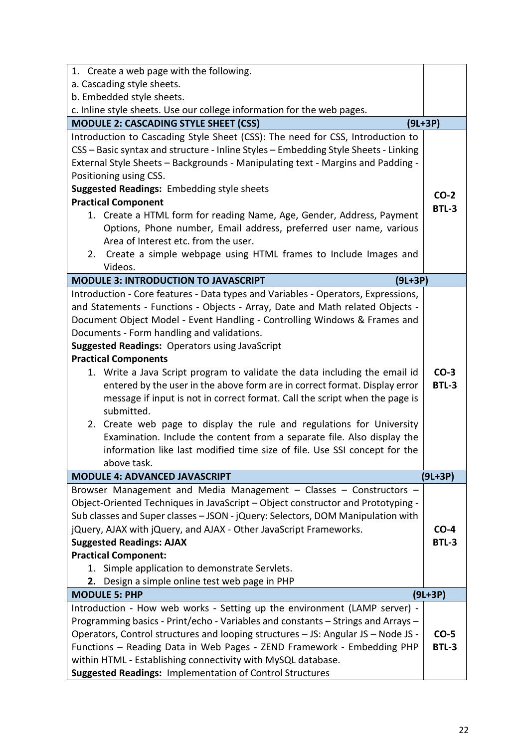| 1. Create a web page with the following.                                            |              |
|-------------------------------------------------------------------------------------|--------------|
| a. Cascading style sheets.                                                          |              |
| b. Embedded style sheets.                                                           |              |
| c. Inline style sheets. Use our college information for the web pages.              |              |
| <b>MODULE 2: CASCADING STYLE SHEET (CSS)</b>                                        | $(9L+3P)$    |
| Introduction to Cascading Style Sheet (CSS): The need for CSS, Introduction to      |              |
| CSS - Basic syntax and structure - Inline Styles - Embedding Style Sheets - Linking |              |
| External Style Sheets - Backgrounds - Manipulating text - Margins and Padding -     |              |
| Positioning using CSS.                                                              |              |
| Suggested Readings: Embedding style sheets                                          | $CO-2$       |
| <b>Practical Component</b>                                                          | BTL-3        |
| 1. Create a HTML form for reading Name, Age, Gender, Address, Payment               |              |
| Options, Phone number, Email address, preferred user name, various                  |              |
| Area of Interest etc. from the user.                                                |              |
| 2. Create a simple webpage using HTML frames to Include Images and                  |              |
| Videos.                                                                             |              |
| <b>MODULE 3: INTRODUCTION TO JAVASCRIPT</b><br>$(9L+3P)$                            |              |
| Introduction - Core features - Data types and Variables - Operators, Expressions,   |              |
| and Statements - Functions - Objects - Array, Date and Math related Objects -       |              |
| Document Object Model - Event Handling - Controlling Windows & Frames and           |              |
| Documents - Form handling and validations.                                          |              |
| <b>Suggested Readings: Operators using JavaScript</b>                               |              |
| <b>Practical Components</b>                                                         |              |
| 1. Write a Java Script program to validate the data including the email id          | $CO-3$       |
| entered by the user in the above form are in correct format. Display error          | <b>BTL-3</b> |
| message if input is not in correct format. Call the script when the page is         |              |
| submitted.                                                                          |              |
| 2. Create web page to display the rule and regulations for University               |              |
| Examination. Include the content from a separate file. Also display the             |              |
| information like last modified time size of file. Use SSI concept for the           |              |
| above task.                                                                         |              |
| <b>MODULE 4: ADVANCED JAVASCRIPT</b>                                                | (9L+3P)      |
| Browser Management and Media Management - Classes - Constructors -                  |              |
| Object-Oriented Techniques in JavaScript - Object constructor and Prototyping -     |              |
| Sub classes and Super classes - JSON - jQuery: Selectors, DOM Manipulation with     |              |
| jQuery, AJAX with jQuery, and AJAX - Other JavaScript Frameworks.                   | $CO-4$       |
| <b>Suggested Readings: AJAX</b>                                                     | <b>BTL-3</b> |
| <b>Practical Component:</b>                                                         |              |
| 1. Simple application to demonstrate Servlets.                                      |              |
| 2. Design a simple online test web page in PHP                                      |              |
| <b>MODULE 5: PHP</b>                                                                | $(9L+3P)$    |
| Introduction - How web works - Setting up the environment (LAMP server) -           |              |
| Programming basics - Print/echo - Variables and constants - Strings and Arrays -    |              |
| Operators, Control structures and looping structures - JS: Angular JS - Node JS -   | $CO-5$       |
| Functions - Reading Data in Web Pages - ZEND Framework - Embedding PHP              | <b>BTL-3</b> |
| within HTML - Establishing connectivity with MySQL database.                        |              |
| Suggested Readings: Implementation of Control Structures                            |              |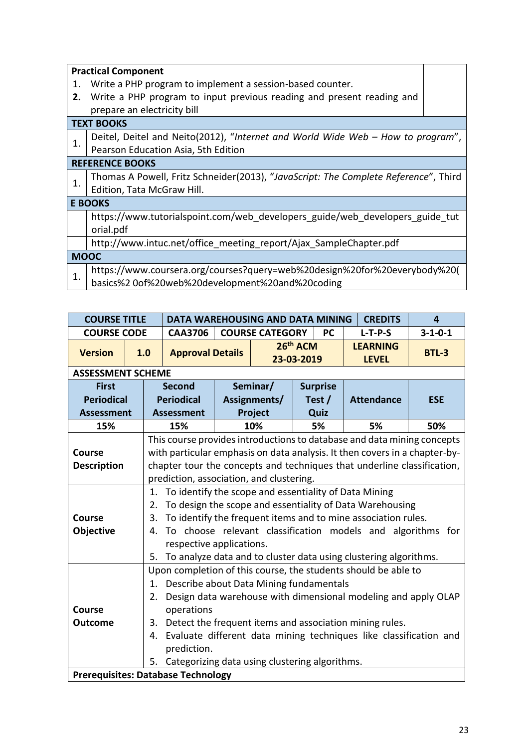|             | <b>Practical Component</b>                                                          |
|-------------|-------------------------------------------------------------------------------------|
| 1.          | Write a PHP program to implement a session-based counter.                           |
| 2.          | Write a PHP program to input previous reading and present reading and               |
|             | prepare an electricity bill                                                         |
|             | <b>TEXT BOOKS</b>                                                                   |
| 1.          | Deitel, Deitel and Neito(2012), "Internet and World Wide Web - How to program",     |
|             | Pearson Education Asia, 5th Edition                                                 |
|             | <b>REFERENCE BOOKS</b>                                                              |
| 1.          | Thomas A Powell, Fritz Schneider(2013), "JavaScript: The Complete Reference", Third |
|             | Edition, Tata McGraw Hill.                                                          |
|             | <b>E BOOKS</b>                                                                      |
|             | https://www.tutorialspoint.com/web developers guide/web developers guide tut        |
|             | orial.pdf                                                                           |
|             | http://www.intuc.net/office meeting report/Ajax SampleChapter.pdf                   |
| <b>MOOC</b> |                                                                                     |
|             | https://www.coursera.org/courses?query=web%20design%20for%20everybody%20(           |
| 1.          | basics%2 0of%20web%20development%20and%20coding                                     |
|             |                                                                                     |

| <b>COURSE TITLE</b>                       |     |    | <b>DATA WAREHOUSING AND DATA MINING</b>                                    |  |                        |                      |                 | <b>CREDITS</b>                                                          | 4               |  |  |  |  |
|-------------------------------------------|-----|----|----------------------------------------------------------------------------|--|------------------------|----------------------|-----------------|-------------------------------------------------------------------------|-----------------|--|--|--|--|
| <b>COURSE CODE</b>                        |     |    | <b>CAA3706</b>                                                             |  | <b>COURSE CATEGORY</b> |                      | <b>PC</b>       | $L-T-P-S$                                                               | $3 - 1 - 0 - 1$ |  |  |  |  |
| <b>Version</b>                            | 1.0 |    | <b>Approval Details</b>                                                    |  | 23-03-2019             | 26 <sup>th</sup> ACM |                 | <b>LEARNING</b><br><b>LEVEL</b>                                         | <b>BTL-3</b>    |  |  |  |  |
| <b>ASSESSMENT SCHEME</b>                  |     |    |                                                                            |  |                        |                      |                 |                                                                         |                 |  |  |  |  |
| <b>First</b>                              |     |    | <b>Second</b>                                                              |  | Seminar/               |                      | <b>Surprise</b> |                                                                         |                 |  |  |  |  |
| <b>Periodical</b>                         |     |    | <b>Periodical</b>                                                          |  | Assignments/           |                      | Test /          | <b>Attendance</b>                                                       | <b>ESE</b>      |  |  |  |  |
| <b>Assessment</b>                         |     |    | <b>Assessment</b>                                                          |  | Project                |                      | Quiz            |                                                                         |                 |  |  |  |  |
| 15%                                       |     |    | 15%                                                                        |  | 10%                    |                      | 5%              | 5%                                                                      | 50%             |  |  |  |  |
|                                           |     |    | This course provides introductions to database and data mining concepts    |  |                        |                      |                 |                                                                         |                 |  |  |  |  |
| <b>Course</b>                             |     |    | with particular emphasis on data analysis. It then covers in a chapter-by- |  |                        |                      |                 |                                                                         |                 |  |  |  |  |
| <b>Description</b>                        |     |    |                                                                            |  |                        |                      |                 | chapter tour the concepts and techniques that underline classification, |                 |  |  |  |  |
|                                           |     |    | prediction, association, and clustering.                                   |  |                        |                      |                 |                                                                         |                 |  |  |  |  |
|                                           |     |    | 1. To identify the scope and essentiality of Data Mining                   |  |                        |                      |                 |                                                                         |                 |  |  |  |  |
|                                           |     | 2. |                                                                            |  |                        |                      |                 | To design the scope and essentiality of Data Warehousing                |                 |  |  |  |  |
| Course                                    |     | 3. |                                                                            |  |                        |                      |                 | To identify the frequent items and to mine association rules.           |                 |  |  |  |  |
| Objective                                 |     | 4. |                                                                            |  |                        |                      |                 | To choose relevant classification models and algorithms for             |                 |  |  |  |  |
|                                           |     |    | respective applications.                                                   |  |                        |                      |                 |                                                                         |                 |  |  |  |  |
|                                           |     | 5. |                                                                            |  |                        |                      |                 | To analyze data and to cluster data using clustering algorithms.        |                 |  |  |  |  |
|                                           |     |    |                                                                            |  |                        |                      |                 | Upon completion of this course, the students should be able to          |                 |  |  |  |  |
|                                           |     | 1. | Describe about Data Mining fundamentals                                    |  |                        |                      |                 |                                                                         |                 |  |  |  |  |
|                                           |     | 2. |                                                                            |  |                        |                      |                 | Design data warehouse with dimensional modeling and apply OLAP          |                 |  |  |  |  |
| <b>Course</b>                             |     |    | operations                                                                 |  |                        |                      |                 |                                                                         |                 |  |  |  |  |
| <b>Outcome</b>                            |     | 3. |                                                                            |  |                        |                      |                 | Detect the frequent items and association mining rules.                 |                 |  |  |  |  |
|                                           |     | 4. |                                                                            |  |                        |                      |                 | Evaluate different data mining techniques like classification and       |                 |  |  |  |  |
|                                           |     |    | prediction.                                                                |  |                        |                      |                 |                                                                         |                 |  |  |  |  |
|                                           |     | 5. | Categorizing data using clustering algorithms.                             |  |                        |                      |                 |                                                                         |                 |  |  |  |  |
| <b>Prerequisites: Database Technology</b> |     |    |                                                                            |  |                        |                      |                 |                                                                         |                 |  |  |  |  |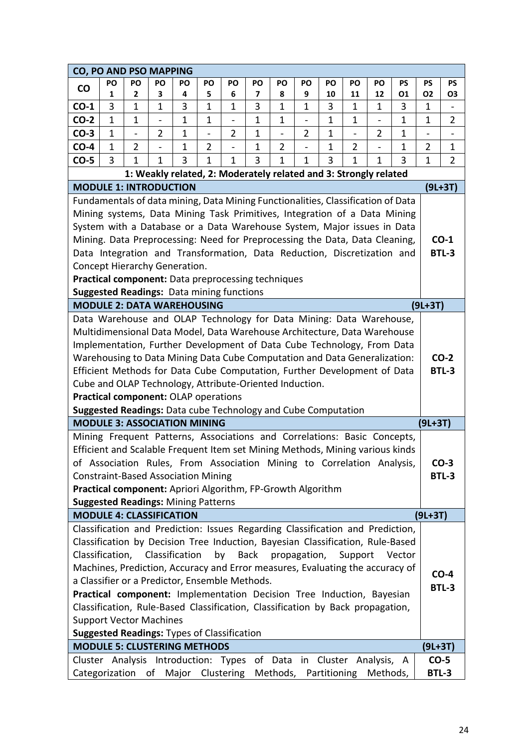| CO, PO AND PSO MAPPING                                                           |              |                          |                                                                  |              |                          |                |              |                          |                   |             |                              |                |              |                |                |
|----------------------------------------------------------------------------------|--------------|--------------------------|------------------------------------------------------------------|--------------|--------------------------|----------------|--------------|--------------------------|-------------------|-------------|------------------------------|----------------|--------------|----------------|----------------|
| <b>CO</b>                                                                        | PO           | PO                       | <b>PO</b>                                                        | PO           | PO                       | PO             | PO           | PO                       | PO                | PO          | PO                           | PO             | <b>PS</b>    | <b>PS</b>      | PS             |
|                                                                                  | 1            | 2                        | 3                                                                | 4            | 5                        | 6              | 7            | 8                        | 9                 | 10          | 11                           | 12             | 01           | O <sub>2</sub> | 03             |
| $CO-1$                                                                           | 3            | 1                        | $\mathbf 1$                                                      | 3            | $\mathbf 1$              | $\mathbf 1$    | 3            | 1                        | 1                 | 3           | 1                            | 1              | 3            | 1              |                |
| $CO-2$                                                                           | $\mathbf{1}$ | 1                        |                                                                  | $\mathbf{1}$ | $\mathbf 1$              | $\overline{a}$ | $\mathbf{1}$ | 1                        |                   | $\mathbf 1$ | 1                            |                | $\mathbf{1}$ | 1              | $\overline{2}$ |
| $CO-3$                                                                           | $\mathbf 1$  | $\overline{\phantom{0}}$ | $\overline{2}$                                                   | $\mathbf 1$  | $\overline{\phantom{0}}$ | $\overline{2}$ | $\mathbf{1}$ | $\overline{\phantom{0}}$ | $\overline{2}$    | 1           | $\qquad \qquad \blacksquare$ | $\overline{2}$ | $\mathbf 1$  |                |                |
| $CO-4$                                                                           | 1            | $\overline{2}$           |                                                                  | $\mathbf 1$  | $\overline{2}$           |                | $\mathbf{1}$ | $\overline{2}$           |                   | 1           | $\overline{2}$               |                | $\mathbf{1}$ | $\overline{2}$ | $\mathbf 1$    |
| $CO-5$                                                                           | 3            | 1                        | $\mathbf 1$                                                      | 3            | 1                        | 1              | 3            | 1                        | $\mathbf{1}$      | 3           | 1                            | 1              | 3            | 1              | $\overline{2}$ |
|                                                                                  |              |                          | 1: Weakly related, 2: Moderately related and 3: Strongly related |              |                          |                |              |                          |                   |             |                              |                |              |                |                |
| <b>MODULE 1: INTRODUCTION</b>                                                    |              |                          |                                                                  |              |                          |                |              |                          |                   |             |                              |                |              |                | $(9L+3T)$      |
| Fundamentals of data mining, Data Mining Functionalities, Classification of Data |              |                          |                                                                  |              |                          |                |              |                          |                   |             |                              |                |              |                |                |
| Mining systems, Data Mining Task Primitives, Integration of a Data Mining        |              |                          |                                                                  |              |                          |                |              |                          |                   |             |                              |                |              |                |                |
| System with a Database or a Data Warehouse System, Major issues in Data          |              |                          |                                                                  |              |                          |                |              |                          |                   |             |                              |                |              |                |                |
| Mining. Data Preprocessing: Need for Preprocessing the Data, Data Cleaning,      |              |                          |                                                                  |              |                          |                |              |                          |                   |             |                              |                |              |                | $CO-1$         |
| Data Integration and Transformation, Data Reduction, Discretization and          |              |                          |                                                                  |              |                          |                |              |                          |                   |             |                              |                |              |                | <b>BTL-3</b>   |
| Concept Hierarchy Generation.                                                    |              |                          |                                                                  |              |                          |                |              |                          |                   |             |                              |                |              |                |                |
| Practical component: Data preprocessing techniques                               |              |                          |                                                                  |              |                          |                |              |                          |                   |             |                              |                |              |                |                |
| <b>Suggested Readings: Data mining functions</b>                                 |              |                          |                                                                  |              |                          |                |              |                          |                   |             |                              |                |              |                |                |
| <b>MODULE 2: DATA WAREHOUSING</b>                                                |              |                          |                                                                  |              |                          |                |              |                          |                   |             |                              |                |              | $(9L+3T)$      |                |
| Data Warehouse and OLAP Technology for Data Mining: Data Warehouse,              |              |                          |                                                                  |              |                          |                |              |                          |                   |             |                              |                |              |                |                |
| Multidimensional Data Model, Data Warehouse Architecture, Data Warehouse         |              |                          |                                                                  |              |                          |                |              |                          |                   |             |                              |                |              |                |                |
| Implementation, Further Development of Data Cube Technology, From Data           |              |                          |                                                                  |              |                          |                |              |                          |                   |             |                              |                |              |                |                |
| Warehousing to Data Mining Data Cube Computation and Data Generalization:        |              |                          |                                                                  |              |                          |                |              |                          |                   |             |                              |                |              |                | $CO-2$         |
| Efficient Methods for Data Cube Computation, Further Development of Data         |              |                          |                                                                  |              |                          |                |              |                          |                   |             |                              |                |              |                | <b>BTL-3</b>   |
| Cube and OLAP Technology, Attribute-Oriented Induction.                          |              |                          |                                                                  |              |                          |                |              |                          |                   |             |                              |                |              |                |                |
| Practical component: OLAP operations                                             |              |                          |                                                                  |              |                          |                |              |                          |                   |             |                              |                |              |                |                |
| Suggested Readings: Data cube Technology and Cube Computation                    |              |                          |                                                                  |              |                          |                |              |                          |                   |             |                              |                |              |                |                |
| <b>MODULE 3: ASSOCIATION MINING</b>                                              |              |                          |                                                                  |              |                          |                |              |                          |                   |             |                              |                |              | $(9L+3T)$      |                |
| Mining Frequent Patterns, Associations and Correlations: Basic Concepts,         |              |                          |                                                                  |              |                          |                |              |                          |                   |             |                              |                |              |                |                |
| Efficient and Scalable Frequent Item set Mining Methods, Mining various kinds    |              |                          |                                                                  |              |                          |                |              |                          |                   |             |                              |                |              |                |                |
| of Association Rules, From Association Mining to Correlation Analysis,           |              |                          |                                                                  |              |                          |                |              |                          |                   |             |                              |                |              |                | $CO-3$         |
| <b>Constraint-Based Association Mining</b>                                       |              |                          |                                                                  |              |                          |                |              |                          |                   |             |                              |                |              |                | <b>BTL-3</b>   |
| Practical component: Apriori Algorithm, FP-Growth Algorithm                      |              |                          |                                                                  |              |                          |                |              |                          |                   |             |                              |                |              |                |                |
| <b>Suggested Readings: Mining Patterns</b>                                       |              |                          |                                                                  |              |                          |                |              |                          |                   |             |                              |                |              |                |                |
| <b>MODULE 4: CLASSIFICATION</b>                                                  |              |                          |                                                                  |              |                          |                |              |                          |                   |             |                              |                |              | $(9L+3T)$      |                |
| Classification and Prediction: Issues Regarding Classification and Prediction,   |              |                          |                                                                  |              |                          |                |              |                          |                   |             |                              |                |              |                |                |
| Classification by Decision Tree Induction, Bayesian Classification, Rule-Based   |              |                          |                                                                  |              |                          |                |              |                          |                   |             |                              |                |              |                |                |
| Classification, Classification                                                   |              |                          |                                                                  |              |                          | by             |              |                          | Back propagation, |             | Support                      |                | Vector       |                |                |
| Machines, Prediction, Accuracy and Error measures, Evaluating the accuracy of    |              |                          |                                                                  |              |                          |                |              |                          |                   |             |                              |                |              |                | $CO-4$         |
| a Classifier or a Predictor, Ensemble Methods.                                   |              |                          |                                                                  |              |                          |                |              |                          |                   |             |                              |                |              |                | <b>BTL-3</b>   |
| Practical component: Implementation Decision Tree Induction, Bayesian            |              |                          |                                                                  |              |                          |                |              |                          |                   |             |                              |                |              |                |                |
| Classification, Rule-Based Classification, Classification by Back propagation,   |              |                          |                                                                  |              |                          |                |              |                          |                   |             |                              |                |              |                |                |
| <b>Support Vector Machines</b>                                                   |              |                          |                                                                  |              |                          |                |              |                          |                   |             |                              |                |              |                |                |
| <b>Suggested Readings: Types of Classification</b>                               |              |                          |                                                                  |              |                          |                |              |                          |                   |             |                              |                |              |                |                |
| <b>MODULE 5: CLUSTERING METHODS</b>                                              |              |                          |                                                                  |              |                          |                |              |                          |                   |             |                              |                |              | $(9L+3T)$      |                |
| Cluster Analysis Introduction: Types of Data in Cluster Analysis, A              |              |                          |                                                                  |              |                          |                |              |                          |                   |             |                              |                |              | $CO-5$         |                |
| Categorization of Major Clustering Methods, Partitioning Methods,                |              |                          |                                                                  |              |                          |                |              |                          |                   |             |                              |                |              | BTL-3          |                |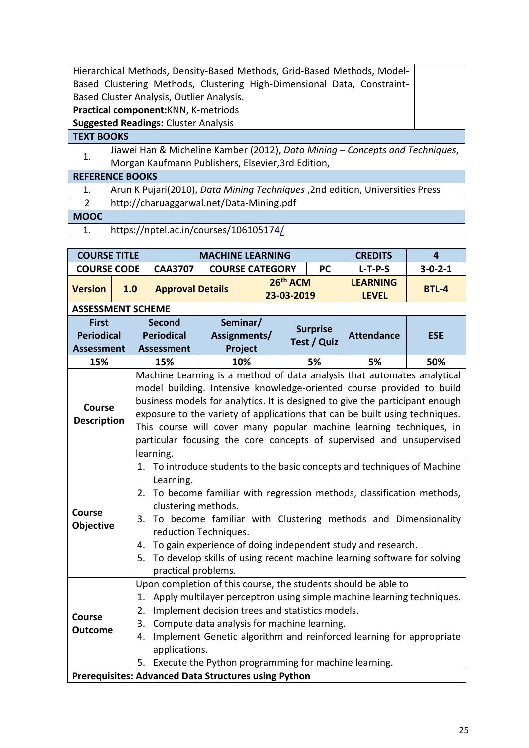|                   | Hierarchical Methods, Density-Based Methods, Grid-Based Methods, Model-      |  |
|-------------------|------------------------------------------------------------------------------|--|
|                   | Based Clustering Methods, Clustering High-Dimensional Data, Constraint-      |  |
|                   | Based Cluster Analysis, Outlier Analysis.                                    |  |
|                   | Practical component: KNN, K-metriods                                         |  |
|                   | <b>Suggested Readings: Cluster Analysis</b>                                  |  |
| <b>TEXT BOOKS</b> |                                                                              |  |
| 1.                | Jiawei Han & Micheline Kamber (2012), Data Mining - Concepts and Techniques, |  |
|                   | Morgan Kaufmann Publishers, Elsevier, 3rd Edition,                           |  |
|                   | <b>REFERENCE BOOKS</b>                                                       |  |
| 1.                | Arun K Pujari(2010), Data Mining Techniques, 2nd edition, Universities Press |  |
| 2                 | http://charuaggarwal.net/Data-Mining.pdf                                     |  |
| <b>MOOC</b>       |                                                                              |  |
|                   |                                                                              |  |

1. https://nptel.ac.in/courses/106105174/

| <b>COURSE TITLE</b>      |     |    |                                                                              |                                                                                                                                                    | <b>MACHINE LEARNING</b>                         |                        |                 | <b>CREDITS</b>                                                          | 4               |  |  |  |  |  |
|--------------------------|-----|----|------------------------------------------------------------------------------|----------------------------------------------------------------------------------------------------------------------------------------------------|-------------------------------------------------|------------------------|-----------------|-------------------------------------------------------------------------|-----------------|--|--|--|--|--|
| <b>COURSE CODE</b>       |     |    | <b>CAA3707</b>                                                               |                                                                                                                                                    | <b>COURSE CATEGORY</b>                          |                        | <b>PC</b>       | $L-T-P-S$                                                               | $3 - 0 - 2 - 1$ |  |  |  |  |  |
| <b>Version</b>           | 1.0 |    | <b>Approval Details</b>                                                      |                                                                                                                                                    |                                                 | 26th ACM<br>23-03-2019 |                 | <b>LEARNING</b><br><b>LEVEL</b>                                         | <b>BTL-4</b>    |  |  |  |  |  |
| <b>ASSESSMENT SCHEME</b> |     |    |                                                                              |                                                                                                                                                    |                                                 |                        |                 |                                                                         |                 |  |  |  |  |  |
| <b>First</b>             |     |    | <b>Second</b>                                                                |                                                                                                                                                    | Seminar/                                        |                        | <b>Surprise</b> |                                                                         |                 |  |  |  |  |  |
| <b>Periodical</b>        |     |    | <b>Periodical</b>                                                            |                                                                                                                                                    | Assignments/                                    |                        | Test / Quiz     | <b>Attendance</b>                                                       | <b>ESE</b>      |  |  |  |  |  |
| <b>Assessment</b>        |     |    | Assessment                                                                   |                                                                                                                                                    | Project                                         |                        |                 |                                                                         |                 |  |  |  |  |  |
| 15%                      |     |    | 15%                                                                          |                                                                                                                                                    | 10%                                             |                        | 5%              | 5%                                                                      | 50%             |  |  |  |  |  |
|                          |     |    |                                                                              |                                                                                                                                                    |                                                 |                        |                 | Machine Learning is a method of data analysis that automates analytical |                 |  |  |  |  |  |
|                          |     |    |                                                                              |                                                                                                                                                    |                                                 |                        |                 | model building. Intensive knowledge-oriented course provided to build   |                 |  |  |  |  |  |
| <b>Course</b>            |     |    | business models for analytics. It is designed to give the participant enough |                                                                                                                                                    |                                                 |                        |                 |                                                                         |                 |  |  |  |  |  |
| <b>Description</b>       |     |    |                                                                              | exposure to the variety of applications that can be built using techniques.<br>This course will cover many popular machine learning techniques, in |                                                 |                        |                 |                                                                         |                 |  |  |  |  |  |
|                          |     |    |                                                                              |                                                                                                                                                    |                                                 |                        |                 |                                                                         |                 |  |  |  |  |  |
|                          |     |    |                                                                              |                                                                                                                                                    |                                                 |                        |                 | particular focusing the core concepts of supervised and unsupervised    |                 |  |  |  |  |  |
|                          |     |    | learning.                                                                    |                                                                                                                                                    |                                                 |                        |                 |                                                                         |                 |  |  |  |  |  |
|                          |     | 1. |                                                                              |                                                                                                                                                    |                                                 |                        |                 | To introduce students to the basic concepts and techniques of Machine   |                 |  |  |  |  |  |
|                          |     |    | Learning.                                                                    |                                                                                                                                                    |                                                 |                        |                 |                                                                         |                 |  |  |  |  |  |
|                          |     | 2. |                                                                              |                                                                                                                                                    |                                                 |                        |                 | To become familiar with regression methods, classification methods,     |                 |  |  |  |  |  |
| <b>Course</b>            |     |    | clustering methods.                                                          |                                                                                                                                                    |                                                 |                        |                 |                                                                         |                 |  |  |  |  |  |
| <b>Objective</b>         |     | 3. |                                                                              |                                                                                                                                                    |                                                 |                        |                 | To become familiar with Clustering methods and Dimensionality           |                 |  |  |  |  |  |
|                          |     |    | reduction Techniques.                                                        |                                                                                                                                                    |                                                 |                        |                 |                                                                         |                 |  |  |  |  |  |
|                          |     | 4. |                                                                              |                                                                                                                                                    |                                                 |                        |                 | To gain experience of doing independent study and research.             |                 |  |  |  |  |  |
|                          |     | 5. |                                                                              |                                                                                                                                                    |                                                 |                        |                 | To develop skills of using recent machine learning software for solving |                 |  |  |  |  |  |
|                          |     |    | practical problems.                                                          |                                                                                                                                                    |                                                 |                        |                 | Upon completion of this course, the students should be able to          |                 |  |  |  |  |  |
|                          |     | 1. |                                                                              |                                                                                                                                                    |                                                 |                        |                 | Apply multilayer perceptron using simple machine learning techniques.   |                 |  |  |  |  |  |
|                          |     | 2. |                                                                              |                                                                                                                                                    | Implement decision trees and statistics models. |                        |                 |                                                                         |                 |  |  |  |  |  |
| <b>Course</b>            |     | 3. |                                                                              |                                                                                                                                                    | Compute data analysis for machine learning.     |                        |                 |                                                                         |                 |  |  |  |  |  |
| <b>Outcome</b>           |     | 4. |                                                                              |                                                                                                                                                    |                                                 |                        |                 | Implement Genetic algorithm and reinforced learning for appropriate     |                 |  |  |  |  |  |
|                          |     |    | applications.                                                                |                                                                                                                                                    |                                                 |                        |                 |                                                                         |                 |  |  |  |  |  |
|                          |     | 5. |                                                                              |                                                                                                                                                    |                                                 |                        |                 | Execute the Python programming for machine learning.                    |                 |  |  |  |  |  |
|                          |     |    | <b>Prerequisites: Advanced Data Structures using Python</b>                  |                                                                                                                                                    |                                                 |                        |                 |                                                                         |                 |  |  |  |  |  |
|                          |     |    |                                                                              |                                                                                                                                                    |                                                 |                        |                 |                                                                         |                 |  |  |  |  |  |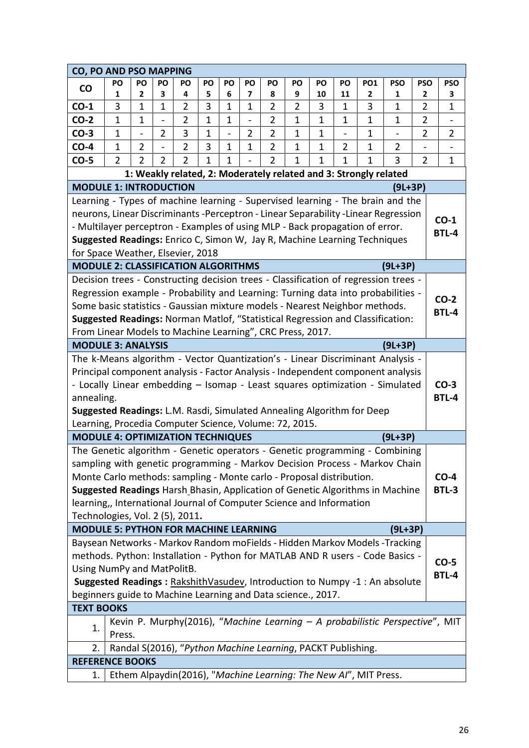| <b>CO, PO AND PSO MAPPING</b>                                                                                                                                           |                |                            |                |                                  |              |                   |                               |                                                             |                     |             |                  |                                                                  |                                                                              |                     |                |
|-------------------------------------------------------------------------------------------------------------------------------------------------------------------------|----------------|----------------------------|----------------|----------------------------------|--------------|-------------------|-------------------------------|-------------------------------------------------------------|---------------------|-------------|------------------|------------------------------------------------------------------|------------------------------------------------------------------------------|---------------------|----------------|
| <b>CO</b>                                                                                                                                                               | <b>PO</b>      | PO                         | PO             | <b>PO</b>                        | PO           | PO                | PO                            | PO                                                          | PO                  | PO          | PO               | <b>PO1</b>                                                       | <b>PSO</b>                                                                   | <b>PSO</b>          | <b>PSO</b>     |
|                                                                                                                                                                         | 1<br>3         | 2                          | 3              | 4                                | 5            | 6<br>$\mathbf{1}$ | 7                             | 8                                                           | 9<br>$\overline{2}$ | 10          | 11               | 2                                                                | 1                                                                            | 2                   | 3              |
| $CO-1$<br>$CO-2$                                                                                                                                                        | $\mathbf{1}$   | $\mathbf 1$<br>$\mathbf 1$ | $\mathbf 1$    | $\overline{2}$<br>$\overline{2}$ | 3<br>1       | $\mathbf{1}$      | $\mathbf 1$<br>$\overline{a}$ | $\overline{2}$<br>$\overline{2}$                            | $\mathbf 1$         | 3<br>1      | 1<br>$\mathbf 1$ | 3<br>$\mathbf 1$                                                 | 1<br>1                                                                       | 2<br>$\overline{2}$ | 1              |
| $CO-3$                                                                                                                                                                  | $\mathbf{1}$   |                            | $\overline{2}$ | 3                                | $\mathbf{1}$ | -                 | $\overline{2}$                | $\overline{2}$                                              | $\mathbf{1}$        | $\mathbf 1$ |                  | $\mathbf 1$                                                      |                                                                              | $\overline{2}$      | $\overline{2}$ |
| $CO-4$                                                                                                                                                                  | $\mathbf{1}$   | $\overline{2}$             |                | $\overline{2}$                   | 3            | $\mathbf{1}$      | $\mathbf 1$                   | $\overline{2}$                                              | $\mathbf{1}$        | 1           | $\overline{2}$   | $\mathbf{1}$                                                     | 2                                                                            |                     |                |
| $CO-5$                                                                                                                                                                  | $\overline{2}$ | 2                          | 2              | $\overline{2}$                   | 1            | 1                 |                               | $\overline{2}$                                              | 1                   | 1           | 1                | 1                                                                | 3                                                                            | $\overline{2}$      | 1              |
|                                                                                                                                                                         |                |                            |                |                                  |              |                   |                               |                                                             |                     |             |                  | 1: Weakly related, 2: Moderately related and 3: Strongly related |                                                                              |                     |                |
| <b>MODULE 1: INTRODUCTION</b>                                                                                                                                           |                |                            |                |                                  |              |                   |                               |                                                             |                     |             |                  |                                                                  | $(9L+3P)$                                                                    |                     |                |
| Learning - Types of machine learning - Supervised learning - The brain and the                                                                                          |                |                            |                |                                  |              |                   |                               |                                                             |                     |             |                  |                                                                  |                                                                              |                     |                |
| neurons, Linear Discriminants -Perceptron - Linear Separability -Linear Regression                                                                                      |                |                            |                |                                  |              |                   |                               |                                                             |                     |             |                  |                                                                  |                                                                              |                     | $CO-1$         |
| - Multilayer perceptron - Examples of using MLP - Back propagation of error.                                                                                            |                |                            |                |                                  |              |                   |                               |                                                             |                     |             |                  |                                                                  |                                                                              |                     | <b>BTL-4</b>   |
| Suggested Readings: Enrico C, Simon W, Jay R, Machine Learning Techniques                                                                                               |                |                            |                |                                  |              |                   |                               |                                                             |                     |             |                  |                                                                  |                                                                              |                     |                |
| for Space Weather, Elsevier, 2018                                                                                                                                       |                |                            |                |                                  |              |                   |                               |                                                             |                     |             |                  |                                                                  |                                                                              |                     |                |
| <b>MODULE 2: CLASSIFICATION ALGORITHMS</b>                                                                                                                              |                |                            |                |                                  |              |                   |                               |                                                             |                     |             |                  |                                                                  | $(9L+3P)$                                                                    |                     |                |
| Decision trees - Constructing decision trees - Classification of regression trees -<br>Regression example - Probability and Learning: Turning data into probabilities - |                |                            |                |                                  |              |                   |                               |                                                             |                     |             |                  |                                                                  |                                                                              |                     |                |
| Some basic statistics - Gaussian mixture models - Nearest Neighbor methods.                                                                                             |                |                            |                |                                  |              |                   |                               |                                                             |                     |             |                  |                                                                  |                                                                              |                     | $CO-2$         |
| Suggested Readings: Norman Matlof, "Statistical Regression and Classification:                                                                                          |                |                            |                |                                  |              |                   |                               |                                                             |                     |             |                  |                                                                  |                                                                              |                     | <b>BTL-4</b>   |
| From Linear Models to Machine Learning", CRC Press, 2017.                                                                                                               |                |                            |                |                                  |              |                   |                               |                                                             |                     |             |                  |                                                                  |                                                                              |                     |                |
| <b>MODULE 3: ANALYSIS</b>                                                                                                                                               |                |                            |                |                                  |              |                   |                               |                                                             |                     |             |                  |                                                                  | (9L+3P)                                                                      |                     |                |
| The k-Means algorithm - Vector Quantization's - Linear Discriminant Analysis -                                                                                          |                |                            |                |                                  |              |                   |                               |                                                             |                     |             |                  |                                                                  |                                                                              |                     |                |
| Principal component analysis - Factor Analysis - Independent component analysis                                                                                         |                |                            |                |                                  |              |                   |                               |                                                             |                     |             |                  |                                                                  |                                                                              |                     |                |
| - Locally Linear embedding - Isomap - Least squares optimization - Simulated                                                                                            |                |                            |                |                                  |              |                   |                               |                                                             |                     |             |                  |                                                                  |                                                                              |                     | $CO-3$         |
| annealing.                                                                                                                                                              |                |                            |                |                                  |              |                   |                               |                                                             |                     |             |                  |                                                                  |                                                                              |                     | <b>BTL-4</b>   |
| Suggested Readings: L.M. Rasdi, Simulated Annealing Algorithm for Deep                                                                                                  |                |                            |                |                                  |              |                   |                               |                                                             |                     |             |                  |                                                                  |                                                                              |                     |                |
| Learning, Procedia Computer Science, Volume: 72, 2015.                                                                                                                  |                |                            |                |                                  |              |                   |                               |                                                             |                     |             |                  |                                                                  |                                                                              |                     |                |
| <b>MODULE 4: OPTIMIZATION TECHNIQUES</b><br>The Genetic algorithm - Genetic operators - Genetic programming - Combining                                                 |                |                            |                |                                  |              |                   |                               |                                                             |                     |             |                  |                                                                  | $(9L+3P)$                                                                    |                     |                |
| sampling with genetic programming - Markov Decision Process - Markov Chain                                                                                              |                |                            |                |                                  |              |                   |                               |                                                             |                     |             |                  |                                                                  |                                                                              |                     |                |
| Monte Carlo methods: sampling - Monte carlo - Proposal distribution.                                                                                                    |                |                            |                |                                  |              |                   |                               |                                                             |                     |             |                  |                                                                  |                                                                              |                     | $CO-4$         |
| Suggested Readings Harsh Bhasin, Application of Genetic Algorithms in Machine                                                                                           |                |                            |                |                                  |              |                   |                               |                                                             |                     |             |                  |                                                                  |                                                                              |                     | BTL-3          |
| learning,, International Journal of Computer Science and Information                                                                                                    |                |                            |                |                                  |              |                   |                               |                                                             |                     |             |                  |                                                                  |                                                                              |                     |                |
| Technologies, Vol. 2 (5), 2011.                                                                                                                                         |                |                            |                |                                  |              |                   |                               |                                                             |                     |             |                  |                                                                  |                                                                              |                     |                |
| <b>MODULE 5: PYTHON FOR MACHINE LEARNING</b>                                                                                                                            |                |                            |                |                                  |              |                   |                               |                                                             |                     |             |                  |                                                                  | (9L+3P)                                                                      |                     |                |
| Baysean Networks - Markov Random moFields - Hidden Markov Models - Tracking                                                                                             |                |                            |                |                                  |              |                   |                               |                                                             |                     |             |                  |                                                                  |                                                                              |                     |                |
| methods. Python: Installation - Python for MATLAB AND R users - Code Basics -                                                                                           |                |                            |                |                                  |              |                   |                               |                                                             |                     |             |                  |                                                                  |                                                                              |                     | $CO-5$         |
| Using NumPy and MatPolitB.                                                                                                                                              |                |                            |                |                                  |              |                   |                               |                                                             |                     |             |                  |                                                                  |                                                                              |                     | <b>BTL-4</b>   |
| Suggested Readings: RakshithVasudev, Introduction to Numpy -1 : An absolute<br>beginners guide to Machine Learning and Data science., 2017.                             |                |                            |                |                                  |              |                   |                               |                                                             |                     |             |                  |                                                                  |                                                                              |                     |                |
| <b>TEXT BOOKS</b>                                                                                                                                                       |                |                            |                |                                  |              |                   |                               |                                                             |                     |             |                  |                                                                  |                                                                              |                     |                |
|                                                                                                                                                                         |                |                            |                |                                  |              |                   |                               |                                                             |                     |             |                  |                                                                  | Kevin P. Murphy(2016), "Machine Learning - A probabilistic Perspective", MIT |                     |                |
| 1.                                                                                                                                                                      | Press.         |                            |                |                                  |              |                   |                               |                                                             |                     |             |                  |                                                                  |                                                                              |                     |                |
| 2.                                                                                                                                                                      |                |                            |                |                                  |              |                   |                               | Randal S(2016), "Python Machine Learning, PACKT Publishing. |                     |             |                  |                                                                  |                                                                              |                     |                |
| <b>REFERENCE BOOKS</b>                                                                                                                                                  |                |                            |                |                                  |              |                   |                               |                                                             |                     |             |                  |                                                                  |                                                                              |                     |                |
| 1.                                                                                                                                                                      |                |                            |                |                                  |              |                   |                               |                                                             |                     |             |                  | Ethem Alpaydin(2016), "Machine Learning: The New Al", MIT Press. |                                                                              |                     |                |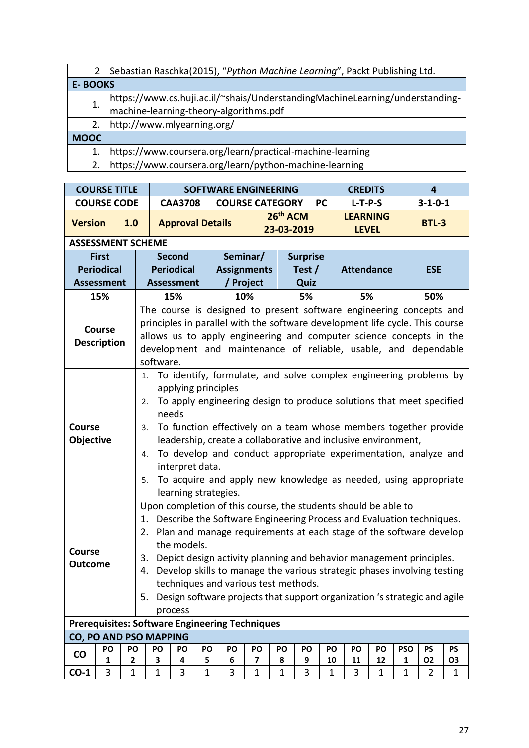|                | Sebastian Raschka(2015), "Python Machine Learning", Packt Publishing Ltd.                                              |
|----------------|------------------------------------------------------------------------------------------------------------------------|
| <b>E-BOOKS</b> |                                                                                                                        |
|                | https://www.cs.huji.ac.il/~shais/UnderstandingMachineLearning/understanding-<br>machine-learning-theory-algorithms.pdf |
|                |                                                                                                                        |
| 2.             | http://www.mlyearning.org/                                                                                             |
| <b>MOOC</b>    |                                                                                                                        |
|                | https://www.coursera.org/learn/practical-machine-learning                                                              |
| 2.             | https://www.coursera.org/learn/python-machine-learning                                                                 |

|                                 | <b>COURSE TITLE</b>                 |              |                                                                                                                                                                                                                                                                                                                                                                                                        |                                                                                                                                                                                                                                                                                                                                                                   |              | <b>SOFTWARE ENGINEERING</b>          |    |                        |    |           | <b>CREDITS</b>                                                                                                                                                                                      |    |              | $\overline{4}$  |                |  |  |
|---------------------------------|-------------------------------------|--------------|--------------------------------------------------------------------------------------------------------------------------------------------------------------------------------------------------------------------------------------------------------------------------------------------------------------------------------------------------------------------------------------------------------|-------------------------------------------------------------------------------------------------------------------------------------------------------------------------------------------------------------------------------------------------------------------------------------------------------------------------------------------------------------------|--------------|--------------------------------------|----|------------------------|----|-----------|-----------------------------------------------------------------------------------------------------------------------------------------------------------------------------------------------------|----|--------------|-----------------|----------------|--|--|
|                                 | <b>COURSE CODE</b>                  |              |                                                                                                                                                                                                                                                                                                                                                                                                        | <b>CAA3708</b>                                                                                                                                                                                                                                                                                                                                                    |              | <b>COURSE CATEGORY</b>               |    |                        |    | <b>PC</b> | $L-T-P-S$                                                                                                                                                                                           |    |              | $3 - 1 - 0 - 1$ |                |  |  |
| <b>Version</b>                  |                                     | 1.0          |                                                                                                                                                                                                                                                                                                                                                                                                        | <b>Approval Details</b>                                                                                                                                                                                                                                                                                                                                           |              |                                      |    | 26th ACM<br>23-03-2019 |    |           | <b>LEARNING</b><br><b>LEVEL</b>                                                                                                                                                                     |    |              | <b>BTL-3</b>    |                |  |  |
|                                 |                                     |              | <b>ASSESSMENT SCHEME</b>                                                                                                                                                                                                                                                                                                                                                                               |                                                                                                                                                                                                                                                                                                                                                                   |              |                                      |    |                        |    |           |                                                                                                                                                                                                     |    |              |                 |                |  |  |
|                                 | <b>First</b>                        |              |                                                                                                                                                                                                                                                                                                                                                                                                        |                                                                                                                                                                                                                                                                                                                                                                   |              |                                      |    |                        |    |           |                                                                                                                                                                                                     |    |              |                 |                |  |  |
|                                 | <b>Periodical</b>                   |              |                                                                                                                                                                                                                                                                                                                                                                                                        | <b>Surprise</b><br>Seminar/<br><b>Second</b><br><b>Periodical</b><br><b>Assignments</b><br><b>Attendance</b><br>Test $/$<br><b>ESE</b><br>/ Project<br>Quiz<br><b>Assessment</b><br>10%<br>5%<br>50%<br>15%<br>5%<br>applying principles<br>needs                                                                                                                 |              |                                      |    |                        |    |           |                                                                                                                                                                                                     |    |              |                 |                |  |  |
|                                 | <b>Assessment</b>                   |              | software.                                                                                                                                                                                                                                                                                                                                                                                              |                                                                                                                                                                                                                                                                                                                                                                   |              |                                      |    |                        |    |           |                                                                                                                                                                                                     |    |              |                 |                |  |  |
|                                 | 15%                                 |              |                                                                                                                                                                                                                                                                                                                                                                                                        | The course is designed to present software engineering concepts and<br>principles in parallel with the software development life cycle. This course<br>allows us to apply engineering and computer science concepts in the<br>development and maintenance of reliable, usable, and dependable<br>To function effectively on a team whose members together provide |              |                                      |    |                        |    |           |                                                                                                                                                                                                     |    |              |                 |                |  |  |
|                                 | <b>Course</b><br><b>Description</b> |              |                                                                                                                                                                                                                                                                                                                                                                                                        | To identify, formulate, and solve complex engineering problems by<br>To apply engineering design to produce solutions that meet specified                                                                                                                                                                                                                         |              |                                      |    |                        |    |           |                                                                                                                                                                                                     |    |              |                 |                |  |  |
| Course<br>Objective             |                                     |              | 1.<br>2.<br>3.<br>4.<br>5.                                                                                                                                                                                                                                                                                                                                                                             | interpret data.                                                                                                                                                                                                                                                                                                                                                   |              | learning strategies.                 |    |                        |    |           | leadership, create a collaborative and inclusive environment,<br>To develop and conduct appropriate experimentation, analyze and<br>To acquire and apply new knowledge as needed, using appropriate |    |              |                 |                |  |  |
| <b>Course</b><br><b>Outcome</b> |                                     |              | Upon completion of this course, the students should be able to<br>1. Describe the Software Engineering Process and Evaluation techniques.<br>2. Plan and manage requirements at each stage of the software develop<br>3.<br>4. Develop skills to manage the various strategic phases involving testing<br>5.<br><b>Prerequisites: Software Engineering Techniques</b><br><b>CO, PO AND PSO MAPPING</b> | the models.<br>process                                                                                                                                                                                                                                                                                                                                            |              | techniques and various test methods. |    |                        |    |           | Depict design activity planning and behavior management principles.<br>Design software projects that support organization 's strategic and agile                                                    |    |              |                 |                |  |  |
|                                 | PO                                  | PO           | PO                                                                                                                                                                                                                                                                                                                                                                                                     | PO                                                                                                                                                                                                                                                                                                                                                                | PO           | PO                                   | PO | PO                     | PO | PO        | PO                                                                                                                                                                                                  | PO | <b>PSO</b>   | PS              | <b>PS</b>      |  |  |
| $\mathsf{CO}$                   | 1                                   | 2            | 3                                                                                                                                                                                                                                                                                                                                                                                                      | 4                                                                                                                                                                                                                                                                                                                                                                 | 5            | 6                                    | 7  | 8                      | 9  | 10        | 11                                                                                                                                                                                                  | 12 | $\mathbf{1}$ | <b>O2</b>       | O <sub>3</sub> |  |  |
| $CO-1$                          | 3                                   | $\mathbf{1}$ | $\mathbf 1$                                                                                                                                                                                                                                                                                                                                                                                            | 3                                                                                                                                                                                                                                                                                                                                                                 | $\mathbf{1}$ | 3                                    | 1  | $\mathbf 1$            | 3  | 1         | 3                                                                                                                                                                                                   | 1  | 1            | 2               | 1              |  |  |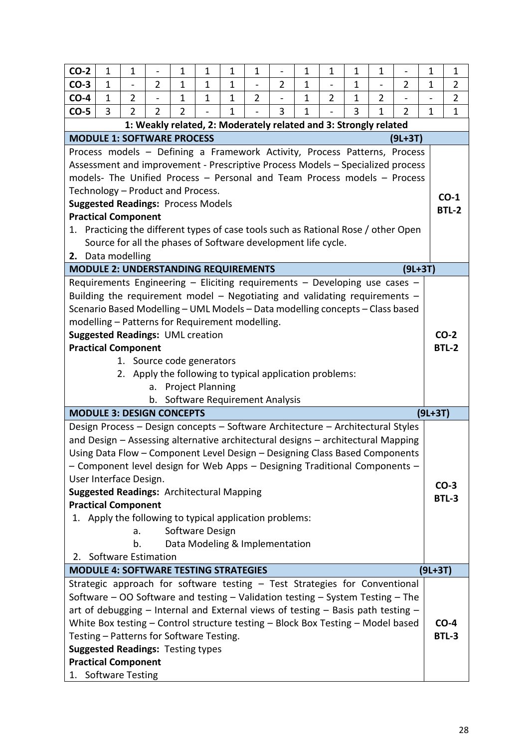| $CO-2$                                                                           | 1            | $\mathbf 1$              |                                                                                  | 1                                                 | $\mathbf 1$  | $\mathbf{1}$ | $\mathbf 1$              | -              | $\mathbf 1$  | $\mathbf{1}$   | $\mathbf{1}$ | $\mathbf 1$              |                                                                                    | 1           | $\mathbf 1$    |
|----------------------------------------------------------------------------------|--------------|--------------------------|----------------------------------------------------------------------------------|---------------------------------------------------|--------------|--------------|--------------------------|----------------|--------------|----------------|--------------|--------------------------|------------------------------------------------------------------------------------|-------------|----------------|
| $CO-3$                                                                           | $\mathbf{1}$ | $\overline{\phantom{a}}$ | $\overline{2}$                                                                   | 1                                                 | 1            | $\mathbf 1$  | $\overline{\phantom{a}}$ | $\overline{2}$ | $\mathbf 1$  | $\frac{1}{2}$  | 1            | $\overline{\phantom{0}}$ | 2                                                                                  | $\mathbf 1$ | $\overline{2}$ |
| $CO-4$                                                                           | 1            | $\overline{2}$           |                                                                                  | 1                                                 | $\mathbf{1}$ | $\mathbf{1}$ | $\overline{2}$           |                | $\mathbf{1}$ | $\overline{2}$ | 1            | $\overline{2}$           |                                                                                    |             | $\overline{2}$ |
| $CO-5$                                                                           | 3            | $\overline{2}$           | $\overline{2}$                                                                   | $\overline{2}$                                    |              | $\mathbf{1}$ |                          | 3              | $\mathbf{1}$ |                | 3            | $\mathbf{1}$             | $\overline{2}$                                                                     | 1           | $\mathbf 1$    |
|                                                                                  |              |                          | 1: Weakly related, 2: Moderately related and 3: Strongly related                 |                                                   |              |              |                          |                |              |                |              |                          |                                                                                    |             |                |
| <b>MODULE 1: SOFTWARE PROCESS</b>                                                |              |                          |                                                                                  |                                                   |              |              |                          |                |              |                |              |                          | $(9L+3T)$                                                                          |             |                |
|                                                                                  |              |                          |                                                                                  |                                                   |              |              |                          |                |              |                |              |                          | Process models - Defining a Framework Activity, Process Patterns, Process          |             |                |
|                                                                                  |              |                          |                                                                                  |                                                   |              |              |                          |                |              |                |              |                          | Assessment and improvement - Prescriptive Process Models - Specialized process     |             |                |
|                                                                                  |              |                          |                                                                                  |                                                   |              |              |                          |                |              |                |              |                          | models- The Unified Process - Personal and Team Process models - Process           |             |                |
| Technology - Product and Process.                                                |              |                          |                                                                                  |                                                   |              |              |                          |                |              |                |              |                          |                                                                                    |             | $CO-1$         |
| <b>Suggested Readings: Process Models</b>                                        |              |                          |                                                                                  |                                                   |              |              |                          |                |              |                |              |                          |                                                                                    |             | <b>BTL-2</b>   |
| <b>Practical Component</b>                                                       |              |                          |                                                                                  |                                                   |              |              |                          |                |              |                |              |                          |                                                                                    |             |                |
|                                                                                  |              |                          |                                                                                  |                                                   |              |              |                          |                |              |                |              |                          | 1. Practicing the different types of case tools such as Rational Rose / other Open |             |                |
|                                                                                  |              |                          | Source for all the phases of Software development life cycle.                    |                                                   |              |              |                          |                |              |                |              |                          |                                                                                    |             |                |
| 2. Data modelling                                                                |              |                          |                                                                                  |                                                   |              |              |                          |                |              |                |              |                          |                                                                                    |             |                |
|                                                                                  |              |                          | <b>MODULE 2: UNDERSTANDING REQUIREMENTS</b>                                      |                                                   |              |              |                          |                |              |                |              |                          | $(9L+3T)$                                                                          |             |                |
|                                                                                  |              |                          | Requirements Engineering - Eliciting requirements - Developing use cases -       |                                                   |              |              |                          |                |              |                |              |                          |                                                                                    |             |                |
|                                                                                  |              |                          | Building the requirement model - Negotiating and validating requirements -       |                                                   |              |              |                          |                |              |                |              |                          |                                                                                    |             |                |
|                                                                                  |              |                          | Scenario Based Modelling - UML Models - Data modelling concepts - Class based    |                                                   |              |              |                          |                |              |                |              |                          |                                                                                    |             |                |
|                                                                                  |              |                          | modelling - Patterns for Requirement modelling.                                  |                                                   |              |              |                          |                |              |                |              |                          |                                                                                    |             |                |
| <b>Suggested Readings: UML creation</b>                                          |              |                          |                                                                                  |                                                   |              |              |                          |                |              |                |              |                          |                                                                                    |             | $CO-2$         |
| <b>Practical Component</b>                                                       |              |                          |                                                                                  |                                                   |              |              |                          |                |              |                |              |                          |                                                                                    |             | <b>BTL-2</b>   |
|                                                                                  |              |                          | 1. Source code generators                                                        |                                                   |              |              |                          |                |              |                |              |                          |                                                                                    |             |                |
|                                                                                  |              | 2.                       | Apply the following to typical application problems:                             |                                                   |              |              |                          |                |              |                |              |                          |                                                                                    |             |                |
|                                                                                  |              |                          | a.                                                                               | <b>Project Planning</b>                           |              |              |                          |                |              |                |              |                          |                                                                                    |             |                |
|                                                                                  |              |                          | b.                                                                               | Software Requirement Analysis                     |              |              |                          |                |              |                |              |                          |                                                                                    |             |                |
| <b>MODULE 3: DESIGN CONCEPTS</b>                                                 |              |                          |                                                                                  |                                                   |              |              |                          |                |              |                |              |                          |                                                                                    | $(9L+3T)$   |                |
| Design Process - Design concepts - Software Architecture - Architectural Styles  |              |                          |                                                                                  |                                                   |              |              |                          |                |              |                |              |                          |                                                                                    |             |                |
|                                                                                  |              |                          | and Design - Assessing alternative architectural designs - architectural Mapping |                                                   |              |              |                          |                |              |                |              |                          |                                                                                    |             |                |
|                                                                                  |              |                          | Using Data Flow - Component Level Design - Designing Class Based Components      |                                                   |              |              |                          |                |              |                |              |                          |                                                                                    |             |                |
| - Component level design for Web Apps - Designing Traditional Components -       |              |                          |                                                                                  |                                                   |              |              |                          |                |              |                |              |                          |                                                                                    |             |                |
| User Interface Design.                                                           |              |                          |                                                                                  |                                                   |              |              |                          |                |              |                |              |                          |                                                                                    |             | $CO-3$         |
| <b>Suggested Readings: Architectural Mapping</b>                                 |              |                          |                                                                                  |                                                   |              |              |                          |                |              |                |              |                          |                                                                                    |             | <b>BTL-3</b>   |
| <b>Practical Component</b>                                                       |              |                          |                                                                                  |                                                   |              |              |                          |                |              |                |              |                          |                                                                                    |             |                |
|                                                                                  |              |                          | 1. Apply the following to typical application problems:                          |                                                   |              |              |                          |                |              |                |              |                          |                                                                                    |             |                |
|                                                                                  |              | a.<br>b.                 |                                                                                  | Software Design<br>Data Modeling & Implementation |              |              |                          |                |              |                |              |                          |                                                                                    |             |                |
| 2.                                                                               |              |                          | Software Estimation                                                              |                                                   |              |              |                          |                |              |                |              |                          |                                                                                    |             |                |
|                                                                                  |              |                          | <b>MODULE 4: SOFTWARE TESTING STRATEGIES</b>                                     |                                                   |              |              |                          |                |              |                |              |                          |                                                                                    | $(9L+3T)$   |                |
| Strategic approach for software testing - Test Strategies for Conventional       |              |                          |                                                                                  |                                                   |              |              |                          |                |              |                |              |                          |                                                                                    |             |                |
| Software - OO Software and testing - Validation testing - System Testing - The   |              |                          |                                                                                  |                                                   |              |              |                          |                |              |                |              |                          |                                                                                    |             |                |
| art of debugging - Internal and External views of testing - Basis path testing - |              |                          |                                                                                  |                                                   |              |              |                          |                |              |                |              |                          |                                                                                    |             |                |
|                                                                                  |              |                          | White Box testing - Control structure testing - Block Box Testing - Model based  |                                                   |              |              |                          |                |              |                |              |                          |                                                                                    |             | $CO-4$         |
| Testing - Patterns for Software Testing.                                         |              |                          |                                                                                  |                                                   |              |              |                          |                |              |                |              |                          |                                                                                    |             | <b>BTL-3</b>   |
| <b>Suggested Readings: Testing types</b>                                         |              |                          |                                                                                  |                                                   |              |              |                          |                |              |                |              |                          |                                                                                    |             |                |
| <b>Practical Component</b>                                                       |              |                          |                                                                                  |                                                   |              |              |                          |                |              |                |              |                          |                                                                                    |             |                |
| 1. Software Testing                                                              |              |                          |                                                                                  |                                                   |              |              |                          |                |              |                |              |                          |                                                                                    |             |                |
|                                                                                  |              |                          |                                                                                  |                                                   |              |              |                          |                |              |                |              |                          |                                                                                    |             |                |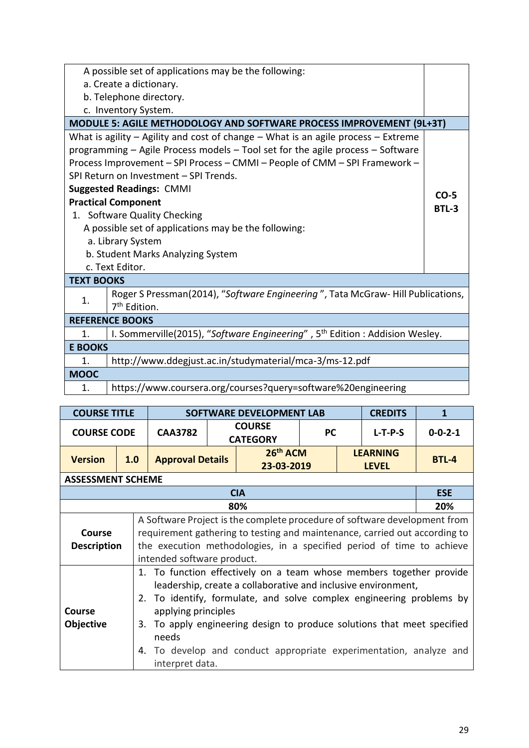|                   | A possible set of applications may be the following:                                    |        |
|-------------------|-----------------------------------------------------------------------------------------|--------|
|                   | a. Create a dictionary.                                                                 |        |
|                   | b. Telephone directory.                                                                 |        |
|                   | c. Inventory System.                                                                    |        |
|                   | MODULE 5: AGILE METHODOLOGY AND SOFTWARE PROCESS IMPROVEMENT (9L+3T)                    |        |
|                   | What is agility $-$ Agility and cost of change $-$ What is an agile process $-$ Extreme |        |
|                   | programming - Agile Process models - Tool set for the agile process - Software          |        |
|                   | Process Improvement - SPI Process - CMMI - People of CMM - SPI Framework -              |        |
|                   | SPI Return on Investment - SPI Trends.                                                  |        |
|                   | <b>Suggested Readings: CMMI</b>                                                         | $CO-5$ |
|                   | <b>Practical Component</b>                                                              | BTL-3  |
|                   | 1. Software Quality Checking                                                            |        |
|                   | A possible set of applications may be the following:                                    |        |
|                   | a. Library System                                                                       |        |
|                   | b. Student Marks Analyzing System                                                       |        |
|                   | c. Text Editor.                                                                         |        |
| <b>TEXT BOOKS</b> |                                                                                         |        |
| 1.                | Roger S Pressman(2014), "Software Engineering", Tata McGraw-Hill Publications,          |        |
|                   | 7 <sup>th</sup> Edition.                                                                |        |
|                   | <b>REFERENCE BOOKS</b>                                                                  |        |
| $\mathbf{1}$ .    | I. Sommerville(2015), "Software Engineering", 5 <sup>th</sup> Edition: Addision Wesley. |        |
| <b>E BOOKS</b>    |                                                                                         |        |
| 1.                | http://www.ddegjust.ac.in/studymaterial/mca-3/ms-12.pdf                                 |        |
| <b>MOOC</b>       |                                                                                         |        |
| 1.                | https://www.coursera.org/courses?query=software%20engineering                           |        |

| <b>COURSE TITLE</b>               |     | <b>SOFTWARE DEVELOPMENT LAB</b>                                                                                                                                                                                                                                       | <b>CREDITS</b> | 1                                                                                                                                                                                                                                                                                                                                                             |           |  |                                 |                 |  |  |  |  |  |  |
|-----------------------------------|-----|-----------------------------------------------------------------------------------------------------------------------------------------------------------------------------------------------------------------------------------------------------------------------|----------------|---------------------------------------------------------------------------------------------------------------------------------------------------------------------------------------------------------------------------------------------------------------------------------------------------------------------------------------------------------------|-----------|--|---------------------------------|-----------------|--|--|--|--|--|--|
| <b>COURSE CODE</b>                |     | <b>CAA3782</b>                                                                                                                                                                                                                                                        |                | <b>COURSE</b><br><b>CATEGORY</b>                                                                                                                                                                                                                                                                                                                              | <b>PC</b> |  | $L-T-P-S$                       | $0 - 0 - 2 - 1$ |  |  |  |  |  |  |
| <b>Version</b>                    | 1.0 | <b>Approval Details</b>                                                                                                                                                                                                                                               |                | 26 <sup>th</sup> ACM<br>23-03-2019                                                                                                                                                                                                                                                                                                                            |           |  | <b>LEARNING</b><br><b>LEVEL</b> | <b>BTL-4</b>    |  |  |  |  |  |  |
| <b>ASSESSMENT SCHEME</b>          |     |                                                                                                                                                                                                                                                                       |                |                                                                                                                                                                                                                                                                                                                                                               |           |  |                                 |                 |  |  |  |  |  |  |
|                                   |     |                                                                                                                                                                                                                                                                       |                | <b>CIA</b>                                                                                                                                                                                                                                                                                                                                                    |           |  |                                 | <b>ESE</b>      |  |  |  |  |  |  |
|                                   |     |                                                                                                                                                                                                                                                                       |                |                                                                                                                                                                                                                                                                                                                                                               |           |  |                                 | 20%             |  |  |  |  |  |  |
| Course<br><b>Description</b>      |     | 80%<br>A Software Project is the complete procedure of software development from<br>requirement gathering to testing and maintenance, carried out according to<br>the execution methodologies, in a specified period of time to achieve<br>intended software product. |                |                                                                                                                                                                                                                                                                                                                                                               |           |  |                                 |                 |  |  |  |  |  |  |
| <b>Course</b><br><b>Objective</b> |     | applying principles<br>needs<br>interpret data.                                                                                                                                                                                                                       |                | 1. To function effectively on a team whose members together provide<br>leadership, create a collaborative and inclusive environment,<br>2. To identify, formulate, and solve complex engineering problems by<br>3. To apply engineering design to produce solutions that meet specified<br>4. To develop and conduct appropriate experimentation, analyze and |           |  |                                 |                 |  |  |  |  |  |  |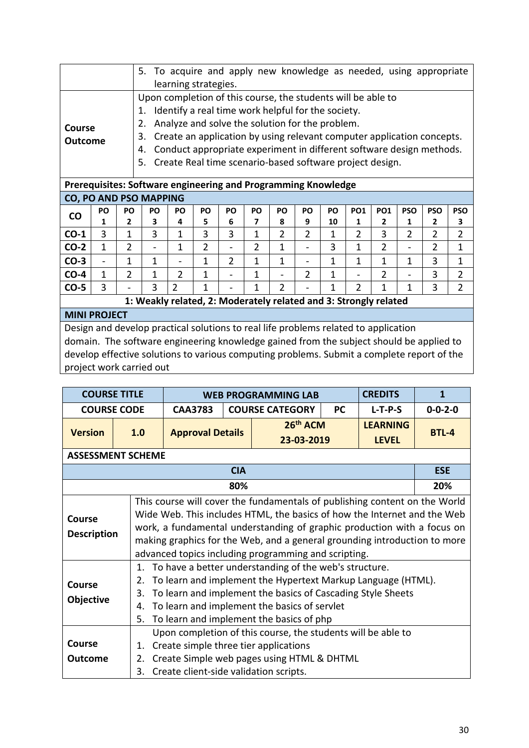|                                                                                                                                                                                |                |                | 5.  |                              | To acquire and apply new knowledge as needed, using appropriate        |                          |                |                |                          |    |                |                |                |                |                |
|--------------------------------------------------------------------------------------------------------------------------------------------------------------------------------|----------------|----------------|-----|------------------------------|------------------------------------------------------------------------|--------------------------|----------------|----------------|--------------------------|----|----------------|----------------|----------------|----------------|----------------|
|                                                                                                                                                                                |                |                |     |                              | learning strategies.                                                   |                          |                |                |                          |    |                |                |                |                |                |
|                                                                                                                                                                                |                |                |     |                              | Upon completion of this course, the students will be able to           |                          |                |                |                          |    |                |                |                |                |                |
|                                                                                                                                                                                |                |                | 1.  |                              | Identify a real time work helpful for the society.                     |                          |                |                |                          |    |                |                |                |                |                |
|                                                                                                                                                                                |                |                | 2.  |                              | Analyze and solve the solution for the problem.                        |                          |                |                |                          |    |                |                |                |                |                |
| Course                                                                                                                                                                         |                |                |     |                              |                                                                        |                          |                |                |                          |    |                |                |                |                |                |
| <b>Outcome</b>                                                                                                                                                                 |                |                | 3.  |                              | Create an application by using relevant computer application concepts. |                          |                |                |                          |    |                |                |                |                |                |
|                                                                                                                                                                                |                |                | 4.  |                              | Conduct appropriate experiment in different software design methods.   |                          |                |                |                          |    |                |                |                |                |                |
|                                                                                                                                                                                |                |                | .5. |                              | Create Real time scenario-based software project design.               |                          |                |                |                          |    |                |                |                |                |                |
| Prerequisites: Software engineering and Programming Knowledge                                                                                                                  |                |                |     |                              |                                                                        |                          |                |                |                          |    |                |                |                |                |                |
| <b>CO, PO AND PSO MAPPING</b>                                                                                                                                                  |                |                |     |                              |                                                                        |                          |                |                |                          |    |                |                |                |                |                |
|                                                                                                                                                                                | PO             | PO             | PO  | PO                           | PO                                                                     | PO                       | PO             | PO             | PO                       | PO | <b>PO1</b>     | <b>PO1</b>     | <b>PSO</b>     | <b>PSO</b>     | <b>PSO</b>     |
| <b>CO</b>                                                                                                                                                                      | 1              | 2              | 3   | 4                            | 5                                                                      | 6                        | 7              | 8              | 9                        | 10 | 1              | 2              | 1              | 2              | 3              |
|                                                                                                                                                                                |                |                |     |                              |                                                                        |                          |                |                |                          |    |                |                |                |                |                |
| $CO-1$                                                                                                                                                                         | 3              | 1              | 3   | 1                            | 3                                                                      | 3                        | 1              | $\overline{2}$ | $\overline{2}$           | 1  | 2              | 3              | $\overline{2}$ | $\overline{2}$ | $\overline{2}$ |
| $CO-2$                                                                                                                                                                         | $\mathbf{1}$   | $\overline{2}$ |     | 1                            | $\overline{2}$                                                         | $\overline{\phantom{0}}$ | $\overline{2}$ | 1              |                          | 3  | 1              | $\overline{2}$ |                | 2              | $\mathbf{1}$   |
| $CO-3$                                                                                                                                                                         | $\blacksquare$ | 1              | 1   | $\qquad \qquad \blacksquare$ | 1                                                                      | $\overline{2}$           | $\mathbf{1}$   | 1              | $\overline{\phantom{a}}$ | 1  | 1              | $\mathbf{1}$   | 1              | 3              | $\mathbf{1}$   |
| $CO-4$                                                                                                                                                                         | $\mathbf{1}$   | $\overline{2}$ | 1   | 2                            | 1                                                                      |                          | 1              | $\overline{a}$ | $\overline{2}$           | 1  |                | $\overline{2}$ |                | 3              | $\overline{2}$ |
| $CO-5$                                                                                                                                                                         | 3              |                | 3   | $\overline{2}$               | 1                                                                      |                          | 1              | $\overline{2}$ |                          | 1  | $\overline{2}$ | 1              | 1              | 3              | $\overline{2}$ |
|                                                                                                                                                                                |                |                |     |                              | 1: Weakly related, 2: Moderately related and 3: Strongly related       |                          |                |                |                          |    |                |                |                |                |                |
| <b>MINI PROJECT</b>                                                                                                                                                            |                |                |     |                              |                                                                        |                          |                |                |                          |    |                |                |                |                |                |
|                                                                                                                                                                                |                |                |     |                              |                                                                        |                          |                |                |                          |    |                |                |                |                |                |
| Design and develop practical solutions to real life problems related to application<br>domain. The software engineering knowledge gained from the subject should be applied to |                |                |     |                              |                                                                        |                          |                |                |                          |    |                |                |                |                |                |

develop effective solutions to various computing problems. Submit a complete report of the project work carried out

| <b>COURSE TITLE</b>               |                                                                                                                                                                                                                                                                                                                                                                        |                                                                                                                                                                                                                                       |            | <b>WEB PROGRAMMING LAB</b>                       |  | <b>CREDITS</b>  | 1               |  |  |  |  |
|-----------------------------------|------------------------------------------------------------------------------------------------------------------------------------------------------------------------------------------------------------------------------------------------------------------------------------------------------------------------------------------------------------------------|---------------------------------------------------------------------------------------------------------------------------------------------------------------------------------------------------------------------------------------|------------|--------------------------------------------------|--|-----------------|-----------------|--|--|--|--|
| <b>COURSE CODE</b>                |                                                                                                                                                                                                                                                                                                                                                                        | <b>CAA3783</b>                                                                                                                                                                                                                        |            | <b>COURSE CATEGORY</b><br><b>PC</b><br>$L-T-P-S$ |  |                 | $0 - 0 - 2 - 0$ |  |  |  |  |
| <b>Version</b>                    | 1.0                                                                                                                                                                                                                                                                                                                                                                    | <b>Approval Details</b>                                                                                                                                                                                                               |            | 26 <sup>th</sup> ACM                             |  | <b>LFARNING</b> | <b>BTL-4</b>    |  |  |  |  |
|                                   |                                                                                                                                                                                                                                                                                                                                                                        |                                                                                                                                                                                                                                       |            | 23-03-2019                                       |  | <b>LEVEL</b>    |                 |  |  |  |  |
| <b>ASSESSMENT SCHEME</b>          |                                                                                                                                                                                                                                                                                                                                                                        |                                                                                                                                                                                                                                       |            |                                                  |  |                 |                 |  |  |  |  |
|                                   |                                                                                                                                                                                                                                                                                                                                                                        |                                                                                                                                                                                                                                       | <b>CIA</b> |                                                  |  |                 | <b>ESE</b>      |  |  |  |  |
|                                   |                                                                                                                                                                                                                                                                                                                                                                        |                                                                                                                                                                                                                                       | 80%        |                                                  |  |                 | 20%             |  |  |  |  |
| Course<br><b>Description</b>      | This course will cover the fundamentals of publishing content on the World<br>Wide Web. This includes HTML, the basics of how the Internet and the Web<br>work, a fundamental understanding of graphic production with a focus on<br>making graphics for the Web, and a general grounding introduction to more<br>advanced topics including programming and scripting. |                                                                                                                                                                                                                                       |            |                                                  |  |                 |                 |  |  |  |  |
| <b>Course</b><br><b>Objective</b> | 1.<br>2.<br>3.<br>4.<br>5.                                                                                                                                                                                                                                                                                                                                             | To have a better understanding of the web's structure.<br>To learn and implement the Hypertext Markup Language (HTML).<br>To learn and implement the basics of Cascading Style Sheets<br>To learn and implement the basics of servlet |            |                                                  |  |                 |                 |  |  |  |  |
| Course<br>Outcome                 | To learn and implement the basics of php<br>Upon completion of this course, the students will be able to<br>Create simple three tier applications<br>1.<br>Create Simple web pages using HTML & DHTML<br>2.<br>3.<br>Create client-side validation scripts.                                                                                                            |                                                                                                                                                                                                                                       |            |                                                  |  |                 |                 |  |  |  |  |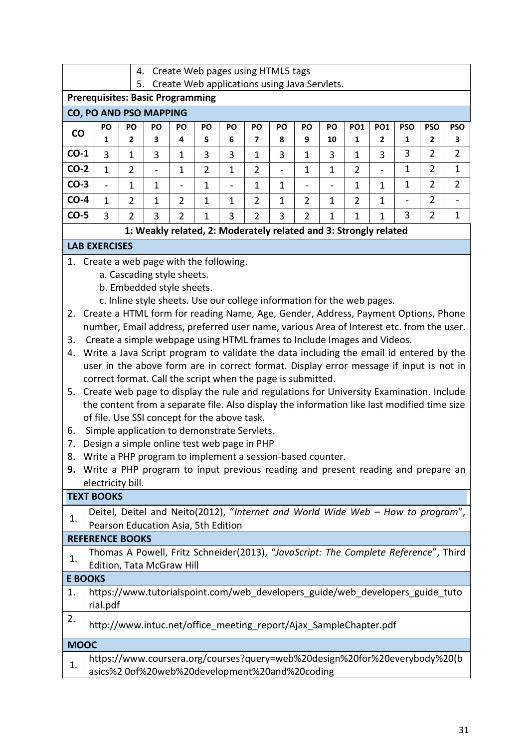| Create Web pages using HTML5 tags<br>4.<br>Create Web applications using Java Servlets.<br>5. |                                                                                                                                                                                  |                |                                                                        |                |                |                          |                |                          |                |                |                 |                |                          |                |                          |
|-----------------------------------------------------------------------------------------------|----------------------------------------------------------------------------------------------------------------------------------------------------------------------------------|----------------|------------------------------------------------------------------------|----------------|----------------|--------------------------|----------------|--------------------------|----------------|----------------|-----------------|----------------|--------------------------|----------------|--------------------------|
| <b>Prerequisites: Basic Programming</b>                                                       |                                                                                                                                                                                  |                |                                                                        |                |                |                          |                |                          |                |                |                 |                |                          |                |                          |
| CO, PO AND PSO MAPPING                                                                        |                                                                                                                                                                                  |                |                                                                        |                |                |                          |                |                          |                |                |                 |                |                          |                |                          |
| $\mathsf{co}\,$                                                                               | PO                                                                                                                                                                               | PO             | PO                                                                     | PO             | PO             | PO                       | PO             | PO                       | PO             | PO             | PO <sub>1</sub> | <b>PO1</b>     | <b>PSO</b>               | <b>PSO</b>     | <b>PSO</b>               |
|                                                                                               | 1                                                                                                                                                                                | 2              | 3                                                                      | 4              | 5              | 6                        | 7              | 8                        | 9              | 10             | 1               | $\overline{2}$ | 1                        | 2              | 3                        |
| $CO-1$                                                                                        | 3                                                                                                                                                                                | $\mathbf{1}$   | 3                                                                      | 1              | 3              | 3                        | $\mathbf 1$    | 3                        | $\mathbf{1}$   | 3              | 1               | 3              | 3                        | $\overline{2}$ | $\overline{2}$           |
| $CO-2$                                                                                        | $\mathbf{1}$                                                                                                                                                                     | $\overline{2}$ | $\qquad \qquad -$                                                      | $\mathbf 1$    | $\overline{2}$ | $\mathbf{1}$             | $\overline{2}$ | $\overline{\phantom{0}}$ | $\mathbf 1$    | $\mathbf{1}$   | $\overline{2}$  |                | $\mathbf{1}$             | $\overline{2}$ | $\mathbf 1$              |
| $CO-3$                                                                                        | $\overline{\phantom{0}}$                                                                                                                                                         | $\mathbf{1}$   | $\mathbf{1}$                                                           |                | $\mathbf 1$    | $\overline{\phantom{0}}$ | $\mathbf 1$    | $\mathbf{1}$             |                | $\overline{a}$ | $\mathbf 1$     | $\mathbf{1}$   | $\mathbf{1}$             | $\overline{2}$ | $\overline{2}$           |
| $CO-4$                                                                                        | $\mathbf 1$                                                                                                                                                                      | $\overline{2}$ | $\mathbf{1}$                                                           | $\overline{2}$ | $\mathbf{1}$   | $\mathbf{1}$             | $\overline{2}$ | $\mathbf{1}$             | $\overline{2}$ | $\mathbf 1$    | $\overline{2}$  | $\mathbf{1}$   | $\overline{\phantom{0}}$ | $\overline{2}$ | $\overline{\phantom{a}}$ |
| $CO-5$                                                                                        | 3                                                                                                                                                                                | $\overline{2}$ | 3                                                                      | $\overline{2}$ | $\mathbf{1}$   | 3                        | $\overline{2}$ | 3                        | $\overline{2}$ | $\mathbf{1}$   | $\mathbf 1$     | $\mathbf{1}$   | 3                        | $\overline{2}$ | 1                        |
|                                                                                               |                                                                                                                                                                                  |                | 1: Weakly related, 2: Moderately related and 3: Strongly related       |                |                |                          |                |                          |                |                |                 |                |                          |                |                          |
|                                                                                               | <b>LAB EXERCISES</b>                                                                                                                                                             |                |                                                                        |                |                |                          |                |                          |                |                |                 |                |                          |                |                          |
|                                                                                               | 1. Create a web page with the following.                                                                                                                                         |                |                                                                        |                |                |                          |                |                          |                |                |                 |                |                          |                |                          |
|                                                                                               |                                                                                                                                                                                  |                | a. Cascading style sheets.                                             |                |                |                          |                |                          |                |                |                 |                |                          |                |                          |
|                                                                                               |                                                                                                                                                                                  |                | b. Embedded style sheets.                                              |                |                |                          |                |                          |                |                |                 |                |                          |                |                          |
|                                                                                               |                                                                                                                                                                                  |                | c. Inline style sheets. Use our college information for the web pages. |                |                |                          |                |                          |                |                |                 |                |                          |                |                          |
| 2.                                                                                            | Create a HTML form for reading Name, Age, Gender, Address, Payment Options, Phone<br>number, Email address, preferred user name, various Area of Interest etc. from the user.    |                |                                                                        |                |                |                          |                |                          |                |                |                 |                |                          |                |                          |
| 3.                                                                                            | Create a simple webpage using HTML frames to Include Images and Videos.                                                                                                          |                |                                                                        |                |                |                          |                |                          |                |                |                 |                |                          |                |                          |
| 4.                                                                                            |                                                                                                                                                                                  |                |                                                                        |                |                |                          |                |                          |                |                |                 |                |                          |                |                          |
|                                                                                               | Write a Java Script program to validate the data including the email id entered by the<br>user in the above form are in correct format. Display error message if input is not in |                |                                                                        |                |                |                          |                |                          |                |                |                 |                |                          |                |                          |
| correct format. Call the script when the page is submitted.                                   |                                                                                                                                                                                  |                |                                                                        |                |                |                          |                |                          |                |                |                 |                |                          |                |                          |
| 5.                                                                                            | Create web page to display the rule and regulations for University Examination. Include                                                                                          |                |                                                                        |                |                |                          |                |                          |                |                |                 |                |                          |                |                          |
|                                                                                               | the content from a separate file. Also display the information like last modified time size                                                                                      |                |                                                                        |                |                |                          |                |                          |                |                |                 |                |                          |                |                          |
|                                                                                               | of file. Use SSI concept for the above task.                                                                                                                                     |                |                                                                        |                |                |                          |                |                          |                |                |                 |                |                          |                |                          |
| 6.<br>7.                                                                                      | Simple application to demonstrate Servlets.<br>Design a simple online test web page in PHP                                                                                       |                |                                                                        |                |                |                          |                |                          |                |                |                 |                |                          |                |                          |
| 8.                                                                                            | Write a PHP program to implement a session-based counter.                                                                                                                        |                |                                                                        |                |                |                          |                |                          |                |                |                 |                |                          |                |                          |
|                                                                                               | 9. Write a PHP program to input previous reading and present reading and prepare an                                                                                              |                |                                                                        |                |                |                          |                |                          |                |                |                 |                |                          |                |                          |
|                                                                                               | electricity bill.                                                                                                                                                                |                |                                                                        |                |                |                          |                |                          |                |                |                 |                |                          |                |                          |
|                                                                                               | <b>TEXT BOOKS</b>                                                                                                                                                                |                |                                                                        |                |                |                          |                |                          |                |                |                 |                |                          |                |                          |
| 1.                                                                                            | Deitel, Deitel and Neito(2012), "Internet and World Wide Web - How to program",<br>Pearson Education Asia, 5th Edition                                                           |                |                                                                        |                |                |                          |                |                          |                |                |                 |                |                          |                |                          |
|                                                                                               | <b>REFERENCE BOOKS</b>                                                                                                                                                           |                |                                                                        |                |                |                          |                |                          |                |                |                 |                |                          |                |                          |
| 1.                                                                                            | Thomas A Powell, Fritz Schneider(2013), "JavaScript: The Complete Reference", Third<br>Edition, Tata McGraw Hill                                                                 |                |                                                                        |                |                |                          |                |                          |                |                |                 |                |                          |                |                          |
| <b>E BOOKS</b>                                                                                |                                                                                                                                                                                  |                |                                                                        |                |                |                          |                |                          |                |                |                 |                |                          |                |                          |
| 1.                                                                                            | https://www.tutorialspoint.com/web developers guide/web developers guide tuto<br>rial.pdf                                                                                        |                |                                                                        |                |                |                          |                |                          |                |                |                 |                |                          |                |                          |
| 2.                                                                                            | http://www.intuc.net/office meeting report/Ajax SampleChapter.pdf                                                                                                                |                |                                                                        |                |                |                          |                |                          |                |                |                 |                |                          |                |                          |
| <b>MOOC</b>                                                                                   |                                                                                                                                                                                  |                |                                                                        |                |                |                          |                |                          |                |                |                 |                |                          |                |                          |
| 1.                                                                                            | https://www.coursera.org/courses?query=web%20design%20for%20everybody%20(b                                                                                                       |                |                                                                        |                |                |                          |                |                          |                |                |                 |                |                          |                |                          |
|                                                                                               | asics%2 0of%20web%20development%20and%20coding                                                                                                                                   |                |                                                                        |                |                |                          |                |                          |                |                |                 |                |                          |                |                          |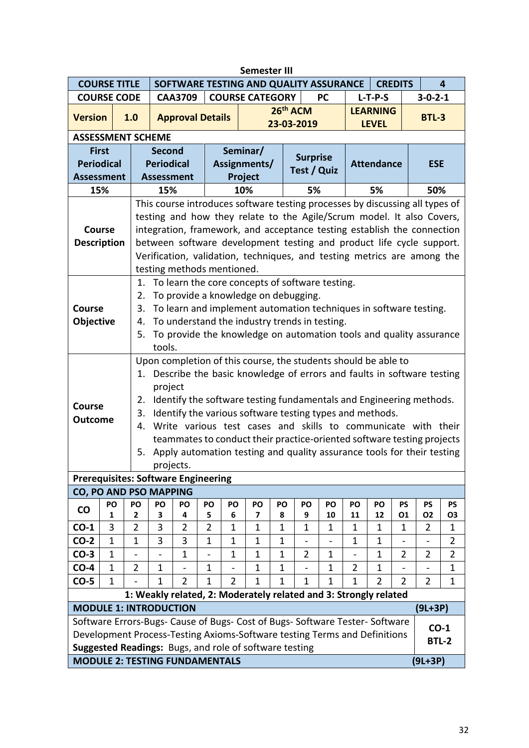|                                                                              | <b>Semester III</b> |                          |                                                                                                                                                     |                            |                          |                                                          |                                                                  |              |                    |              |                   |                |                |                                                                              |                 |  |  |
|------------------------------------------------------------------------------|---------------------|--------------------------|-----------------------------------------------------------------------------------------------------------------------------------------------------|----------------------------|--------------------------|----------------------------------------------------------|------------------------------------------------------------------|--------------|--------------------|--------------|-------------------|----------------|----------------|------------------------------------------------------------------------------|-----------------|--|--|
|                                                                              | <b>COURSE TITLE</b> |                          |                                                                                                                                                     |                            |                          | SOFTWARE TESTING AND QUALITY ASSURANCE<br><b>CREDITS</b> |                                                                  |              |                    |              |                   |                |                | 4                                                                            |                 |  |  |
| <b>COURSE CODE</b>                                                           |                     |                          |                                                                                                                                                     | <b>CAA3709</b>             |                          |                                                          | <b>COURSE CATEGORY</b>                                           |              |                    | <b>PC</b>    | $L-T-P-S$         |                |                | $3 - 0 - 2 - 1$                                                              |                 |  |  |
| <b>Version</b>                                                               |                     | 1.0                      |                                                                                                                                                     | <b>Approval Details</b>    |                          |                                                          |                                                                  | 26th ACM     |                    |              | <b>LEARNING</b>   |                |                | <b>BTL-3</b>                                                                 |                 |  |  |
|                                                                              |                     |                          |                                                                                                                                                     |                            |                          |                                                          |                                                                  |              | 23-03-2019         |              |                   | <b>LEVEL</b>   |                |                                                                              |                 |  |  |
| <b>ASSESSMENT SCHEME</b>                                                     |                     |                          |                                                                                                                                                     |                            |                          |                                                          |                                                                  |              |                    |              |                   |                |                |                                                                              |                 |  |  |
| <b>First</b>                                                                 |                     |                          | <b>Second</b>                                                                                                                                       |                            |                          |                                                          | Seminar/                                                         |              | <b>Surprise</b>    |              |                   |                |                |                                                                              |                 |  |  |
| <b>Periodical</b>                                                            |                     |                          | <b>Periodical</b>                                                                                                                                   |                            |                          | Assignments/                                             |                                                                  |              | <b>Test / Quiz</b> |              | <b>Attendance</b> |                |                | <b>ESE</b>                                                                   |                 |  |  |
| <b>Assessment</b>                                                            |                     |                          | <b>Assessment</b>                                                                                                                                   |                            |                          |                                                          | Project                                                          |              |                    |              |                   |                |                |                                                                              |                 |  |  |
| 15%                                                                          |                     |                          | 15%                                                                                                                                                 |                            |                          | 10%                                                      |                                                                  |              | 5%                 |              |                   | 5%             |                | 50%                                                                          |                 |  |  |
|                                                                              |                     |                          |                                                                                                                                                     |                            |                          |                                                          |                                                                  |              |                    |              |                   |                |                | This course introduces software testing processes by discussing all types of |                 |  |  |
|                                                                              |                     |                          | testing and how they relate to the Agile/Scrum model. It also Covers,                                                                               |                            |                          |                                                          |                                                                  |              |                    |              |                   |                |                |                                                                              |                 |  |  |
| Course                                                                       |                     |                          | integration, framework, and acceptance testing establish the connection                                                                             |                            |                          |                                                          |                                                                  |              |                    |              |                   |                |                |                                                                              |                 |  |  |
| <b>Description</b>                                                           |                     |                          | between software development testing and product life cycle support.                                                                                |                            |                          |                                                          |                                                                  |              |                    |              |                   |                |                |                                                                              |                 |  |  |
|                                                                              |                     |                          | Verification, validation, techniques, and testing metrics are among the                                                                             |                            |                          |                                                          |                                                                  |              |                    |              |                   |                |                |                                                                              |                 |  |  |
|                                                                              |                     |                          |                                                                                                                                                     | testing methods mentioned. |                          |                                                          |                                                                  |              |                    |              |                   |                |                |                                                                              |                 |  |  |
|                                                                              |                     | 1.                       |                                                                                                                                                     |                            |                          |                                                          | To learn the core concepts of software testing.                  |              |                    |              |                   |                |                |                                                                              |                 |  |  |
|                                                                              |                     | 2.                       | To provide a knowledge on debugging.                                                                                                                |                            |                          |                                                          |                                                                  |              |                    |              |                   |                |                |                                                                              |                 |  |  |
| <b>Course</b>                                                                |                     | 3.                       | To learn and implement automation techniques in software testing.                                                                                   |                            |                          |                                                          |                                                                  |              |                    |              |                   |                |                |                                                                              |                 |  |  |
| Objective                                                                    |                     | 4.                       | To understand the industry trends in testing.                                                                                                       |                            |                          |                                                          |                                                                  |              |                    |              |                   |                |                |                                                                              |                 |  |  |
|                                                                              |                     |                          | 5. To provide the knowledge on automation tools and quality assurance                                                                               |                            |                          |                                                          |                                                                  |              |                    |              |                   |                |                |                                                                              |                 |  |  |
|                                                                              |                     |                          | tools.                                                                                                                                              |                            |                          |                                                          |                                                                  |              |                    |              |                   |                |                |                                                                              |                 |  |  |
|                                                                              |                     |                          |                                                                                                                                                     |                            |                          |                                                          | Upon completion of this course, the students should be able to   |              |                    |              |                   |                |                |                                                                              |                 |  |  |
|                                                                              |                     |                          | Describe the basic knowledge of errors and faults in software testing<br>1.                                                                         |                            |                          |                                                          |                                                                  |              |                    |              |                   |                |                |                                                                              |                 |  |  |
|                                                                              |                     |                          | project                                                                                                                                             |                            |                          |                                                          |                                                                  |              |                    |              |                   |                |                |                                                                              |                 |  |  |
| <b>Course</b>                                                                |                     |                          | Identify the software testing fundamentals and Engineering methods.<br>2.                                                                           |                            |                          |                                                          |                                                                  |              |                    |              |                   |                |                |                                                                              |                 |  |  |
| <b>Outcome</b>                                                               |                     |                          | Identify the various software testing types and methods.<br>3.                                                                                      |                            |                          |                                                          |                                                                  |              |                    |              |                   |                |                |                                                                              |                 |  |  |
|                                                                              |                     |                          | Write various test cases and skills to communicate with their<br>4.                                                                                 |                            |                          |                                                          |                                                                  |              |                    |              |                   |                |                |                                                                              |                 |  |  |
|                                                                              |                     |                          | teammates to conduct their practice-oriented software testing projects<br>5. Apply automation testing and quality assurance tools for their testing |                            |                          |                                                          |                                                                  |              |                    |              |                   |                |                |                                                                              |                 |  |  |
|                                                                              |                     |                          |                                                                                                                                                     |                            |                          |                                                          |                                                                  |              |                    |              |                   |                |                |                                                                              |                 |  |  |
|                                                                              |                     |                          | projects.                                                                                                                                           |                            |                          |                                                          |                                                                  |              |                    |              |                   |                |                |                                                                              |                 |  |  |
| <b>Prerequisites: Software Engineering</b>                                   |                     |                          |                                                                                                                                                     |                            |                          |                                                          |                                                                  |              |                    |              |                   |                |                |                                                                              |                 |  |  |
| <b>CO, PO AND PSO MAPPING</b>                                                |                     |                          |                                                                                                                                                     |                            |                          |                                                          |                                                                  |              |                    |              |                   |                |                |                                                                              |                 |  |  |
| $\mathsf{co}\,$                                                              | PO<br>1             | PO<br>2                  | PO<br>3                                                                                                                                             | PO<br>4                    | PO<br>5                  | PO<br>6                                                  | PO<br>7                                                          | PO<br>8      | PO<br>9            | PO<br>10     | PO<br>11          | PO<br>12       | PS<br>01       | <b>PS</b><br><b>O2</b>                                                       | <b>PS</b><br>03 |  |  |
| $CO-1$                                                                       | 3                   | $\overline{2}$           | 3                                                                                                                                                   | $\overline{2}$             | $\overline{2}$           | $\mathbf 1$                                              | $\mathbf{1}$                                                     | 1            | $\mathbf{1}$       | $\mathbf 1$  | 1                 | 1              | $\mathbf{1}$   | $\overline{2}$                                                               | 1               |  |  |
| $CO-2$                                                                       | $\mathbf{1}$        | $\mathbf 1$              | 3                                                                                                                                                   | 3                          | $\mathbf{1}$             | $\mathbf{1}$                                             | $\overline{1}$                                                   | $\mathbf{1}$ |                    |              | 1                 | $\mathbf{1}$   |                |                                                                              | $\overline{2}$  |  |  |
| $CO-3$                                                                       | $\mathbf{1}$        | $\overline{\phantom{0}}$ | $\overline{\phantom{0}}$                                                                                                                            | $\mathbf{1}$               | $\overline{\phantom{0}}$ | $\mathbf{1}$                                             | $\mathbf{1}$                                                     | $\mathbf 1$  | $\overline{2}$     | $\mathbf 1$  | $\blacksquare$    | $\mathbf 1$    | $\overline{2}$ | $\overline{2}$                                                               | $\overline{2}$  |  |  |
| $CO-4$                                                                       | $\mathbf{1}$        | $\overline{2}$           | $\mathbf{1}$                                                                                                                                        |                            | $\mathbf{1}$             |                                                          | $\mathbf{1}$                                                     | $\mathbf{1}$ |                    | $\mathbf 1$  | $\overline{2}$    | $\mathbf{1}$   |                |                                                                              | $\mathbf{1}$    |  |  |
| $CO-5$                                                                       | $\mathbf{1}$        |                          | 1                                                                                                                                                   | $\overline{2}$             | $\mathbf{1}$             | $\overline{2}$                                           | $\mathbf{1}$                                                     | $\mathbf{1}$ | $\mathbf{1}$       | $\mathbf{1}$ | 1                 | $\overline{2}$ | $\overline{2}$ | $\overline{2}$                                                               | $\mathbf 1$     |  |  |
|                                                                              |                     |                          |                                                                                                                                                     |                            |                          |                                                          | 1: Weakly related, 2: Moderately related and 3: Strongly related |              |                    |              |                   |                |                |                                                                              |                 |  |  |
| <b>MODULE 1: INTRODUCTION</b>                                                |                     |                          |                                                                                                                                                     |                            |                          |                                                          |                                                                  |              |                    |              |                   |                |                | $(9L+3P)$                                                                    |                 |  |  |
| Software Errors-Bugs- Cause of Bugs- Cost of Bugs- Software Tester- Software |                     |                          |                                                                                                                                                     |                            |                          |                                                          |                                                                  |              |                    |              |                   |                |                |                                                                              |                 |  |  |
| Development Process-Testing Axioms-Software testing Terms and Definitions    |                     |                          |                                                                                                                                                     |                            |                          |                                                          |                                                                  |              |                    |              |                   |                |                | $CO-1$                                                                       |                 |  |  |
| Suggested Readings: Bugs, and role of software testing                       |                     |                          |                                                                                                                                                     |                            |                          |                                                          |                                                                  |              |                    |              |                   |                |                |                                                                              | <b>BTL-2</b>    |  |  |
| <b>MODULE 2: TESTING FUNDAMENTALS</b>                                        |                     |                          |                                                                                                                                                     |                            |                          |                                                          |                                                                  |              |                    |              |                   |                |                | $(9L+3P)$                                                                    |                 |  |  |
|                                                                              |                     |                          |                                                                                                                                                     |                            |                          |                                                          |                                                                  |              |                    |              |                   |                |                |                                                                              |                 |  |  |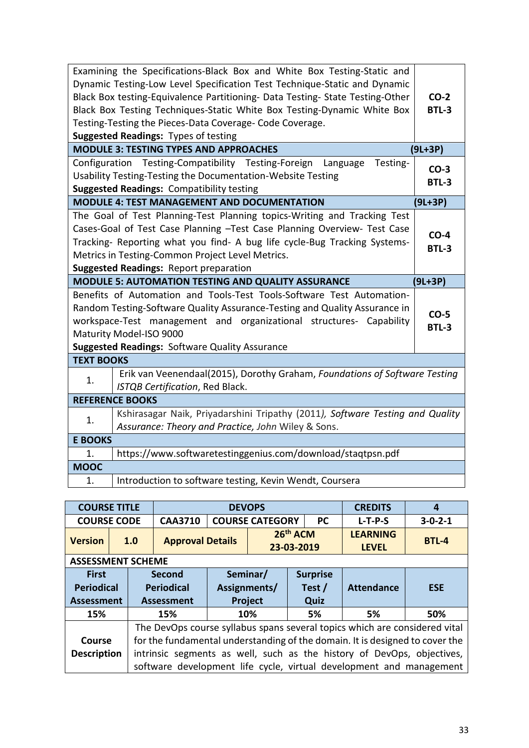| Examining the Specifications-Black Box and White Box Testing-Static and<br>Dynamic Testing-Low Level Specification Test Technique-Static and Dynamic<br>Black Box testing-Equivalence Partitioning- Data Testing- State Testing-Other<br>Black Box Testing Techniques-Static White Box Testing-Dynamic White Box<br>Testing-Testing the Pieces-Data Coverage- Code Coverage.<br><b>Suggested Readings: Types of testing</b> |                        |  |  |  |  |  |  |
|-----------------------------------------------------------------------------------------------------------------------------------------------------------------------------------------------------------------------------------------------------------------------------------------------------------------------------------------------------------------------------------------------------------------------------|------------------------|--|--|--|--|--|--|
| <b>MODULE 3: TESTING TYPES AND APPROACHES</b><br>$(9L+3P)$                                                                                                                                                                                                                                                                                                                                                                  |                        |  |  |  |  |  |  |
| Configuration Testing-Compatibility Testing-Foreign<br>Language<br>Testing-<br>Usability Testing-Testing the Documentation-Website Testing<br><b>Suggested Readings: Compatibility testing</b>                                                                                                                                                                                                                              | $CO-3$<br><b>BTL-3</b> |  |  |  |  |  |  |
| <b>MODULE 4: TEST MANAGEMENT AND DOCUMENTATION</b>                                                                                                                                                                                                                                                                                                                                                                          | $(9L+3P)$              |  |  |  |  |  |  |
| The Goal of Test Planning-Test Planning topics-Writing and Tracking Test<br>Cases-Goal of Test Case Planning -Test Case Planning Overview- Test Case<br>Tracking- Reporting what you find- A bug life cycle-Bug Tracking Systems-<br>Metrics in Testing-Common Project Level Metrics.<br><b>Suggested Readings: Report preparation</b>                                                                                      |                        |  |  |  |  |  |  |
| $(9L+3P)$<br><b>MODULE 5: AUTOMATION TESTING AND QUALITY ASSURANCE</b>                                                                                                                                                                                                                                                                                                                                                      |                        |  |  |  |  |  |  |
| Benefits of Automation and Tools-Test Tools-Software Test Automation-<br>Random Testing-Software Quality Assurance-Testing and Quality Assurance in<br>workspace-Test management and organizational structures- Capability<br>Maturity Model-ISO 9000<br><b>Suggested Readings: Software Quality Assurance</b>                                                                                                              |                        |  |  |  |  |  |  |
| <b>TEXT BOOKS</b>                                                                                                                                                                                                                                                                                                                                                                                                           |                        |  |  |  |  |  |  |
| Erik van Veenendaal(2015), Dorothy Graham, Foundations of Software Testing<br>1.<br>ISTQB Certification, Red Black.                                                                                                                                                                                                                                                                                                         |                        |  |  |  |  |  |  |
| <b>REFERENCE BOOKS</b>                                                                                                                                                                                                                                                                                                                                                                                                      |                        |  |  |  |  |  |  |
| Kshirasagar Naik, Priyadarshini Tripathy (2011), Software Testing and Quality<br>1.<br>Assurance: Theory and Practice, John Wiley & Sons.                                                                                                                                                                                                                                                                                   |                        |  |  |  |  |  |  |
| <b>E BOOKS</b>                                                                                                                                                                                                                                                                                                                                                                                                              |                        |  |  |  |  |  |  |
| https://www.softwaretestinggenius.com/download/staqtpsn.pdf<br>1.                                                                                                                                                                                                                                                                                                                                                           |                        |  |  |  |  |  |  |
| <b>MOOC</b>                                                                                                                                                                                                                                                                                                                                                                                                                 |                        |  |  |  |  |  |  |
| Introduction to software testing, Kevin Wendt, Coursera<br>1.                                                                                                                                                                                                                                                                                                                                                               |                        |  |  |  |  |  |  |

| <b>COURSE TITLE</b>                                    |                          |                                                                                                                                                                                                                                                                                                             |                         |  | <b>DEVOPS</b>                       |                        | <b>CREDITS</b><br>4               |                                 |                 |  |  |
|--------------------------------------------------------|--------------------------|-------------------------------------------------------------------------------------------------------------------------------------------------------------------------------------------------------------------------------------------------------------------------------------------------------------|-------------------------|--|-------------------------------------|------------------------|-----------------------------------|---------------------------------|-----------------|--|--|
| <b>COURSE CODE</b>                                     |                          |                                                                                                                                                                                                                                                                                                             | <b>CAA3710</b>          |  | <b>COURSE CATEGORY</b>              |                        | <b>PC</b>                         | $L-T-P-S$                       | $3 - 0 - 2 - 1$ |  |  |
| <b>Version</b>                                         | 1.0                      |                                                                                                                                                                                                                                                                                                             | <b>Approval Details</b> |  |                                     | 26th ACM<br>23-03-2019 |                                   | <b>LEARNING</b><br><b>LEVEL</b> | <b>BTL-4</b>    |  |  |
|                                                        | <b>ASSESSMENT SCHEME</b> |                                                                                                                                                                                                                                                                                                             |                         |  |                                     |                        |                                   |                                 |                 |  |  |
| <b>First</b><br><b>Periodical</b><br><b>Assessment</b> |                          | <b>Second</b><br><b>Periodical</b><br><b>Assessment</b>                                                                                                                                                                                                                                                     |                         |  | Seminar/<br>Assignments/<br>Project |                        | <b>Surprise</b><br>Test /<br>Quiz | <b>Attendance</b>               | <b>ESE</b>      |  |  |
| 15%                                                    |                          |                                                                                                                                                                                                                                                                                                             | 15%                     |  | 10%                                 |                        | 5%                                | 5%                              | 50%             |  |  |
| Course<br><b>Description</b>                           |                          | The DevOps course syllabus spans several topics which are considered vital<br>for the fundamental understanding of the domain. It is designed to cover the<br>intrinsic segments as well, such as the history of DevOps, objectives,<br>software development life cycle, virtual development and management |                         |  |                                     |                        |                                   |                                 |                 |  |  |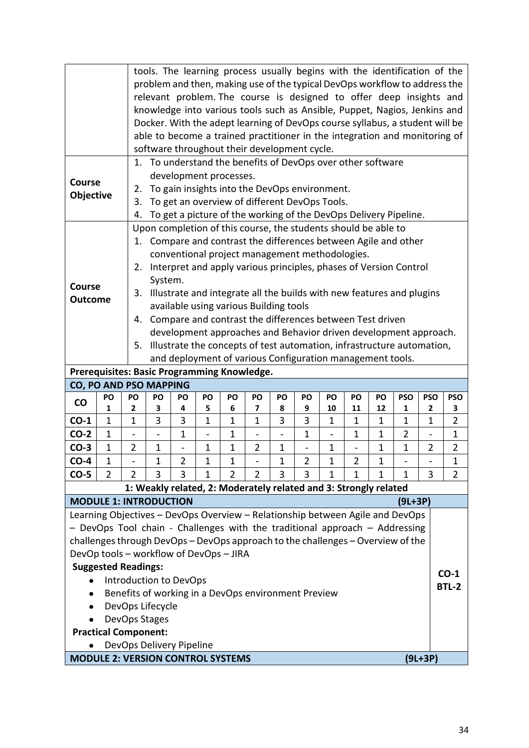|                                                                                                                                   |                                                                                                             | tools. The learning process usually begins with the identification of the<br>problem and then, making use of the typical DevOps workflow to address the |                                                                                                                                 |                          |                          |                                                           |                |                |                |                          |                |              |                                                                              |                |                |
|-----------------------------------------------------------------------------------------------------------------------------------|-------------------------------------------------------------------------------------------------------------|---------------------------------------------------------------------------------------------------------------------------------------------------------|---------------------------------------------------------------------------------------------------------------------------------|--------------------------|--------------------------|-----------------------------------------------------------|----------------|----------------|----------------|--------------------------|----------------|--------------|------------------------------------------------------------------------------|----------------|----------------|
|                                                                                                                                   |                                                                                                             |                                                                                                                                                         |                                                                                                                                 |                          |                          |                                                           |                |                |                |                          |                |              |                                                                              |                |                |
|                                                                                                                                   |                                                                                                             |                                                                                                                                                         |                                                                                                                                 |                          |                          |                                                           |                |                |                |                          |                |              | relevant problem. The course is designed to offer deep insights and          |                |                |
|                                                                                                                                   |                                                                                                             |                                                                                                                                                         |                                                                                                                                 |                          |                          |                                                           |                |                |                |                          |                |              | knowledge into various tools such as Ansible, Puppet, Nagios, Jenkins and    |                |                |
|                                                                                                                                   |                                                                                                             |                                                                                                                                                         |                                                                                                                                 |                          |                          |                                                           |                |                |                |                          |                |              | Docker. With the adept learning of DevOps course syllabus, a student will be |                |                |
|                                                                                                                                   |                                                                                                             |                                                                                                                                                         |                                                                                                                                 |                          |                          |                                                           |                |                |                |                          |                |              | able to become a trained practitioner in the integration and monitoring of   |                |                |
|                                                                                                                                   | software throughout their development cycle.<br>1. To understand the benefits of DevOps over other software |                                                                                                                                                         |                                                                                                                                 |                          |                          |                                                           |                |                |                |                          |                |              |                                                                              |                |                |
|                                                                                                                                   |                                                                                                             |                                                                                                                                                         |                                                                                                                                 |                          |                          |                                                           |                |                |                |                          |                |              |                                                                              |                |                |
| <b>Course</b>                                                                                                                     |                                                                                                             |                                                                                                                                                         | development processes.<br>To gain insights into the DevOps environment.                                                         |                          |                          |                                                           |                |                |                |                          |                |              |                                                                              |                |                |
| Objective                                                                                                                         |                                                                                                             | 2.                                                                                                                                                      |                                                                                                                                 |                          |                          |                                                           |                |                |                |                          |                |              |                                                                              |                |                |
|                                                                                                                                   |                                                                                                             |                                                                                                                                                         | To get an overview of different DevOps Tools.<br>3.<br>To get a picture of the working of the DevOps Delivery Pipeline.         |                          |                          |                                                           |                |                |                |                          |                |              |                                                                              |                |                |
|                                                                                                                                   |                                                                                                             | 4.                                                                                                                                                      |                                                                                                                                 |                          |                          |                                                           |                |                |                |                          |                |              |                                                                              |                |                |
| Upon completion of this course, the students should be able to<br>1. Compare and contrast the differences between Agile and other |                                                                                                             |                                                                                                                                                         |                                                                                                                                 |                          |                          |                                                           |                |                |                |                          |                |              |                                                                              |                |                |
|                                                                                                                                   |                                                                                                             |                                                                                                                                                         |                                                                                                                                 |                          |                          | conventional project management methodologies.            |                |                |                |                          |                |              |                                                                              |                |                |
|                                                                                                                                   |                                                                                                             | 2.                                                                                                                                                      |                                                                                                                                 |                          |                          |                                                           |                |                |                |                          |                |              | Interpret and apply various principles, phases of Version Control            |                |                |
|                                                                                                                                   |                                                                                                             |                                                                                                                                                         | System.                                                                                                                         |                          |                          |                                                           |                |                |                |                          |                |              |                                                                              |                |                |
| <b>Course</b>                                                                                                                     |                                                                                                             | 3.                                                                                                                                                      |                                                                                                                                 |                          |                          |                                                           |                |                |                |                          |                |              | Illustrate and integrate all the builds with new features and plugins        |                |                |
| <b>Outcome</b>                                                                                                                    |                                                                                                             |                                                                                                                                                         |                                                                                                                                 |                          |                          | available using various Building tools                    |                |                |                |                          |                |              |                                                                              |                |                |
|                                                                                                                                   |                                                                                                             |                                                                                                                                                         |                                                                                                                                 |                          |                          |                                                           |                |                |                |                          |                |              |                                                                              |                |                |
|                                                                                                                                   |                                                                                                             |                                                                                                                                                         | 4. Compare and contrast the differences between Test driven<br>development approaches and Behavior driven development approach. |                          |                          |                                                           |                |                |                |                          |                |              |                                                                              |                |                |
|                                                                                                                                   |                                                                                                             | 5.                                                                                                                                                      |                                                                                                                                 |                          |                          |                                                           |                |                |                |                          |                |              | Illustrate the concepts of test automation, infrastructure automation,       |                |                |
|                                                                                                                                   |                                                                                                             |                                                                                                                                                         |                                                                                                                                 |                          |                          | and deployment of various Configuration management tools. |                |                |                |                          |                |              |                                                                              |                |                |
| Prerequisites: Basic Programming Knowledge.                                                                                       |                                                                                                             |                                                                                                                                                         |                                                                                                                                 |                          |                          |                                                           |                |                |                |                          |                |              |                                                                              |                |                |
| CO, PO AND PSO MAPPING                                                                                                            |                                                                                                             |                                                                                                                                                         |                                                                                                                                 |                          |                          |                                                           |                |                |                |                          |                |              |                                                                              |                |                |
| $\mathsf{co}$                                                                                                                     | PO                                                                                                          | PO                                                                                                                                                      | PO                                                                                                                              | PO                       | PO                       | PO                                                        | PO             | PO             | PO             | PO                       | PO             | PO           | <b>PSO</b>                                                                   | <b>PSO</b>     | <b>PSO</b>     |
|                                                                                                                                   | 1                                                                                                           | 2                                                                                                                                                       | 3                                                                                                                               | 4                        | 5                        | 6                                                         | 7              | 8              | 9              | 10                       | 11             | 12           | $\mathbf{1}$                                                                 | $\mathbf{2}$   | 3              |
| $CO-1$                                                                                                                            | $\mathbf{1}$                                                                                                | $\mathbf 1$                                                                                                                                             | 3                                                                                                                               | 3                        | $\mathbf{1}$             | $\mathbf{1}$                                              | $\mathbf{1}$   | 3              | 3              | $\mathbf 1$              | $\mathbf 1$    | 1            | $\mathbf{1}$                                                                 | 1              | $\overline{2}$ |
| $CO-2$                                                                                                                            | $\mathbf 1$                                                                                                 |                                                                                                                                                         | $\overline{a}$                                                                                                                  | 1                        | $\overline{\phantom{0}}$ | $\mathbf{1}$                                              |                | $\overline{a}$ | $\mathbf{1}$   | $\overline{\phantom{0}}$ | $\mathbf 1$    | $\mathbf{1}$ | $\overline{2}$                                                               |                | $\mathbf{1}$   |
| $CO-3$                                                                                                                            | 1                                                                                                           | $\overline{2}$                                                                                                                                          | 1                                                                                                                               | $\overline{\phantom{0}}$ | 1                        | $\mathbf 1$                                               | $\overline{2}$ | 1              |                | $\mathbf 1$              |                | 1            | $\mathbf 1$                                                                  | $\overline{2}$ | 2              |
| $CO-4$                                                                                                                            | $\overline{1}$                                                                                              |                                                                                                                                                         | 1                                                                                                                               | $\overline{2}$           | 1                        | 1                                                         |                | $\mathbf 1$    | $\overline{2}$ | 1                        | $\overline{2}$ | 1            |                                                                              |                | 1              |
| $CO-5$                                                                                                                            | $\overline{2}$                                                                                              | $\overline{2}$                                                                                                                                          | 3                                                                                                                               | 3                        | $\mathbf{1}$             | $\overline{2}$                                            | $\overline{2}$ | 3              | 3              | 1                        | 1              | 1            | 1                                                                            | 3              | $\overline{2}$ |
|                                                                                                                                   |                                                                                                             |                                                                                                                                                         | 1: Weakly related, 2: Moderately related and 3: Strongly related                                                                |                          |                          |                                                           |                |                |                |                          |                |              |                                                                              |                |                |
| <b>MODULE 1: INTRODUCTION</b>                                                                                                     |                                                                                                             |                                                                                                                                                         |                                                                                                                                 |                          |                          |                                                           |                |                |                |                          |                |              | (9L+3P)                                                                      |                |                |
| Learning Objectives - DevOps Overview - Relationship between Agile and DevOps                                                     |                                                                                                             |                                                                                                                                                         |                                                                                                                                 |                          |                          |                                                           |                |                |                |                          |                |              |                                                                              |                |                |
| - DevOps Tool chain - Challenges with the traditional approach - Addressing                                                       |                                                                                                             |                                                                                                                                                         |                                                                                                                                 |                          |                          |                                                           |                |                |                |                          |                |              |                                                                              |                |                |
| challenges through DevOps - DevOps approach to the challenges - Overview of the                                                   |                                                                                                             |                                                                                                                                                         |                                                                                                                                 |                          |                          |                                                           |                |                |                |                          |                |              |                                                                              |                |                |
| DevOp tools - workflow of DevOps - JIRA                                                                                           |                                                                                                             |                                                                                                                                                         |                                                                                                                                 |                          |                          |                                                           |                |                |                |                          |                |              |                                                                              |                |                |
|                                                                                                                                   | <b>Suggested Readings:</b>                                                                                  |                                                                                                                                                         |                                                                                                                                 |                          |                          |                                                           |                |                |                |                          |                |              |                                                                              |                | $CO-1$         |
|                                                                                                                                   |                                                                                                             |                                                                                                                                                         | Introduction to DevOps                                                                                                          |                          |                          |                                                           |                |                |                |                          |                |              |                                                                              |                | <b>BTL-2</b>   |
| $\bullet$                                                                                                                         |                                                                                                             |                                                                                                                                                         | Benefits of working in a DevOps environment Preview                                                                             |                          |                          |                                                           |                |                |                |                          |                |              |                                                                              |                |                |
|                                                                                                                                   |                                                                                                             |                                                                                                                                                         | DevOps Lifecycle                                                                                                                |                          |                          |                                                           |                |                |                |                          |                |              |                                                                              |                |                |
|                                                                                                                                   |                                                                                                             |                                                                                                                                                         | DevOps Stages                                                                                                                   |                          |                          |                                                           |                |                |                |                          |                |              |                                                                              |                |                |
|                                                                                                                                   | <b>Practical Component:</b>                                                                                 |                                                                                                                                                         |                                                                                                                                 |                          |                          |                                                           |                |                |                |                          |                |              |                                                                              |                |                |
|                                                                                                                                   |                                                                                                             |                                                                                                                                                         | DevOps Delivery Pipeline                                                                                                        |                          |                          |                                                           |                |                |                |                          |                |              |                                                                              |                |                |
| <b>MODULE 2: VERSION CONTROL SYSTEMS</b>                                                                                          |                                                                                                             |                                                                                                                                                         |                                                                                                                                 |                          |                          |                                                           |                |                |                |                          |                |              |                                                                              | $(9L+3P)$      |                |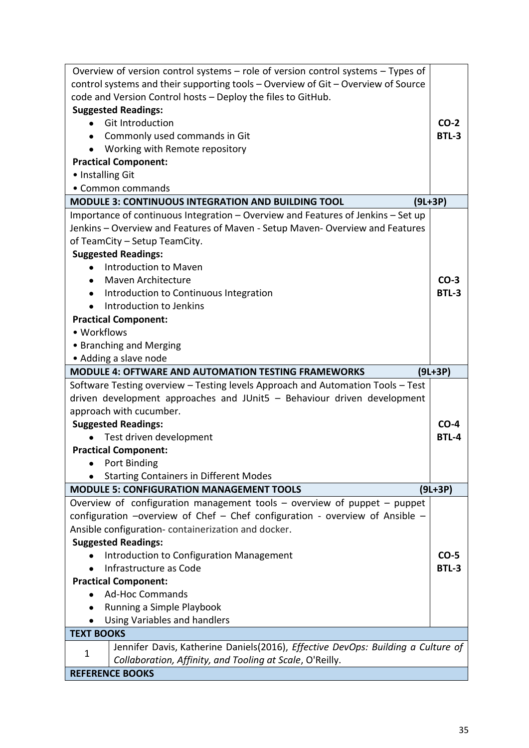| Overview of version control systems $-$ role of version control systems $-$ Types of                                                              |                        |  |  |  |  |  |
|---------------------------------------------------------------------------------------------------------------------------------------------------|------------------------|--|--|--|--|--|
| control systems and their supporting tools - Overview of Git - Overview of Source                                                                 |                        |  |  |  |  |  |
| code and Version Control hosts - Deploy the files to GitHub.                                                                                      |                        |  |  |  |  |  |
| <b>Suggested Readings:</b>                                                                                                                        |                        |  |  |  |  |  |
| <b>Git Introduction</b>                                                                                                                           | $CO-2$                 |  |  |  |  |  |
| Commonly used commands in Git                                                                                                                     | <b>BTL-3</b>           |  |  |  |  |  |
| Working with Remote repository                                                                                                                    |                        |  |  |  |  |  |
| <b>Practical Component:</b>                                                                                                                       |                        |  |  |  |  |  |
| • Installing Git                                                                                                                                  |                        |  |  |  |  |  |
| • Common commands                                                                                                                                 |                        |  |  |  |  |  |
| <b>MODULE 3: CONTINUOUS INTEGRATION AND BUILDING TOOL</b><br>$(9L+3P)$                                                                            |                        |  |  |  |  |  |
| Importance of continuous Integration - Overview and Features of Jenkins - Set up                                                                  |                        |  |  |  |  |  |
| Jenkins - Overview and Features of Maven - Setup Maven- Overview and Features                                                                     |                        |  |  |  |  |  |
| of TeamCity - Setup TeamCity.                                                                                                                     |                        |  |  |  |  |  |
| <b>Suggested Readings:</b>                                                                                                                        |                        |  |  |  |  |  |
| Introduction to Maven                                                                                                                             |                        |  |  |  |  |  |
| <b>Maven Architecture</b>                                                                                                                         | $CO-3$                 |  |  |  |  |  |
| Introduction to Continuous Integration                                                                                                            | BTL-3                  |  |  |  |  |  |
| Introduction to Jenkins                                                                                                                           |                        |  |  |  |  |  |
| <b>Practical Component:</b>                                                                                                                       |                        |  |  |  |  |  |
| • Workflows                                                                                                                                       |                        |  |  |  |  |  |
| • Branching and Merging                                                                                                                           |                        |  |  |  |  |  |
| • Adding a slave node                                                                                                                             |                        |  |  |  |  |  |
| <b>MODULE 4: OFTWARE AND AUTOMATION TESTING FRAMEWORKS</b>                                                                                        | $(9L+3P)$              |  |  |  |  |  |
| Software Testing overview - Testing levels Approach and Automation Tools - Test                                                                   |                        |  |  |  |  |  |
| driven development approaches and JUnit5 - Behaviour driven development                                                                           |                        |  |  |  |  |  |
| approach with cucumber.                                                                                                                           |                        |  |  |  |  |  |
| <b>Suggested Readings:</b>                                                                                                                        | $CO-4$                 |  |  |  |  |  |
| Test driven development                                                                                                                           | <b>BTL-4</b>           |  |  |  |  |  |
| <b>Practical Component:</b>                                                                                                                       |                        |  |  |  |  |  |
| Port Binding                                                                                                                                      |                        |  |  |  |  |  |
| <b>Starting Containers in Different Modes</b>                                                                                                     |                        |  |  |  |  |  |
| <b>MODULE 5: CONFIGURATION MANAGEMENT TOOLS</b>                                                                                                   | (9L+3P)                |  |  |  |  |  |
| Overview of configuration management tools – overview of puppet – puppet                                                                          |                        |  |  |  |  |  |
| configuration -overview of Chef - Chef configuration - overview of Ansible -                                                                      |                        |  |  |  |  |  |
| Ansible configuration-containerization and docker.                                                                                                |                        |  |  |  |  |  |
| <b>Suggested Readings:</b>                                                                                                                        |                        |  |  |  |  |  |
| <b>Introduction to Configuration Management</b>                                                                                                   | $CO-5$<br><b>BTL-3</b> |  |  |  |  |  |
| Infrastructure as Code                                                                                                                            |                        |  |  |  |  |  |
| <b>Practical Component:</b>                                                                                                                       |                        |  |  |  |  |  |
| <b>Ad-Hoc Commands</b>                                                                                                                            |                        |  |  |  |  |  |
| Running a Simple Playbook                                                                                                                         |                        |  |  |  |  |  |
| Using Variables and handlers                                                                                                                      |                        |  |  |  |  |  |
| <b>TEXT BOOKS</b>                                                                                                                                 |                        |  |  |  |  |  |
| Jennifer Davis, Katherine Daniels(2016), Effective DevOps: Building a Culture of<br>1<br>Collaboration, Affinity, and Tooling at Scale, O'Reilly. |                        |  |  |  |  |  |
| <b>REFERENCE BOOKS</b>                                                                                                                            |                        |  |  |  |  |  |
|                                                                                                                                                   |                        |  |  |  |  |  |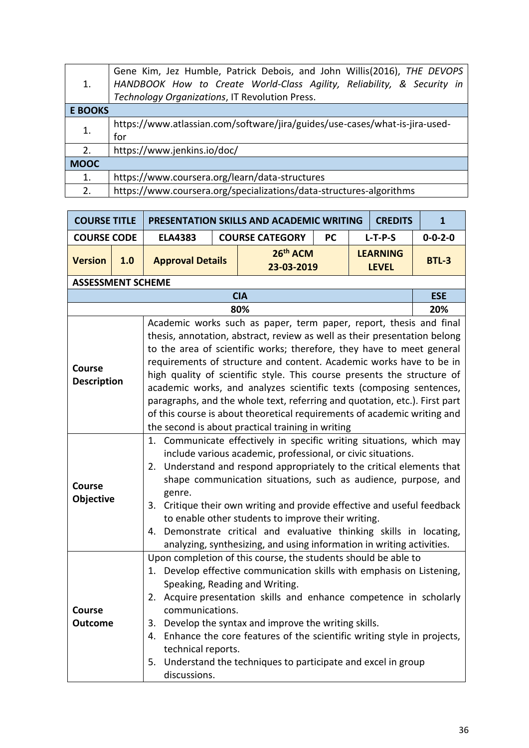| 1.             | Gene Kim, Jez Humble, Patrick Debois, and John Willis(2016), THE DEVOPS<br>HANDBOOK How to Create World-Class Agility, Reliability, & Security in<br>Technology Organizations, IT Revolution Press. |
|----------------|-----------------------------------------------------------------------------------------------------------------------------------------------------------------------------------------------------|
| <b>E BOOKS</b> |                                                                                                                                                                                                     |
| 1.             | https://www.atlassian.com/software/jira/guides/use-cases/what-is-jira-used-<br>for                                                                                                                  |
| 2.             | https://www.jenkins.io/doc/                                                                                                                                                                         |
| <b>MOOC</b>    |                                                                                                                                                                                                     |
| 1.             | https://www.coursera.org/learn/data-structures                                                                                                                                                      |
| 2.             | https://www.coursera.org/specializations/data-structures-algorithms                                                                                                                                 |

| <b>COURSE TITLE</b>                 |                          | PRESENTATION SKILLS AND ACADEMIC WRITING                                                                                                                                                                                                                                                                                                                                                                                                                                                                                                                                                              | $\mathbf{1}$           |                                                                                                                                                                                                                                                                                                                                                                                                                                                                                                                                                                                                                                                                  |           |  |                                 |                 |  |  |  |
|-------------------------------------|--------------------------|-------------------------------------------------------------------------------------------------------------------------------------------------------------------------------------------------------------------------------------------------------------------------------------------------------------------------------------------------------------------------------------------------------------------------------------------------------------------------------------------------------------------------------------------------------------------------------------------------------|------------------------|------------------------------------------------------------------------------------------------------------------------------------------------------------------------------------------------------------------------------------------------------------------------------------------------------------------------------------------------------------------------------------------------------------------------------------------------------------------------------------------------------------------------------------------------------------------------------------------------------------------------------------------------------------------|-----------|--|---------------------------------|-----------------|--|--|--|
| <b>COURSE CODE</b>                  |                          | <b>ELA4383</b>                                                                                                                                                                                                                                                                                                                                                                                                                                                                                                                                                                                        | <b>COURSE CATEGORY</b> |                                                                                                                                                                                                                                                                                                                                                                                                                                                                                                                                                                                                                                                                  | <b>PC</b> |  | $L-T-P-S$                       | $0 - 0 - 2 - 0$ |  |  |  |
| <b>Version</b>                      | 1.0                      | <b>Approval Details</b>                                                                                                                                                                                                                                                                                                                                                                                                                                                                                                                                                                               |                        | 26 <sup>th</sup> ACM<br>23-03-2019                                                                                                                                                                                                                                                                                                                                                                                                                                                                                                                                                                                                                               |           |  | <b>LEARNING</b><br><b>LEVEL</b> | <b>BTL-3</b>    |  |  |  |
|                                     | <b>ASSESSMENT SCHEME</b> |                                                                                                                                                                                                                                                                                                                                                                                                                                                                                                                                                                                                       |                        |                                                                                                                                                                                                                                                                                                                                                                                                                                                                                                                                                                                                                                                                  |           |  |                                 |                 |  |  |  |
|                                     | <b>CIA</b>               |                                                                                                                                                                                                                                                                                                                                                                                                                                                                                                                                                                                                       |                        |                                                                                                                                                                                                                                                                                                                                                                                                                                                                                                                                                                                                                                                                  |           |  |                                 |                 |  |  |  |
|                                     |                          |                                                                                                                                                                                                                                                                                                                                                                                                                                                                                                                                                                                                       |                        | 80%                                                                                                                                                                                                                                                                                                                                                                                                                                                                                                                                                                                                                                                              |           |  |                                 | 20%             |  |  |  |
| <b>Course</b><br><b>Description</b> |                          |                                                                                                                                                                                                                                                                                                                                                                                                                                                                                                                                                                                                       |                        | Academic works such as paper, term paper, report, thesis and final<br>thesis, annotation, abstract, review as well as their presentation belong<br>to the area of scientific works; therefore, they have to meet general<br>requirements of structure and content. Academic works have to be in<br>high quality of scientific style. This course presents the structure of<br>academic works, and analyzes scientific texts (composing sentences,<br>paragraphs, and the whole text, referring and quotation, etc.). First part<br>of this course is about theoretical requirements of academic writing and<br>the second is about practical training in writing |           |  |                                 |                 |  |  |  |
| Course<br>Objective                 |                          | 1. Communicate effectively in specific writing situations, which may<br>include various academic, professional, or civic situations.<br>Understand and respond appropriately to the critical elements that<br>2.<br>shape communication situations, such as audience, purpose, and<br>genre.<br>Critique their own writing and provide effective and useful feedback<br>3.<br>to enable other students to improve their writing.<br>Demonstrate critical and evaluative thinking skills in locating,<br>4.                                                                                            |                        |                                                                                                                                                                                                                                                                                                                                                                                                                                                                                                                                                                                                                                                                  |           |  |                                 |                 |  |  |  |
| Course<br><b>Outcome</b>            |                          | analyzing, synthesizing, and using information in writing activities.<br>Upon completion of this course, the students should be able to<br>Develop effective communication skills with emphasis on Listening,<br>1.<br>Speaking, Reading and Writing.<br>2. Acquire presentation skills and enhance competence in scholarly<br>communications.<br>Develop the syntax and improve the writing skills.<br>3.<br>Enhance the core features of the scientific writing style in projects,<br>4.<br>technical reports.<br>Understand the techniques to participate and excel in group<br>5.<br>discussions. |                        |                                                                                                                                                                                                                                                                                                                                                                                                                                                                                                                                                                                                                                                                  |           |  |                                 |                 |  |  |  |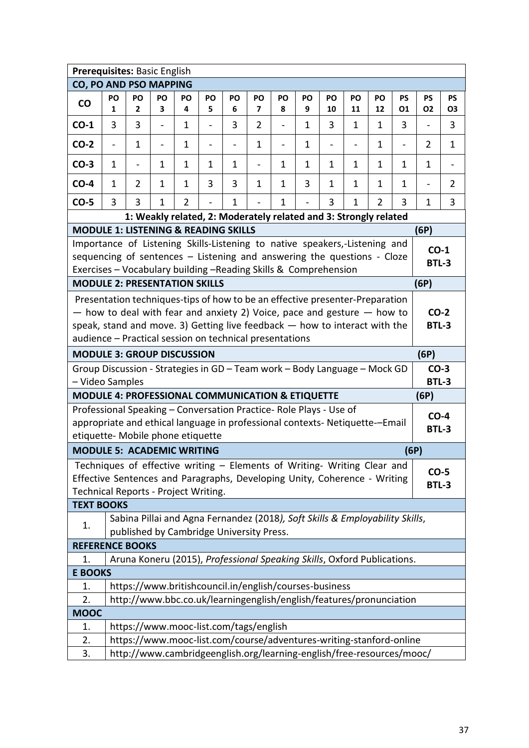| Prerequisites: Basic English                                                                                                                                                                                             |                                                                                                                                                                                                                                                                                                                                  |                          |                          |                                                                                                                          |                          |                          |                          |                          |              |                   |                          |                |                |                          |                          |
|--------------------------------------------------------------------------------------------------------------------------------------------------------------------------------------------------------------------------|----------------------------------------------------------------------------------------------------------------------------------------------------------------------------------------------------------------------------------------------------------------------------------------------------------------------------------|--------------------------|--------------------------|--------------------------------------------------------------------------------------------------------------------------|--------------------------|--------------------------|--------------------------|--------------------------|--------------|-------------------|--------------------------|----------------|----------------|--------------------------|--------------------------|
| CO, PO AND PSO MAPPING                                                                                                                                                                                                   |                                                                                                                                                                                                                                                                                                                                  |                          |                          |                                                                                                                          |                          |                          |                          |                          |              |                   |                          |                |                |                          |                          |
| CO                                                                                                                                                                                                                       | PO                                                                                                                                                                                                                                                                                                                               | PO                       | PO                       | PO                                                                                                                       | PO                       | PO                       | PO                       | PO                       | PO           | PO                | PO                       | PO             | <b>PS</b>      | <b>PS</b>                | <b>PS</b>                |
|                                                                                                                                                                                                                          | 1                                                                                                                                                                                                                                                                                                                                | $\mathbf{2}$             | 3                        | 4                                                                                                                        | 5                        | 6                        | 7                        | 8                        | 9            | 10                | 11                       | 12             | 01             | <b>O2</b>                | Ο3                       |
| $CO-1$                                                                                                                                                                                                                   | 3                                                                                                                                                                                                                                                                                                                                | 3                        | $\overline{\phantom{a}}$ | 1                                                                                                                        | -                        | 3                        | $\overline{2}$           | $\blacksquare$           | $\mathbf{1}$ | 3                 | $\mathbf{1}$             | 1              | 3              | $\overline{\phantom{a}}$ | 3                        |
| $CO-2$                                                                                                                                                                                                                   | $\qquad \qquad -$                                                                                                                                                                                                                                                                                                                | 1                        | $\overline{\phantom{0}}$ | 1                                                                                                                        | $\overline{\phantom{0}}$ | $\overline{\phantom{0}}$ | 1                        | $\overline{\phantom{0}}$ | 1            | $\qquad \qquad -$ | $\overline{\phantom{0}}$ | 1              | $\overline{a}$ | 2                        | 1                        |
| $CO-3$                                                                                                                                                                                                                   | 1                                                                                                                                                                                                                                                                                                                                | $\overline{\phantom{0}}$ | $\mathbf{1}$             | 1                                                                                                                        | 1                        | $\mathbf{1}$             | $\overline{\phantom{0}}$ | 1                        | 1            | 1                 | 1                        | $\mathbf{1}$   | $\mathbf{1}$   | $\mathbf{1}$             | $\overline{\phantom{a}}$ |
| $CO-4$                                                                                                                                                                                                                   | $\mathbf{1}$                                                                                                                                                                                                                                                                                                                     | 2                        | 1                        | 1                                                                                                                        | 3                        | 3                        | 1                        | 1                        | 3            | 1                 | 1                        | $\mathbf{1}$   | $\mathbf{1}$   | $\overline{\phantom{a}}$ | 2                        |
| $CO-5$                                                                                                                                                                                                                   | 3                                                                                                                                                                                                                                                                                                                                | 3                        | 1                        | 2                                                                                                                        |                          | 1                        |                          | 1                        |              | 3                 | 1                        | $\overline{2}$ | 3              | 1                        | 3                        |
|                                                                                                                                                                                                                          |                                                                                                                                                                                                                                                                                                                                  |                          |                          | 1: Weakly related, 2: Moderately related and 3: Strongly related                                                         |                          |                          |                          |                          |              |                   |                          |                |                |                          |                          |
| <b>MODULE 1: LISTENING &amp; READING SKILLS</b>                                                                                                                                                                          |                                                                                                                                                                                                                                                                                                                                  |                          |                          |                                                                                                                          |                          |                          |                          |                          |              |                   |                          |                |                | (6P)                     |                          |
| Importance of Listening Skills-Listening to native speakers,-Listening and<br>sequencing of sentences - Listening and answering the questions - Cloze<br>Exercises - Vocabulary building -Reading Skills & Comprehension |                                                                                                                                                                                                                                                                                                                                  |                          |                          |                                                                                                                          |                          |                          |                          |                          |              |                   |                          |                |                | $CO-1$<br><b>BTL-3</b>   |                          |
| <b>MODULE 2: PRESENTATION SKILLS</b>                                                                                                                                                                                     |                                                                                                                                                                                                                                                                                                                                  |                          |                          |                                                                                                                          |                          |                          |                          |                          |              |                   |                          |                |                | (6P)                     |                          |
|                                                                                                                                                                                                                          | Presentation techniques-tips of how to be an effective presenter-Preparation<br>$-$ how to deal with fear and anxiety 2) Voice, pace and gesture $-$ how to<br>$CO-2$<br>speak, stand and move. 3) Getting live feedback $-$ how to interact with the<br><b>BTL-3</b><br>audience - Practical session on technical presentations |                          |                          |                                                                                                                          |                          |                          |                          |                          |              |                   |                          |                |                |                          |                          |
| <b>MODULE 3: GROUP DISCUSSION</b><br>(6P)                                                                                                                                                                                |                                                                                                                                                                                                                                                                                                                                  |                          |                          |                                                                                                                          |                          |                          |                          |                          |              |                   |                          |                |                |                          |                          |
| Group Discussion - Strategies in GD - Team work - Body Language - Mock GD<br>- Video Samples                                                                                                                             |                                                                                                                                                                                                                                                                                                                                  |                          |                          |                                                                                                                          |                          |                          |                          |                          |              |                   |                          |                |                | $CO-3$<br><b>BTL-3</b>   |                          |
| <b>MODULE 4: PROFESSIONAL COMMUNICATION &amp; ETIQUETTE</b>                                                                                                                                                              |                                                                                                                                                                                                                                                                                                                                  |                          |                          |                                                                                                                          |                          |                          |                          |                          |              |                   |                          |                |                | (6P)                     |                          |
| Professional Speaking - Conversation Practice- Role Plays - Use of<br>appropriate and ethical language in professional contexts- Netiquette--Email<br>etiquette- Mobile phone etiquette                                  |                                                                                                                                                                                                                                                                                                                                  |                          |                          |                                                                                                                          |                          |                          |                          |                          |              |                   |                          |                |                | $CO-4$<br><b>BTL-3</b>   |                          |
| <b>MODULE 5: ACADEMIC WRITING</b>                                                                                                                                                                                        |                                                                                                                                                                                                                                                                                                                                  |                          |                          |                                                                                                                          |                          |                          |                          |                          |              |                   |                          |                | (6P)           |                          |                          |
| Techniques of effective writing - Elements of Writing- Writing Clear and<br>Effective Sentences and Paragraphs, Developing Unity, Coherence - Writing<br>Technical Reports - Project Writing.                            |                                                                                                                                                                                                                                                                                                                                  |                          |                          |                                                                                                                          |                          |                          |                          |                          |              |                   |                          |                |                | $CO-5$<br><b>BTL-3</b>   |                          |
| <b>TEXT BOOKS</b>                                                                                                                                                                                                        |                                                                                                                                                                                                                                                                                                                                  |                          |                          |                                                                                                                          |                          |                          |                          |                          |              |                   |                          |                |                |                          |                          |
| 1.                                                                                                                                                                                                                       |                                                                                                                                                                                                                                                                                                                                  |                          |                          | Sabina Pillai and Agna Fernandez (2018), Soft Skills & Employability Skills,<br>published by Cambridge University Press. |                          |                          |                          |                          |              |                   |                          |                |                |                          |                          |
| <b>REFERENCE BOOKS</b>                                                                                                                                                                                                   |                                                                                                                                                                                                                                                                                                                                  |                          |                          |                                                                                                                          |                          |                          |                          |                          |              |                   |                          |                |                |                          |                          |
| 1.                                                                                                                                                                                                                       |                                                                                                                                                                                                                                                                                                                                  |                          |                          |                                                                                                                          |                          |                          |                          |                          |              |                   |                          |                |                |                          |                          |
|                                                                                                                                                                                                                          | Aruna Koneru (2015), Professional Speaking Skills, Oxford Publications.<br><b>E BOOKS</b>                                                                                                                                                                                                                                        |                          |                          |                                                                                                                          |                          |                          |                          |                          |              |                   |                          |                |                |                          |                          |
| 1.                                                                                                                                                                                                                       | https://www.britishcouncil.in/english/courses-business                                                                                                                                                                                                                                                                           |                          |                          |                                                                                                                          |                          |                          |                          |                          |              |                   |                          |                |                |                          |                          |
| 2.                                                                                                                                                                                                                       | http://www.bbc.co.uk/learningenglish/english/features/pronunciation                                                                                                                                                                                                                                                              |                          |                          |                                                                                                                          |                          |                          |                          |                          |              |                   |                          |                |                |                          |                          |
| <b>MOOC</b>                                                                                                                                                                                                              |                                                                                                                                                                                                                                                                                                                                  |                          |                          |                                                                                                                          |                          |                          |                          |                          |              |                   |                          |                |                |                          |                          |
| 1.                                                                                                                                                                                                                       | https://www.mooc-list.com/tags/english<br>https://www.mooc-list.com/course/adventures-writing-stanford-online                                                                                                                                                                                                                    |                          |                          |                                                                                                                          |                          |                          |                          |                          |              |                   |                          |                |                |                          |                          |
| 2.                                                                                                                                                                                                                       |                                                                                                                                                                                                                                                                                                                                  |                          |                          |                                                                                                                          |                          |                          |                          |                          |              |                   |                          |                |                |                          |                          |
| 3.                                                                                                                                                                                                                       |                                                                                                                                                                                                                                                                                                                                  |                          |                          | http://www.cambridgeenglish.org/learning-english/free-resources/mooc/                                                    |                          |                          |                          |                          |              |                   |                          |                |                |                          |                          |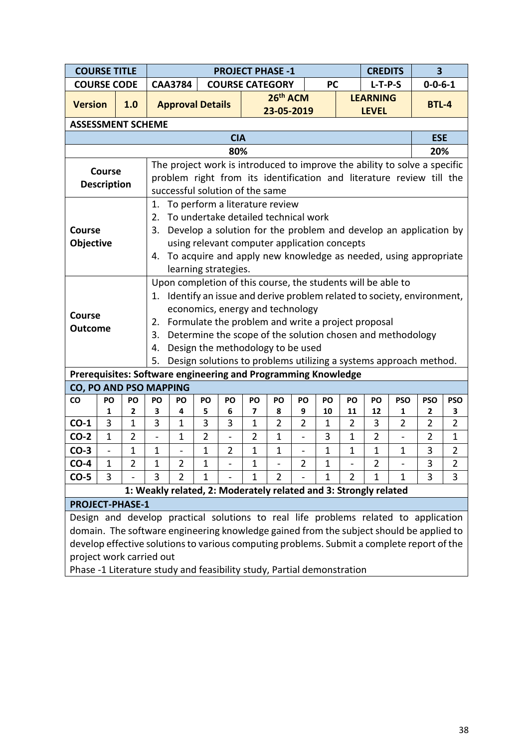| <b>COURSE TITLE</b>                                                                                |                                                                                                                                                                                |                                                                                       |                          |                      | <b>PROJECT PHASE -1</b>                                           |                          |                    |                      | <b>CREDITS</b>  |                              | $\overline{\mathbf{3}}$      |                     |
|----------------------------------------------------------------------------------------------------|--------------------------------------------------------------------------------------------------------------------------------------------------------------------------------|---------------------------------------------------------------------------------------|--------------------------|----------------------|-------------------------------------------------------------------|--------------------------|--------------------|----------------------|-----------------|------------------------------|------------------------------|---------------------|
| <b>COURSE CODE</b>                                                                                 |                                                                                                                                                                                | <b>PC</b><br>$0 - 0 - 6 - 1$<br><b>CAA3784</b><br><b>COURSE CATEGORY</b><br>$L-T-P-S$ |                          |                      |                                                                   |                          |                    |                      |                 |                              |                              |                     |
| <b>Version</b><br>1.0                                                                              | <b>Approval Details</b>                                                                                                                                                        |                                                                                       |                          |                      | 26 <sup>th</sup> ACM                                              |                          |                    |                      | <b>LEARNING</b> |                              | <b>BTL-4</b>                 |                     |
|                                                                                                    |                                                                                                                                                                                |                                                                                       |                          |                      | 23-05-2019                                                        |                          |                    |                      | <b>LEVEL</b>    |                              |                              |                     |
| <b>ASSESSMENT SCHEME</b>                                                                           |                                                                                                                                                                                |                                                                                       |                          |                      |                                                                   |                          |                    |                      |                 |                              |                              |                     |
|                                                                                                    |                                                                                                                                                                                |                                                                                       | <b>CIA</b>               |                      |                                                                   |                          |                    |                      |                 |                              | <b>ESE</b>                   |                     |
|                                                                                                    |                                                                                                                                                                                |                                                                                       | 80%                      |                      |                                                                   |                          |                    |                      |                 |                              | 20%                          |                     |
| <b>Course</b>                                                                                      | The project work is introduced to improve the ability to solve a specific                                                                                                      |                                                                                       |                          |                      |                                                                   |                          |                    |                      |                 |                              |                              |                     |
| <b>Description</b>                                                                                 | problem right from its identification and literature review till the                                                                                                           |                                                                                       |                          |                      |                                                                   |                          |                    |                      |                 |                              |                              |                     |
|                                                                                                    | successful solution of the same                                                                                                                                                |                                                                                       |                          |                      |                                                                   |                          |                    |                      |                 |                              |                              |                     |
|                                                                                                    | 1.                                                                                                                                                                             |                                                                                       |                          |                      | To perform a literature review                                    |                          |                    |                      |                 |                              |                              |                     |
| To undertake detailed technical work<br>2.                                                         |                                                                                                                                                                                |                                                                                       |                          |                      |                                                                   |                          |                    |                      |                 |                              |                              |                     |
| 3.<br>Develop a solution for the problem and develop an application by<br><b>Course</b>            |                                                                                                                                                                                |                                                                                       |                          |                      |                                                                   |                          |                    |                      |                 |                              |                              |                     |
| <b>Objective</b>                                                                                   |                                                                                                                                                                                |                                                                                       |                          |                      | using relevant computer application concepts                      |                          |                    |                      |                 |                              |                              |                     |
|                                                                                                    | 4. To acquire and apply new knowledge as needed, using appropriate                                                                                                             |                                                                                       |                          |                      |                                                                   |                          |                    |                      |                 |                              |                              |                     |
|                                                                                                    |                                                                                                                                                                                | learning strategies.                                                                  |                          |                      |                                                                   |                          |                    |                      |                 |                              |                              |                     |
|                                                                                                    | Upon completion of this course, the students will be able to                                                                                                                   |                                                                                       |                          |                      |                                                                   |                          |                    |                      |                 |                              |                              |                     |
|                                                                                                    | 1. Identify an issue and derive problem related to society, environment,                                                                                                       |                                                                                       |                          |                      |                                                                   |                          |                    |                      |                 |                              |                              |                     |
| <b>Course</b>                                                                                      |                                                                                                                                                                                |                                                                                       |                          |                      | economics, energy and technology                                  |                          |                    |                      |                 |                              |                              |                     |
| <b>Outcome</b>                                                                                     | 2.                                                                                                                                                                             |                                                                                       |                          |                      | Formulate the problem and write a project proposal                |                          |                    |                      |                 |                              |                              |                     |
|                                                                                                    | 3.                                                                                                                                                                             |                                                                                       |                          |                      | Determine the scope of the solution chosen and methodology        |                          |                    |                      |                 |                              |                              |                     |
|                                                                                                    | 4.                                                                                                                                                                             |                                                                                       |                          |                      | Design the methodology to be used                                 |                          |                    |                      |                 |                              |                              |                     |
|                                                                                                    | 5.                                                                                                                                                                             |                                                                                       |                          |                      | Design solutions to problems utilizing a systems approach method. |                          |                    |                      |                 |                              |                              |                     |
| Prerequisites: Software engineering and Programming Knowledge                                      |                                                                                                                                                                                |                                                                                       |                          |                      |                                                                   |                          |                    |                      |                 |                              |                              |                     |
| CO, PO AND PSO MAPPING                                                                             |                                                                                                                                                                                |                                                                                       |                          |                      |                                                                   |                          |                    |                      |                 |                              |                              |                     |
| co<br>PO<br>PO<br>$\overline{2}$                                                                   | PO<br>PO<br>3<br>4                                                                                                                                                             | PO<br>5                                                                               | PO                       | PO<br>$\overline{7}$ | PO                                                                | PO<br>9                  | PO                 | PO                   | PO<br>12        | <b>PSO</b>                   | <b>PSO</b><br>$\overline{2}$ | <b>PSO</b>          |
| 1<br>$CO-1$<br>3<br>$\mathbf{1}$                                                                   | 3<br>$\mathbf{1}$                                                                                                                                                              | 3                                                                                     | 6<br>3                   | $\mathbf{1}$         | 8<br>$\overline{2}$                                               | $\overline{2}$           | 10<br>$\mathbf{1}$ | 11<br>$\overline{2}$ | 3               | 1<br>$\overline{2}$          | $\overline{2}$               | 3<br>$\overline{2}$ |
| $CO-2$<br>$\mathbf 1$<br>$\overline{2}$                                                            | $\mathbf{1}$<br>$\qquad \qquad \blacksquare$                                                                                                                                   | $\overline{2}$                                                                        | $\overline{\phantom{a}}$ | $\overline{2}$       | 1                                                                 | $\overline{\phantom{a}}$ | 3                  | $\mathbf{1}$         | $\overline{2}$  | $\qquad \qquad \blacksquare$ | $\overline{2}$               | 1                   |
| $\mathbf{1}$<br>$CO-3$<br>$\qquad \qquad \blacksquare$                                             | $\mathbf 1$                                                                                                                                                                    | 1                                                                                     | $\overline{2}$           | $\mathbf{1}$         | $\mathbf 1$                                                       |                          | $\mathbf{1}$       | $\mathbf{1}$         | $\overline{1}$  | 1                            | 3                            | $\overline{2}$      |
| $CO-4$<br>1<br>2                                                                                   | 2<br>1                                                                                                                                                                         | 1                                                                                     |                          | 1                    |                                                                   | $\overline{2}$           | 1                  |                      | 2               |                              | 3                            | 2                   |
| 3<br>$CO-5$                                                                                        | 3<br>$\overline{2}$                                                                                                                                                            | 1                                                                                     |                          | 1                    | $\overline{2}$                                                    |                          | $\mathbf 1$        | $\overline{2}$       | $\overline{1}$  | $\mathbf 1$                  | 3                            | 3                   |
|                                                                                                    | 1: Weakly related, 2: Moderately related and 3: Strongly related                                                                                                               |                                                                                       |                          |                      |                                                                   |                          |                    |                      |                 |                              |                              |                     |
| <b>PROJECT-PHASE-1</b>                                                                             |                                                                                                                                                                                |                                                                                       |                          |                      |                                                                   |                          |                    |                      |                 |                              |                              |                     |
|                                                                                                    |                                                                                                                                                                                |                                                                                       |                          |                      |                                                                   |                          |                    |                      |                 |                              |                              |                     |
|                                                                                                    | Design and develop practical solutions to real life problems related to application<br>domain. The software engineering knowledge gained from the subject should be applied to |                                                                                       |                          |                      |                                                                   |                          |                    |                      |                 |                              |                              |                     |
| develop effective solutions to various computing problems. Submit a complete report of the         |                                                                                                                                                                                |                                                                                       |                          |                      |                                                                   |                          |                    |                      |                 |                              |                              |                     |
|                                                                                                    |                                                                                                                                                                                |                                                                                       |                          |                      |                                                                   |                          |                    |                      |                 |                              |                              |                     |
| project work carried out<br>Phase -1 Literature study and feasibility study, Partial demonstration |                                                                                                                                                                                |                                                                                       |                          |                      |                                                                   |                          |                    |                      |                 |                              |                              |                     |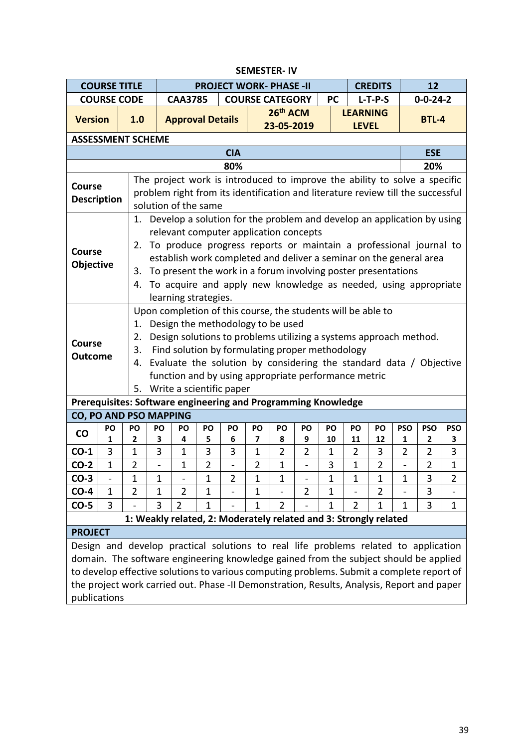|                    | <b>COURSE TITLE</b>                                                                                                              |                                                                                               |    |                         |                | <b>PROJECT WORK- PHASE -II</b>                                                  |                |                        |                |                                                              |                          |                |                | 12             |                |
|--------------------|----------------------------------------------------------------------------------------------------------------------------------|-----------------------------------------------------------------------------------------------|----|-------------------------|----------------|---------------------------------------------------------------------------------|----------------|------------------------|----------------|--------------------------------------------------------------|--------------------------|----------------|----------------|----------------|----------------|
|                    | <b>COURSE CODE</b>                                                                                                               |                                                                                               |    | <b>CAA3785</b>          |                |                                                                                 |                | <b>COURSE CATEGORY</b> |                | <b>CREDITS</b><br>$0 - 0 - 24 - 2$<br><b>PC</b><br>$L-T-P-S$ |                          |                |                |                |                |
| <b>Version</b>     |                                                                                                                                  |                                                                                               |    |                         |                |                                                                                 |                | 26 <sup>th</sup> ACM   |                |                                                              | <b>LEARNING</b>          |                |                |                |                |
|                    |                                                                                                                                  | 1.0                                                                                           |    | <b>Approval Details</b> |                |                                                                                 |                | 23-05-2019             |                |                                                              | <b>LEVEL</b>             |                |                | <b>BTL-4</b>   |                |
|                    |                                                                                                                                  | <b>ASSESSMENT SCHEME</b>                                                                      |    |                         |                |                                                                                 |                |                        |                |                                                              |                          |                |                |                |                |
|                    |                                                                                                                                  |                                                                                               |    |                         |                | <b>CIA</b>                                                                      |                |                        |                |                                                              |                          |                |                | <b>ESE</b>     |                |
|                    |                                                                                                                                  |                                                                                               |    |                         |                | 80%                                                                             |                |                        |                |                                                              |                          |                |                | 20%            |                |
| <b>Course</b>      |                                                                                                                                  |                                                                                               |    |                         |                | The project work is introduced to improve the ability to solve a specific       |                |                        |                |                                                              |                          |                |                |                |                |
| <b>Description</b> |                                                                                                                                  |                                                                                               |    |                         |                | problem right from its identification and literature review till the successful |                |                        |                |                                                              |                          |                |                |                |                |
|                    |                                                                                                                                  |                                                                                               |    | solution of the same    |                |                                                                                 |                |                        |                |                                                              |                          |                |                |                |                |
|                    |                                                                                                                                  | 1.                                                                                            |    |                         |                | Develop a solution for the problem and develop an application by using          |                |                        |                |                                                              |                          |                |                |                |                |
|                    |                                                                                                                                  |                                                                                               |    |                         |                | relevant computer application concepts                                          |                |                        |                |                                                              |                          |                |                |                |                |
| <b>Course</b>      |                                                                                                                                  |                                                                                               |    |                         |                | 2. To produce progress reports or maintain a professional journal to            |                |                        |                |                                                              |                          |                |                |                |                |
|                    | establish work completed and deliver a seminar on the general area<br>Objective                                                  |                                                                                               |    |                         |                |                                                                                 |                |                        |                |                                                              |                          |                |                |                |                |
|                    | To present the work in a forum involving poster presentations<br>3.                                                              |                                                                                               |    |                         |                |                                                                                 |                |                        |                |                                                              |                          |                |                |                |                |
|                    |                                                                                                                                  | To acquire and apply new knowledge as needed, using appropriate<br>4.<br>learning strategies. |    |                         |                |                                                                                 |                |                        |                |                                                              |                          |                |                |                |                |
|                    |                                                                                                                                  |                                                                                               |    |                         |                |                                                                                 |                |                        |                |                                                              |                          |                |                |                |                |
|                    |                                                                                                                                  |                                                                                               |    |                         |                | Upon completion of this course, the students will be able to                    |                |                        |                |                                                              |                          |                |                |                |                |
|                    |                                                                                                                                  | 1.                                                                                            |    |                         |                | Design the methodology to be used                                               |                |                        |                |                                                              |                          |                |                |                |                |
| <b>Course</b>      |                                                                                                                                  | Design solutions to problems utilizing a systems approach method.<br>2.                       |    |                         |                |                                                                                 |                |                        |                |                                                              |                          |                |                |                |                |
|                    | Find solution by formulating proper methodology<br>3.<br><b>Outcome</b>                                                          |                                                                                               |    |                         |                |                                                                                 |                |                        |                |                                                              |                          |                |                |                |                |
|                    | Evaluate the solution by considering the standard data / Objective<br>4.<br>function and by using appropriate performance metric |                                                                                               |    |                         |                |                                                                                 |                |                        |                |                                                              |                          |                |                |                |                |
|                    |                                                                                                                                  |                                                                                               |    |                         |                |                                                                                 |                |                        |                |                                                              |                          |                |                |                |                |
|                    |                                                                                                                                  | Prerequisites: Software engineering and Programming Knowledge                                 |    |                         |                | 5. Write a scientific paper                                                     |                |                        |                |                                                              |                          |                |                |                |                |
|                    |                                                                                                                                  | <b>CO, PO AND PSO MAPPING</b>                                                                 |    |                         |                |                                                                                 |                |                        |                |                                                              |                          |                |                |                |                |
|                    | PO                                                                                                                               | PO                                                                                            | PO | PO                      | PO             | PO                                                                              | PO             | PO                     | PO             | PO                                                           | PO                       | PO             | <b>PSO</b>     | <b>PSO</b>     | <b>PSO</b>     |
| $\mathsf{co}$      | 1                                                                                                                                | 2                                                                                             | 3  | 4                       | 5              | 6                                                                               | 7              | 8                      | 9              | 10                                                           | 11                       | 12             | 1              | $\mathbf{2}$   | 3              |
| $CO-1$             | 3                                                                                                                                | $\mathbf{1}$                                                                                  | 3  | 1                       | 3              | 3                                                                               | $\mathbf 1$    | $\overline{2}$         | $\overline{2}$ | $\mathbf{1}$                                                 | $\overline{2}$           | 3              | $\overline{2}$ | $\overline{2}$ | 3              |
| $CO-2$             | $\mathbf{1}$                                                                                                                     | $\overline{2}$                                                                                |    | $\mathbf 1$             | $\overline{2}$ |                                                                                 | $\overline{2}$ | $\mathbf{1}$           |                | 3                                                            | 1                        | $\overline{2}$ |                | $\overline{2}$ | $\mathbf 1$    |
| $CO-3$             | -                                                                                                                                | $\mathbf 1$                                                                                   | 1  |                         | $\mathbf 1$    | $\overline{2}$                                                                  | 1              | $\mathbf{1}$           |                | $\mathbf{1}$                                                 | 1                        | $\mathbf{1}$   | $\mathbf 1$    | 3              | $\overline{2}$ |
| $CO-4$             | $\mathbf 1$                                                                                                                      | $\overline{2}$                                                                                | 1  | $\overline{2}$          | $\mathbf{1}$   | $\overline{\phantom{0}}$                                                        | 1              |                        | $\overline{2}$ | $\mathbf 1$                                                  | $\overline{\phantom{0}}$ | $\overline{2}$ |                | 3              |                |
| $CO-5$             | 3                                                                                                                                |                                                                                               | 3  | $\overline{2}$          | $\mathbf{1}$   |                                                                                 | 1              | $\overline{2}$         |                | $\mathbf{1}$                                                 | $\overline{2}$           | $\mathbf 1$    | 1              | 3              | $\mathbf 1$    |
|                    |                                                                                                                                  | 1: Weakly related, 2: Moderately related and 3: Strongly related                              |    |                         |                |                                                                                 |                |                        |                |                                                              |                          |                |                |                |                |
| <b>PROJECT</b>     |                                                                                                                                  |                                                                                               |    |                         |                |                                                                                 |                |                        |                |                                                              |                          |                |                |                |                |
|                    |                                                                                                                                  | Design and develop practical solutions to real life problems related to application           |    |                         |                |                                                                                 |                |                        |                |                                                              |                          |                |                |                |                |
|                    | domain. The software engineering knowledge gained from the subject should be applied                                             |                                                                                               |    |                         |                |                                                                                 |                |                        |                |                                                              |                          |                |                |                |                |
|                    |                                                                                                                                  | to develop effective solutions to various computing problems. Submit a complete report of     |    |                         |                |                                                                                 |                |                        |                |                                                              |                          |                |                |                |                |
|                    | the project work carried out. Phase -II Demonstration, Results, Analysis, Report and paper                                       |                                                                                               |    |                         |                |                                                                                 |                |                        |                |                                                              |                          |                |                |                |                |
|                    | publications                                                                                                                     |                                                                                               |    |                         |                |                                                                                 |                |                        |                |                                                              |                          |                |                |                |                |

## **SEMESTER- IV**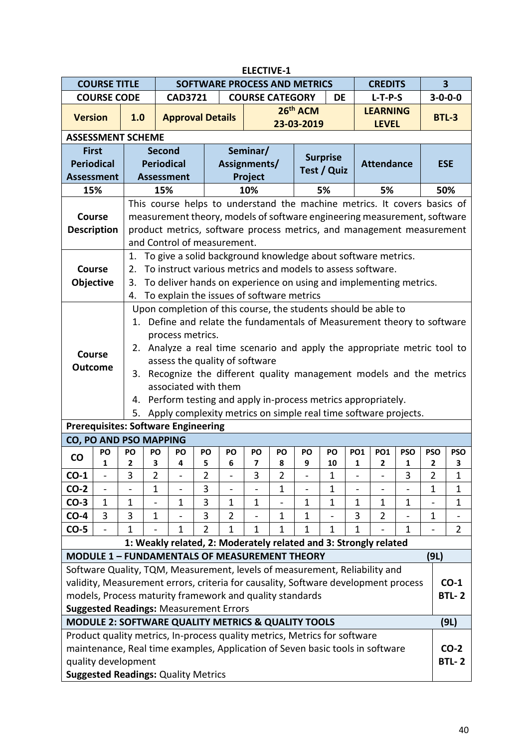| <b>ELECTIVE-1</b><br>$\overline{\mathbf{3}}$<br><b>COURSE TITLE</b> |                          |                                                                          |                                                                   |                                                                                    |                |                              |              |                          |                          |                   |                 |                              |                              |                 |                  |
|---------------------------------------------------------------------|--------------------------|--------------------------------------------------------------------------|-------------------------------------------------------------------|------------------------------------------------------------------------------------|----------------|------------------------------|--------------|--------------------------|--------------------------|-------------------|-----------------|------------------------------|------------------------------|-----------------|------------------|
|                                                                     |                          | SOFTWARE PROCESS AND METRICS<br><b>CREDITS</b><br><b>COURSE CATEGORY</b> |                                                                   |                                                                                    |                |                              |              |                          |                          |                   |                 |                              |                              |                 |                  |
|                                                                     | <b>COURSE CODE</b>       |                                                                          |                                                                   | <b>CAD3721</b>                                                                     |                |                              |              |                          |                          | <b>DE</b>         |                 | $L-T-P-S$                    |                              |                 | $3 - 0 - 0 - 0$  |
| <b>Version</b>                                                      |                          | 1.0                                                                      |                                                                   | <b>Approval Details</b>                                                            |                |                              |              |                          | 26th ACM                 |                   |                 | <b>LEARNING</b>              |                              |                 | <b>BTL-3</b>     |
|                                                                     |                          |                                                                          |                                                                   |                                                                                    |                |                              |              |                          | 23-03-2019               |                   |                 | <b>LEVEL</b>                 |                              |                 |                  |
|                                                                     |                          | <b>ASSESSMENT SCHEME</b>                                                 |                                                                   |                                                                                    |                |                              |              |                          |                          |                   |                 |                              |                              |                 |                  |
|                                                                     | <b>First</b>             |                                                                          | <b>Second</b>                                                     |                                                                                    |                |                              | Seminar/     |                          |                          | <b>Surprise</b>   |                 |                              |                              |                 |                  |
|                                                                     | <b>Periodical</b>        |                                                                          |                                                                   | <b>Periodical</b>                                                                  |                | Assignments/                 |              |                          |                          | Test / Quiz       |                 | <b>Attendance</b>            |                              |                 | <b>ESE</b>       |
|                                                                     | <b>Assessment</b>        |                                                                          |                                                                   | <b>Assessment</b>                                                                  |                |                              | Project      |                          |                          |                   |                 |                              |                              |                 |                  |
|                                                                     | 15%                      |                                                                          | 15%                                                               |                                                                                    |                |                              | 10%          |                          |                          | 5%                |                 | 5%                           |                              |                 | 50%              |
|                                                                     |                          |                                                                          |                                                                   | This course helps to understand the machine metrics. It covers basics of           |                |                              |              |                          |                          |                   |                 |                              |                              |                 |                  |
|                                                                     | <b>Course</b>            |                                                                          |                                                                   | measurement theory, models of software engineering measurement, software           |                |                              |              |                          |                          |                   |                 |                              |                              |                 |                  |
|                                                                     | <b>Description</b>       |                                                                          |                                                                   | product metrics, software process metrics, and management measurement              |                |                              |              |                          |                          |                   |                 |                              |                              |                 |                  |
|                                                                     |                          |                                                                          |                                                                   | and Control of measurement.                                                        |                |                              |              |                          |                          |                   |                 |                              |                              |                 |                  |
|                                                                     |                          |                                                                          |                                                                   | 1. To give a solid background knowledge about software metrics.                    |                |                              |              |                          |                          |                   |                 |                              |                              |                 |                  |
|                                                                     | <b>Course</b>            | 2.                                                                       |                                                                   | To instruct various metrics and models to assess software.                         |                |                              |              |                          |                          |                   |                 |                              |                              |                 |                  |
|                                                                     | Objective                | 3.                                                                       |                                                                   | To deliver hands on experience on using and implementing metrics.                  |                |                              |              |                          |                          |                   |                 |                              |                              |                 |                  |
|                                                                     |                          | 4.                                                                       |                                                                   | To explain the issues of software metrics                                          |                |                              |              |                          |                          |                   |                 |                              |                              |                 |                  |
|                                                                     |                          |                                                                          |                                                                   | Upon completion of this course, the students should be able to                     |                |                              |              |                          |                          |                   |                 |                              |                              |                 |                  |
|                                                                     |                          | 1.                                                                       |                                                                   | Define and relate the fundamentals of Measurement theory to software               |                |                              |              |                          |                          |                   |                 |                              |                              |                 |                  |
|                                                                     |                          |                                                                          |                                                                   | process metrics.                                                                   |                |                              |              |                          |                          |                   |                 |                              |                              |                 |                  |
|                                                                     | <b>Course</b>            | 2.                                                                       |                                                                   | Analyze a real time scenario and apply the appropriate metric tool to              |                |                              |              |                          |                          |                   |                 |                              |                              |                 |                  |
|                                                                     | <b>Outcome</b>           |                                                                          | assess the quality of software                                    |                                                                                    |                |                              |              |                          |                          |                   |                 |                              |                              |                 |                  |
|                                                                     |                          | 3.                                                                       | Recognize the different quality management models and the metrics |                                                                                    |                |                              |              |                          |                          |                   |                 |                              |                              |                 |                  |
|                                                                     |                          |                                                                          | associated with them                                              |                                                                                    |                |                              |              |                          |                          |                   |                 |                              |                              |                 |                  |
|                                                                     |                          | 4.                                                                       |                                                                   | Perform testing and apply in-process metrics appropriately.                        |                |                              |              |                          |                          |                   |                 |                              |                              |                 |                  |
|                                                                     |                          | 5.                                                                       |                                                                   | Apply complexity metrics on simple real time software projects.                    |                |                              |              |                          |                          |                   |                 |                              |                              |                 |                  |
|                                                                     |                          |                                                                          |                                                                   | <b>Prerequisites: Software Engineering</b>                                         |                |                              |              |                          |                          |                   |                 |                              |                              |                 |                  |
|                                                                     |                          | CO, PO AND PSO MAPPING                                                   |                                                                   |                                                                                    |                |                              |              |                          |                          |                   |                 |                              |                              |                 |                  |
| co                                                                  | PO<br>1                  | PO<br>2                                                                  | PO<br>3                                                           | PO<br>4                                                                            | PO<br>5        | PO<br>6.                     | PO<br>7      | PO<br>8                  | PO<br>9                  | PO<br>10          | <b>PO1</b><br>1 | <b>PO1</b><br>2              | <b>PSO</b><br>1              | <b>PSO</b><br>2 | <b>PSO</b><br>3. |
| $CO-1$                                                              | $\overline{a}$           | 3                                                                        | $\overline{2}$                                                    | $\overline{a}$                                                                     | $\overline{2}$ | $\overline{a}$               | 3            | $\overline{2}$           | $\overline{a}$           | $\mathbf{1}$      |                 | $\overline{a}$               | 3                            | $\overline{2}$  | $\mathbf{1}$     |
| $CO-2$                                                              | $\overline{\phantom{0}}$ | $\qquad \qquad \blacksquare$                                             | $\mathbf{1}$                                                      | $\blacksquare$                                                                     | 3              | $\qquad \qquad \blacksquare$ |              | 1                        | $\overline{\phantom{a}}$ | 1                 |                 | $\qquad \qquad \blacksquare$ | $\qquad \qquad \blacksquare$ | $\mathbf 1$     | 1                |
| $CO-3$                                                              | $\mathbf{1}$             | $\mathbf 1$                                                              | $\overline{a}$                                                    | $\mathbf{1}$                                                                       | 3              | $\mathbf 1$                  | 1            | $\overline{\phantom{0}}$ | $\mathbf{1}$             | $\mathbf{1}$      | $\mathbf{1}$    | $\mathbf{1}$                 | $\mathbf{1}$                 |                 | $\mathbf{1}$     |
| $CO-4$                                                              | 3                        | 3                                                                        | $\mathbf{1}$                                                      |                                                                                    | 3              | $\overline{2}$               |              | 1                        | 1                        | $\qquad \qquad -$ | 3               | $\overline{2}$               | $\overline{a}$               | $\mathbf 1$     |                  |
| $CO-5$                                                              |                          | $\mathbf{1}$                                                             |                                                                   | 1                                                                                  | $\overline{2}$ | 1                            | $\mathbf{1}$ | $\mathbf{1}$             | $\mathbf{1}$             | $\mathbf{1}$      | $\mathbf{1}$    |                              | 1                            |                 | $\overline{2}$   |
|                                                                     |                          |                                                                          |                                                                   | 1: Weakly related, 2: Moderately related and 3: Strongly related                   |                |                              |              |                          |                          |                   |                 |                              |                              |                 |                  |
|                                                                     |                          |                                                                          |                                                                   | <b>MODULE 1 - FUNDAMENTALS OF MEASUREMENT THEORY</b>                               |                |                              |              |                          |                          |                   |                 |                              |                              | (9L)            |                  |
|                                                                     |                          |                                                                          |                                                                   | Software Quality, TQM, Measurement, levels of measurement, Reliability and         |                |                              |              |                          |                          |                   |                 |                              |                              |                 |                  |
|                                                                     |                          |                                                                          |                                                                   | validity, Measurement errors, criteria for causality, Software development process |                |                              |              |                          |                          |                   |                 |                              |                              |                 | $CO-1$           |
|                                                                     |                          |                                                                          |                                                                   | models, Process maturity framework and quality standards                           |                |                              |              |                          |                          |                   |                 |                              |                              |                 | <b>BTL-2</b>     |
|                                                                     |                          |                                                                          |                                                                   | <b>Suggested Readings: Measurement Errors</b>                                      |                |                              |              |                          |                          |                   |                 |                              |                              |                 |                  |
|                                                                     |                          |                                                                          |                                                                   | <b>MODULE 2: SOFTWARE QUALITY METRICS &amp; QUALITY TOOLS</b>                      |                |                              |              |                          |                          |                   |                 |                              |                              |                 | (9L)             |
|                                                                     |                          |                                                                          |                                                                   | Product quality metrics, In-process quality metrics, Metrics for software          |                |                              |              |                          |                          |                   |                 |                              |                              |                 |                  |
|                                                                     |                          |                                                                          |                                                                   | maintenance, Real time examples, Application of Seven basic tools in software      |                |                              |              |                          |                          |                   |                 |                              |                              |                 | $CO-2$           |
|                                                                     |                          | quality development                                                      |                                                                   |                                                                                    |                |                              |              |                          |                          |                   |                 |                              |                              |                 | <b>BTL-2</b>     |
|                                                                     |                          |                                                                          |                                                                   | <b>Suggested Readings: Quality Metrics</b>                                         |                |                              |              |                          |                          |                   |                 |                              |                              |                 |                  |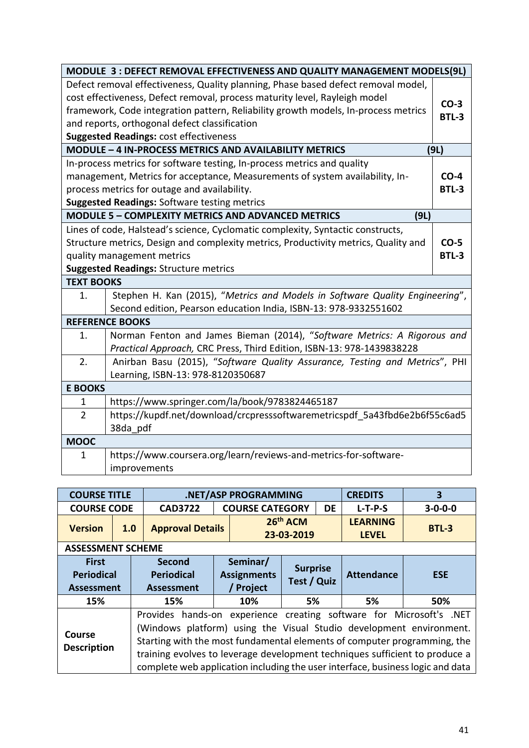|                   | MODULE 3: DEFECT REMOVAL EFFECTIVENESS AND QUALITY MANAGEMENT MODELS(9L)            |              |
|-------------------|-------------------------------------------------------------------------------------|--------------|
|                   | Defect removal effectiveness, Quality planning, Phase based defect removal model,   |              |
|                   | cost effectiveness, Defect removal, process maturity level, Rayleigh model          | $CO-3$       |
|                   | framework, Code integration pattern, Reliability growth models, In-process metrics  | <b>BTL-3</b> |
|                   | and reports, orthogonal defect classification                                       |              |
|                   | <b>Suggested Readings: cost effectiveness</b>                                       |              |
|                   | MODULE - 4 IN-PROCESS METRICS AND AVAILABILITY METRICS                              | (9L)         |
|                   | In-process metrics for software testing, In-process metrics and quality             |              |
|                   | management, Metrics for acceptance, Measurements of system availability, In-        | $CO-4$       |
|                   | process metrics for outage and availability.                                        | <b>BTL-3</b> |
|                   | <b>Suggested Readings: Software testing metrics</b>                                 |              |
|                   | <b>MODULE 5 - COMPLEXITY METRICS AND ADVANCED METRICS</b><br>(9L)                   |              |
|                   | Lines of code, Halstead's science, Cyclomatic complexity, Syntactic constructs,     |              |
|                   | Structure metrics, Design and complexity metrics, Productivity metrics, Quality and | $CO-5$       |
|                   | quality management metrics                                                          | <b>BTL-3</b> |
|                   | <b>Suggested Readings: Structure metrics</b>                                        |              |
| <b>TEXT BOOKS</b> |                                                                                     |              |
| $\mathbf{1}$ .    | Stephen H. Kan (2015), "Metrics and Models in Software Quality Engineering",        |              |
|                   | Second edition, Pearson education India, ISBN-13: 978-9332551602                    |              |
|                   | <b>REFERENCE BOOKS</b>                                                              |              |
| 1.                | Norman Fenton and James Bieman (2014), "Software Metrics: A Rigorous and            |              |
|                   | Practical Approach, CRC Press, Third Edition, ISBN-13: 978-1439838228               |              |
| 2.                | Anirban Basu (2015), "Software Quality Assurance, Testing and Metrics", PHI         |              |
|                   | Learning, ISBN-13: 978-8120350687                                                   |              |
| <b>E BOOKS</b>    |                                                                                     |              |
| 1                 | https://www.springer.com/la/book/9783824465187                                      |              |
| $\overline{2}$    | https://kupdf.net/download/crcpresssoftwaremetricspdf 5a43fbd6e2b6f55c6ad5          |              |
|                   | 38da pdf                                                                            |              |
| <b>MOOC</b>       |                                                                                     |              |
| 1                 | https://www.coursera.org/learn/reviews-and-metrics-for-software-                    |              |
|                   | improvements                                                                        |              |

| <b>COURSE TITLE</b>                                    |     |                                                                                                                                                                                                                                                                                                                                                                                         | .NET/ASP PROGRAMMING                      |                                       |           | <b>CREDITS</b>                  | 3               |
|--------------------------------------------------------|-----|-----------------------------------------------------------------------------------------------------------------------------------------------------------------------------------------------------------------------------------------------------------------------------------------------------------------------------------------------------------------------------------------|-------------------------------------------|---------------------------------------|-----------|---------------------------------|-----------------|
| <b>COURSE CODE</b>                                     |     | <b>CAD3722</b>                                                                                                                                                                                                                                                                                                                                                                          | <b>COURSE CATEGORY</b>                    |                                       | <b>DE</b> | $L-T-P-S$                       | $3 - 0 - 0 - 0$ |
| <b>Version</b>                                         | 1.0 | <b>Approval Details</b>                                                                                                                                                                                                                                                                                                                                                                 |                                           | 26th ACM<br>23-03-2019                |           | <b>LEARNING</b><br><b>LEVEL</b> | <b>BTL-3</b>    |
| <b>ASSESSMENT SCHEME</b>                               |     |                                                                                                                                                                                                                                                                                                                                                                                         |                                           |                                       |           |                                 |                 |
| <b>First</b><br><b>Periodical</b><br><b>Assessment</b> |     | <b>Second</b><br><b>Periodical</b><br><b>Assessment</b>                                                                                                                                                                                                                                                                                                                                 | Seminar/<br><b>Assignments</b><br>Project | <b>Surprise</b><br><b>Test / Quiz</b> |           | <b>Attendance</b>               | <b>ESE</b>      |
| 15%                                                    |     | 15%                                                                                                                                                                                                                                                                                                                                                                                     | 10%                                       | 5%                                    |           | 5%                              | 50%             |
| <b>Course</b><br><b>Description</b>                    |     | Provides hands-on experience creating software for Microsoft's .NET<br>(Windows platform) using the Visual Studio development environment.<br>Starting with the most fundamental elements of computer programming, the<br>training evolves to leverage development techniques sufficient to produce a<br>complete web application including the user interface, business logic and data |                                           |                                       |           |                                 |                 |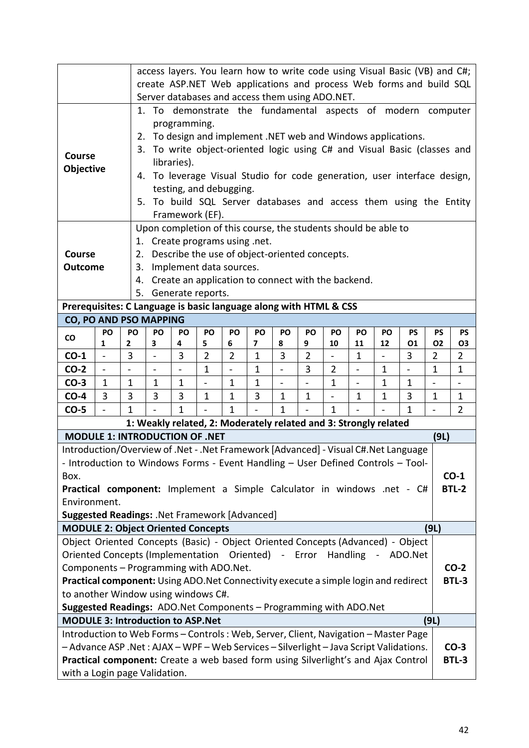|                                                                                                                                                                                                       | access layers. You learn how to write code using Visual Basic (VB) and C#;<br>create ASP.NET Web applications and process Web forms and build SQL |                                                                                                                 |                                                                |                         |                          |                                                                  |                |             |                |                              |             |                                                                          |              |                |
|-------------------------------------------------------------------------------------------------------------------------------------------------------------------------------------------------------|---------------------------------------------------------------------------------------------------------------------------------------------------|-----------------------------------------------------------------------------------------------------------------|----------------------------------------------------------------|-------------------------|--------------------------|------------------------------------------------------------------|----------------|-------------|----------------|------------------------------|-------------|--------------------------------------------------------------------------|--------------|----------------|
|                                                                                                                                                                                                       |                                                                                                                                                   |                                                                                                                 |                                                                |                         |                          | Server databases and access them using ADO.NET.                  |                |             |                |                              |             |                                                                          |              |                |
|                                                                                                                                                                                                       |                                                                                                                                                   |                                                                                                                 |                                                                |                         |                          |                                                                  |                |             |                |                              |             | 1. To demonstrate the fundamental aspects of modern computer             |              |                |
|                                                                                                                                                                                                       |                                                                                                                                                   |                                                                                                                 | programming.                                                   |                         |                          |                                                                  |                |             |                |                              |             |                                                                          |              |                |
|                                                                                                                                                                                                       |                                                                                                                                                   |                                                                                                                 |                                                                |                         |                          |                                                                  |                |             |                |                              |             | 2. To design and implement .NET web and Windows applications.            |              |                |
| Course                                                                                                                                                                                                |                                                                                                                                                   |                                                                                                                 |                                                                |                         |                          |                                                                  |                |             |                |                              |             | 3. To write object-oriented logic using C# and Visual Basic (classes and |              |                |
| <b>Objective</b>                                                                                                                                                                                      |                                                                                                                                                   |                                                                                                                 | libraries).                                                    |                         |                          |                                                                  |                |             |                |                              |             |                                                                          |              |                |
|                                                                                                                                                                                                       | 4.                                                                                                                                                |                                                                                                                 |                                                                |                         |                          |                                                                  |                |             |                |                              |             | To leverage Visual Studio for code generation, user interface design,    |              |                |
|                                                                                                                                                                                                       |                                                                                                                                                   |                                                                                                                 |                                                                | testing, and debugging. |                          |                                                                  |                |             |                |                              |             |                                                                          |              |                |
|                                                                                                                                                                                                       |                                                                                                                                                   |                                                                                                                 |                                                                |                         |                          |                                                                  |                |             |                |                              |             | 5. To build SQL Server databases and access them using the Entity        |              |                |
|                                                                                                                                                                                                       |                                                                                                                                                   |                                                                                                                 |                                                                | Framework (EF).         |                          |                                                                  |                |             |                |                              |             |                                                                          |              |                |
|                                                                                                                                                                                                       | Upon completion of this course, the students should be able to                                                                                    |                                                                                                                 |                                                                |                         |                          |                                                                  |                |             |                |                              |             |                                                                          |              |                |
|                                                                                                                                                                                                       | 1. Create programs using .net.                                                                                                                    |                                                                                                                 |                                                                |                         |                          |                                                                  |                |             |                |                              |             |                                                                          |              |                |
| <b>Outcome</b>                                                                                                                                                                                        | Describe the use of object-oriented concepts.<br>Course<br>2.<br>Implement data sources.<br>3.                                                    |                                                                                                                 |                                                                |                         |                          |                                                                  |                |             |                |                              |             |                                                                          |              |                |
|                                                                                                                                                                                                       | 4.                                                                                                                                                |                                                                                                                 |                                                                |                         |                          | Create an application to connect with the backend.               |                |             |                |                              |             |                                                                          |              |                |
|                                                                                                                                                                                                       | 5.                                                                                                                                                |                                                                                                                 |                                                                | Generate reports.       |                          |                                                                  |                |             |                |                              |             |                                                                          |              |                |
| Prerequisites: C Language is basic language along with HTML & CSS                                                                                                                                     |                                                                                                                                                   |                                                                                                                 |                                                                |                         |                          |                                                                  |                |             |                |                              |             |                                                                          |              |                |
| CO, PO AND PSO MAPPING                                                                                                                                                                                |                                                                                                                                                   |                                                                                                                 |                                                                |                         |                          |                                                                  |                |             |                |                              |             |                                                                          |              |                |
| PO<br>CO                                                                                                                                                                                              | PO                                                                                                                                                | PO                                                                                                              | PO                                                             | PO                      | PO                       | PO                                                               | PO             | PO          | PO             | PO                           | PO          | PS                                                                       | <b>PS</b>    | <b>PS</b>      |
| 2<br>1                                                                                                                                                                                                |                                                                                                                                                   | 3                                                                                                               | 02<br>6<br>7<br>9<br>10<br>12<br>01<br>03<br>4<br>5<br>8<br>11 |                         |                          |                                                                  |                |             |                |                              |             |                                                                          |              |                |
| $CO-1$                                                                                                                                                                                                | 3                                                                                                                                                 | $\overline{2}$<br>3<br>$\overline{2}$<br>3<br>3<br>$\overline{2}$<br>1<br>$\overline{2}$<br>1<br>$\overline{2}$ |                                                                |                         |                          |                                                                  |                |             |                |                              |             |                                                                          |              |                |
| $CO-2$<br>$\overline{\phantom{0}}$                                                                                                                                                                    |                                                                                                                                                   | $\overline{\phantom{a}}$                                                                                        | $\qquad \qquad -$                                              | $\mathbf 1$             | $\overline{\phantom{a}}$ | 1                                                                | $\blacksquare$ | 3           | $\overline{2}$ | $\qquad \qquad \blacksquare$ | 1           | $\overline{\phantom{a}}$                                                 | $\mathbf 1$  | $\mathbf{1}$   |
| $CO-3$<br>$\mathbf{1}$                                                                                                                                                                                | $\mathbf{1}$                                                                                                                                      | $\mathbf 1$                                                                                                     | $\mathbf 1$                                                    |                         | 1                        | 1                                                                |                |             | $\mathbf{1}$   | $\qquad \qquad \blacksquare$ | $\mathbf 1$ | $\mathbf{1}$                                                             |              |                |
| $CO-4$<br>3                                                                                                                                                                                           | 3                                                                                                                                                 | 3                                                                                                               | 3                                                              | $\mathbf{1}$            | $\mathbf{1}$             | 3                                                                | $\mathbf 1$    | $\mathbf 1$ | $\overline{a}$ | $\mathbf 1$                  | $\mathbf 1$ | 3                                                                        | $\mathbf{1}$ | $\mathbf{1}$   |
| $CO-5$                                                                                                                                                                                                | $\mathbf{1}$                                                                                                                                      |                                                                                                                 | 1                                                              |                         | 1                        |                                                                  | 1              |             | $\mathbf{1}$   |                              |             | $\mathbf{1}$                                                             |              | $\overline{2}$ |
|                                                                                                                                                                                                       |                                                                                                                                                   |                                                                                                                 |                                                                |                         |                          | 1: Weakly related, 2: Moderately related and 3: Strongly related |                |             |                |                              |             |                                                                          |              |                |
| <b>MODULE 1: INTRODUCTION OF .NET</b>                                                                                                                                                                 |                                                                                                                                                   |                                                                                                                 |                                                                |                         |                          |                                                                  |                |             |                |                              |             |                                                                          | (9L)         |                |
| Introduction/Overview of .Net - .Net Framework [Advanced] - Visual C#.Net Language<br>- Introduction to Windows Forms - Event Handling - User Defined Controls - Tool-                                |                                                                                                                                                   |                                                                                                                 |                                                                |                         |                          |                                                                  |                |             |                |                              |             |                                                                          |              |                |
| Box.                                                                                                                                                                                                  |                                                                                                                                                   |                                                                                                                 |                                                                |                         |                          |                                                                  |                |             |                |                              |             |                                                                          |              | $CO-1$         |
| Practical component: Implement a Simple Calculator in windows .net - C#                                                                                                                               |                                                                                                                                                   |                                                                                                                 |                                                                |                         |                          |                                                                  |                |             |                |                              |             |                                                                          |              | <b>BTL-2</b>   |
| Environment.                                                                                                                                                                                          |                                                                                                                                                   |                                                                                                                 |                                                                |                         |                          |                                                                  |                |             |                |                              |             |                                                                          |              |                |
| <b>Suggested Readings: . Net Framework [Advanced]</b>                                                                                                                                                 |                                                                                                                                                   |                                                                                                                 |                                                                |                         |                          |                                                                  |                |             |                |                              |             |                                                                          |              |                |
| <b>MODULE 2: Object Oriented Concepts</b>                                                                                                                                                             |                                                                                                                                                   |                                                                                                                 |                                                                |                         |                          |                                                                  |                |             |                |                              |             |                                                                          | (9L)         |                |
| Object Oriented Concepts (Basic) - Object Oriented Concepts (Advanced) - Object                                                                                                                       |                                                                                                                                                   |                                                                                                                 |                                                                |                         |                          |                                                                  |                |             |                |                              |             |                                                                          |              |                |
| Oriented Concepts (Implementation Oriented) - Error Handling - ADO.Net                                                                                                                                |                                                                                                                                                   |                                                                                                                 |                                                                |                         |                          |                                                                  |                |             |                |                              |             |                                                                          |              |                |
| Components - Programming with ADO.Net.                                                                                                                                                                |                                                                                                                                                   |                                                                                                                 |                                                                |                         |                          |                                                                  |                |             |                |                              |             |                                                                          |              | $CO-2$         |
| Practical component: Using ADO.Net Connectivity execute a simple login and redirect                                                                                                                   |                                                                                                                                                   |                                                                                                                 |                                                                |                         |                          |                                                                  |                |             |                |                              |             |                                                                          |              | BTL-3          |
| to another Window using windows C#.                                                                                                                                                                   |                                                                                                                                                   |                                                                                                                 |                                                                |                         |                          |                                                                  |                |             |                |                              |             |                                                                          |              |                |
| Suggested Readings: ADO.Net Components - Programming with ADO.Net                                                                                                                                     |                                                                                                                                                   |                                                                                                                 |                                                                |                         |                          |                                                                  |                |             |                |                              |             |                                                                          |              |                |
| <b>MODULE 3: Introduction to ASP.Net</b><br>(9L)                                                                                                                                                      |                                                                                                                                                   |                                                                                                                 |                                                                |                         |                          |                                                                  |                |             |                |                              |             |                                                                          |              |                |
| Introduction to Web Forms - Controls: Web, Server, Client, Navigation - Master Page                                                                                                                   |                                                                                                                                                   |                                                                                                                 |                                                                |                         |                          |                                                                  |                |             |                |                              |             |                                                                          |              |                |
| - Advance ASP .Net: AJAX - WPF - Web Services - Silverlight - Java Script Validations.<br>$CO-3$<br>Practical component: Create a web based form using Silverlight's and Ajax Control<br><b>BTL-3</b> |                                                                                                                                                   |                                                                                                                 |                                                                |                         |                          |                                                                  |                |             |                |                              |             |                                                                          |              |                |
|                                                                                                                                                                                                       |                                                                                                                                                   |                                                                                                                 |                                                                |                         |                          |                                                                  |                |             |                |                              |             |                                                                          |              |                |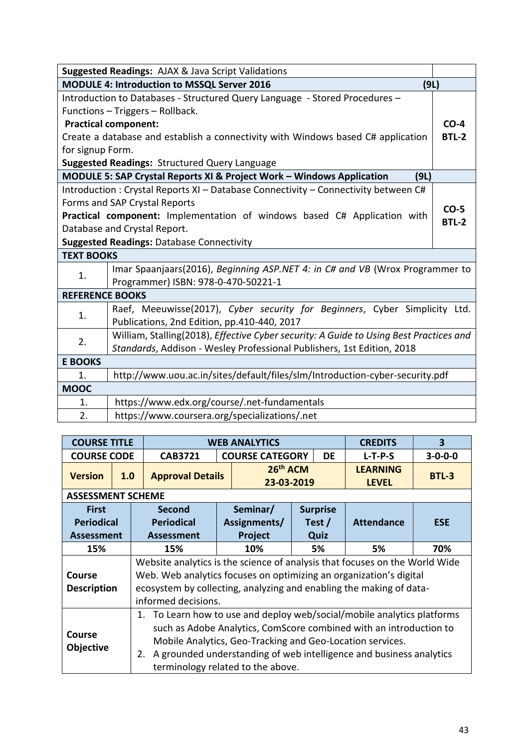|                                                            | Suggested Readings: AJAX & Java Script Validations                                     |              |  |  |  |  |  |  |  |  |
|------------------------------------------------------------|----------------------------------------------------------------------------------------|--------------|--|--|--|--|--|--|--|--|
| <b>MODULE 4: Introduction to MSSQL Server 2016</b><br>(9L) |                                                                                        |              |  |  |  |  |  |  |  |  |
|                                                            | Introduction to Databases - Structured Query Language - Stored Procedures -            |              |  |  |  |  |  |  |  |  |
|                                                            | Functions - Triggers - Rollback.                                                       |              |  |  |  |  |  |  |  |  |
|                                                            | <b>Practical component:</b>                                                            | $CO-4$       |  |  |  |  |  |  |  |  |
|                                                            | Create a database and establish a connectivity with Windows based C# application       | <b>BTL-2</b> |  |  |  |  |  |  |  |  |
| for signup Form.                                           |                                                                                        |              |  |  |  |  |  |  |  |  |
|                                                            | Suggested Readings: Structured Query Language                                          |              |  |  |  |  |  |  |  |  |
|                                                            | MODULE 5: SAP Crystal Reports XI & Project Work - Windows Application<br>(9L)          |              |  |  |  |  |  |  |  |  |
|                                                            | Introduction: Crystal Reports XI - Database Connectivity - Connectivity between C#     |              |  |  |  |  |  |  |  |  |
|                                                            | Forms and SAP Crystal Reports                                                          | $CO-5$       |  |  |  |  |  |  |  |  |
|                                                            | Practical component: Implementation of windows based C# Application with               | <b>BTL-2</b> |  |  |  |  |  |  |  |  |
|                                                            | Database and Crystal Report.                                                           |              |  |  |  |  |  |  |  |  |
|                                                            | <b>Suggested Readings: Database Connectivity</b>                                       |              |  |  |  |  |  |  |  |  |
| <b>TEXT BOOKS</b>                                          |                                                                                        |              |  |  |  |  |  |  |  |  |
| 1.                                                         | Imar Spaanjaars(2016), Beginning ASP.NET 4: in C# and VB (Wrox Programmer to           |              |  |  |  |  |  |  |  |  |
|                                                            | Programmer) ISBN: 978-0-470-50221-1                                                    |              |  |  |  |  |  |  |  |  |
| <b>REFERENCE BOOKS</b>                                     |                                                                                        |              |  |  |  |  |  |  |  |  |
| 1.                                                         | Raef, Meeuwisse(2017), Cyber security for Beginners, Cyber Simplicity Ltd.             |              |  |  |  |  |  |  |  |  |
|                                                            | Publications, 2nd Edition, pp.410-440, 2017                                            |              |  |  |  |  |  |  |  |  |
| 2.                                                         | William, Stalling(2018), Effective Cyber security: A Guide to Using Best Practices and |              |  |  |  |  |  |  |  |  |
|                                                            | Standards, Addison - Wesley Professional Publishers, 1st Edition, 2018                 |              |  |  |  |  |  |  |  |  |
| <b>E BOOKS</b>                                             |                                                                                        |              |  |  |  |  |  |  |  |  |
| 1.                                                         | http://www.uou.ac.in/sites/default/files/slm/Introduction-cyber-security.pdf           |              |  |  |  |  |  |  |  |  |
| <b>MOOC</b>                                                |                                                                                        |              |  |  |  |  |  |  |  |  |
| 1.                                                         | https://www.edx.org/course/.net-fundamentals                                           |              |  |  |  |  |  |  |  |  |
| 2.                                                         | https://www.coursera.org/specializations/.net                                          |              |  |  |  |  |  |  |  |  |

| <b>COURSE TITLE</b>                                              |     | $\overline{\mathbf{3}}$<br><b>WEB ANALYTICS</b><br><b>CREDITS</b>           |           |                                    |  |           |                                                                      |                 |  |  |  |  |
|------------------------------------------------------------------|-----|-----------------------------------------------------------------------------|-----------|------------------------------------|--|-----------|----------------------------------------------------------------------|-----------------|--|--|--|--|
| <b>COURSE CODE</b>                                               |     | <b>CAB3721</b>                                                              |           | <b>COURSE CATEGORY</b>             |  | <b>DE</b> | $L-T-P-S$                                                            | $3 - 0 - 0 - 0$ |  |  |  |  |
| <b>Version</b>                                                   | 1.0 | <b>Approval Details</b>                                                     |           | 26 <sup>th</sup> ACM<br>23-03-2019 |  |           | <b>LEARNING</b><br><b>LEVEL</b>                                      | <b>BTL-3</b>    |  |  |  |  |
| <b>ASSESSMENT SCHEME</b>                                         |     |                                                                             |           |                                    |  |           |                                                                      |                 |  |  |  |  |
| <b>First</b>                                                     |     | Seminar/<br><b>Surprise</b><br><b>Second</b><br><b>Attendance</b>           |           |                                    |  |           |                                                                      |                 |  |  |  |  |
| <b>Periodical</b><br><b>Periodical</b><br>Assignments/<br>Test / |     |                                                                             |           |                                    |  |           |                                                                      | <b>ESE</b>      |  |  |  |  |
| <b>Assessment</b>                                                |     | <b>Assessment</b>                                                           |           | Quiz                               |  |           |                                                                      |                 |  |  |  |  |
| 15%                                                              |     | 15%                                                                         | 5%<br>70% |                                    |  |           |                                                                      |                 |  |  |  |  |
|                                                                  |     | Website analytics is the science of analysis that focuses on the World Wide |           |                                    |  |           |                                                                      |                 |  |  |  |  |
| Course                                                           |     | Web. Web analytics focuses on optimizing an organization's digital          |           |                                    |  |           |                                                                      |                 |  |  |  |  |
| <b>Description</b>                                               |     | ecosystem by collecting, analyzing and enabling the making of data-         |           |                                    |  |           |                                                                      |                 |  |  |  |  |
|                                                                  |     | informed decisions.                                                         |           |                                    |  |           |                                                                      |                 |  |  |  |  |
|                                                                  |     | 1.                                                                          |           |                                    |  |           | To Learn how to use and deploy web/social/mobile analytics platforms |                 |  |  |  |  |
|                                                                  |     |                                                                             |           |                                    |  |           | such as Adobe Analytics, ComScore combined with an introduction to   |                 |  |  |  |  |
| <b>Course</b>                                                    |     | Mobile Analytics, Geo-Tracking and Geo-Location services.                   |           |                                    |  |           |                                                                      |                 |  |  |  |  |
| <b>Objective</b>                                                 |     | 2.                                                                          |           |                                    |  |           | A grounded understanding of web intelligence and business analytics  |                 |  |  |  |  |
|                                                                  |     | terminology related to the above.                                           |           |                                    |  |           |                                                                      |                 |  |  |  |  |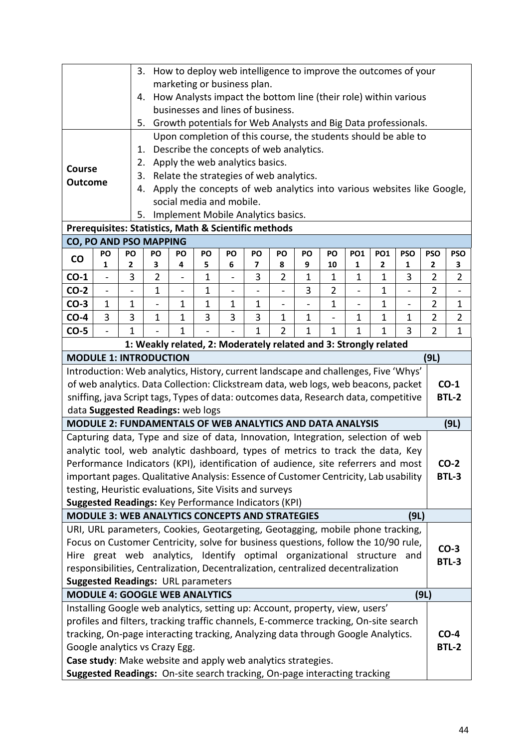|                                                                                                                               |                                                                                                                                                                                     | 3.                                                                                                             |                                                                                                                                                                                                                                                                                                                                        |                          |              |                | How to deploy web intelligence to improve the outcomes of your                                                                   |                |   |                     |   |             |      |                |                |
|-------------------------------------------------------------------------------------------------------------------------------|-------------------------------------------------------------------------------------------------------------------------------------------------------------------------------------|----------------------------------------------------------------------------------------------------------------|----------------------------------------------------------------------------------------------------------------------------------------------------------------------------------------------------------------------------------------------------------------------------------------------------------------------------------------|--------------------------|--------------|----------------|----------------------------------------------------------------------------------------------------------------------------------|----------------|---|---------------------|---|-------------|------|----------------|----------------|
|                                                                                                                               |                                                                                                                                                                                     |                                                                                                                |                                                                                                                                                                                                                                                                                                                                        |                          |              |                | marketing or business plan.                                                                                                      |                |   |                     |   |             |      |                |                |
|                                                                                                                               |                                                                                                                                                                                     | 4.                                                                                                             |                                                                                                                                                                                                                                                                                                                                        |                          |              |                | How Analysts impact the bottom line (their role) within various                                                                  |                |   |                     |   |             |      |                |                |
|                                                                                                                               |                                                                                                                                                                                     |                                                                                                                |                                                                                                                                                                                                                                                                                                                                        |                          |              |                | businesses and lines of business.                                                                                                |                |   |                     |   |             |      |                |                |
|                                                                                                                               |                                                                                                                                                                                     | 5.                                                                                                             |                                                                                                                                                                                                                                                                                                                                        |                          |              |                | Growth potentials for Web Analysts and Big Data professionals.<br>Upon completion of this course, the students should be able to |                |   |                     |   |             |      |                |                |
|                                                                                                                               |                                                                                                                                                                                     | 1.                                                                                                             |                                                                                                                                                                                                                                                                                                                                        |                          |              |                | Describe the concepts of web analytics.                                                                                          |                |   |                     |   |             |      |                |                |
|                                                                                                                               |                                                                                                                                                                                     | 2.                                                                                                             |                                                                                                                                                                                                                                                                                                                                        |                          |              |                | Apply the web analytics basics.                                                                                                  |                |   |                     |   |             |      |                |                |
| Course                                                                                                                        |                                                                                                                                                                                     | 3.                                                                                                             |                                                                                                                                                                                                                                                                                                                                        |                          |              |                | Relate the strategies of web analytics.                                                                                          |                |   |                     |   |             |      |                |                |
| <b>Outcome</b>                                                                                                                |                                                                                                                                                                                     | 4.                                                                                                             |                                                                                                                                                                                                                                                                                                                                        |                          |              |                | Apply the concepts of web analytics into various websites like Google,                                                           |                |   |                     |   |             |      |                |                |
|                                                                                                                               |                                                                                                                                                                                     |                                                                                                                |                                                                                                                                                                                                                                                                                                                                        | social media and mobile. |              |                |                                                                                                                                  |                |   |                     |   |             |      |                |                |
|                                                                                                                               |                                                                                                                                                                                     | 5.                                                                                                             |                                                                                                                                                                                                                                                                                                                                        |                          |              |                | Implement Mobile Analytics basics.                                                                                               |                |   |                     |   |             |      |                |                |
|                                                                                                                               |                                                                                                                                                                                     |                                                                                                                |                                                                                                                                                                                                                                                                                                                                        |                          |              |                |                                                                                                                                  |                |   |                     |   |             |      |                |                |
|                                                                                                                               | Prerequisites: Statistics, Math & Scientific methods<br><b>CO, PO AND PSO MAPPING</b>                                                                                               |                                                                                                                |                                                                                                                                                                                                                                                                                                                                        |                          |              |                |                                                                                                                                  |                |   |                     |   |             |      |                |                |
| $\mathsf{co}\,$                                                                                                               | PO                                                                                                                                                                                  | PO                                                                                                             | PO<br>PO<br>PO<br>PO<br>PO<br>PO<br><b>PO1</b><br><b>PO1</b><br><b>PSO</b><br>PO<br>PO                                                                                                                                                                                                                                                 |                          |              |                |                                                                                                                                  |                |   |                     |   |             |      | <b>PSO</b>     | <b>PSO</b>     |
|                                                                                                                               | 1                                                                                                                                                                                   | 2                                                                                                              | 3                                                                                                                                                                                                                                                                                                                                      | 4                        | 5            | 6              | 7                                                                                                                                | 8              | 9 | 10                  | 1 | 2           | 1    | $\mathbf{2}$   | 3              |
| $CO-1$                                                                                                                        |                                                                                                                                                                                     | 3                                                                                                              | $\overline{2}$                                                                                                                                                                                                                                                                                                                         |                          | $\mathbf 1$  |                | 3                                                                                                                                | 2              | 1 | 1<br>$\overline{2}$ | 1 | $\mathbf 1$ | 3    | 2              | 2              |
| $CO-2$<br>$CO-3$                                                                                                              | $\overline{\phantom{0}}$<br>1                                                                                                                                                       |                                                                                                                | $\mathbf 1$                                                                                                                                                                                                                                                                                                                            | $\overline{\phantom{0}}$ | $\mathbf{1}$ | $\blacksquare$ |                                                                                                                                  | $\blacksquare$ | 3 |                     |   | $\mathbf 1$ | -    | $\overline{2}$ | 1              |
| $CO-4$                                                                                                                        | 3                                                                                                                                                                                   |                                                                                                                | $\mathbf{1}$<br>$\mathbf{1}$<br>$\mathbf 1$<br>$\overline{2}$<br>1<br>$\mathbf 1$<br>$\mathbf 1$<br>1<br>$\qquad \qquad \blacksquare$<br>$\qquad \qquad \blacksquare$<br>$\overline{\phantom{0}}$<br>$\overline{\phantom{0}}$<br>3<br>3<br>3<br>$\overline{2}$<br>1<br>$\mathbf{1}$<br>3<br>1<br>$\mathbf{1}$<br>$\mathbf 1$<br>1<br>1 |                          |              |                |                                                                                                                                  |                |   |                     |   |             |      |                | $\overline{2}$ |
| $CO-5$                                                                                                                        | 1<br>1<br>$\mathbf{1}$<br>1<br>$\overline{2}$<br>$\mathbf{1}$<br>2<br>1<br>3<br>1<br>1<br>$\overline{\phantom{0}}$                                                                  |                                                                                                                |                                                                                                                                                                                                                                                                                                                                        |                          |              |                |                                                                                                                                  |                |   |                     |   |             |      |                |                |
|                                                                                                                               |                                                                                                                                                                                     |                                                                                                                |                                                                                                                                                                                                                                                                                                                                        |                          |              |                | 1: Weakly related, 2: Moderately related and 3: Strongly related                                                                 |                |   |                     |   |             |      |                |                |
|                                                                                                                               |                                                                                                                                                                                     | <b>MODULE 1: INTRODUCTION</b>                                                                                  |                                                                                                                                                                                                                                                                                                                                        |                          |              |                |                                                                                                                                  |                |   |                     |   |             |      | (9L)           |                |
|                                                                                                                               |                                                                                                                                                                                     |                                                                                                                |                                                                                                                                                                                                                                                                                                                                        |                          |              |                |                                                                                                                                  |                |   |                     |   |             |      |                |                |
|                                                                                                                               | Introduction: Web analytics, History, current landscape and challenges, Five 'Whys'<br>$CO-1$<br>of web analytics. Data Collection: Clickstream data, web logs, web beacons, packet |                                                                                                                |                                                                                                                                                                                                                                                                                                                                        |                          |              |                |                                                                                                                                  |                |   |                     |   |             |      |                |                |
|                                                                                                                               |                                                                                                                                                                                     | sniffing, java Script tags, Types of data: outcomes data, Research data, competitive                           |                                                                                                                                                                                                                                                                                                                                        |                          |              |                |                                                                                                                                  |                |   |                     |   |             |      |                | <b>BTL-2</b>   |
|                                                                                                                               |                                                                                                                                                                                     | data Suggested Readings: web logs                                                                              |                                                                                                                                                                                                                                                                                                                                        |                          |              |                |                                                                                                                                  |                |   |                     |   |             |      |                |                |
|                                                                                                                               |                                                                                                                                                                                     | <b>MODULE 2: FUNDAMENTALS OF WEB ANALYTICS AND DATA ANALYSIS</b>                                               |                                                                                                                                                                                                                                                                                                                                        |                          |              |                |                                                                                                                                  |                |   |                     |   |             |      |                | (9L)           |
|                                                                                                                               |                                                                                                                                                                                     | Capturing data, Type and size of data, Innovation, Integration, selection of web                               |                                                                                                                                                                                                                                                                                                                                        |                          |              |                |                                                                                                                                  |                |   |                     |   |             |      |                |                |
|                                                                                                                               |                                                                                                                                                                                     | analytic tool, web analytic dashboard, types of metrics to track the data, Key                                 |                                                                                                                                                                                                                                                                                                                                        |                          |              |                |                                                                                                                                  |                |   |                     |   |             |      |                |                |
|                                                                                                                               |                                                                                                                                                                                     | Performance Indicators (KPI), identification of audience, site referrers and most                              |                                                                                                                                                                                                                                                                                                                                        |                          |              |                |                                                                                                                                  |                |   |                     |   |             |      |                | $CO-2$         |
|                                                                                                                               |                                                                                                                                                                                     | important pages. Qualitative Analysis: Essence of Customer Centricity, Lab usability                           |                                                                                                                                                                                                                                                                                                                                        |                          |              |                |                                                                                                                                  |                |   |                     |   |             |      |                | <b>BTL-3</b>   |
|                                                                                                                               |                                                                                                                                                                                     | testing, Heuristic evaluations, Site Visits and surveys                                                        |                                                                                                                                                                                                                                                                                                                                        |                          |              |                |                                                                                                                                  |                |   |                     |   |             |      |                |                |
|                                                                                                                               |                                                                                                                                                                                     | Suggested Readings: Key Performance Indicators (KPI)<br><b>MODULE 3: WEB ANALYTICS CONCEPTS AND STRATEGIES</b> |                                                                                                                                                                                                                                                                                                                                        |                          |              |                |                                                                                                                                  |                |   |                     |   |             | (9L) |                |                |
|                                                                                                                               |                                                                                                                                                                                     | URI, URL parameters, Cookies, Geotargeting, Geotagging, mobile phone tracking,                                 |                                                                                                                                                                                                                                                                                                                                        |                          |              |                |                                                                                                                                  |                |   |                     |   |             |      |                |                |
|                                                                                                                               |                                                                                                                                                                                     | Focus on Customer Centricity, solve for business questions, follow the 10/90 rule,                             |                                                                                                                                                                                                                                                                                                                                        |                          |              |                |                                                                                                                                  |                |   |                     |   |             |      |                |                |
|                                                                                                                               |                                                                                                                                                                                     | Hire great web analytics, Identify optimal organizational structure                                            |                                                                                                                                                                                                                                                                                                                                        |                          |              |                |                                                                                                                                  |                |   |                     |   |             | and  |                | $CO-3$         |
|                                                                                                                               |                                                                                                                                                                                     |                                                                                                                |                                                                                                                                                                                                                                                                                                                                        |                          |              |                |                                                                                                                                  |                |   |                     |   |             |      |                | <b>BTL-3</b>   |
| responsibilities, Centralization, Decentralization, centralized decentralization<br><b>Suggested Readings: URL parameters</b> |                                                                                                                                                                                     |                                                                                                                |                                                                                                                                                                                                                                                                                                                                        |                          |              |                |                                                                                                                                  |                |   |                     |   |             |      |                |                |
|                                                                                                                               |                                                                                                                                                                                     | <b>MODULE 4: GOOGLE WEB ANALYTICS</b>                                                                          |                                                                                                                                                                                                                                                                                                                                        |                          |              |                |                                                                                                                                  |                |   |                     |   |             |      | (9L)           |                |
|                                                                                                                               |                                                                                                                                                                                     | Installing Google web analytics, setting up: Account, property, view, users'                                   |                                                                                                                                                                                                                                                                                                                                        |                          |              |                |                                                                                                                                  |                |   |                     |   |             |      |                |                |
|                                                                                                                               |                                                                                                                                                                                     | profiles and filters, tracking traffic channels, E-commerce tracking, On-site search                           |                                                                                                                                                                                                                                                                                                                                        |                          |              |                |                                                                                                                                  |                |   |                     |   |             |      |                |                |
|                                                                                                                               |                                                                                                                                                                                     | tracking, On-page interacting tracking, Analyzing data through Google Analytics.                               |                                                                                                                                                                                                                                                                                                                                        |                          |              |                |                                                                                                                                  |                |   |                     |   |             |      |                | $CO-4$         |
|                                                                                                                               |                                                                                                                                                                                     | Google analytics vs Crazy Egg.                                                                                 |                                                                                                                                                                                                                                                                                                                                        |                          |              |                |                                                                                                                                  |                |   |                     |   |             |      |                | <b>BTL-2</b>   |
|                                                                                                                               |                                                                                                                                                                                     | Case study: Make website and apply web analytics strategies.                                                   |                                                                                                                                                                                                                                                                                                                                        |                          |              |                |                                                                                                                                  |                |   |                     |   |             |      |                |                |
|                                                                                                                               |                                                                                                                                                                                     | Suggested Readings: On-site search tracking, On-page interacting tracking                                      |                                                                                                                                                                                                                                                                                                                                        |                          |              |                |                                                                                                                                  |                |   |                     |   |             |      |                |                |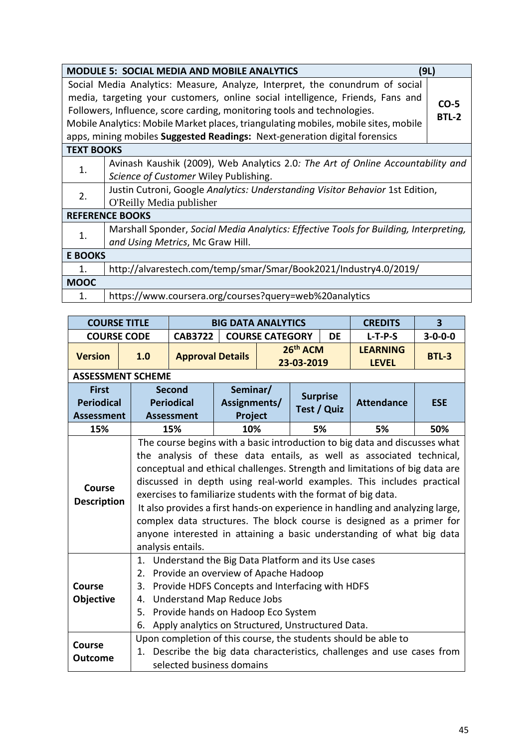|                   | <b>MODULE 5: SOCIAL MEDIA AND MOBILE ANALYTICS</b><br>(9L)                                                                                                                                                                                                                                                                                                                                                     |                        |
|-------------------|----------------------------------------------------------------------------------------------------------------------------------------------------------------------------------------------------------------------------------------------------------------------------------------------------------------------------------------------------------------------------------------------------------------|------------------------|
|                   | Social Media Analytics: Measure, Analyze, Interpret, the conundrum of social<br>media, targeting your customers, online social intelligence, Friends, Fans and<br>Followers, Influence, score carding, monitoring tools and technologies.<br>Mobile Analytics: Mobile Market places, triangulating mobiles, mobile sites, mobile<br>apps, mining mobiles Suggested Readings: Next-generation digital forensics | $CO-5$<br><b>BTL-2</b> |
| <b>TEXT BOOKS</b> |                                                                                                                                                                                                                                                                                                                                                                                                                |                        |
| 1.                | Avinash Kaushik (2009), Web Analytics 2.0: The Art of Online Accountability and<br>Science of Customer Wiley Publishing.                                                                                                                                                                                                                                                                                       |                        |
| 2.                | Justin Cutroni, Google Analytics: Understanding Visitor Behavior 1st Edition,<br>O'Reilly Media publisher                                                                                                                                                                                                                                                                                                      |                        |
|                   | <b>REFERENCE BOOKS</b>                                                                                                                                                                                                                                                                                                                                                                                         |                        |
| 1.                | Marshall Sponder, Social Media Analytics: Effective Tools for Building, Interpreting,<br>and Using Metrics, Mc Graw Hill.                                                                                                                                                                                                                                                                                      |                        |
| <b>E BOOKS</b>    |                                                                                                                                                                                                                                                                                                                                                                                                                |                        |
| 1.                | http://alvarestech.com/temp/smar/Smar/Book2021/Industry4.0/2019/                                                                                                                                                                                                                                                                                                                                               |                        |
| <b>MOOC</b>       |                                                                                                                                                                                                                                                                                                                                                                                                                |                        |
| 1.                | https://www.coursera.org/courses?query=web%20analytics                                                                                                                                                                                                                                                                                                                                                         |                        |

| <b>COURSE TITLE</b>                                    |                                  |                                                                                                                                                                                                                                                                                                               | <b>BIG DATA ANALYTICS</b> |                        |                          |                 | <b>CREDITS</b>                                                                                                                                                                                                                                                                                                                                                                                                                                                                                                                                                                                                  | $\overline{\mathbf{3}}$ |
|--------------------------------------------------------|----------------------------------|---------------------------------------------------------------------------------------------------------------------------------------------------------------------------------------------------------------------------------------------------------------------------------------------------------------|---------------------------|------------------------|--------------------------|-----------------|-----------------------------------------------------------------------------------------------------------------------------------------------------------------------------------------------------------------------------------------------------------------------------------------------------------------------------------------------------------------------------------------------------------------------------------------------------------------------------------------------------------------------------------------------------------------------------------------------------------------|-------------------------|
| <b>COURSE CODE</b>                                     |                                  | <b>CAB3722</b>                                                                                                                                                                                                                                                                                                |                           | <b>COURSE CATEGORY</b> |                          | <b>DE</b>       | $L-T-P-S$                                                                                                                                                                                                                                                                                                                                                                                                                                                                                                                                                                                                       | $3 - 0 - 0 - 0$         |
| <b>Version</b>                                         | 1.0                              | <b>Approval Details</b>                                                                                                                                                                                                                                                                                       |                           |                        | $26th$ ACM<br>23-03-2019 |                 | <b>LEARNING</b><br><b>LEVEL</b>                                                                                                                                                                                                                                                                                                                                                                                                                                                                                                                                                                                 | <b>BTL-3</b>            |
|                                                        | <b>ASSESSMENT SCHEME</b>         |                                                                                                                                                                                                                                                                                                               |                           |                        |                          |                 |                                                                                                                                                                                                                                                                                                                                                                                                                                                                                                                                                                                                                 |                         |
| <b>First</b>                                           |                                  | Second                                                                                                                                                                                                                                                                                                        | Seminar/                  |                        |                          | <b>Surprise</b> |                                                                                                                                                                                                                                                                                                                                                                                                                                                                                                                                                                                                                 |                         |
| <b>Periodical</b>                                      |                                  | <b>Periodical</b>                                                                                                                                                                                                                                                                                             | Assignments/              |                        |                          | Test / Quiz     | <b>Attendance</b>                                                                                                                                                                                                                                                                                                                                                                                                                                                                                                                                                                                               | <b>ESE</b>              |
| <b>Assessment</b>                                      |                                  | <b>Assessment</b>                                                                                                                                                                                                                                                                                             | Project                   |                        |                          |                 |                                                                                                                                                                                                                                                                                                                                                                                                                                                                                                                                                                                                                 |                         |
| 15%                                                    |                                  | 15%                                                                                                                                                                                                                                                                                                           | 10%                       |                        |                          | 5%              | 5%                                                                                                                                                                                                                                                                                                                                                                                                                                                                                                                                                                                                              | 50%                     |
| Course<br><b>Description</b>                           |                                  | analysis entails.                                                                                                                                                                                                                                                                                             |                           |                        |                          |                 | The course begins with a basic introduction to big data and discusses what<br>the analysis of these data entails, as well as associated technical,<br>conceptual and ethical challenges. Strength and limitations of big data are<br>discussed in depth using real-world examples. This includes practical<br>exercises to familiarize students with the format of big data.<br>It also provides a first hands-on experience in handling and analyzing large,<br>complex data structures. The block course is designed as a primer for<br>anyone interested in attaining a basic understanding of what big data |                         |
| Course<br>Objective<br><b>Course</b><br><b>Outcome</b> | 2.<br>3.<br>4.<br>5.<br>6.<br>1. | 1. Understand the Big Data Platform and its Use cases<br>Provide an overview of Apache Hadoop<br>Provide HDFS Concepts and Interfacing with HDFS<br><b>Understand Map Reduce Jobs</b><br>Provide hands on Hadoop Eco System<br>Apply analytics on Structured, Unstructured Data.<br>selected business domains |                           |                        |                          |                 | Upon completion of this course, the students should be able to<br>Describe the big data characteristics, challenges and use cases from                                                                                                                                                                                                                                                                                                                                                                                                                                                                          |                         |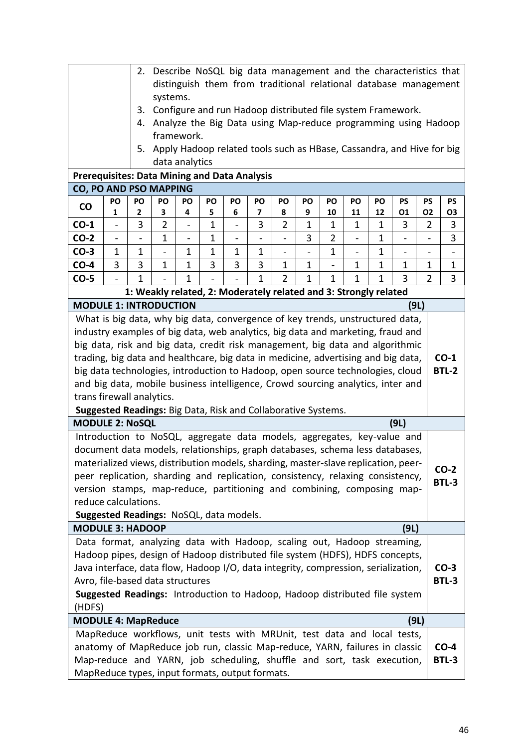| Describe NoSQL big data management and the characteristics that<br>2.                                                                                            |                          |    |             |                |           |                          |                                                                  |              |             |    |                   |              |                                                                       |                          |              |
|------------------------------------------------------------------------------------------------------------------------------------------------------------------|--------------------------|----|-------------|----------------|-----------|--------------------------|------------------------------------------------------------------|--------------|-------------|----|-------------------|--------------|-----------------------------------------------------------------------|--------------------------|--------------|
| distinguish them from traditional relational database management                                                                                                 |                          |    |             |                |           |                          |                                                                  |              |             |    |                   |              |                                                                       |                          |              |
|                                                                                                                                                                  |                          |    | systems.    |                |           |                          |                                                                  |              |             |    |                   |              |                                                                       |                          |              |
|                                                                                                                                                                  |                          | 3. |             |                |           |                          |                                                                  |              |             |    |                   |              | Configure and run Hadoop distributed file system Framework.           |                          |              |
|                                                                                                                                                                  |                          | 4. |             |                |           |                          |                                                                  |              |             |    |                   |              | Analyze the Big Data using Map-reduce programming using Hadoop        |                          |              |
|                                                                                                                                                                  |                          |    |             | framework.     |           |                          |                                                                  |              |             |    |                   |              |                                                                       |                          |              |
|                                                                                                                                                                  |                          | 5. |             |                |           |                          |                                                                  |              |             |    |                   |              | Apply Hadoop related tools such as HBase, Cassandra, and Hive for big |                          |              |
|                                                                                                                                                                  |                          |    |             | data analytics |           |                          |                                                                  |              |             |    |                   |              |                                                                       |                          |              |
| <b>Prerequisites: Data Mining and Data Analysis</b>                                                                                                              |                          |    |             |                |           |                          |                                                                  |              |             |    |                   |              |                                                                       |                          |              |
| <b>CO, PO AND PSO MAPPING</b>                                                                                                                                    | PO                       | PO | PO          | PO             | <b>PO</b> | <b>PO</b>                | PO                                                               | PO           | PO          | PO | PO                | PO           | PS                                                                    | <b>PS</b>                | <b>PS</b>    |
| $\mathsf{co}$                                                                                                                                                    | 1                        | 2  | 3           | 4              | 5         | 6                        | 7                                                                | 8            | 9           | 10 | 11                | 12           | 01                                                                    | 02                       | O3           |
| $CO-1$                                                                                                                                                           |                          | 3  | 2           |                | 1         |                          | 3                                                                | 2            | 1           | 1  | 1                 | 1            | 3                                                                     | 2                        | 3            |
| $CO-2$                                                                                                                                                           | $\overline{\phantom{0}}$ |    | $\mathbf 1$ |                | 1         | $\overline{\phantom{0}}$ |                                                                  | -            | 3           | 2  | $\overline{a}$    | 1            |                                                                       | $\overline{\phantom{0}}$ | 3            |
| $CO-3$                                                                                                                                                           | $\mathbf 1$              | 1  |             | 1              | 1         | 1                        | 1                                                                | -            |             | 1  | $\qquad \qquad -$ | 1            |                                                                       | $\overline{\phantom{0}}$ |              |
| $CO-4$                                                                                                                                                           | 3                        | 3  | $\mathbf 1$ | 1              | 3         | 3                        | 3                                                                | $\mathbf{1}$ | 1           |    | $\mathbf 1$       | $\mathbf{1}$ | $\mathbf 1$                                                           | 1                        | 1            |
| $CO-5$                                                                                                                                                           | $\overline{\phantom{0}}$ | 1  |             | 1              |           |                          | 1                                                                | 2            | $\mathbf 1$ | 1  | 1                 | 1            | 3                                                                     | 2                        | 3            |
|                                                                                                                                                                  |                          |    |             |                |           |                          | 1: Weakly related, 2: Moderately related and 3: Strongly related |              |             |    |                   |              |                                                                       |                          |              |
| <b>MODULE 1: INTRODUCTION</b>                                                                                                                                    |                          |    |             |                |           |                          |                                                                  |              |             |    |                   |              | (9L)                                                                  |                          |              |
| What is big data, why big data, convergence of key trends, unstructured data,                                                                                    |                          |    |             |                |           |                          |                                                                  |              |             |    |                   |              |                                                                       |                          |              |
|                                                                                                                                                                  |                          |    |             |                |           |                          |                                                                  |              |             |    |                   |              |                                                                       |                          |              |
| industry examples of big data, web analytics, big data and marketing, fraud and<br>big data, risk and big data, credit risk management, big data and algorithmic |                          |    |             |                |           |                          |                                                                  |              |             |    |                   |              |                                                                       |                          |              |
| trading, big data and healthcare, big data in medicine, advertising and big data,                                                                                |                          |    |             |                |           |                          |                                                                  |              |             |    | $CO-1$            |              |                                                                       |                          |              |
| big data technologies, introduction to Hadoop, open source technologies, cloud                                                                                   |                          |    |             |                |           |                          |                                                                  |              |             |    |                   | <b>BTL-2</b> |                                                                       |                          |              |
| and big data, mobile business intelligence, Crowd sourcing analytics, inter and                                                                                  |                          |    |             |                |           |                          |                                                                  |              |             |    |                   |              |                                                                       |                          |              |
| trans firewall analytics.                                                                                                                                        |                          |    |             |                |           |                          |                                                                  |              |             |    |                   |              |                                                                       |                          |              |
| Suggested Readings: Big Data, Risk and Collaborative Systems.                                                                                                    |                          |    |             |                |           |                          |                                                                  |              |             |    |                   |              |                                                                       |                          |              |
| <b>MODULE 2: NoSQL</b>                                                                                                                                           |                          |    |             |                |           |                          |                                                                  |              |             |    |                   |              | (9L)                                                                  |                          |              |
| Introduction to NoSQL, aggregate data models, aggregates, key-value and                                                                                          |                          |    |             |                |           |                          |                                                                  |              |             |    |                   |              |                                                                       |                          |              |
| document data models, relationships, graph databases, schema less databases,                                                                                     |                          |    |             |                |           |                          |                                                                  |              |             |    |                   |              |                                                                       |                          |              |
| materialized views, distribution models, sharding, master-slave replication, peer-                                                                               |                          |    |             |                |           |                          |                                                                  |              |             |    |                   |              |                                                                       |                          | $CO-2$       |
| peer replication, sharding and replication, consistency, relaxing consistency,                                                                                   |                          |    |             |                |           |                          |                                                                  |              |             |    |                   |              |                                                                       |                          | <b>BTL-3</b> |
| version stamps, map-reduce, partitioning and combining, composing map-<br>reduce calculations.                                                                   |                          |    |             |                |           |                          |                                                                  |              |             |    |                   |              |                                                                       |                          |              |
| Suggested Readings: NoSQL, data models.                                                                                                                          |                          |    |             |                |           |                          |                                                                  |              |             |    |                   |              |                                                                       |                          |              |
| <b>MODULE 3: HADOOP</b>                                                                                                                                          |                          |    |             |                |           |                          |                                                                  |              |             |    |                   |              | (9L)                                                                  |                          |              |
| Data format, analyzing data with Hadoop, scaling out, Hadoop streaming,                                                                                          |                          |    |             |                |           |                          |                                                                  |              |             |    |                   |              |                                                                       |                          |              |
| Hadoop pipes, design of Hadoop distributed file system (HDFS), HDFS concepts,                                                                                    |                          |    |             |                |           |                          |                                                                  |              |             |    |                   |              |                                                                       |                          |              |
| Java interface, data flow, Hadoop I/O, data integrity, compression, serialization,                                                                               |                          |    |             |                |           |                          |                                                                  |              |             |    |                   |              |                                                                       |                          | $CO-3$       |
| Avro, file-based data structures                                                                                                                                 |                          |    |             |                |           |                          |                                                                  |              |             |    |                   |              |                                                                       |                          | BTL-3        |
|                                                                                                                                                                  |                          |    |             |                |           |                          |                                                                  |              |             |    |                   |              |                                                                       |                          |              |
| Suggested Readings: Introduction to Hadoop, Hadoop distributed file system<br>(HDFS)                                                                             |                          |    |             |                |           |                          |                                                                  |              |             |    |                   |              |                                                                       |                          |              |
| <b>MODULE 4: MapReduce</b>                                                                                                                                       |                          |    |             |                |           |                          |                                                                  |              |             |    |                   |              | (9L)                                                                  |                          |              |
| MapReduce workflows, unit tests with MRUnit, test data and local tests,                                                                                          |                          |    |             |                |           |                          |                                                                  |              |             |    |                   |              |                                                                       |                          |              |
| anatomy of MapReduce job run, classic Map-reduce, YARN, failures in classic                                                                                      |                          |    |             |                |           |                          |                                                                  |              |             |    |                   |              |                                                                       |                          | $CO-4$       |
| Map-reduce and YARN, job scheduling, shuffle and sort, task execution,                                                                                           |                          |    |             |                |           |                          |                                                                  |              |             |    |                   |              |                                                                       |                          | BTL-3        |
| MapReduce types, input formats, output formats.                                                                                                                  |                          |    |             |                |           |                          |                                                                  |              |             |    |                   |              |                                                                       |                          |              |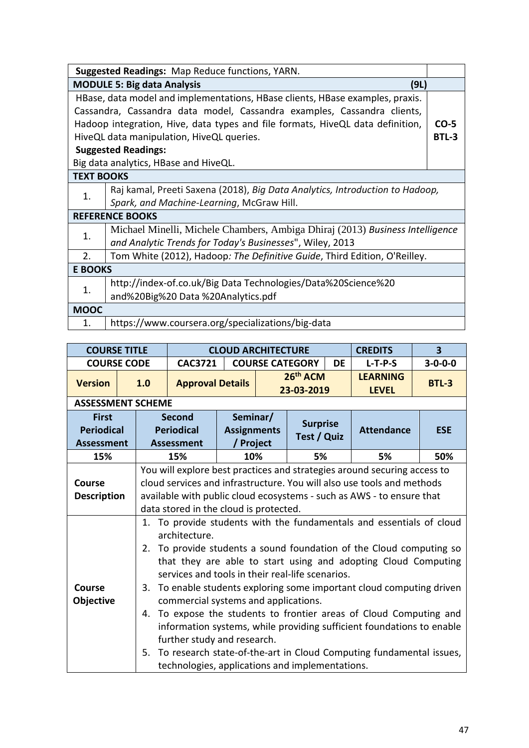| <b>Suggested Readings: Map Reduce functions, YARN.</b>                                   |                                                                               |              |  |  |  |  |  |  |
|------------------------------------------------------------------------------------------|-------------------------------------------------------------------------------|--------------|--|--|--|--|--|--|
|                                                                                          | <b>MODULE 5: Big data Analysis</b><br>(9L)                                    |              |  |  |  |  |  |  |
|                                                                                          | HBase, data model and implementations, HBase clients, HBase examples, praxis. |              |  |  |  |  |  |  |
|                                                                                          | Cassandra, Cassandra data model, Cassandra examples, Cassandra clients,       |              |  |  |  |  |  |  |
| Hadoop integration, Hive, data types and file formats, HiveQL data definition,<br>$CO-5$ |                                                                               |              |  |  |  |  |  |  |
|                                                                                          | HiveQL data manipulation, HiveQL queries.                                     | <b>BTL-3</b> |  |  |  |  |  |  |
|                                                                                          | <b>Suggested Readings:</b>                                                    |              |  |  |  |  |  |  |
|                                                                                          | Big data analytics, HBase and HiveQL.                                         |              |  |  |  |  |  |  |
| <b>TEXT BOOKS</b>                                                                        |                                                                               |              |  |  |  |  |  |  |
| 1.                                                                                       | Raj kamal, Preeti Saxena (2018), Big Data Analytics, Introduction to Hadoop,  |              |  |  |  |  |  |  |
|                                                                                          | Spark, and Machine-Learning, McGraw Hill.                                     |              |  |  |  |  |  |  |
|                                                                                          | <b>REFERENCE BOOKS</b>                                                        |              |  |  |  |  |  |  |
| 1.                                                                                       | Michael Minelli, Michele Chambers, Ambiga Dhiraj (2013) Business Intelligence |              |  |  |  |  |  |  |
|                                                                                          | and Analytic Trends for Today's Businesses", Wiley, 2013                      |              |  |  |  |  |  |  |
| 2.                                                                                       | Tom White (2012), Hadoop: The Definitive Guide, Third Edition, O'Reilley.     |              |  |  |  |  |  |  |
| <b>E BOOKS</b>                                                                           |                                                                               |              |  |  |  |  |  |  |
| 1.                                                                                       | http://index-of.co.uk/Big Data Technologies/Data%20Science%20                 |              |  |  |  |  |  |  |
|                                                                                          | and%20Big%20 Data %20Analytics.pdf                                            |              |  |  |  |  |  |  |
| <b>MOOC</b>                                                                              |                                                                               |              |  |  |  |  |  |  |
| $\mathbf{1}$ .                                                                           | https://www.coursera.org/specializations/big-data                             |              |  |  |  |  |  |  |

| <b>COURSE TITLE</b>      |  |                                                                                                                                                    |                                                 | <b>CLOUD ARCHITECTURE</b> | <b>CREDITS</b> | $\overline{\mathbf{3}}$ |           |                                                                       |                 |  |  |  |  |  |
|--------------------------|--|----------------------------------------------------------------------------------------------------------------------------------------------------|-------------------------------------------------|---------------------------|----------------|-------------------------|-----------|-----------------------------------------------------------------------|-----------------|--|--|--|--|--|
| <b>COURSE CODE</b>       |  |                                                                                                                                                    | <b>CAC3721</b>                                  |                           |                | <b>COURSE CATEGORY</b>  | <b>DE</b> | $L-T-P-S$                                                             | $3 - 0 - 0 - 0$ |  |  |  |  |  |
| <b>Version</b>           |  | 1.0                                                                                                                                                | <b>Approval Details</b>                         |                           |                | 26th ACM<br>23-03-2019  |           | <b>LEARNING</b><br><b>LEVEL</b>                                       | <b>BTL-3</b>    |  |  |  |  |  |
| <b>ASSESSMENT SCHEME</b> |  |                                                                                                                                                    |                                                 |                           |                |                         |           |                                                                       |                 |  |  |  |  |  |
| <b>First</b>             |  |                                                                                                                                                    | Second                                          | Seminar/                  |                | <b>Surprise</b>         |           |                                                                       |                 |  |  |  |  |  |
| <b>Periodical</b>        |  |                                                                                                                                                    | <b>Periodical</b>                               | <b>Assignments</b>        |                | Test / Quiz             |           | <b>Attendance</b>                                                     | <b>ESE</b>      |  |  |  |  |  |
| <b>Assessment</b>        |  |                                                                                                                                                    | <b>Assessment</b>                               | / Project                 |                |                         |           |                                                                       |                 |  |  |  |  |  |
| 15%                      |  | 50%<br>10%<br>5%<br>15%<br>5%                                                                                                                      |                                                 |                           |                |                         |           |                                                                       |                 |  |  |  |  |  |
|                          |  | You will explore best practices and strategies around securing access to<br>cloud services and infrastructure. You will also use tools and methods |                                                 |                           |                |                         |           |                                                                       |                 |  |  |  |  |  |
| Course                   |  |                                                                                                                                                    |                                                 |                           |                |                         |           |                                                                       |                 |  |  |  |  |  |
| <b>Description</b>       |  |                                                                                                                                                    |                                                 |                           |                |                         |           | available with public cloud ecosystems - such as AWS - to ensure that |                 |  |  |  |  |  |
|                          |  |                                                                                                                                                    | data stored in the cloud is protected.          |                           |                |                         |           |                                                                       |                 |  |  |  |  |  |
|                          |  | To provide students with the fundamentals and essentials of cloud<br>1.                                                                            |                                                 |                           |                |                         |           |                                                                       |                 |  |  |  |  |  |
|                          |  | architecture.                                                                                                                                      |                                                 |                           |                |                         |           |                                                                       |                 |  |  |  |  |  |
|                          |  | 2. To provide students a sound foundation of the Cloud computing so                                                                                |                                                 |                           |                |                         |           |                                                                       |                 |  |  |  |  |  |
|                          |  | that they are able to start using and adopting Cloud Computing                                                                                     |                                                 |                           |                |                         |           |                                                                       |                 |  |  |  |  |  |
|                          |  | services and tools in their real-life scenarios.                                                                                                   |                                                 |                           |                |                         |           |                                                                       |                 |  |  |  |  |  |
| Course                   |  |                                                                                                                                                    |                                                 |                           |                |                         |           | 3. To enable students exploring some important cloud computing driven |                 |  |  |  |  |  |
| <b>Objective</b>         |  |                                                                                                                                                    | commercial systems and applications.            |                           |                |                         |           |                                                                       |                 |  |  |  |  |  |
|                          |  |                                                                                                                                                    |                                                 |                           |                |                         |           | 4. To expose the students to frontier areas of Cloud Computing and    |                 |  |  |  |  |  |
|                          |  |                                                                                                                                                    |                                                 |                           |                |                         |           | information systems, while providing sufficient foundations to enable |                 |  |  |  |  |  |
|                          |  | further study and research.                                                                                                                        |                                                 |                           |                |                         |           |                                                                       |                 |  |  |  |  |  |
|                          |  | To research state-of-the-art in Cloud Computing fundamental issues,<br>5.                                                                          |                                                 |                           |                |                         |           |                                                                       |                 |  |  |  |  |  |
|                          |  |                                                                                                                                                    | technologies, applications and implementations. |                           |                |                         |           |                                                                       |                 |  |  |  |  |  |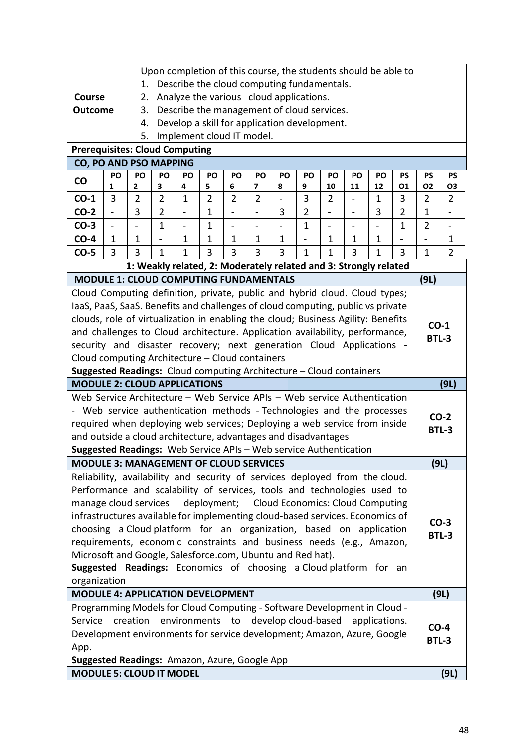|                                                                                                                                                           |               |                                                                                                                 |                          |                              |                |                              |                               |                          | Upon completion of this course, the students should be able to   |                |                              |                |                          |                        |                          |
|-----------------------------------------------------------------------------------------------------------------------------------------------------------|---------------|-----------------------------------------------------------------------------------------------------------------|--------------------------|------------------------------|----------------|------------------------------|-------------------------------|--------------------------|------------------------------------------------------------------|----------------|------------------------------|----------------|--------------------------|------------------------|--------------------------|
|                                                                                                                                                           |               | 1.                                                                                                              |                          |                              |                |                              |                               |                          | Describe the cloud computing fundamentals.                       |                |                              |                |                          |                        |                          |
| Course                                                                                                                                                    |               | 2.                                                                                                              |                          |                              |                |                              |                               |                          | Analyze the various cloud applications.                          |                |                              |                |                          |                        |                          |
| <b>Outcome</b>                                                                                                                                            |               | 3.                                                                                                              |                          |                              |                |                              |                               |                          | Describe the management of cloud services.                       |                |                              |                |                          |                        |                          |
|                                                                                                                                                           |               | 4.                                                                                                              |                          |                              |                |                              |                               |                          | Develop a skill for application development.                     |                |                              |                |                          |                        |                          |
|                                                                                                                                                           |               | 5.                                                                                                              |                          |                              |                |                              | Implement cloud IT model.     |                          |                                                                  |                |                              |                |                          |                        |                          |
| <b>Prerequisites: Cloud Computing</b>                                                                                                                     |               |                                                                                                                 |                          |                              |                |                              |                               |                          |                                                                  |                |                              |                |                          |                        |                          |
| <b>CO, PO AND PSO MAPPING</b>                                                                                                                             |               |                                                                                                                 |                          |                              |                |                              |                               |                          |                                                                  |                |                              |                |                          |                        |                          |
| $\mathsf{co}$                                                                                                                                             | PO<br>1       | PO<br>2                                                                                                         | PO<br>3                  | PO<br>4                      | PO<br>5        | PO<br>6                      | PO<br>$\overline{\mathbf{z}}$ | PO<br>8                  | PO<br>9                                                          | PO<br>10       | PO<br>11                     | PO<br>12       | <b>PS</b><br>01          | <b>PS</b><br>02        | <b>PS</b><br>03          |
| $CO-1$                                                                                                                                                    | 3             | $\overline{2}$                                                                                                  | $\overline{2}$           | $\mathbf{1}$                 | $\overline{2}$ | $\overline{2}$               | $\overline{2}$                | $\overline{\phantom{0}}$ | 3                                                                | $\overline{2}$ |                              | $\mathbf 1$    | 3                        | $\overline{2}$         | $\overline{2}$           |
| $CO-2$                                                                                                                                                    | $\frac{1}{2}$ | 3                                                                                                               | $\overline{2}$           | $\qquad \qquad \blacksquare$ | $\mathbf 1$    | $\qquad \qquad \blacksquare$ | $\frac{1}{2}$                 | 3                        | $\overline{2}$                                                   | $\frac{1}{2}$  | $\qquad \qquad \blacksquare$ | 3              | $\overline{2}$           | $\mathbf{1}$           | $\overline{\phantom{a}}$ |
| $CO-3$                                                                                                                                                    |               | $\overline{a}$                                                                                                  | $\mathbf{1}$             | $\overline{\phantom{a}}$     | $\mathbf{1}$   | $\qquad \qquad \blacksquare$ |                               |                          | $\mathbf{1}$                                                     | $\overline{a}$ |                              | $\overline{a}$ | $\mathbf{1}$             | $\overline{2}$         |                          |
| $CO-4$                                                                                                                                                    | $\mathbf{1}$  | $\mathbf{1}$                                                                                                    | $\overline{\phantom{0}}$ | $\mathbf{1}$                 | $\mathbf{1}$   | $\mathbf{1}$                 | $\mathbf 1$                   | $\mathbf{1}$             | $\qquad \qquad \blacksquare$                                     | $\mathbf{1}$   | 1                            | $\mathbf{1}$   | $\overline{\phantom{a}}$ | $\frac{1}{2}$          | $\mathbf 1$              |
| $CO-5$                                                                                                                                                    | 3             | 3<br>3<br>3<br>3<br>$\mathbf{1}$<br>3<br>$\mathbf{1}$<br>$\mathbf{1}$<br>3<br>$\mathbf{1}$<br>3<br>$\mathbf{1}$ |                          |                              |                |                              |                               |                          |                                                                  |                |                              |                |                          | $\mathbf{1}$           | $\overline{2}$           |
|                                                                                                                                                           |               |                                                                                                                 |                          |                              |                |                              |                               |                          | 1: Weakly related, 2: Moderately related and 3: Strongly related |                |                              |                |                          |                        |                          |
| <b>MODULE 1: CLOUD COMPUTING FUNDAMENTALS</b>                                                                                                             |               |                                                                                                                 |                          |                              |                |                              |                               |                          |                                                                  |                |                              |                |                          | (9L)                   |                          |
| Cloud Computing definition, private, public and hybrid cloud. Cloud types;                                                                                |               |                                                                                                                 |                          |                              |                |                              |                               |                          |                                                                  |                |                              |                |                          |                        |                          |
| laaS, PaaS, SaaS. Benefits and challenges of cloud computing, public vs private                                                                           |               |                                                                                                                 |                          |                              |                |                              |                               |                          |                                                                  |                |                              |                |                          |                        |                          |
| clouds, role of virtualization in enabling the cloud; Business Agility: Benefits                                                                          |               |                                                                                                                 |                          |                              |                |                              |                               |                          |                                                                  |                |                              |                |                          |                        |                          |
| and challenges to Cloud architecture. Application availability, performance,                                                                              |               |                                                                                                                 |                          |                              |                |                              |                               |                          |                                                                  |                |                              |                |                          | $CO-1$<br><b>BTL-3</b> |                          |
| security and disaster recovery; next generation Cloud Applications                                                                                        |               |                                                                                                                 |                          |                              |                |                              |                               |                          |                                                                  |                |                              |                |                          |                        |                          |
| Cloud computing Architecture - Cloud containers                                                                                                           |               |                                                                                                                 |                          |                              |                |                              |                               |                          |                                                                  |                |                              |                |                          |                        |                          |
| Suggested Readings: Cloud computing Architecture - Cloud containers                                                                                       |               |                                                                                                                 |                          |                              |                |                              |                               |                          |                                                                  |                |                              |                |                          |                        |                          |
| <b>MODULE 2: CLOUD APPLICATIONS</b>                                                                                                                       |               |                                                                                                                 |                          |                              |                |                              |                               |                          |                                                                  |                |                              | (9L)           |                          |                        |                          |
| Web Service Architecture - Web Service APIs - Web service Authentication                                                                                  |               |                                                                                                                 |                          |                              |                |                              |                               |                          |                                                                  |                |                              |                |                          |                        |                          |
| Web service authentication methods - Technologies and the processes                                                                                       |               |                                                                                                                 |                          |                              |                |                              |                               |                          |                                                                  |                |                              |                |                          |                        | $CO-2$                   |
| required when deploying web services; Deploying a web service from inside                                                                                 |               |                                                                                                                 |                          |                              |                |                              |                               |                          |                                                                  |                |                              |                |                          |                        | <b>BTL-3</b>             |
| and outside a cloud architecture, advantages and disadvantages                                                                                            |               |                                                                                                                 |                          |                              |                |                              |                               |                          |                                                                  |                |                              |                |                          |                        |                          |
| Suggested Readings: Web Service APIs - Web service Authentication                                                                                         |               |                                                                                                                 |                          |                              |                |                              |                               |                          |                                                                  |                |                              |                |                          |                        |                          |
| <b>MODULE 3: MANAGEMENT OF CLOUD SERVICES</b>                                                                                                             |               |                                                                                                                 |                          |                              |                |                              |                               |                          |                                                                  |                |                              |                |                          | (9L)                   |                          |
| Reliability, availability and security of services deployed from the cloud.                                                                               |               |                                                                                                                 |                          |                              |                |                              |                               |                          |                                                                  |                |                              |                |                          |                        |                          |
| Performance and scalability of services, tools and technologies used to                                                                                   |               |                                                                                                                 |                          |                              |                |                              |                               |                          |                                                                  |                |                              |                |                          |                        |                          |
| manage cloud services                                                                                                                                     |               |                                                                                                                 |                          |                              |                |                              |                               |                          | deployment; Cloud Economics: Cloud Computing                     |                |                              |                |                          |                        |                          |
| infrastructures available for implementing cloud-based services. Economics of                                                                             |               |                                                                                                                 |                          |                              |                |                              |                               |                          |                                                                  |                |                              |                |                          |                        | $CO-3$                   |
| choosing a Cloud platform for an organization, based on application                                                                                       |               |                                                                                                                 |                          |                              |                |                              |                               |                          |                                                                  |                |                              |                |                          |                        | <b>BTL-3</b>             |
| requirements, economic constraints and business needs (e.g., Amazon,                                                                                      |               |                                                                                                                 |                          |                              |                |                              |                               |                          |                                                                  |                |                              |                |                          |                        |                          |
| Microsoft and Google, Salesforce.com, Ubuntu and Red hat).                                                                                                |               |                                                                                                                 |                          |                              |                |                              |                               |                          |                                                                  |                |                              |                |                          |                        |                          |
| Suggested Readings: Economics of choosing a Cloud platform for an                                                                                         |               |                                                                                                                 |                          |                              |                |                              |                               |                          |                                                                  |                |                              |                |                          |                        |                          |
| organization                                                                                                                                              |               |                                                                                                                 |                          |                              |                |                              |                               |                          |                                                                  |                |                              |                |                          |                        |                          |
| <b>MODULE 4: APPLICATION DEVELOPMENT</b>                                                                                                                  |               |                                                                                                                 |                          |                              |                |                              |                               |                          |                                                                  |                |                              | (9L)           |                          |                        |                          |
| Programming Models for Cloud Computing - Software Development in Cloud -                                                                                  |               |                                                                                                                 |                          |                              |                |                              |                               |                          |                                                                  |                |                              |                |                          |                        |                          |
| Service<br>creation<br>environments to<br>develop cloud-based<br>applications.<br>Development environments for service development; Amazon, Azure, Google |               |                                                                                                                 |                          |                              |                |                              |                               |                          |                                                                  |                | $CO-4$                       |                |                          |                        |                          |
|                                                                                                                                                           |               |                                                                                                                 |                          |                              |                |                              |                               |                          |                                                                  |                |                              |                |                          | <b>BTL-3</b>           |                          |
| App.<br>Suggested Readings: Amazon, Azure, Google App                                                                                                     |               |                                                                                                                 |                          |                              |                |                              |                               |                          |                                                                  |                |                              |                |                          |                        |                          |
| <b>MODULE 5: CLOUD IT MODEL</b>                                                                                                                           |               |                                                                                                                 |                          |                              |                |                              |                               |                          |                                                                  |                |                              |                |                          |                        |                          |
|                                                                                                                                                           |               |                                                                                                                 |                          |                              |                |                              |                               |                          |                                                                  |                |                              |                |                          |                        | (9L)                     |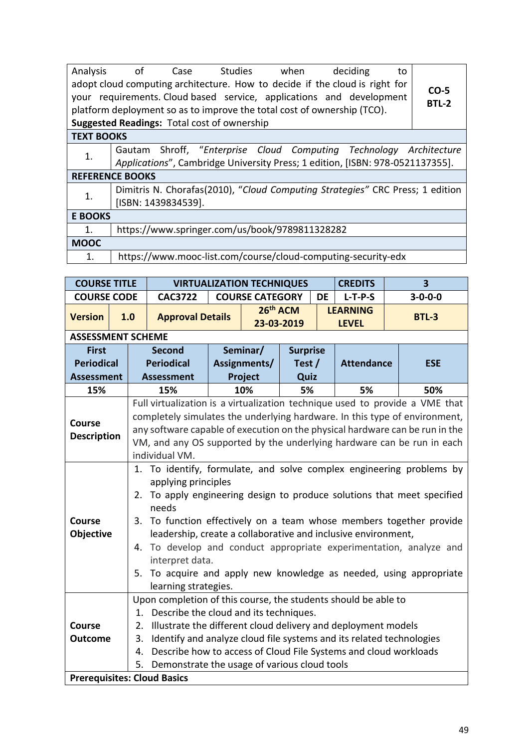| Analysis          | of Case Studies when<br>adopt cloud computing architecture. How to decide if the cloud is right for<br>your requirements. Cloud based service, applications and development<br>platform deployment so as to improve the total cost of ownership (TCO).<br><b>Suggested Readings: Total cost of ownership</b> | deciding<br>to | $CO-5$<br><b>BTL-2</b> |
|-------------------|--------------------------------------------------------------------------------------------------------------------------------------------------------------------------------------------------------------------------------------------------------------------------------------------------------------|----------------|------------------------|
| <b>TEXT BOOKS</b> |                                                                                                                                                                                                                                                                                                              |                |                        |
| 1.                | Gautam Shroff, "Enterprise Cloud Computing Technology Architecture<br>Applications", Cambridge University Press; 1 edition, [ISBN: 978-0521137355].                                                                                                                                                          |                |                        |
|                   | <b>REFERENCE BOOKS</b>                                                                                                                                                                                                                                                                                       |                |                        |
| 1.                | Dimitris N. Chorafas(2010), "Cloud Computing Strategies" CRC Press; 1 edition<br>[ISBN: 1439834539].                                                                                                                                                                                                         |                |                        |
| <b>E BOOKS</b>    |                                                                                                                                                                                                                                                                                                              |                |                        |
| 1.                | https://www.springer.com/us/book/9789811328282                                                                                                                                                                                                                                                               |                |                        |
| <b>MOOC</b>       |                                                                                                                                                                                                                                                                                                              |                |                        |
| 1.                | https://www.mooc-list.com/course/cloud-computing-security-edx                                                                                                                                                                                                                                                |                |                        |

| <b>COURSE TITLE</b>      |                                              |                                                                                             | <b>VIRTUALIZATION TECHNIQUES</b>                                     |  | <b>CREDITS</b>                     |                 | $\overline{\mathbf{3}}$ |                                 |  |                 |  |  |  |  |
|--------------------------|----------------------------------------------|---------------------------------------------------------------------------------------------|----------------------------------------------------------------------|--|------------------------------------|-----------------|-------------------------|---------------------------------|--|-----------------|--|--|--|--|
| <b>COURSE CODE</b>       |                                              |                                                                                             | <b>CAC3722</b>                                                       |  | <b>COURSE CATEGORY</b>             |                 | <b>DE</b>               | $L-T-P-S$                       |  | $3 - 0 - 0 - 0$ |  |  |  |  |
| <b>Version</b>           | 1.0                                          |                                                                                             | <b>Approval Details</b>                                              |  | 26 <sup>th</sup> ACM<br>23-03-2019 |                 |                         | <b>LEARNING</b><br><b>LEVEL</b> |  | <b>BTL-3</b>    |  |  |  |  |
| <b>ASSESSMENT SCHEME</b> |                                              |                                                                                             |                                                                      |  |                                    |                 |                         |                                 |  |                 |  |  |  |  |
| <b>First</b>             |                                              |                                                                                             | <b>Second</b>                                                        |  | Seminar/                           | <b>Surprise</b> |                         |                                 |  |                 |  |  |  |  |
| <b>Periodical</b>        |                                              |                                                                                             | <b>Periodical</b>                                                    |  | Assignments/                       | Test $/$        |                         | <b>Attendance</b>               |  | <b>ESE</b>      |  |  |  |  |
| <b>Assessment</b>        |                                              |                                                                                             | <b>Assessment</b>                                                    |  | Project                            | Quiz            |                         |                                 |  |                 |  |  |  |  |
| 15%                      |                                              |                                                                                             | 15%                                                                  |  | 10%                                | 5%              |                         | 5%                              |  | 50%             |  |  |  |  |
|                          |                                              | Full virtualization is a virtualization technique used to provide a VME that                |                                                                      |  |                                    |                 |                         |                                 |  |                 |  |  |  |  |
| <b>Course</b>            |                                              | completely simulates the underlying hardware. In this type of environment,                  |                                                                      |  |                                    |                 |                         |                                 |  |                 |  |  |  |  |
| <b>Description</b>       |                                              | any software capable of execution on the physical hardware can be run in the                |                                                                      |  |                                    |                 |                         |                                 |  |                 |  |  |  |  |
|                          |                                              | VM, and any OS supported by the underlying hardware can be run in each<br>individual VM.    |                                                                      |  |                                    |                 |                         |                                 |  |                 |  |  |  |  |
|                          |                                              |                                                                                             |                                                                      |  |                                    |                 |                         |                                 |  |                 |  |  |  |  |
|                          |                                              | 1. To identify, formulate, and solve complex engineering problems by                        |                                                                      |  |                                    |                 |                         |                                 |  |                 |  |  |  |  |
|                          |                                              | applying principles<br>To apply engineering design to produce solutions that meet specified |                                                                      |  |                                    |                 |                         |                                 |  |                 |  |  |  |  |
|                          |                                              | 2.                                                                                          |                                                                      |  |                                    |                 |                         |                                 |  |                 |  |  |  |  |
| <b>Course</b>            |                                              | needs                                                                                       |                                                                      |  |                                    |                 |                         |                                 |  |                 |  |  |  |  |
| Objective                |                                              | To function effectively on a team whose members together provide<br>3.                      |                                                                      |  |                                    |                 |                         |                                 |  |                 |  |  |  |  |
|                          |                                              | leadership, create a collaborative and inclusive environment,                               |                                                                      |  |                                    |                 |                         |                                 |  |                 |  |  |  |  |
|                          |                                              | 4. To develop and conduct appropriate experimentation, analyze and<br>interpret data.       |                                                                      |  |                                    |                 |                         |                                 |  |                 |  |  |  |  |
|                          |                                              | 5.                                                                                          |                                                                      |  |                                    |                 |                         |                                 |  |                 |  |  |  |  |
|                          |                                              | To acquire and apply new knowledge as needed, using appropriate<br>learning strategies.     |                                                                      |  |                                    |                 |                         |                                 |  |                 |  |  |  |  |
|                          |                                              |                                                                                             | Upon completion of this course, the students should be able to       |  |                                    |                 |                         |                                 |  |                 |  |  |  |  |
|                          | Describe the cloud and its techniques.<br>1. |                                                                                             |                                                                      |  |                                    |                 |                         |                                 |  |                 |  |  |  |  |
| <b>Course</b>            |                                              | 2.                                                                                          | Illustrate the different cloud delivery and deployment models        |  |                                    |                 |                         |                                 |  |                 |  |  |  |  |
| <b>Outcome</b>           |                                              | 3.                                                                                          | Identify and analyze cloud file systems and its related technologies |  |                                    |                 |                         |                                 |  |                 |  |  |  |  |
|                          |                                              | 4.                                                                                          | Describe how to access of Cloud File Systems and cloud workloads     |  |                                    |                 |                         |                                 |  |                 |  |  |  |  |
|                          |                                              | Demonstrate the usage of various cloud tools<br>5.                                          |                                                                      |  |                                    |                 |                         |                                 |  |                 |  |  |  |  |
|                          |                                              |                                                                                             | <b>Prerequisites: Cloud Basics</b>                                   |  |                                    |                 |                         |                                 |  |                 |  |  |  |  |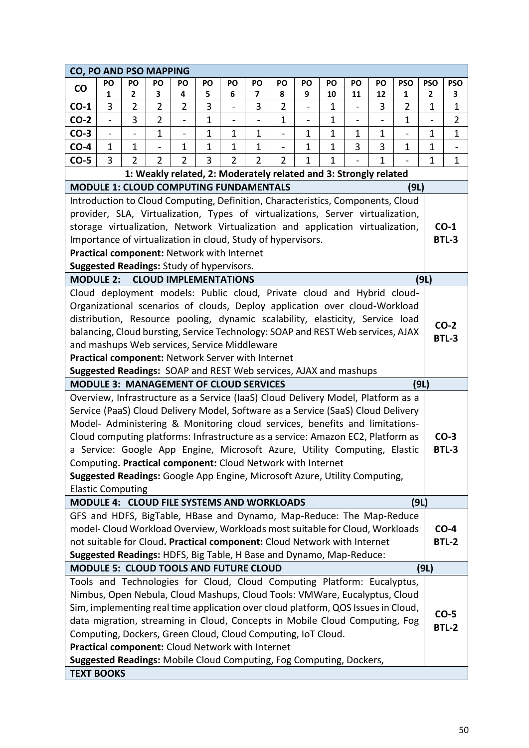| CO, PO AND PSO MAPPING                                                                                                                         |                |                          |                              |                              |              |                          |                |                |                          |              |                              |              |                |            |                          |
|------------------------------------------------------------------------------------------------------------------------------------------------|----------------|--------------------------|------------------------------|------------------------------|--------------|--------------------------|----------------|----------------|--------------------------|--------------|------------------------------|--------------|----------------|------------|--------------------------|
| <b>CO</b>                                                                                                                                      | PO             | PO                       | PO                           | PO                           | PO           | PO                       | PO             | PO             | PO                       | PO           | PO                           | PO           | <b>PSO</b>     | <b>PSO</b> | <b>PSO</b>               |
|                                                                                                                                                | 1              | 2                        | 3                            | 4                            | 5            | 6                        | 7              | 8              | 9                        | 10           | 11                           | 12           | 1              | 2          | 3                        |
| $CO-1$                                                                                                                                         | 3              | $\overline{2}$           | $\overline{2}$               | 2                            | 3            | $\overline{\phantom{0}}$ | 3              | 2              | $\blacksquare$           | 1            | $\qquad \qquad \blacksquare$ | 3            | $\overline{2}$ | 1          | 1                        |
| $CO-2$                                                                                                                                         | $\overline{a}$ | 3                        | $\overline{2}$               | $\blacksquare$               | $\mathbf{1}$ | $\overline{a}$           |                | $\mathbf{1}$   | $\overline{\phantom{0}}$ | $\mathbf{1}$ | $\overline{\phantom{0}}$     |              | $\mathbf{1}$   |            | $\overline{2}$           |
| $CO-3$                                                                                                                                         | $\blacksquare$ | $\overline{\phantom{0}}$ | $\mathbf 1$                  | $\qquad \qquad \blacksquare$ | $\mathbf{1}$ | $\mathbf{1}$             | 1              | $\blacksquare$ | $\mathbf{1}$             | 1            | 1                            | $\mathbf{1}$ | $\overline{a}$ | 1          | $\mathbf 1$              |
| $CO-4$                                                                                                                                         | 1              | $\mathbf 1$              |                              | 1                            | $\mathbf 1$  | $\mathbf{1}$             | $\mathbf 1$    | $\overline{a}$ | $\mathbf{1}$             | 1            | 3                            | 3            | 1              | 1          | $\overline{\phantom{a}}$ |
| $CO-5$                                                                                                                                         | 3              | $\overline{2}$           | $\overline{2}$               | $\overline{2}$               | 3            | $\overline{2}$           | $\overline{2}$ | $\overline{2}$ | $\mathbf{1}$             | $\mathbf 1$  |                              | $\mathbf{1}$ |                | 1          | $\mathbf 1$              |
| 1: Weakly related, 2: Moderately related and 3: Strongly related                                                                               |                |                          |                              |                              |              |                          |                |                |                          |              |                              |              |                |            |                          |
| <b>MODULE 1: CLOUD COMPUTING FUNDAMENTALS</b><br>(9L)<br>Introduction to Cloud Computing, Definition, Characteristics, Components, Cloud       |                |                          |                              |                              |              |                          |                |                |                          |              |                              |              |                |            |                          |
|                                                                                                                                                |                |                          |                              |                              |              |                          |                |                |                          |              |                              |              |                |            |                          |
| provider, SLA, Virtualization, Types of virtualizations, Server virtualization,                                                                |                |                          |                              |                              |              |                          |                |                |                          |              |                              |              |                |            |                          |
| storage virtualization, Network Virtualization and application virtualization,<br>Importance of virtualization in cloud, Study of hypervisors. |                |                          |                              |                              |              |                          |                |                |                          |              |                              |              | $CO-1$         |            |                          |
|                                                                                                                                                |                |                          |                              |                              |              |                          |                |                |                          |              |                              |              |                |            | <b>BTL-3</b>             |
| Practical component: Network with Internet                                                                                                     |                |                          |                              |                              |              |                          |                |                |                          |              |                              |              |                |            |                          |
| Suggested Readings: Study of hypervisors.                                                                                                      |                |                          |                              |                              |              |                          |                |                |                          |              |                              |              |                |            |                          |
| <b>MODULE 2:</b>                                                                                                                               |                |                          | <b>CLOUD IMPLEMENTATIONS</b> |                              |              |                          |                |                |                          |              |                              |              |                | (9L)       |                          |
| Cloud deployment models: Public cloud, Private cloud and Hybrid cloud-                                                                         |                |                          |                              |                              |              |                          |                |                |                          |              |                              |              |                |            |                          |
| Organizational scenarios of clouds, Deploy application over cloud-Workload                                                                     |                |                          |                              |                              |              |                          |                |                |                          |              |                              |              |                |            |                          |
| distribution, Resource pooling, dynamic scalability, elasticity, Service load                                                                  |                |                          |                              |                              |              |                          |                |                |                          |              |                              |              |                |            | $CO-2$                   |
| balancing, Cloud bursting, Service Technology: SOAP and REST Web services, AJAX                                                                |                |                          |                              |                              |              |                          |                |                |                          |              |                              |              |                |            | <b>BTL-3</b>             |
| and mashups Web services, Service Middleware                                                                                                   |                |                          |                              |                              |              |                          |                |                |                          |              |                              |              |                |            |                          |
| Practical component: Network Server with Internet                                                                                              |                |                          |                              |                              |              |                          |                |                |                          |              |                              |              |                |            |                          |
| Suggested Readings: SOAP and REST Web services, AJAX and mashups                                                                               |                |                          |                              |                              |              |                          |                |                |                          |              |                              |              |                |            |                          |
| <b>MODULE 3: MANAGEMENT OF CLOUD SERVICES</b>                                                                                                  |                |                          |                              |                              |              |                          |                |                |                          |              |                              |              |                | (9L)       |                          |
| Overview, Infrastructure as a Service (IaaS) Cloud Delivery Model, Platform as a                                                               |                |                          |                              |                              |              |                          |                |                |                          |              |                              |              |                |            |                          |
| Service (PaaS) Cloud Delivery Model, Software as a Service (SaaS) Cloud Delivery                                                               |                |                          |                              |                              |              |                          |                |                |                          |              |                              |              |                |            |                          |
| Model- Administering & Monitoring cloud services, benefits and limitations-                                                                    |                |                          |                              |                              |              |                          |                |                |                          |              |                              |              |                |            |                          |
| Cloud computing platforms: Infrastructure as a service: Amazon EC2, Platform as                                                                |                |                          |                              |                              |              |                          |                |                |                          |              |                              |              |                |            | $CO-3$                   |
| a Service: Google App Engine, Microsoft Azure, Utility Computing, Elastic                                                                      |                |                          |                              |                              |              |                          |                |                |                          |              |                              |              |                |            | <b>BTL-3</b>             |
| Computing. Practical component: Cloud Network with Internet                                                                                    |                |                          |                              |                              |              |                          |                |                |                          |              |                              |              |                |            |                          |
| Suggested Readings: Google App Engine, Microsoft Azure, Utility Computing,                                                                     |                |                          |                              |                              |              |                          |                |                |                          |              |                              |              |                |            |                          |
| <b>Elastic Computing</b>                                                                                                                       |                |                          |                              |                              |              |                          |                |                |                          |              |                              |              |                |            |                          |
| <b>MODULE 4: CLOUD FILE SYSTEMS AND WORKLOADS</b>                                                                                              |                |                          |                              |                              |              |                          |                |                |                          |              |                              |              |                | (9L)       |                          |
| GFS and HDFS, BigTable, HBase and Dynamo, Map-Reduce: The Map-Reduce                                                                           |                |                          |                              |                              |              |                          |                |                |                          |              |                              |              |                |            |                          |
| model- Cloud Workload Overview, Workloads most suitable for Cloud, Workloads                                                                   |                |                          |                              |                              |              |                          |                |                |                          |              |                              |              |                |            | $CO-4$                   |
| not suitable for Cloud. Practical component: Cloud Network with Internet                                                                       |                |                          |                              |                              |              |                          |                |                |                          |              |                              |              |                |            | <b>BTL-2</b>             |
| Suggested Readings: HDFS, Big Table, H Base and Dynamo, Map-Reduce:                                                                            |                |                          |                              |                              |              |                          |                |                |                          |              |                              |              |                |            |                          |
| MODULE 5: CLOUD TOOLS AND FUTURE CLOUD                                                                                                         |                |                          |                              |                              |              |                          |                |                |                          |              |                              |              |                | (9L)       |                          |
| Tools and Technologies for Cloud, Cloud Computing Platform: Eucalyptus,                                                                        |                |                          |                              |                              |              |                          |                |                |                          |              |                              |              |                |            |                          |
| Nimbus, Open Nebula, Cloud Mashups, Cloud Tools: VMWare, Eucalyptus, Cloud                                                                     |                |                          |                              |                              |              |                          |                |                |                          |              |                              |              |                |            |                          |
| Sim, implementing real time application over cloud platform, QOS Issues in Cloud,                                                              |                |                          |                              |                              |              |                          |                |                |                          |              |                              |              |                |            | $CO-5$                   |
| data migration, streaming in Cloud, Concepts in Mobile Cloud Computing, Fog                                                                    |                |                          |                              |                              |              |                          |                |                |                          |              |                              |              |                |            | <b>BTL-2</b>             |
| Computing, Dockers, Green Cloud, Cloud Computing, IoT Cloud.                                                                                   |                |                          |                              |                              |              |                          |                |                |                          |              |                              |              |                |            |                          |
| Practical component: Cloud Network with Internet                                                                                               |                |                          |                              |                              |              |                          |                |                |                          |              |                              |              |                |            |                          |
| Suggested Readings: Mobile Cloud Computing, Fog Computing, Dockers,                                                                            |                |                          |                              |                              |              |                          |                |                |                          |              |                              |              |                |            |                          |
| <b>TEXT BOOKS</b>                                                                                                                              |                |                          |                              |                              |              |                          |                |                |                          |              |                              |              |                |            |                          |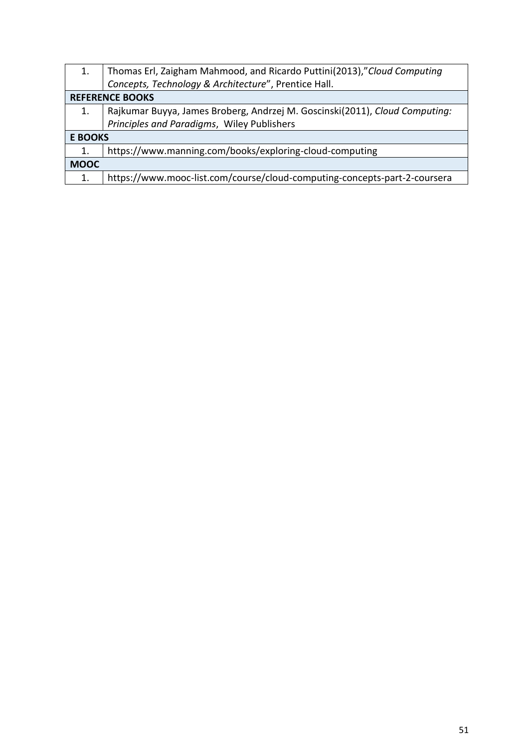| Thomas Erl, Zaigham Mahmood, and Ricardo Puttini(2013),"Cloud Computing     |  |  |  |  |  |  |  |  |  |  |  |
|-----------------------------------------------------------------------------|--|--|--|--|--|--|--|--|--|--|--|
|                                                                             |  |  |  |  |  |  |  |  |  |  |  |
| <b>REFERENCE BOOKS</b>                                                      |  |  |  |  |  |  |  |  |  |  |  |
| Rajkumar Buyya, James Broberg, Andrzej M. Goscinski(2011), Cloud Computing: |  |  |  |  |  |  |  |  |  |  |  |
|                                                                             |  |  |  |  |  |  |  |  |  |  |  |
| <b>E BOOKS</b>                                                              |  |  |  |  |  |  |  |  |  |  |  |
|                                                                             |  |  |  |  |  |  |  |  |  |  |  |
|                                                                             |  |  |  |  |  |  |  |  |  |  |  |
| https://www.mooc-list.com/course/cloud-computing-concepts-part-2-coursera   |  |  |  |  |  |  |  |  |  |  |  |
|                                                                             |  |  |  |  |  |  |  |  |  |  |  |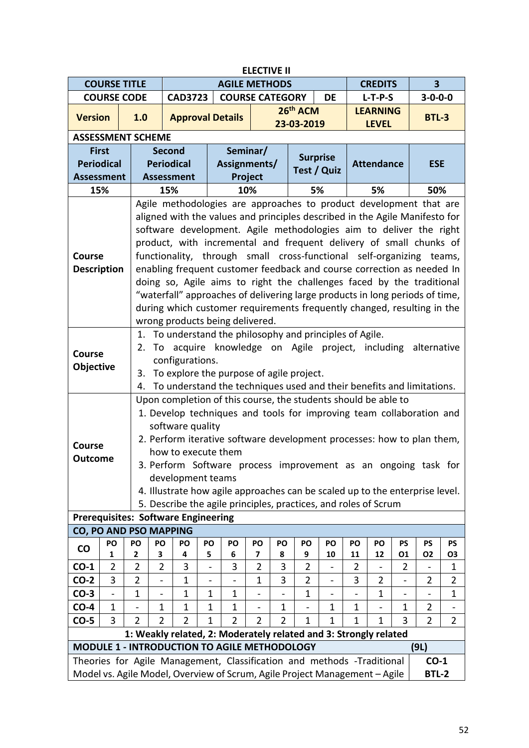| <b>ELECTIVE II</b>                                                                                                              |                     |                                                                                                                                                                                                                    |                                                                                                                                                                                                                                                                                                                                                                                                                                                                                                                                                                                                                                                                                                                                                                                                                                                    |                                                              |              |                        |                |                |                |                                                                                                                                                                                                                                                                                                                                                                     |          |                   |                 |                             |                |  |
|---------------------------------------------------------------------------------------------------------------------------------|---------------------|--------------------------------------------------------------------------------------------------------------------------------------------------------------------------------------------------------------------|----------------------------------------------------------------------------------------------------------------------------------------------------------------------------------------------------------------------------------------------------------------------------------------------------------------------------------------------------------------------------------------------------------------------------------------------------------------------------------------------------------------------------------------------------------------------------------------------------------------------------------------------------------------------------------------------------------------------------------------------------------------------------------------------------------------------------------------------------|--------------------------------------------------------------|--------------|------------------------|----------------|----------------|----------------|---------------------------------------------------------------------------------------------------------------------------------------------------------------------------------------------------------------------------------------------------------------------------------------------------------------------------------------------------------------------|----------|-------------------|-----------------|-----------------------------|----------------|--|
|                                                                                                                                 | <b>COURSE TITLE</b> |                                                                                                                                                                                                                    |                                                                                                                                                                                                                                                                                                                                                                                                                                                                                                                                                                                                                                                                                                                                                                                                                                                    |                                                              |              | <b>AGILE METHODS</b>   |                |                |                |                                                                                                                                                                                                                                                                                                                                                                     |          | <b>CREDITS</b>    |                 | 3                           |                |  |
|                                                                                                                                 | <b>COURSE CODE</b>  |                                                                                                                                                                                                                    |                                                                                                                                                                                                                                                                                                                                                                                                                                                                                                                                                                                                                                                                                                                                                                                                                                                    | <b>CAD3723</b>                                               |              | <b>COURSE CATEGORY</b> |                |                |                | DE                                                                                                                                                                                                                                                                                                                                                                  |          | $L-T-P-S$         |                 | $3 - 0 - 0 - 0$             |                |  |
| <b>Version</b>                                                                                                                  |                     | 1.0                                                                                                                                                                                                                |                                                                                                                                                                                                                                                                                                                                                                                                                                                                                                                                                                                                                                                                                                                                                                                                                                                    | <b>Approval Details</b>                                      |              |                        |                |                | 26th ACM       |                                                                                                                                                                                                                                                                                                                                                                     |          | <b>LEARNING</b>   |                 | <b>BTL-3</b>                |                |  |
|                                                                                                                                 |                     |                                                                                                                                                                                                                    |                                                                                                                                                                                                                                                                                                                                                                                                                                                                                                                                                                                                                                                                                                                                                                                                                                                    |                                                              |              |                        |                |                | 23-03-2019     |                                                                                                                                                                                                                                                                                                                                                                     |          | <b>LEVEL</b>      |                 |                             |                |  |
| <b>ASSESSMENT SCHEME</b>                                                                                                        |                     |                                                                                                                                                                                                                    |                                                                                                                                                                                                                                                                                                                                                                                                                                                                                                                                                                                                                                                                                                                                                                                                                                                    |                                                              |              |                        |                |                |                |                                                                                                                                                                                                                                                                                                                                                                     |          |                   |                 |                             |                |  |
| <b>First</b>                                                                                                                    |                     |                                                                                                                                                                                                                    | <b>Second</b>                                                                                                                                                                                                                                                                                                                                                                                                                                                                                                                                                                                                                                                                                                                                                                                                                                      |                                                              |              |                        | Seminar/       |                |                | <b>Surprise</b>                                                                                                                                                                                                                                                                                                                                                     |          |                   |                 |                             |                |  |
| <b>Periodical</b>                                                                                                               |                     |                                                                                                                                                                                                                    |                                                                                                                                                                                                                                                                                                                                                                                                                                                                                                                                                                                                                                                                                                                                                                                                                                                    | <b>Periodical</b>                                            |              | Assignments/           |                |                |                | Test / Quiz                                                                                                                                                                                                                                                                                                                                                         |          | <b>Attendance</b> |                 | <b>ESE</b>                  |                |  |
| <b>Assessment</b>                                                                                                               |                     |                                                                                                                                                                                                                    |                                                                                                                                                                                                                                                                                                                                                                                                                                                                                                                                                                                                                                                                                                                                                                                                                                                    | <b>Assessment</b>                                            |              |                        | Project        |                |                |                                                                                                                                                                                                                                                                                                                                                                     |          |                   |                 |                             |                |  |
| 15%                                                                                                                             |                     |                                                                                                                                                                                                                    | 15%                                                                                                                                                                                                                                                                                                                                                                                                                                                                                                                                                                                                                                                                                                                                                                                                                                                |                                                              |              |                        | 10%            |                |                | 5%                                                                                                                                                                                                                                                                                                                                                                  |          | 5%                |                 | 50%                         |                |  |
| <b>Course</b><br><b>Description</b><br><b>Course</b>                                                                            |                     | 2.                                                                                                                                                                                                                 | Agile methodologies are approaches to product development that are<br>aligned with the values and principles described in the Agile Manifesto for<br>software development. Agile methodologies aim to deliver the right<br>product, with incremental and frequent delivery of small chunks of<br>functionality, through small cross-functional self-organizing teams,<br>enabling frequent customer feedback and course correction as needed In<br>doing so, Agile aims to right the challenges faced by the traditional<br>"waterfall" approaches of delivering large products in long periods of time,<br>during which customer requirements frequently changed, resulting in the<br>wrong products being delivered.<br>1. To understand the philosophy and principles of Agile.<br>To acquire knowledge on Agile project, including alternative |                                                              |              |                        |                |                |                |                                                                                                                                                                                                                                                                                                                                                                     |          |                   |                 |                             |                |  |
| Objective                                                                                                                       |                     | configurations.<br>To explore the purpose of agile project.<br>3.<br>To understand the techniques used and their benefits and limitations.<br>4.<br>Upon completion of this course, the students should be able to |                                                                                                                                                                                                                                                                                                                                                                                                                                                                                                                                                                                                                                                                                                                                                                                                                                                    |                                                              |              |                        |                |                |                |                                                                                                                                                                                                                                                                                                                                                                     |          |                   |                 |                             |                |  |
| <b>Course</b><br><b>Outcome</b>                                                                                                 |                     |                                                                                                                                                                                                                    |                                                                                                                                                                                                                                                                                                                                                                                                                                                                                                                                                                                                                                                                                                                                                                                                                                                    | software quality<br>how to execute them<br>development teams |              |                        |                |                |                | 1. Develop techniques and tools for improving team collaboration and<br>2. Perform iterative software development processes: how to plan them,<br>3. Perform Software process improvement as an ongoing task for<br>4. Illustrate how agile approaches can be scaled up to the enterprise level.<br>5. Describe the agile principles, practices, and roles of Scrum |          |                   |                 |                             |                |  |
|                                                                                                                                 |                     |                                                                                                                                                                                                                    |                                                                                                                                                                                                                                                                                                                                                                                                                                                                                                                                                                                                                                                                                                                                                                                                                                                    | <b>Prerequisites: Software Engineering</b>                   |              |                        |                |                |                |                                                                                                                                                                                                                                                                                                                                                                     |          |                   |                 |                             |                |  |
| CO, PO AND PSO MAPPING                                                                                                          |                     |                                                                                                                                                                                                                    |                                                                                                                                                                                                                                                                                                                                                                                                                                                                                                                                                                                                                                                                                                                                                                                                                                                    |                                                              |              |                        |                |                |                |                                                                                                                                                                                                                                                                                                                                                                     |          |                   |                 |                             |                |  |
| CO                                                                                                                              | PO<br>1             | PO<br>2                                                                                                                                                                                                            | PO<br>3                                                                                                                                                                                                                                                                                                                                                                                                                                                                                                                                                                                                                                                                                                                                                                                                                                            | PO<br>4                                                      | PO<br>5      | PO<br>6                | PO<br>7        | PO<br>8        | PO<br>9        | PO<br>10                                                                                                                                                                                                                                                                                                                                                            | PO<br>11 | PO<br>12          | <b>PS</b><br>01 | <b>PS</b><br>O <sub>2</sub> | PS<br>O3       |  |
| $CO-1$                                                                                                                          | $\overline{2}$      | $\overline{2}$                                                                                                                                                                                                     | $\overline{2}$                                                                                                                                                                                                                                                                                                                                                                                                                                                                                                                                                                                                                                                                                                                                                                                                                                     | 3                                                            |              | 3                      | $\overline{2}$ | 3              | $\overline{2}$ |                                                                                                                                                                                                                                                                                                                                                                     | 2        |                   | $\overline{2}$  |                             | 1              |  |
| $CO-2$                                                                                                                          | 3                   | $\overline{2}$                                                                                                                                                                                                     | $\overline{a}$                                                                                                                                                                                                                                                                                                                                                                                                                                                                                                                                                                                                                                                                                                                                                                                                                                     | 1                                                            |              |                        | $\mathbf 1$    | 3              | $\overline{2}$ | $\overline{\phantom{0}}$                                                                                                                                                                                                                                                                                                                                            | 3        | $\overline{2}$    |                 | 2                           | 2              |  |
| $CO-3$                                                                                                                          |                     | 1                                                                                                                                                                                                                  |                                                                                                                                                                                                                                                                                                                                                                                                                                                                                                                                                                                                                                                                                                                                                                                                                                                    | 1                                                            | 1            | 1                      |                |                | $\mathbf 1$    |                                                                                                                                                                                                                                                                                                                                                                     |          | $\mathbf 1$       |                 |                             | 1              |  |
| $CO-4$                                                                                                                          | $\mathbf 1$         |                                                                                                                                                                                                                    | $\mathbf 1$                                                                                                                                                                                                                                                                                                                                                                                                                                                                                                                                                                                                                                                                                                                                                                                                                                        | 1                                                            | 1            | 1                      |                | $\mathbf{1}$   |                | $\mathbf 1$                                                                                                                                                                                                                                                                                                                                                         | 1        |                   | $\mathbf 1$     | 2                           |                |  |
| $CO-5$                                                                                                                          | 3                   | $\overline{2}$                                                                                                                                                                                                     | $\overline{2}$                                                                                                                                                                                                                                                                                                                                                                                                                                                                                                                                                                                                                                                                                                                                                                                                                                     | $\overline{2}$                                               | $\mathbf{1}$ | $\overline{2}$         | 2              | $\overline{2}$ | 1              | 1                                                                                                                                                                                                                                                                                                                                                                   | 1        | 1                 | 3               | $\overline{2}$              | $\overline{2}$ |  |
|                                                                                                                                 |                     |                                                                                                                                                                                                                    |                                                                                                                                                                                                                                                                                                                                                                                                                                                                                                                                                                                                                                                                                                                                                                                                                                                    |                                                              |              |                        |                |                |                |                                                                                                                                                                                                                                                                                                                                                                     |          |                   |                 |                             |                |  |
| 1: Weakly related, 2: Moderately related and 3: Strongly related<br><b>MODULE 1 - INTRODUCTION TO AGILE METHODOLOGY</b><br>(9L) |                     |                                                                                                                                                                                                                    |                                                                                                                                                                                                                                                                                                                                                                                                                                                                                                                                                                                                                                                                                                                                                                                                                                                    |                                                              |              |                        |                |                |                |                                                                                                                                                                                                                                                                                                                                                                     |          |                   |                 |                             |                |  |
|                                                                                                                                 |                     |                                                                                                                                                                                                                    |                                                                                                                                                                                                                                                                                                                                                                                                                                                                                                                                                                                                                                                                                                                                                                                                                                                    |                                                              |              |                        |                |                |                | Theories for Agile Management, Classification and methods -Traditional                                                                                                                                                                                                                                                                                              |          |                   |                 | $CO-1$                      |                |  |
|                                                                                                                                 |                     |                                                                                                                                                                                                                    |                                                                                                                                                                                                                                                                                                                                                                                                                                                                                                                                                                                                                                                                                                                                                                                                                                                    |                                                              |              |                        |                |                |                | Model vs. Agile Model, Overview of Scrum, Agile Project Management - Agile                                                                                                                                                                                                                                                                                          |          |                   |                 | <b>BTL-2</b>                |                |  |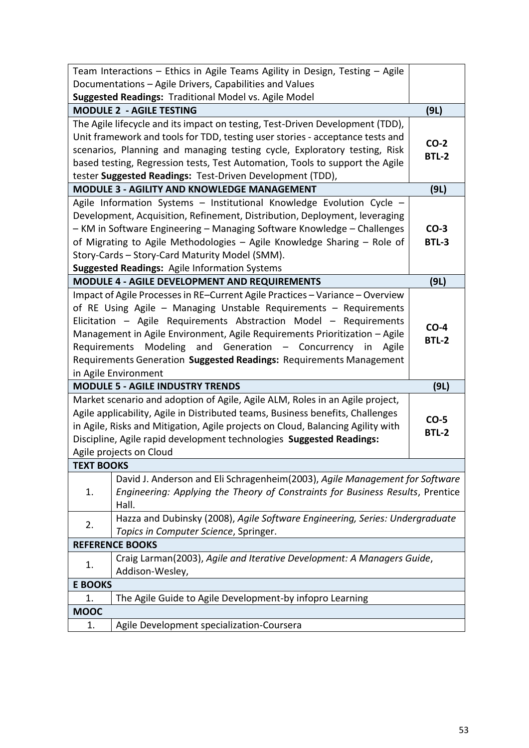|                | Team Interactions - Ethics in Agile Teams Agility in Design, Testing - Agile    |              |
|----------------|---------------------------------------------------------------------------------|--------------|
|                | Documentations - Agile Drivers, Capabilities and Values                         |              |
|                | Suggested Readings: Traditional Model vs. Agile Model                           |              |
|                | <b>MODULE 2 - AGILE TESTING</b>                                                 | (9L)         |
|                | The Agile lifecycle and its impact on testing, Test-Driven Development (TDD),   |              |
|                | Unit framework and tools for TDD, testing user stories - acceptance tests and   | $CO-2$       |
|                | scenarios, Planning and managing testing cycle, Exploratory testing, Risk       | <b>BTL-2</b> |
|                | based testing, Regression tests, Test Automation, Tools to support the Agile    |              |
|                | tester Suggested Readings: Test-Driven Development (TDD),                       |              |
|                | <b>MODULE 3 - AGILITY AND KNOWLEDGE MANAGEMENT</b>                              | (9L)         |
|                | Agile Information Systems - Institutional Knowledge Evolution Cycle -           |              |
|                | Development, Acquisition, Refinement, Distribution, Deployment, leveraging      |              |
|                | - KM in Software Engineering - Managing Software Knowledge - Challenges         | $CO-3$       |
|                | of Migrating to Agile Methodologies - Agile Knowledge Sharing - Role of         | <b>BTL-3</b> |
|                | Story-Cards - Story-Card Maturity Model (SMM).                                  |              |
|                | <b>Suggested Readings: Agile Information Systems</b>                            |              |
|                | MODULE 4 - AGILE DEVELOPMENT AND REQUIREMENTS                                   | (9L)         |
|                | Impact of Agile Processes in RE-Current Agile Practices - Variance - Overview   |              |
|                | of RE Using Agile - Managing Unstable Requirements - Requirements               |              |
|                | Elicitation - Agile Requirements Abstraction Model - Requirements               | $CO-4$       |
|                | Management in Agile Environment, Agile Requirements Prioritization - Agile      | <b>BTL-2</b> |
|                | Requirements Modeling and Generation - Concurrency in Agile                     |              |
|                | Requirements Generation Suggested Readings: Requirements Management             |              |
|                | in Agile Environment                                                            |              |
|                | <b>MODULE 5 - AGILE INDUSTRY TRENDS</b>                                         | (9L)         |
|                | Market scenario and adoption of Agile, Agile ALM, Roles in an Agile project,    |              |
|                | Agile applicability, Agile in Distributed teams, Business benefits, Challenges  | $CO-5$       |
|                | in Agile, Risks and Mitigation, Agile projects on Cloud, Balancing Agility with | <b>BTL-2</b> |
|                | Discipline, Agile rapid development technologies Suggested Readings:            |              |
|                | Agile projects on Cloud                                                         |              |
| TEXT BOOKS     |                                                                                 |              |
|                | David J. Anderson and Eli Schragenheim (2003), Agile Management for Software    |              |
| 1.             | Engineering: Applying the Theory of Constraints for Business Results, Prentice  |              |
|                | Hall.                                                                           |              |
| 2.             | Hazza and Dubinsky (2008), Agile Software Engineering, Series: Undergraduate    |              |
|                | Topics in Computer Science, Springer.                                           |              |
|                | <b>REFERENCE BOOKS</b>                                                          |              |
| 1.             | Craig Larman(2003), Agile and Iterative Development: A Managers Guide,          |              |
|                | Addison-Wesley,                                                                 |              |
| <b>E BOOKS</b> |                                                                                 |              |
| 1.             | The Agile Guide to Agile Development-by infopro Learning                        |              |
| <b>MOOC</b>    |                                                                                 |              |
| 1.             | Agile Development specialization-Coursera                                       |              |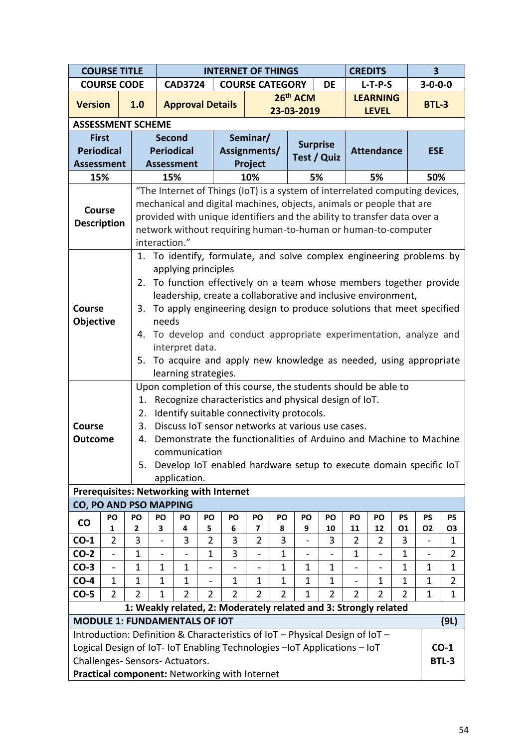|                                                                              |                                                                        | <b>COURSE TITLE</b> |                          |                                                                                                        |                | <b>INTERNET OF THINGS</b> |                | <b>CREDITS</b> |                                                                                                                         | $\overline{\mathbf{3}}$ |                          |                              |                |                          |                             |  |  |
|------------------------------------------------------------------------------|------------------------------------------------------------------------|---------------------|--------------------------|--------------------------------------------------------------------------------------------------------|----------------|---------------------------|----------------|----------------|-------------------------------------------------------------------------------------------------------------------------|-------------------------|--------------------------|------------------------------|----------------|--------------------------|-----------------------------|--|--|
|                                                                              |                                                                        | <b>COURSE CODE</b>  |                          | <b>CAD3724</b>                                                                                         |                | <b>COURSE CATEGORY</b>    |                |                |                                                                                                                         | <b>DE</b>               |                          | $L-T-P-S$                    |                | $3 - 0 - 0 - 0$          |                             |  |  |
| <b>Version</b>                                                               |                                                                        | 1.0                 |                          | <b>Approval Details</b>                                                                                |                |                           |                |                | 26th ACM                                                                                                                |                         |                          | <b>LEARNING</b>              |                | <b>BTL-3</b>             |                             |  |  |
|                                                                              |                                                                        |                     |                          |                                                                                                        |                |                           |                |                | 23-03-2019                                                                                                              |                         |                          | <b>LEVEL</b>                 |                |                          |                             |  |  |
| <b>ASSESSMENT SCHEME</b>                                                     |                                                                        |                     |                          |                                                                                                        |                |                           |                |                |                                                                                                                         |                         |                          |                              |                |                          |                             |  |  |
| <b>First</b>                                                                 |                                                                        |                     | <b>Second</b>            |                                                                                                        |                |                           | Seminar/       |                | <b>Surprise</b>                                                                                                         |                         |                          |                              |                |                          |                             |  |  |
| <b>Periodical</b>                                                            |                                                                        |                     |                          | <b>Periodical</b>                                                                                      |                | Assignments/              |                |                | Test / Quiz                                                                                                             |                         |                          | <b>Attendance</b>            |                | <b>ESE</b>               |                             |  |  |
| <b>Assessment</b>                                                            |                                                                        |                     |                          | <b>Assessment</b>                                                                                      |                |                           | Project        |                |                                                                                                                         |                         |                          |                              |                |                          |                             |  |  |
| 15%                                                                          |                                                                        |                     |                          | 5%<br>15%<br>10%<br>5%<br>"The Internet of Things (IoT) is a system of interrelated computing devices, |                |                           |                |                |                                                                                                                         |                         |                          |                              | 50%            |                          |                             |  |  |
|                                                                              |                                                                        |                     |                          |                                                                                                        |                |                           |                |                | mechanical and digital machines, objects, animals or people that are                                                    |                         |                          |                              |                |                          |                             |  |  |
| <b>Course</b>                                                                |                                                                        |                     |                          |                                                                                                        |                |                           |                |                | provided with unique identifiers and the ability to transfer data over a                                                |                         |                          |                              |                |                          |                             |  |  |
| <b>Description</b>                                                           |                                                                        |                     |                          |                                                                                                        |                |                           |                |                | network without requiring human-to-human or human-to-computer                                                           |                         |                          |                              |                |                          |                             |  |  |
|                                                                              |                                                                        |                     | interaction."            |                                                                                                        |                |                           |                |                |                                                                                                                         |                         |                          |                              |                |                          |                             |  |  |
| To identify, formulate, and solve complex engineering problems by<br>1.      |                                                                        |                     |                          |                                                                                                        |                |                           |                |                |                                                                                                                         |                         |                          |                              |                |                          |                             |  |  |
| applying principles                                                          |                                                                        |                     |                          |                                                                                                        |                |                           |                |                |                                                                                                                         |                         |                          |                              |                |                          |                             |  |  |
|                                                                              | To function effectively on a team whose members together provide<br>2. |                     |                          |                                                                                                        |                |                           |                |                |                                                                                                                         |                         |                          |                              |                |                          |                             |  |  |
|                                                                              |                                                                        |                     |                          |                                                                                                        |                |                           |                |                | leadership, create a collaborative and inclusive environment,                                                           |                         |                          |                              |                |                          |                             |  |  |
| <b>Course</b>                                                                |                                                                        | 3.                  |                          |                                                                                                        |                |                           |                |                | To apply engineering design to produce solutions that meet specified                                                    |                         |                          |                              |                |                          |                             |  |  |
| <b>Objective</b>                                                             |                                                                        |                     | needs                    |                                                                                                        |                |                           |                |                |                                                                                                                         |                         |                          |                              |                |                          |                             |  |  |
|                                                                              |                                                                        | 4.                  |                          |                                                                                                        |                |                           |                |                | To develop and conduct appropriate experimentation, analyze and                                                         |                         |                          |                              |                |                          |                             |  |  |
|                                                                              |                                                                        |                     |                          | interpret data.                                                                                        |                |                           |                |                |                                                                                                                         |                         |                          |                              |                |                          |                             |  |  |
|                                                                              |                                                                        | 5.                  |                          |                                                                                                        |                |                           |                |                | To acquire and apply new knowledge as needed, using appropriate                                                         |                         |                          |                              |                |                          |                             |  |  |
|                                                                              |                                                                        |                     |                          | learning strategies.                                                                                   |                |                           |                |                |                                                                                                                         |                         |                          |                              |                |                          |                             |  |  |
|                                                                              |                                                                        | 1.                  |                          |                                                                                                        |                |                           |                |                | Upon completion of this course, the students should be able to<br>Recognize characteristics and physical design of IoT. |                         |                          |                              |                |                          |                             |  |  |
|                                                                              |                                                                        | 2.                  |                          |                                                                                                        |                |                           |                |                | Identify suitable connectivity protocols.                                                                               |                         |                          |                              |                |                          |                             |  |  |
| <b>Course</b>                                                                |                                                                        | 3.                  |                          |                                                                                                        |                |                           |                |                | Discuss IoT sensor networks at various use cases.                                                                       |                         |                          |                              |                |                          |                             |  |  |
| Outcome                                                                      |                                                                        | 4.                  |                          |                                                                                                        |                |                           |                |                | Demonstrate the functionalities of Arduino and Machine to Machine                                                       |                         |                          |                              |                |                          |                             |  |  |
|                                                                              |                                                                        |                     |                          | communication                                                                                          |                |                           |                |                |                                                                                                                         |                         |                          |                              |                |                          |                             |  |  |
|                                                                              |                                                                        | 5.                  |                          |                                                                                                        |                |                           |                |                | Develop IoT enabled hardware setup to execute domain specific IoT                                                       |                         |                          |                              |                |                          |                             |  |  |
|                                                                              |                                                                        |                     |                          | application.                                                                                           |                |                           |                |                |                                                                                                                         |                         |                          |                              |                |                          |                             |  |  |
| <b>Prerequisites: Networking with Internet</b>                               |                                                                        |                     |                          |                                                                                                        |                |                           |                |                |                                                                                                                         |                         |                          |                              |                |                          |                             |  |  |
| CO, PO AND PSO MAPPING                                                       |                                                                        |                     |                          |                                                                                                        |                |                           |                |                |                                                                                                                         |                         |                          |                              |                |                          |                             |  |  |
| CO                                                                           | PO<br>1                                                                | PO<br>2             | PO<br>3                  | PO<br>4                                                                                                | PO<br>5        | PO<br>6                   | PO<br>7        | PO<br>8        | PO<br>9                                                                                                                 | PO<br>10                | PO<br>11                 | PO<br>12                     | PS<br>01       | <b>PS</b><br>O2          | <b>PS</b><br>O <sub>3</sub> |  |  |
| $CO-1$                                                                       | $\overline{2}$                                                         | 3                   |                          | 3                                                                                                      | 2              | 3                         | 2              | 3              | $\overline{\phantom{0}}$                                                                                                | 3                       | 2                        | $\overline{2}$               | 3              |                          | 1                           |  |  |
| $CO-2$                                                                       | -                                                                      | 1                   | $\overline{\phantom{0}}$ | $\blacksquare$                                                                                         | $\mathbf 1$    | 3                         | -              | 1              | $\blacksquare$                                                                                                          |                         | 1                        | $\qquad \qquad \blacksquare$ | 1              | $\overline{\phantom{0}}$ | $\overline{2}$              |  |  |
| $CO-3$                                                                       |                                                                        | $\mathbf 1$         | $\mathbf 1$              | 1                                                                                                      | $\blacksquare$ |                           |                | 1              | $\mathbf 1$                                                                                                             | 1                       | $\overline{\phantom{0}}$ |                              | 1              | 1                        | $\mathbf{1}$                |  |  |
| $CO-4$                                                                       | $\mathbf 1$                                                            | 1                   | $\mathbf 1$              | 1                                                                                                      | $\blacksquare$ | $\mathbf 1$               | 1              | $\mathbf 1$    | 1                                                                                                                       | $\mathbf 1$             | -                        | $\mathbf{1}$                 | 1              | 1                        | $\overline{2}$              |  |  |
| $CO-5$                                                                       | $\overline{2}$                                                         | $\overline{2}$      | $\mathbf{1}$             | $\overline{2}$                                                                                         | $\overline{2}$ | $\overline{2}$            | $\overline{2}$ | $\overline{2}$ | 1                                                                                                                       | $\overline{2}$          | $\overline{2}$           | $\overline{2}$               | $\overline{2}$ | $\mathbf 1$              | $\mathbf{1}$                |  |  |
|                                                                              |                                                                        |                     |                          |                                                                                                        |                |                           |                |                | 1: Weakly related, 2: Moderately related and 3: Strongly related                                                        |                         |                          |                              |                |                          |                             |  |  |
| <b>MODULE 1: FUNDAMENTALS OF IOT</b>                                         |                                                                        |                     |                          |                                                                                                        |                |                           |                |                |                                                                                                                         |                         |                          |                              |                |                          | (9L)                        |  |  |
| Introduction: Definition & Characteristics of IoT - Physical Design of IoT - |                                                                        |                     |                          |                                                                                                        |                |                           |                |                |                                                                                                                         |                         |                          |                              |                |                          |                             |  |  |
| Logical Design of IoT-IoT Enabling Technologies -IoT Applications - IoT      |                                                                        |                     |                          |                                                                                                        |                |                           |                |                |                                                                                                                         |                         |                          |                              |                |                          | $CO-1$                      |  |  |
| Challenges- Sensors- Actuators.                                              |                                                                        |                     |                          |                                                                                                        |                |                           |                |                |                                                                                                                         |                         |                          |                              |                |                          | <b>BTL-3</b>                |  |  |
| Practical component: Networking with Internet                                |                                                                        |                     |                          |                                                                                                        |                |                           |                |                |                                                                                                                         |                         |                          |                              |                |                          |                             |  |  |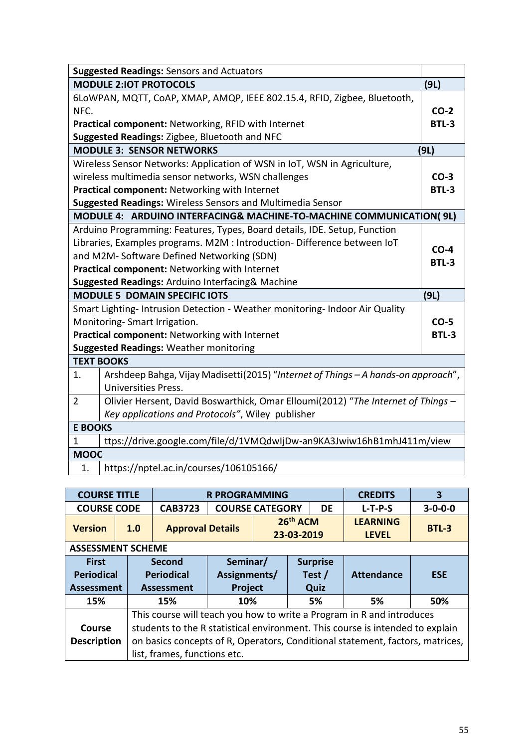|                | <b>Suggested Readings: Sensors and Actuators</b>                                  |              |
|----------------|-----------------------------------------------------------------------------------|--------------|
|                | <b>MODULE 2:IOT PROTOCOLS</b>                                                     | (9L)         |
|                | 6LOWPAN, MQTT, CoAP, XMAP, AMQP, IEEE 802.15.4, RFID, Zigbee, Bluetooth,          |              |
| NFC.           |                                                                                   | $CO-2$       |
|                | Practical component: Networking, RFID with Internet                               | <b>BTL-3</b> |
|                | Suggested Readings: Zigbee, Bluetooth and NFC                                     |              |
|                | <b>MODULE 3: SENSOR NETWORKS</b>                                                  | (9L)         |
|                | Wireless Sensor Networks: Application of WSN in IoT, WSN in Agriculture,          |              |
|                | wireless multimedia sensor networks, WSN challenges                               | $CO-3$       |
|                | Practical component: Networking with Internet                                     | <b>BTL-3</b> |
|                | <b>Suggested Readings: Wireless Sensors and Multimedia Sensor</b>                 |              |
|                | MODULE 4: ARDUINO INTERFACING& MACHINE-TO-MACHINE COMMUNICATION( 9L)              |              |
|                | Arduino Programming: Features, Types, Board details, IDE. Setup, Function         |              |
|                | Libraries, Examples programs. M2M : Introduction- Difference between IoT          | $CO-4$       |
|                | and M2M-Software Defined Networking (SDN)                                         | <b>BTL-3</b> |
|                | Practical component: Networking with Internet                                     |              |
|                | Suggested Readings: Arduino Interfacing& Machine                                  |              |
|                | <b>MODULE 5 DOMAIN SPECIFIC IOTS</b>                                              | (9L)         |
|                | Smart Lighting-Intrusion Detection - Weather monitoring-Indoor Air Quality        |              |
|                | Monitoring-Smart Irrigation.                                                      | $CO-5$       |
|                | Practical component: Networking with Internet                                     | BTL-3        |
|                | <b>Suggested Readings: Weather monitoring</b>                                     |              |
|                | <b>TEXT BOOKS</b>                                                                 |              |
| 1.             | Arshdeep Bahga, Vijay Madisetti(2015) "Internet of Things - A hands-on approach", |              |
|                | Universities Press.                                                               |              |
| $\overline{2}$ | Olivier Hersent, David Boswarthick, Omar Elloumi(2012) "The Internet of Things -  |              |
|                | Key applications and Protocols", Wiley publisher                                  |              |
| <b>E BOOKS</b> |                                                                                   |              |
| $\mathbf{1}$   | ttps://drive.google.com/file/d/1VMQdwIjDw-an9KA3Jwiw16hB1mhJ411m/view             |              |
| <b>MOOC</b>    |                                                                                   |              |
| 1.             | https://nptel.ac.in/courses/106105166/                                            |              |

| <b>COURSE TITLE</b>               |     |                             | <b>R PROGRAMMING</b>     |  | <b>CREDITS</b>            | 3                 |                                 |                 |
|-----------------------------------|-----|-----------------------------|--------------------------|--|---------------------------|-------------------|---------------------------------|-----------------|
| <b>COURSE CODE</b>                |     | <b>CAB3723</b>              | <b>COURSE CATEGORY</b>   |  |                           | DE                | $L-T-P-S$                       | $3 - 0 - 0 - 0$ |
| <b>Version</b>                    | 1.0 | <b>Approval Details</b>     |                          |  | 26th ACM<br>23-03-2019    |                   | <b>LEARNING</b><br><b>LEVEL</b> | BTL-3           |
| <b>ASSESSMENT SCHEME</b>          |     |                             |                          |  |                           |                   |                                 |                 |
| <b>First</b><br><b>Periodical</b> |     | Second<br><b>Periodical</b> | Seminar/<br>Assignments/ |  | <b>Surprise</b><br>Test / | <b>Attendance</b> | <b>ESE</b>                      |                 |
| <b>Assessment</b>                 |     | <b>Assessment</b>           | <b>Project</b>           |  |                           | Quiz              |                                 |                 |
| 15%                               |     | 15%                         | 10%                      |  |                           | 5%                | 5%                              | 50%             |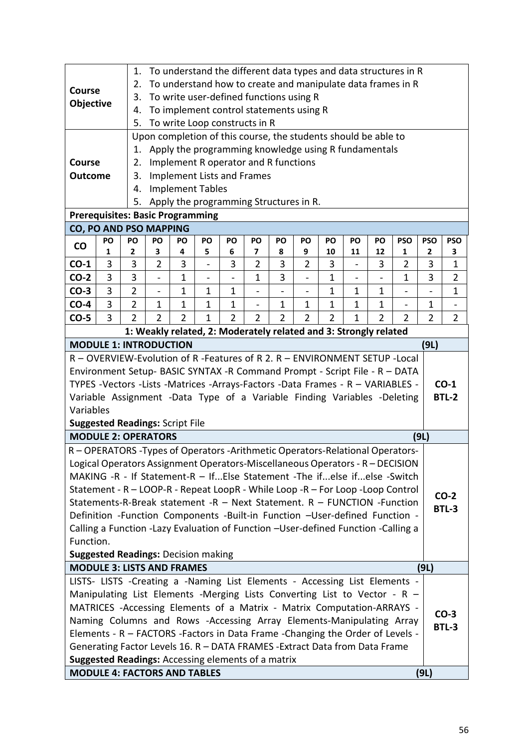|                                                                                                                                                          |                                                                             | 1.                                           |                                                                                      |                               |              |                     |                                      |                | To understand the different data types and data structures in R  |                     |    |                     |                |                |                |
|----------------------------------------------------------------------------------------------------------------------------------------------------------|-----------------------------------------------------------------------------|----------------------------------------------|--------------------------------------------------------------------------------------|-------------------------------|--------------|---------------------|--------------------------------------|----------------|------------------------------------------------------------------|---------------------|----|---------------------|----------------|----------------|----------------|
| <b>Course</b>                                                                                                                                            |                                                                             | 2.                                           |                                                                                      |                               |              |                     |                                      |                | To understand how to create and manipulate data frames in R      |                     |    |                     |                |                |                |
|                                                                                                                                                          |                                                                             | 3.                                           |                                                                                      |                               |              |                     |                                      |                | To write user-defined functions using R                          |                     |    |                     |                |                |                |
| <b>Objective</b>                                                                                                                                         |                                                                             | 4.                                           |                                                                                      |                               |              |                     |                                      |                | To implement control statements using R                          |                     |    |                     |                |                |                |
|                                                                                                                                                          |                                                                             | 5.                                           |                                                                                      |                               |              |                     | To write Loop constructs in R        |                |                                                                  |                     |    |                     |                |                |                |
|                                                                                                                                                          |                                                                             |                                              |                                                                                      |                               |              |                     |                                      |                | Upon completion of this course, the students should be able to   |                     |    |                     |                |                |                |
|                                                                                                                                                          |                                                                             | 1.                                           |                                                                                      |                               |              |                     |                                      |                | Apply the programming knowledge using R fundamentals             |                     |    |                     |                |                |                |
| Course                                                                                                                                                   |                                                                             | 2.                                           |                                                                                      |                               |              |                     | Implement R operator and R functions |                |                                                                  |                     |    |                     |                |                |                |
| <b>Outcome</b>                                                                                                                                           |                                                                             | 3.                                           |                                                                                      |                               |              |                     | <b>Implement Lists and Frames</b>    |                |                                                                  |                     |    |                     |                |                |                |
|                                                                                                                                                          |                                                                             | 4.                                           |                                                                                      | <b>Implement Tables</b>       |              |                     |                                      |                |                                                                  |                     |    |                     |                |                |                |
|                                                                                                                                                          |                                                                             | Apply the programming Structures in R.<br>5. |                                                                                      |                               |              |                     |                                      |                |                                                                  |                     |    |                     |                |                |                |
| <b>Prerequisites: Basic Programming</b>                                                                                                                  |                                                                             |                                              |                                                                                      |                               |              |                     |                                      |                |                                                                  |                     |    |                     |                |                |                |
| CO, PO AND PSO MAPPING                                                                                                                                   |                                                                             |                                              |                                                                                      |                               |              |                     |                                      |                |                                                                  |                     |    |                     |                |                |                |
| co                                                                                                                                                       | PO                                                                          | PO                                           | PO<br>PO<br>PO<br><b>PSO</b><br><b>PSO</b><br>PO<br>PO<br>PO<br>PO<br>PO<br>PO<br>PO |                               |              |                     |                                      |                |                                                                  |                     |    |                     |                | <b>PSO</b>     |                |
|                                                                                                                                                          | 1                                                                           | 2                                            | З                                                                                    | 4                             | 5            | 6                   | 7                                    | 8              | 9                                                                | 10                  | 11 | 12                  | 1              | 2              | 3              |
| $CO-1$                                                                                                                                                   | 3                                                                           | 3                                            | $\overline{2}$                                                                       | 3                             |              | 3                   | $\overline{2}$                       | 3              | $\overline{2}$                                                   | 3                   |    | 3                   | $\overline{2}$ | 3              | $\mathbf{1}$   |
| $CO-2$                                                                                                                                                   | 3                                                                           | 3                                            |                                                                                      | 1                             |              |                     | 1                                    | 3              |                                                                  | $\mathbf{1}$        |    |                     | 1              | 3              | 2              |
| $CO-3$                                                                                                                                                   | 3                                                                           | $\overline{2}$                               | $\overline{a}$                                                                       | 1                             | $\mathbf{1}$ | 1                   |                                      |                |                                                                  | 1                   | 1  | 1                   |                |                | 1              |
| $CO-4$                                                                                                                                                   | 3                                                                           | 2<br>$\overline{2}$                          | 1<br>$\overline{2}$                                                                  | $\mathbf 1$<br>$\overline{2}$ | 1            | 1<br>$\overline{2}$ | $\overline{\phantom{a}}$             | $\mathbf 1$    | $\mathbf{1}$                                                     | 1<br>$\overline{2}$ | 1  | 1<br>$\overline{2}$ | -              | 1              |                |
| $CO-5$                                                                                                                                                   | 3                                                                           |                                              |                                                                                      |                               | $\mathbf{1}$ |                     | $\overline{2}$                       | $\overline{2}$ | $\overline{2}$                                                   |                     | 1  |                     | $\overline{2}$ | $\overline{2}$ | $\overline{2}$ |
| <b>MODULE 1: INTRODUCTION</b>                                                                                                                            |                                                                             |                                              |                                                                                      |                               |              |                     |                                      |                | 1: Weakly related, 2: Moderately related and 3: Strongly related |                     |    |                     |                |                |                |
| R - OVERVIEW-Evolution of R -Features of R 2. R - ENVIRONMENT SETUP -Local                                                                               |                                                                             |                                              |                                                                                      |                               |              |                     |                                      |                |                                                                  |                     |    |                     |                | (9L)           |                |
| Environment Setup- BASIC SYNTAX -R Command Prompt - Script File - R - DATA                                                                               |                                                                             |                                              |                                                                                      |                               |              |                     |                                      |                |                                                                  |                     |    |                     |                |                |                |
| TYPES -Vectors -Lists -Matrices -Arrays-Factors -Data Frames - R - VARIABLES -                                                                           |                                                                             |                                              |                                                                                      |                               |              |                     |                                      |                |                                                                  |                     |    |                     |                |                | $CO-1$         |
| Variable Assignment -Data Type of a Variable Finding Variables -Deleting                                                                                 |                                                                             |                                              |                                                                                      |                               |              |                     |                                      |                |                                                                  |                     |    |                     |                |                | <b>BTL-2</b>   |
| Variables                                                                                                                                                |                                                                             |                                              |                                                                                      |                               |              |                     |                                      |                |                                                                  |                     |    |                     |                |                |                |
| <b>Suggested Readings: Script File</b>                                                                                                                   |                                                                             |                                              |                                                                                      |                               |              |                     |                                      |                |                                                                  |                     |    |                     |                |                |                |
| <b>MODULE 2: OPERATORS</b>                                                                                                                               |                                                                             |                                              |                                                                                      |                               |              |                     |                                      |                |                                                                  |                     |    |                     |                | (9L)           |                |
| R - OPERATORS - Types of Operators - Arithmetic Operators-Relational Operators-                                                                          |                                                                             |                                              |                                                                                      |                               |              |                     |                                      |                |                                                                  |                     |    |                     |                |                |                |
| Logical Operators Assignment Operators-Miscellaneous Operators - R - DECISION                                                                            |                                                                             |                                              |                                                                                      |                               |              |                     |                                      |                |                                                                  |                     |    |                     |                |                |                |
| MAKING -R - If Statement-R - IfElse Statement -The ifelse ifelse -Switch                                                                                 |                                                                             |                                              |                                                                                      |                               |              |                     |                                      |                |                                                                  |                     |    |                     |                |                |                |
| Statement - R - LOOP-R - Repeat LoopR - While Loop -R - For Loop -Loop Control                                                                           |                                                                             |                                              |                                                                                      |                               |              |                     |                                      |                |                                                                  |                     |    |                     |                |                |                |
| Statements-R-Break statement -R - Next Statement. R - FUNCTION -Function                                                                                 |                                                                             |                                              |                                                                                      |                               |              |                     |                                      |                |                                                                  |                     |    |                     |                |                | $CO-2$         |
| Definition -Function Components -Built-in Function -User-defined Function -                                                                              |                                                                             |                                              |                                                                                      |                               |              |                     |                                      |                |                                                                  |                     |    |                     |                |                | <b>BTL-3</b>   |
| Calling a Function -Lazy Evaluation of Function -User-defined Function -Calling a                                                                        |                                                                             |                                              |                                                                                      |                               |              |                     |                                      |                |                                                                  |                     |    |                     |                |                |                |
| Function.                                                                                                                                                |                                                                             |                                              |                                                                                      |                               |              |                     |                                      |                |                                                                  |                     |    |                     |                |                |                |
| <b>Suggested Readings: Decision making</b>                                                                                                               |                                                                             |                                              |                                                                                      |                               |              |                     |                                      |                |                                                                  |                     |    |                     |                |                |                |
| <b>MODULE 3: LISTS AND FRAMES</b>                                                                                                                        |                                                                             |                                              |                                                                                      |                               |              |                     |                                      |                |                                                                  |                     |    |                     |                | (9L)           |                |
| LISTS- LISTS -Creating a -Naming List Elements - Accessing List Elements -                                                                               |                                                                             |                                              |                                                                                      |                               |              |                     |                                      |                |                                                                  |                     |    |                     |                |                |                |
| Manipulating List Elements -Merging Lists Converting List to Vector - R -                                                                                |                                                                             |                                              |                                                                                      |                               |              |                     |                                      |                |                                                                  |                     |    |                     |                |                |                |
|                                                                                                                                                          |                                                                             |                                              |                                                                                      |                               |              |                     |                                      |                |                                                                  |                     |    |                     |                |                |                |
| MATRICES -Accessing Elements of a Matrix - Matrix Computation-ARRAYS -<br>$CO-3$<br>Naming Columns and Rows -Accessing Array Elements-Manipulating Array |                                                                             |                                              |                                                                                      |                               |              |                     |                                      |                |                                                                  |                     |    |                     |                |                |                |
| Elements - R - FACTORS - Factors in Data Frame - Changing the Order of Levels -                                                                          |                                                                             |                                              |                                                                                      |                               |              |                     |                                      |                |                                                                  |                     |    |                     |                |                | <b>BTL-3</b>   |
|                                                                                                                                                          | Generating Factor Levels 16. R - DATA FRAMES - Extract Data from Data Frame |                                              |                                                                                      |                               |              |                     |                                      |                |                                                                  |                     |    |                     |                |                |                |
| Suggested Readings: Accessing elements of a matrix                                                                                                       |                                                                             |                                              |                                                                                      |                               |              |                     |                                      |                |                                                                  |                     |    |                     |                |                |                |
| <b>MODULE 4: FACTORS AND TABLES</b>                                                                                                                      |                                                                             |                                              |                                                                                      |                               |              |                     |                                      |                |                                                                  |                     |    |                     |                | (9L)           |                |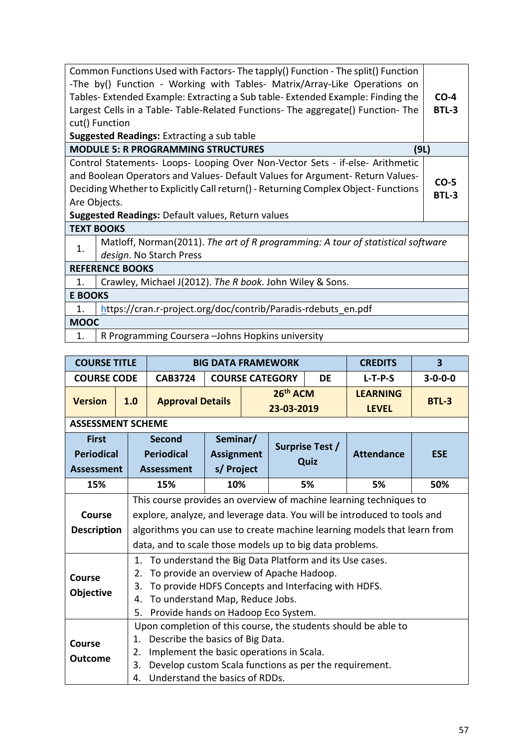|                | Common Functions Used with Factors- The tapply() Function - The split() Function  |                        |
|----------------|-----------------------------------------------------------------------------------|------------------------|
|                | -The by() Function - Working with Tables- Matrix/Array-Like Operations on         |                        |
|                | Tables- Extended Example: Extracting a Sub table- Extended Example: Finding the   | $CO-4$                 |
|                | Largest Cells in a Table-Table-Related Functions- The aggregate() Function-The    | <b>BTL-3</b>           |
|                | cut() Function                                                                    |                        |
|                | <b>Suggested Readings: Extracting a sub table</b>                                 |                        |
|                | <b>MODULE 5: R PROGRAMMING STRUCTURES</b><br>(9L)                                 |                        |
|                | Control Statements- Loops- Looping Over Non-Vector Sets - if-else- Arithmetic     |                        |
|                | and Boolean Operators and Values- Default Values for Argument- Return Values-     |                        |
|                | Deciding Whether to Explicitly Call return() - Returning Complex Object-Functions | $CO-5$<br><b>BTL-3</b> |
|                | Are Objects.                                                                      |                        |
|                | <b>Suggested Readings: Default values, Return values</b>                          |                        |
|                | <b>TEXT BOOKS</b>                                                                 |                        |
| 1.             | Matloff, Norman(2011). The art of R programming: A tour of statistical software   |                        |
|                | design. No Starch Press                                                           |                        |
|                | <b>REFERENCE BOOKS</b>                                                            |                        |
| 1.             | Crawley, Michael J(2012). The R book. John Wiley & Sons.                          |                        |
| <b>E BOOKS</b> |                                                                                   |                        |
| 1.             | https://cran.r-project.org/doc/contrib/Paradis-rdebuts en.pdf                     |                        |
| <b>MOOC</b>    |                                                                                   |                        |
| 1.             | R Programming Coursera - Johns Hopkins university                                 |                        |

1. | R Programming Coursera –Johns Hopkins university

| <b>COURSE TITLE</b>      |                                                                                                             | <b>BIG DATA FRAMEWORK</b>                                                |  |                                    |                 | <b>CREDITS</b>                  | $\overline{\mathbf{3}}$ |  |  |  |  |  |
|--------------------------|-------------------------------------------------------------------------------------------------------------|--------------------------------------------------------------------------|--|------------------------------------|-----------------|---------------------------------|-------------------------|--|--|--|--|--|
| <b>COURSE CODE</b>       | <b>CAB3724</b>                                                                                              | <b>COURSE CATEGORY</b>                                                   |  |                                    | <b>DE</b>       | $L-T-P-S$                       | $3 - 0 - 0 - 0$         |  |  |  |  |  |
| <b>Version</b><br>1.0    | <b>Approval Details</b>                                                                                     |                                                                          |  | 26 <sup>th</sup> ACM<br>23-03-2019 |                 | <b>LEARNING</b><br><b>LEVEL</b> | <b>BTL-3</b>            |  |  |  |  |  |
| <b>ASSESSMENT SCHEME</b> |                                                                                                             |                                                                          |  |                                    |                 |                                 |                         |  |  |  |  |  |
| <b>First</b>             | Second                                                                                                      | Seminar/                                                                 |  |                                    | Surprise Test / |                                 |                         |  |  |  |  |  |
| <b>Periodical</b>        | <b>Periodical</b>                                                                                           | <b>Assignment</b>                                                        |  |                                    | Quiz            | <b>Attendance</b>               | <b>ESE</b>              |  |  |  |  |  |
| <b>Assessment</b>        | <b>Assessment</b>                                                                                           | s/ Project                                                               |  |                                    |                 |                                 |                         |  |  |  |  |  |
| 15%                      | 15%                                                                                                         | 10%                                                                      |  |                                    | 5%              | 5%                              | 50%                     |  |  |  |  |  |
|                          | This course provides an overview of machine learning techniques to                                          |                                                                          |  |                                    |                 |                                 |                         |  |  |  |  |  |
| Course                   |                                                                                                             | explore, analyze, and leverage data. You will be introduced to tools and |  |                                    |                 |                                 |                         |  |  |  |  |  |
| <b>Description</b>       | algorithms you can use to create machine learning models that learn from                                    |                                                                          |  |                                    |                 |                                 |                         |  |  |  |  |  |
|                          | data, and to scale those models up to big data problems.                                                    |                                                                          |  |                                    |                 |                                 |                         |  |  |  |  |  |
|                          | To understand the Big Data Platform and its Use cases.<br>1.                                                |                                                                          |  |                                    |                 |                                 |                         |  |  |  |  |  |
| <b>Course</b>            | To provide an overview of Apache Hadoop.<br>2.                                                              |                                                                          |  |                                    |                 |                                 |                         |  |  |  |  |  |
| Objective                | To provide HDFS Concepts and Interfacing with HDFS.<br>3.                                                   |                                                                          |  |                                    |                 |                                 |                         |  |  |  |  |  |
|                          | To understand Map, Reduce Jobs.<br>4.                                                                       |                                                                          |  |                                    |                 |                                 |                         |  |  |  |  |  |
|                          | 5.<br>Provide hands on Hadoop Eco System.<br>Upon completion of this course, the students should be able to |                                                                          |  |                                    |                 |                                 |                         |  |  |  |  |  |
|                          |                                                                                                             |                                                                          |  |                                    |                 |                                 |                         |  |  |  |  |  |
| <b>Course</b>            | Describe the basics of Big Data.<br>1.                                                                      |                                                                          |  |                                    |                 |                                 |                         |  |  |  |  |  |
| <b>Outcome</b>           | Implement the basic operations in Scala.<br>2.<br>3.                                                        |                                                                          |  |                                    |                 |                                 |                         |  |  |  |  |  |
|                          | Develop custom Scala functions as per the requirement.<br>Understand the basics of RDDs.<br>4.              |                                                                          |  |                                    |                 |                                 |                         |  |  |  |  |  |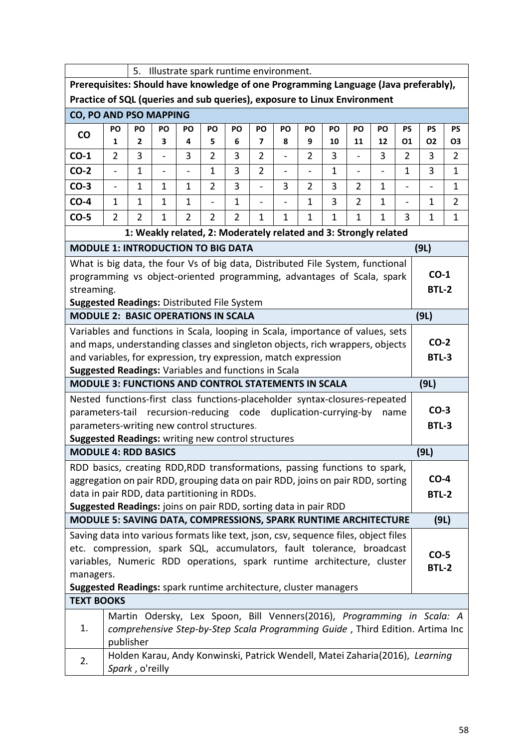| 5.<br>Illustrate spark runtime environment.                                                                                                                                  |                                                                                                                                                         |                     |                                                                  |                          |                     |              |                                  |                               |                     |              |                      |                          |                          |                                                                              |                      |
|------------------------------------------------------------------------------------------------------------------------------------------------------------------------------|---------------------------------------------------------------------------------------------------------------------------------------------------------|---------------------|------------------------------------------------------------------|--------------------------|---------------------|--------------|----------------------------------|-------------------------------|---------------------|--------------|----------------------|--------------------------|--------------------------|------------------------------------------------------------------------------|----------------------|
| Prerequisites: Should have knowledge of one Programming Language (Java preferably),                                                                                          |                                                                                                                                                         |                     |                                                                  |                          |                     |              |                                  |                               |                     |              |                      |                          |                          |                                                                              |                      |
| Practice of SQL (queries and sub queries), exposure to Linux Environment                                                                                                     |                                                                                                                                                         |                     |                                                                  |                          |                     |              |                                  |                               |                     |              |                      |                          |                          |                                                                              |                      |
| CO, PO AND PSO MAPPING                                                                                                                                                       |                                                                                                                                                         |                     |                                                                  |                          |                     |              |                                  |                               |                     |              |                      |                          |                          |                                                                              |                      |
| CO                                                                                                                                                                           | PO                                                                                                                                                      | PO                  | PO                                                               | PO                       | PO                  | PO           | PO                               | PO                            | PO                  | PO           | PO                   | PO                       | <b>PS</b>                | <b>PS</b>                                                                    | <b>PS</b>            |
| $CO-1$                                                                                                                                                                       | $\mathbf{1}$<br>$\overline{2}$                                                                                                                          | $\overline{2}$<br>3 | 3<br>$\overline{a}$                                              | 4<br>3                   | 5<br>$\overline{2}$ | 6<br>3       | $\overline{7}$<br>$\overline{2}$ | 8<br>$\overline{\phantom{0}}$ | 9<br>$\overline{2}$ | 10<br>3      | 11<br>$\blacksquare$ | 12<br>3                  | 01<br>$\overline{2}$     | <b>O2</b><br>3                                                               | 03<br>$\overline{2}$ |
| $CO-2$                                                                                                                                                                       | $\overline{\phantom{a}}$                                                                                                                                | 1                   | $\overline{\phantom{0}}$                                         | $\overline{\phantom{a}}$ | $\mathbf{1}$        | 3            | $\overline{2}$                   | $\overline{\phantom{0}}$      | $\frac{1}{2}$       | $\mathbf{1}$ | $\blacksquare$       | $\overline{\phantom{a}}$ | $\mathbf{1}$             | 3                                                                            | 1                    |
| $CO-3$                                                                                                                                                                       | $\overline{\phantom{a}}$                                                                                                                                | 1                   | 1                                                                | 1                        | $\overline{2}$      | 3            | $\overline{\phantom{0}}$         | 3                             | $\overline{2}$      | 3            | $\overline{2}$       | 1                        | $\overline{\phantom{0}}$ | $\blacksquare$                                                               | 1                    |
| $CO-4$                                                                                                                                                                       | $\mathbf{1}$                                                                                                                                            | 1                   | $\mathbf{1}$                                                     | $\mathbf{1}$             | $\overline{a}$      | $\mathbf{1}$ | $\overline{\phantom{0}}$         |                               | $\mathbf{1}$        | 3            | $\overline{2}$       | $\mathbf{1}$             | $\blacksquare$           | $\mathbf{1}$                                                                 | $\overline{2}$       |
| $CO-5$<br>$\overline{2}$<br>3<br>$\overline{2}$<br>$\mathbf{1}$<br>$\overline{2}$<br>$\overline{2}$<br>$\mathbf{1}$<br>$\mathbf{1}$<br>2<br>1<br>1<br>1<br>1<br>$\mathbf{1}$ |                                                                                                                                                         |                     |                                                                  |                          |                     |              |                                  |                               |                     |              |                      |                          | 1                        |                                                                              |                      |
|                                                                                                                                                                              |                                                                                                                                                         |                     | 1: Weakly related, 2: Moderately related and 3: Strongly related |                          |                     |              |                                  |                               |                     |              |                      |                          |                          |                                                                              |                      |
| <b>MODULE 1: INTRODUCTION TO BIG DATA</b>                                                                                                                                    |                                                                                                                                                         |                     |                                                                  |                          |                     |              |                                  |                               |                     |              |                      |                          |                          | (9L)                                                                         |                      |
| What is big data, the four Vs of big data, Distributed File System, functional                                                                                               |                                                                                                                                                         |                     |                                                                  |                          |                     |              |                                  |                               |                     |              |                      |                          |                          |                                                                              |                      |
| programming vs object-oriented programming, advantages of Scala, spark                                                                                                       |                                                                                                                                                         |                     |                                                                  |                          |                     |              |                                  |                               |                     |              |                      |                          |                          | $CO-1$                                                                       |                      |
| streaming.                                                                                                                                                                   |                                                                                                                                                         |                     |                                                                  |                          |                     |              |                                  |                               |                     |              |                      |                          |                          | <b>BTL-2</b>                                                                 |                      |
| <b>Suggested Readings: Distributed File System</b><br><b>MODULE 2: BASIC OPERATIONS IN SCALA</b>                                                                             |                                                                                                                                                         |                     |                                                                  |                          |                     |              |                                  |                               |                     |              |                      |                          |                          | (9L)                                                                         |                      |
| Variables and functions in Scala, looping in Scala, importance of values, sets                                                                                               |                                                                                                                                                         |                     |                                                                  |                          |                     |              |                                  |                               |                     |              |                      |                          |                          |                                                                              |                      |
| and maps, understanding classes and singleton objects, rich wrappers, objects                                                                                                |                                                                                                                                                         |                     |                                                                  |                          |                     |              |                                  |                               |                     |              |                      |                          |                          | $CO-2$                                                                       |                      |
| and variables, for expression, try expression, match expression                                                                                                              |                                                                                                                                                         |                     |                                                                  |                          |                     |              |                                  |                               |                     |              |                      |                          |                          | <b>BTL-3</b>                                                                 |                      |
| Suggested Readings: Variables and functions in Scala                                                                                                                         |                                                                                                                                                         |                     |                                                                  |                          |                     |              |                                  |                               |                     |              |                      |                          |                          |                                                                              |                      |
| <b>MODULE 3: FUNCTIONS AND CONTROL STATEMENTS IN SCALA</b>                                                                                                                   |                                                                                                                                                         |                     |                                                                  |                          |                     |              |                                  |                               |                     |              |                      |                          |                          | (9L)                                                                         |                      |
| Nested functions-first class functions-placeholder syntax-closures-repeated                                                                                                  |                                                                                                                                                         |                     |                                                                  |                          |                     |              |                                  |                               |                     |              |                      |                          |                          | $CO-3$                                                                       |                      |
| parameters-tail recursion-reducing code duplication-currying-by<br>parameters-writing new control structures.                                                                |                                                                                                                                                         |                     |                                                                  |                          |                     |              |                                  |                               |                     |              |                      | name                     |                          | <b>BTL-3</b>                                                                 |                      |
| Suggested Readings: writing new control structures                                                                                                                           |                                                                                                                                                         |                     |                                                                  |                          |                     |              |                                  |                               |                     |              |                      |                          |                          |                                                                              |                      |
| <b>MODULE 4: RDD BASICS</b>                                                                                                                                                  |                                                                                                                                                         |                     |                                                                  |                          |                     |              |                                  |                               |                     |              |                      |                          |                          | (9L)                                                                         |                      |
| RDD basics, creating RDD, RDD transformations, passing functions to spark,                                                                                                   |                                                                                                                                                         |                     |                                                                  |                          |                     |              |                                  |                               |                     |              |                      |                          |                          |                                                                              |                      |
| aggregation on pair RDD, grouping data on pair RDD, joins on pair RDD, sorting                                                                                               |                                                                                                                                                         |                     |                                                                  |                          |                     |              |                                  |                               |                     |              |                      |                          |                          | $CO-4$                                                                       |                      |
| data in pair RDD, data partitioning in RDDs.                                                                                                                                 |                                                                                                                                                         |                     |                                                                  |                          |                     |              |                                  |                               |                     |              |                      |                          |                          | <b>BTL-2</b>                                                                 |                      |
| Suggested Readings: joins on pair RDD, sorting data in pair RDD<br>MODULE 5: SAVING DATA, COMPRESSIONS, SPARK RUNTIME ARCHITECTURE                                           |                                                                                                                                                         |                     |                                                                  |                          |                     |              |                                  |                               |                     |              |                      |                          |                          | (9L)                                                                         |                      |
| Saving data into various formats like text, json, csv, sequence files, object files                                                                                          |                                                                                                                                                         |                     |                                                                  |                          |                     |              |                                  |                               |                     |              |                      |                          |                          |                                                                              |                      |
| etc. compression, spark SQL, accumulators, fault tolerance, broadcast                                                                                                        |                                                                                                                                                         |                     |                                                                  |                          |                     |              |                                  |                               |                     |              |                      |                          |                          |                                                                              |                      |
|                                                                                                                                                                              |                                                                                                                                                         |                     |                                                                  |                          |                     |              |                                  |                               |                     |              |                      |                          |                          | $CO-5$                                                                       |                      |
|                                                                                                                                                                              | variables, Numeric RDD operations, spark runtime architecture, cluster<br><b>BTL-2</b><br>managers.                                                     |                     |                                                                  |                          |                     |              |                                  |                               |                     |              |                      |                          |                          |                                                                              |                      |
| Suggested Readings: spark runtime architecture, cluster managers                                                                                                             |                                                                                                                                                         |                     |                                                                  |                          |                     |              |                                  |                               |                     |              |                      |                          |                          |                                                                              |                      |
| <b>TEXT BOOKS</b>                                                                                                                                                            |                                                                                                                                                         |                     |                                                                  |                          |                     |              |                                  |                               |                     |              |                      |                          |                          |                                                                              |                      |
| 1.                                                                                                                                                                           | Martin Odersky, Lex Spoon, Bill Venners(2016), Programming in Scala: A<br>comprehensive Step-by-Step Scala Programming Guide, Third Edition. Artima Inc |                     |                                                                  |                          |                     |              |                                  |                               |                     |              |                      |                          |                          |                                                                              |                      |
|                                                                                                                                                                              |                                                                                                                                                         | publisher           |                                                                  |                          |                     |              |                                  |                               |                     |              |                      |                          |                          |                                                                              |                      |
|                                                                                                                                                                              |                                                                                                                                                         |                     |                                                                  |                          |                     |              |                                  |                               |                     |              |                      |                          |                          | Holden Karau, Andy Konwinski, Patrick Wendell, Matei Zaharia(2016), Learning |                      |
| 2.                                                                                                                                                                           |                                                                                                                                                         | Spark, o'reilly     |                                                                  |                          |                     |              |                                  |                               |                     |              |                      |                          |                          |                                                                              |                      |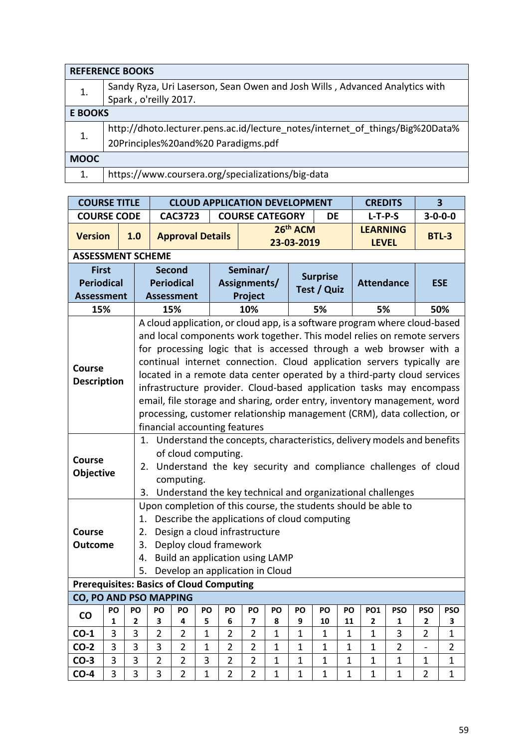|                | <b>REFERENCE BOOKS</b>                                                        |
|----------------|-------------------------------------------------------------------------------|
|                | Sandy Ryza, Uri Laserson, Sean Owen and Josh Wills, Advanced Analytics with   |
|                | Spark, o'reilly 2017.                                                         |
| <b>E BOOKS</b> |                                                                               |
|                | http://dhoto.lecturer.pens.ac.id/lecture_notes/internet_of_things/Big%20Data% |
|                | 20Principles%20and%20 Paradigms.pdf                                           |
| <b>MOOC</b>    |                                                                               |
| 1.             | https://www.coursera.org/specializations/big-data                             |

| <b>COURSE TITLE</b>                             |         | <b>CLOUD APPLICATION DEVELOPMENT</b><br><b>CREDITS</b> |                                                                                                                                               |                                                                                                |                |                |                                 |              |                                  |                                              | $\overline{\mathbf{3}}$ |                            |                                                                                                                                                  |                              |                 |  |  |
|-------------------------------------------------|---------|--------------------------------------------------------|-----------------------------------------------------------------------------------------------------------------------------------------------|------------------------------------------------------------------------------------------------|----------------|----------------|---------------------------------|--------------|----------------------------------|----------------------------------------------|-------------------------|----------------------------|--------------------------------------------------------------------------------------------------------------------------------------------------|------------------------------|-----------------|--|--|
| <b>COURSE CODE</b>                              |         |                                                        |                                                                                                                                               | <b>CAC3723</b>                                                                                 |                |                | <b>COURSE CATEGORY</b>          |              |                                  | DE                                           |                         | $L-T-P-S$                  |                                                                                                                                                  |                              | $3 - 0 - 0 - 0$ |  |  |
| <b>Version</b>                                  |         | 1.0                                                    |                                                                                                                                               | <b>Approval Details</b>                                                                        |                |                |                                 |              | 26 <sup>th</sup> ACM             |                                              |                         | <b>LEARNING</b>            |                                                                                                                                                  |                              | <b>BTL-3</b>    |  |  |
|                                                 |         |                                                        |                                                                                                                                               |                                                                                                |                |                |                                 |              | 23-03-2019                       |                                              |                         | <b>LEVEL</b>               |                                                                                                                                                  |                              |                 |  |  |
| <b>ASSESSMENT SCHEME</b>                        |         |                                                        |                                                                                                                                               |                                                                                                |                |                |                                 |              |                                  |                                              |                         |                            |                                                                                                                                                  |                              |                 |  |  |
| <b>First</b>                                    |         |                                                        |                                                                                                                                               | <b>Second</b>                                                                                  |                |                | Seminar/                        |              |                                  | <b>Surprise</b>                              |                         |                            |                                                                                                                                                  |                              |                 |  |  |
| <b>Periodical</b>                               |         |                                                        |                                                                                                                                               | <b>Periodical</b>                                                                              |                |                | Assignments/                    |              |                                  | Test / Quiz                                  |                         | <b>Attendance</b>          |                                                                                                                                                  |                              | <b>ESE</b>      |  |  |
| <b>Assessment</b>                               |         |                                                        |                                                                                                                                               | <b>Assessment</b>                                                                              |                |                | Project                         |              |                                  |                                              |                         |                            |                                                                                                                                                  |                              |                 |  |  |
| 15%                                             |         |                                                        |                                                                                                                                               | 15%<br>10%<br>5%<br>A cloud application, or cloud app, is a software program where cloud-based |                |                |                                 |              |                                  |                                              |                         | 5%                         |                                                                                                                                                  |                              | 50%             |  |  |
|                                                 |         |                                                        |                                                                                                                                               |                                                                                                |                |                |                                 |              |                                  |                                              |                         |                            |                                                                                                                                                  |                              |                 |  |  |
|                                                 |         |                                                        | and local components work together. This model relies on remote servers<br>for processing logic that is accessed through a web browser with a |                                                                                                |                |                |                                 |              |                                  |                                              |                         |                            |                                                                                                                                                  |                              |                 |  |  |
|                                                 |         |                                                        |                                                                                                                                               |                                                                                                |                |                |                                 |              |                                  |                                              |                         |                            |                                                                                                                                                  |                              |                 |  |  |
| <b>Course</b>                                   |         |                                                        |                                                                                                                                               |                                                                                                |                |                |                                 |              |                                  |                                              |                         |                            | continual internet connection. Cloud application servers typically are                                                                           |                              |                 |  |  |
| <b>Description</b>                              |         |                                                        |                                                                                                                                               |                                                                                                |                |                |                                 |              |                                  |                                              |                         |                            | located in a remote data center operated by a third-party cloud services<br>infrastructure provider. Cloud-based application tasks may encompass |                              |                 |  |  |
|                                                 |         |                                                        |                                                                                                                                               |                                                                                                |                |                |                                 |              |                                  |                                              |                         |                            | email, file storage and sharing, order entry, inventory management, word                                                                         |                              |                 |  |  |
|                                                 |         |                                                        |                                                                                                                                               |                                                                                                |                |                |                                 |              |                                  |                                              |                         |                            | processing, customer relationship management (CRM), data collection, or                                                                          |                              |                 |  |  |
|                                                 |         |                                                        |                                                                                                                                               |                                                                                                |                |                | financial accounting features   |              |                                  |                                              |                         |                            |                                                                                                                                                  |                              |                 |  |  |
|                                                 |         |                                                        |                                                                                                                                               |                                                                                                |                |                |                                 |              |                                  |                                              |                         |                            | 1. Understand the concepts, characteristics, delivery models and benefits                                                                        |                              |                 |  |  |
|                                                 |         |                                                        |                                                                                                                                               | of cloud computing.                                                                            |                |                |                                 |              |                                  |                                              |                         |                            |                                                                                                                                                  |                              |                 |  |  |
| <b>Course</b>                                   |         | 2.                                                     |                                                                                                                                               |                                                                                                |                |                |                                 |              |                                  |                                              |                         |                            | Understand the key security and compliance challenges of cloud                                                                                   |                              |                 |  |  |
| Objective                                       |         |                                                        |                                                                                                                                               | computing.                                                                                     |                |                |                                 |              |                                  |                                              |                         |                            |                                                                                                                                                  |                              |                 |  |  |
|                                                 |         | 3.                                                     |                                                                                                                                               |                                                                                                |                |                |                                 |              |                                  |                                              |                         |                            | Understand the key technical and organizational challenges                                                                                       |                              |                 |  |  |
|                                                 |         |                                                        |                                                                                                                                               |                                                                                                |                |                |                                 |              |                                  |                                              |                         |                            | Upon completion of this course, the students should be able to                                                                                   |                              |                 |  |  |
|                                                 |         | 1.                                                     |                                                                                                                                               |                                                                                                |                |                |                                 |              |                                  | Describe the applications of cloud computing |                         |                            |                                                                                                                                                  |                              |                 |  |  |
| <b>Course</b>                                   |         | 2.                                                     |                                                                                                                                               |                                                                                                |                |                | Design a cloud infrastructure   |              |                                  |                                              |                         |                            |                                                                                                                                                  |                              |                 |  |  |
| <b>Outcome</b>                                  |         | 3.                                                     |                                                                                                                                               | Deploy cloud framework                                                                         |                |                |                                 |              |                                  |                                              |                         |                            |                                                                                                                                                  |                              |                 |  |  |
|                                                 |         | 4.                                                     |                                                                                                                                               |                                                                                                |                |                | Build an application using LAMP |              |                                  |                                              |                         |                            |                                                                                                                                                  |                              |                 |  |  |
|                                                 |         | 5.                                                     |                                                                                                                                               |                                                                                                |                |                | Develop an application in Cloud |              |                                  |                                              |                         |                            |                                                                                                                                                  |                              |                 |  |  |
| <b>Prerequisites: Basics of Cloud Computing</b> |         |                                                        |                                                                                                                                               |                                                                                                |                |                |                                 |              |                                  |                                              |                         |                            |                                                                                                                                                  |                              |                 |  |  |
| <b>CO, PO AND PSO MAPPING</b>                   |         |                                                        |                                                                                                                                               |                                                                                                |                |                |                                 |              |                                  |                                              |                         |                            |                                                                                                                                                  |                              |                 |  |  |
| $\mathsf{co}\,$                                 | PO<br>1 | PO<br>$\mathbf{2}$                                     | PO<br>3                                                                                                                                       | PO<br>4                                                                                        | <b>PO</b><br>5 | PO<br>6        | PO<br>$\overline{\mathbf{z}}$   | PO<br>8      | PO<br>9                          | PO<br>10                                     | PO<br>11                | <b>PO1</b><br>$\mathbf{2}$ | <b>PSO</b><br>$\mathbf{1}$                                                                                                                       | <b>PSO</b><br>$\overline{2}$ | <b>PSO</b><br>3 |  |  |
| $CO-1$                                          | 3       | 3                                                      | $\overline{2}$                                                                                                                                | $\overline{2}$                                                                                 | $\mathbf{1}$   | $\overline{2}$ | $\overline{2}$                  | $\mathbf{1}$ | $\mathbf 1$                      | $\mathbf{1}$                                 | 1                       | $\mathbf{1}$               | 3                                                                                                                                                | $\overline{2}$               | $\mathbf{1}$    |  |  |
| $CO-2$                                          | 3       | 3                                                      | 3                                                                                                                                             | $\overline{2}$                                                                                 | $\mathbf{1}$   | $\overline{2}$ | $\overline{2}$                  | $\mathbf{1}$ | $\mathbf{1}$<br>$\mathbf 1$<br>1 |                                              |                         | $\mathbf 1$                | $\overline{2}$                                                                                                                                   | $\overline{\phantom{0}}$     | $\overline{2}$  |  |  |
| $CO-3$                                          | 3       | 3                                                      | $\overline{2}$                                                                                                                                | $\overline{2}$                                                                                 | 3              | $\overline{2}$ | $\overline{2}$                  | $\mathbf{1}$ | $\mathbf 1$                      | 1                                            | 1                       | $\mathbf 1$                | $\mathbf 1$                                                                                                                                      | 1                            | $\mathbf 1$     |  |  |
| $CO-4$                                          | 3       | 3                                                      | 3                                                                                                                                             | $\overline{2}$                                                                                 | $\mathbf{1}$   | $\overline{2}$ | $\overline{2}$                  | $\mathbf{1}$ | $\mathbf{1}$                     | $\mathbf 1$                                  | 1                       | $\mathbf 1$                | $\mathbf{1}$                                                                                                                                     | $\overline{2}$               | $\mathbf{1}$    |  |  |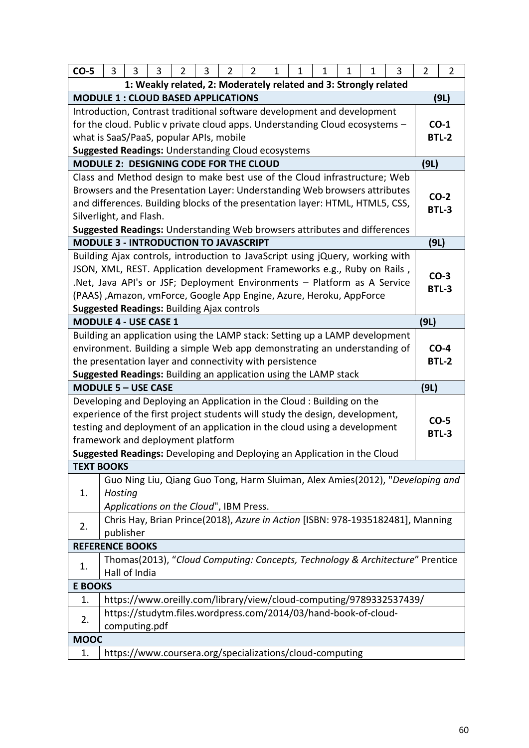| $CO-5$                                                                       | 3       | 3             | 3                                                               | 2 | 3 | $\overline{2}$ | $\overline{2}$ | $\mathbf 1$ | 1 | 1 | 1 | 1 | 3                                                                                | $\overline{2}$ | $\overline{2}$ |
|------------------------------------------------------------------------------|---------|---------------|-----------------------------------------------------------------|---|---|----------------|----------------|-------------|---|---|---|---|----------------------------------------------------------------------------------|----------------|----------------|
| 1: Weakly related, 2: Moderately related and 3: Strongly related             |         |               |                                                                 |   |   |                |                |             |   |   |   |   |                                                                                  |                |                |
| <b>MODULE 1: CLOUD BASED APPLICATIONS</b>                                    |         |               |                                                                 |   |   |                |                |             |   |   |   |   |                                                                                  |                | (9L)           |
| Introduction, Contrast traditional software development and development      |         |               |                                                                 |   |   |                |                |             |   |   |   |   |                                                                                  |                |                |
| for the cloud. Public v private cloud apps. Understanding Cloud ecosystems - |         |               |                                                                 |   |   |                |                |             |   |   |   |   |                                                                                  |                | $CO-1$         |
| what is SaaS/PaaS, popular APIs, mobile                                      |         |               |                                                                 |   |   |                |                |             |   |   |   |   |                                                                                  |                | <b>BTL-2</b>   |
| <b>Suggested Readings: Understanding Cloud ecosystems</b>                    |         |               |                                                                 |   |   |                |                |             |   |   |   |   |                                                                                  |                |                |
| MODULE 2: DESIGNING CODE FOR THE CLOUD                                       |         |               |                                                                 |   |   |                |                |             |   |   |   |   |                                                                                  | (9L)           |                |
|                                                                              |         |               |                                                                 |   |   |                |                |             |   |   |   |   | Class and Method design to make best use of the Cloud infrastructure; Web        |                |                |
|                                                                              |         |               |                                                                 |   |   |                |                |             |   |   |   |   | Browsers and the Presentation Layer: Understanding Web browsers attributes       |                | $CO-2$         |
|                                                                              |         |               |                                                                 |   |   |                |                |             |   |   |   |   | and differences. Building blocks of the presentation layer: HTML, HTML5, CSS,    |                | <b>BTL-3</b>   |
| Silverlight, and Flash.                                                      |         |               |                                                                 |   |   |                |                |             |   |   |   |   |                                                                                  |                |                |
|                                                                              |         |               |                                                                 |   |   |                |                |             |   |   |   |   | <b>Suggested Readings: Understanding Web browsers attributes and differences</b> |                |                |
| <b>MODULE 3 - INTRODUCTION TO JAVASCRIPT</b>                                 |         |               |                                                                 |   |   |                |                |             |   |   |   |   |                                                                                  | (9L)           |                |
|                                                                              |         |               |                                                                 |   |   |                |                |             |   |   |   |   | Building Ajax controls, introduction to JavaScript using jQuery, working with    |                |                |
|                                                                              |         |               |                                                                 |   |   |                |                |             |   |   |   |   | JSON, XML, REST. Application development Frameworks e.g., Ruby on Rails,         |                | $CO-3$         |
|                                                                              |         |               |                                                                 |   |   |                |                |             |   |   |   |   | .Net, Java API's or JSF; Deployment Environments - Platform as A Service         |                | <b>BTL-3</b>   |
| (PAAS), Amazon, vmForce, Google App Engine, Azure, Heroku, AppForce          |         |               |                                                                 |   |   |                |                |             |   |   |   |   |                                                                                  |                |                |
| <b>Suggested Readings: Building Ajax controls</b>                            |         |               |                                                                 |   |   |                |                |             |   |   |   |   |                                                                                  |                |                |
| <b>MODULE 4 - USE CASE 1</b>                                                 |         |               |                                                                 |   |   |                |                |             |   |   |   |   |                                                                                  | (9L)           |                |
|                                                                              |         |               |                                                                 |   |   |                |                |             |   |   |   |   | Building an application using the LAMP stack: Setting up a LAMP development      |                |                |
|                                                                              |         |               |                                                                 |   |   |                |                |             |   |   |   |   | environment. Building a simple Web app demonstrating an understanding of         |                | $CO-4$         |
| the presentation layer and connectivity with persistence                     |         |               |                                                                 |   |   |                |                |             |   |   |   |   |                                                                                  |                | <b>BTL-2</b>   |
| Suggested Readings: Building an application using the LAMP stack             |         |               |                                                                 |   |   |                |                |             |   |   |   |   |                                                                                  |                |                |
| <b>MODULE 5 - USE CASE</b>                                                   |         |               |                                                                 |   |   |                |                |             |   |   |   |   |                                                                                  | (9L)           |                |
| Developing and Deploying an Application in the Cloud: Building on the        |         |               |                                                                 |   |   |                |                |             |   |   |   |   |                                                                                  |                |                |
| experience of the first project students will study the design, development, |         |               |                                                                 |   |   |                |                |             |   |   |   |   |                                                                                  |                | $CO-5$         |
| testing and deployment of an application in the cloud using a development    |         |               |                                                                 |   |   |                |                |             |   |   |   |   |                                                                                  |                | <b>BTL-3</b>   |
| framework and deployment platform                                            |         |               |                                                                 |   |   |                |                |             |   |   |   |   |                                                                                  |                |                |
| Suggested Readings: Developing and Deploying an Application in the Cloud     |         |               |                                                                 |   |   |                |                |             |   |   |   |   |                                                                                  |                |                |
| <b>TEXT BOOKS</b>                                                            |         |               |                                                                 |   |   |                |                |             |   |   |   |   |                                                                                  |                |                |
|                                                                              |         |               |                                                                 |   |   |                |                |             |   |   |   |   | Guo Ning Liu, Qiang Guo Tong, Harm Sluiman, Alex Amies(2012), "Developing and    |                |                |
| 1.                                                                           | Hosting |               |                                                                 |   |   |                |                |             |   |   |   |   |                                                                                  |                |                |
|                                                                              |         |               | Applications on the Cloud", IBM Press.                          |   |   |                |                |             |   |   |   |   |                                                                                  |                |                |
| 2.                                                                           |         |               |                                                                 |   |   |                |                |             |   |   |   |   | Chris Hay, Brian Prince(2018), Azure in Action [ISBN: 978-1935182481], Manning   |                |                |
|                                                                              |         | publisher     |                                                                 |   |   |                |                |             |   |   |   |   |                                                                                  |                |                |
| <b>REFERENCE BOOKS</b>                                                       |         |               |                                                                 |   |   |                |                |             |   |   |   |   |                                                                                  |                |                |
| 1.                                                                           |         |               |                                                                 |   |   |                |                |             |   |   |   |   | Thomas(2013), "Cloud Computing: Concepts, Technology & Architecture" Prentice    |                |                |
|                                                                              |         | Hall of India |                                                                 |   |   |                |                |             |   |   |   |   |                                                                                  |                |                |
| <b>E BOOKS</b>                                                               |         |               |                                                                 |   |   |                |                |             |   |   |   |   |                                                                                  |                |                |
| 1.                                                                           |         |               |                                                                 |   |   |                |                |             |   |   |   |   | https://www.oreilly.com/library/view/cloud-computing/9789332537439/              |                |                |
| 2.                                                                           |         |               | https://studytm.files.wordpress.com/2014/03/hand-book-of-cloud- |   |   |                |                |             |   |   |   |   |                                                                                  |                |                |
|                                                                              |         |               | computing.pdf                                                   |   |   |                |                |             |   |   |   |   |                                                                                  |                |                |
| <b>MOOC</b>                                                                  |         |               |                                                                 |   |   |                |                |             |   |   |   |   |                                                                                  |                |                |
| 1.                                                                           |         |               | https://www.coursera.org/specializations/cloud-computing        |   |   |                |                |             |   |   |   |   |                                                                                  |                |                |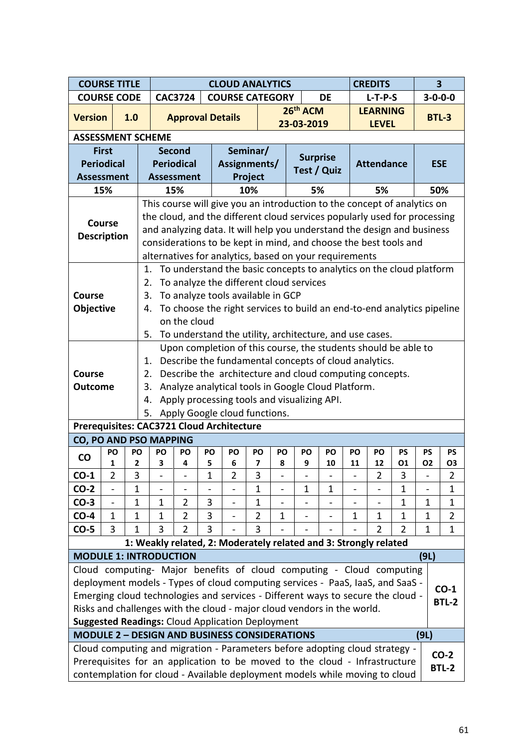| <b>COURSE TITLE</b>           |                                                                                                                                                                   |     |                                                                                                                                                           | <b>CLOUD ANALYTICS</b>                                                                                                              |                   |         |                                                                                                                                                                                                                                                                                                      |                |                          |                        |                          |              | <b>CREDITS</b>                  |                 | $\overline{\mathbf{3}}$  |                 |
|-------------------------------|-------------------------------------------------------------------------------------------------------------------------------------------------------------------|-----|-----------------------------------------------------------------------------------------------------------------------------------------------------------|-------------------------------------------------------------------------------------------------------------------------------------|-------------------|---------|------------------------------------------------------------------------------------------------------------------------------------------------------------------------------------------------------------------------------------------------------------------------------------------------------|----------------|--------------------------|------------------------|--------------------------|--------------|---------------------------------|-----------------|--------------------------|-----------------|
| <b>COURSE CODE</b>            |                                                                                                                                                                   |     |                                                                                                                                                           |                                                                                                                                     | <b>CAC3724</b>    |         | <b>COURSE CATEGORY</b>                                                                                                                                                                                                                                                                               |                |                          |                        | DE                       |              | $L-T-P-S$                       |                 | $3 - 0 - 0 - 0$          |                 |
| <b>Version</b>                |                                                                                                                                                                   | 1.0 |                                                                                                                                                           |                                                                                                                                     |                   |         | <b>Approval Details</b>                                                                                                                                                                                                                                                                              |                |                          | 26th ACM<br>23-03-2019 |                          |              | <b>LEARNING</b><br><b>LEVEL</b> |                 | <b>BTL-3</b>             |                 |
| <b>ASSESSMENT SCHEME</b>      |                                                                                                                                                                   |     |                                                                                                                                                           |                                                                                                                                     |                   |         |                                                                                                                                                                                                                                                                                                      |                |                          |                        |                          |              |                                 |                 |                          |                 |
|                               | <b>First</b>                                                                                                                                                      |     |                                                                                                                                                           |                                                                                                                                     | <b>Second</b>     |         | Seminar/                                                                                                                                                                                                                                                                                             |                |                          | <b>Surprise</b>        |                          |              |                                 |                 |                          |                 |
| <b>Periodical</b>             |                                                                                                                                                                   |     |                                                                                                                                                           |                                                                                                                                     | <b>Periodical</b> |         | Assignments/                                                                                                                                                                                                                                                                                         |                |                          | Test / Quiz            |                          |              | <b>Attendance</b>               |                 | <b>ESE</b>               |                 |
| <b>Assessment</b>             |                                                                                                                                                                   |     |                                                                                                                                                           |                                                                                                                                     | <b>Assessment</b> |         | Project                                                                                                                                                                                                                                                                                              |                |                          |                        |                          |              |                                 |                 |                          |                 |
|                               | 15%                                                                                                                                                               |     |                                                                                                                                                           |                                                                                                                                     | 15%               |         | 10%                                                                                                                                                                                                                                                                                                  |                |                          | 5%                     |                          |              | 5%                              |                 |                          | 50%             |
| <b>Description</b>            | <b>Course</b>                                                                                                                                                     |     |                                                                                                                                                           |                                                                                                                                     |                   |         | This course will give you an introduction to the concept of analytics on<br>the cloud, and the different cloud services popularly used for processing<br>and analyzing data. It will help you understand the design and business<br>considerations to be kept in mind, and choose the best tools and |                |                          |                        |                          |              |                                 |                 |                          |                 |
|                               |                                                                                                                                                                   |     |                                                                                                                                                           | alternatives for analytics, based on your requirements<br>To understand the basic concepts to analytics on the cloud platform<br>1. |                   |         |                                                                                                                                                                                                                                                                                                      |                |                          |                        |                          |              |                                 |                 |                          |                 |
|                               |                                                                                                                                                                   |     | 2.                                                                                                                                                        |                                                                                                                                     |                   |         | To analyze the different cloud services                                                                                                                                                                                                                                                              |                |                          |                        |                          |              |                                 |                 |                          |                 |
| Course                        |                                                                                                                                                                   |     | 3.                                                                                                                                                        |                                                                                                                                     |                   |         | To analyze tools available in GCP                                                                                                                                                                                                                                                                    |                |                          |                        |                          |              |                                 |                 |                          |                 |
| Objective                     |                                                                                                                                                                   |     | 4.                                                                                                                                                        |                                                                                                                                     | on the cloud      |         | To choose the right services to build an end-to-end analytics pipeline                                                                                                                                                                                                                               |                |                          |                        |                          |              |                                 |                 |                          |                 |
|                               |                                                                                                                                                                   |     | 5.                                                                                                                                                        |                                                                                                                                     |                   |         | To understand the utility, architecture, and use cases.                                                                                                                                                                                                                                              |                |                          |                        |                          |              |                                 |                 |                          |                 |
|                               |                                                                                                                                                                   |     |                                                                                                                                                           |                                                                                                                                     |                   |         | Upon completion of this course, the students should be able to                                                                                                                                                                                                                                       |                |                          |                        |                          |              |                                 |                 |                          |                 |
|                               |                                                                                                                                                                   |     | 1.                                                                                                                                                        |                                                                                                                                     |                   |         | Describe the fundamental concepts of cloud analytics.                                                                                                                                                                                                                                                |                |                          |                        |                          |              |                                 |                 |                          |                 |
| <b>Course</b>                 |                                                                                                                                                                   |     | 2.                                                                                                                                                        |                                                                                                                                     |                   |         | Describe the architecture and cloud computing concepts.                                                                                                                                                                                                                                              |                |                          |                        |                          |              |                                 |                 |                          |                 |
| <b>Outcome</b>                |                                                                                                                                                                   |     | 3.                                                                                                                                                        |                                                                                                                                     |                   |         | Analyze analytical tools in Google Cloud Platform.                                                                                                                                                                                                                                                   |                |                          |                        |                          |              |                                 |                 |                          |                 |
|                               |                                                                                                                                                                   |     | 4.                                                                                                                                                        |                                                                                                                                     |                   |         | Apply processing tools and visualizing API.                                                                                                                                                                                                                                                          |                |                          |                        |                          |              |                                 |                 |                          |                 |
|                               |                                                                                                                                                                   |     |                                                                                                                                                           |                                                                                                                                     |                   |         | 5. Apply Google cloud functions.                                                                                                                                                                                                                                                                     |                |                          |                        |                          |              |                                 |                 |                          |                 |
|                               |                                                                                                                                                                   |     |                                                                                                                                                           |                                                                                                                                     |                   |         | Prerequisites: CAC3721 Cloud Architecture                                                                                                                                                                                                                                                            |                |                          |                        |                          |              |                                 |                 |                          |                 |
| CO, PO AND PSO MAPPING        |                                                                                                                                                                   |     |                                                                                                                                                           |                                                                                                                                     |                   |         |                                                                                                                                                                                                                                                                                                      |                |                          |                        |                          |              |                                 |                 |                          |                 |
| $\mathsf{CO}$                 | PO<br>1                                                                                                                                                           |     | PO<br>2                                                                                                                                                   | PO<br>3                                                                                                                             | PO<br>4           | PO<br>5 | PO<br>6                                                                                                                                                                                                                                                                                              | PO<br>7        | <b>PO</b><br>8           | PO<br>9                | PO<br>10                 | PO<br>11     | PO<br>12                        | <b>PS</b><br>01 | <b>PS</b><br><b>O2</b>   | <b>PS</b><br>O3 |
| $CO-1$                        | 2                                                                                                                                                                 |     | 3                                                                                                                                                         | -                                                                                                                                   |                   | 1       | 2                                                                                                                                                                                                                                                                                                    | 3              | $\overline{\phantom{0}}$ | $\blacksquare$         | $\overline{\phantom{0}}$ |              | 2                               | 3               | $\overline{\phantom{0}}$ | $\overline{z}$  |
| $CO-2$                        | $\overline{\phantom{a}}$                                                                                                                                          |     | 1                                                                                                                                                         |                                                                                                                                     |                   |         |                                                                                                                                                                                                                                                                                                      | $\mathbf 1$    |                          | $\mathbf{1}$           | $\mathbf{1}$             |              |                                 | $\mathbf{1}$    |                          | 1               |
| $CO-3$                        | $\overline{\phantom{0}}$                                                                                                                                          |     | $\mathbf 1$                                                                                                                                               | 1                                                                                                                                   | 2                 | 3       | -                                                                                                                                                                                                                                                                                                    | $\mathbf 1$    | $\overline{\phantom{0}}$ |                        | -                        |              | $\overline{\phantom{0}}$        | 1               | $\mathbf 1$              | 1               |
| $CO-4$                        | $\mathbf{1}$                                                                                                                                                      |     | $\mathbf{1}$                                                                                                                                              | $\mathbf{1}$                                                                                                                        | 2                 | 3       |                                                                                                                                                                                                                                                                                                      | $\overline{2}$ | 1                        |                        |                          | 1            | $\mathbf 1$                     | $\mathbf{1}$    | $\mathbf 1$              | $\overline{2}$  |
| $CO-5$                        | 3                                                                                                                                                                 |     | $\mathbf 1$                                                                                                                                               | 3                                                                                                                                   | 2                 | 3       |                                                                                                                                                                                                                                                                                                      | 3              |                          |                        |                          |              | $\overline{2}$                  | 2               | 1                        | 1               |
|                               |                                                                                                                                                                   |     |                                                                                                                                                           |                                                                                                                                     |                   |         | 1: Weakly related, 2: Moderately related and 3: Strongly related                                                                                                                                                                                                                                     |                |                          |                        |                          |              |                                 |                 |                          |                 |
| <b>MODULE 1: INTRODUCTION</b> |                                                                                                                                                                   |     |                                                                                                                                                           |                                                                                                                                     |                   |         |                                                                                                                                                                                                                                                                                                      |                |                          |                        |                          |              |                                 |                 | (9L)                     |                 |
|                               |                                                                                                                                                                   |     |                                                                                                                                                           |                                                                                                                                     |                   |         | Cloud computing- Major benefits of cloud computing - Cloud computing                                                                                                                                                                                                                                 |                |                          |                        |                          |              |                                 |                 |                          |                 |
|                               | deployment models - Types of cloud computing services - PaaS, IaaS, and SaaS -<br>Emerging cloud technologies and services - Different ways to secure the cloud - |     |                                                                                                                                                           |                                                                                                                                     |                   |         |                                                                                                                                                                                                                                                                                                      |                |                          |                        |                          | $CO-1$       |                                 |                 |                          |                 |
|                               |                                                                                                                                                                   |     |                                                                                                                                                           |                                                                                                                                     |                   |         |                                                                                                                                                                                                                                                                                                      |                |                          |                        |                          |              |                                 |                 |                          | <b>BTL-2</b>    |
|                               |                                                                                                                                                                   |     |                                                                                                                                                           |                                                                                                                                     |                   |         | Risks and challenges with the cloud - major cloud vendors in the world.<br><b>Suggested Readings: Cloud Application Deployment</b>                                                                                                                                                                   |                |                          |                        |                          |              |                                 |                 |                          |                 |
|                               |                                                                                                                                                                   |     |                                                                                                                                                           |                                                                                                                                     |                   |         |                                                                                                                                                                                                                                                                                                      |                |                          |                        |                          |              |                                 |                 | (9L)                     |                 |
|                               |                                                                                                                                                                   |     | <b>MODULE 2 - DESIGN AND BUSINESS CONSIDERATIONS</b><br>Cloud computing and migration - Parameters before adopting cloud strategy -                       |                                                                                                                                     |                   |         |                                                                                                                                                                                                                                                                                                      |                |                          |                        |                          |              |                                 |                 |                          |                 |
|                               |                                                                                                                                                                   |     |                                                                                                                                                           |                                                                                                                                     |                   |         |                                                                                                                                                                                                                                                                                                      |                |                          |                        |                          |              |                                 |                 |                          | $CO-2$          |
|                               |                                                                                                                                                                   |     | Prerequisites for an application to be moved to the cloud - Infrastructure<br>contemplation for cloud - Available deployment models while moving to cloud |                                                                                                                                     |                   |         |                                                                                                                                                                                                                                                                                                      |                |                          |                        |                          | <b>BTL-2</b> |                                 |                 |                          |                 |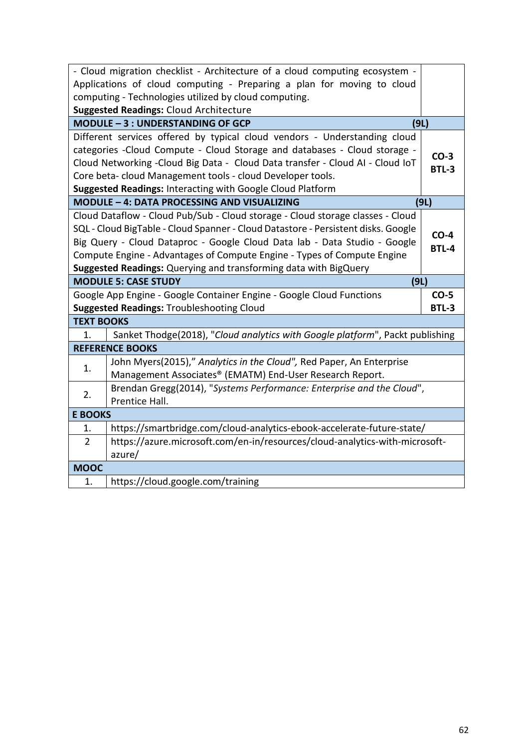|                   | - Cloud migration checklist - Architecture of a cloud computing ecosystem -       |              |
|-------------------|-----------------------------------------------------------------------------------|--------------|
|                   | Applications of cloud computing - Preparing a plan for moving to cloud            |              |
|                   | computing - Technologies utilized by cloud computing.                             |              |
|                   | <b>Suggested Readings: Cloud Architecture</b>                                     |              |
|                   | MODULE - 3 : UNDERSTANDING OF GCP<br>(9L)                                         |              |
|                   | Different services offered by typical cloud vendors - Understanding cloud         |              |
|                   | categories - Cloud Compute - Cloud Storage and databases - Cloud storage -        | $CO-3$       |
|                   | Cloud Networking - Cloud Big Data - Cloud Data transfer - Cloud AI - Cloud IoT    | <b>BTL-3</b> |
|                   | Core beta-cloud Management tools - cloud Developer tools.                         |              |
|                   | Suggested Readings: Interacting with Google Cloud Platform                        |              |
|                   | MODULE - 4: DATA PROCESSING AND VISUALIZING                                       | (9L)         |
|                   | Cloud Dataflow - Cloud Pub/Sub - Cloud storage - Cloud storage classes - Cloud    |              |
|                   | SQL - Cloud BigTable - Cloud Spanner - Cloud Datastore - Persistent disks. Google | $CO-4$       |
|                   | Big Query - Cloud Dataproc - Google Cloud Data lab - Data Studio - Google         | <b>BTL-4</b> |
|                   | Compute Engine - Advantages of Compute Engine - Types of Compute Engine           |              |
|                   | Suggested Readings: Querying and transforming data with BigQuery                  |              |
|                   |                                                                                   |              |
|                   | <b>MODULE 5: CASE STUDY</b><br>(9L)                                               |              |
|                   | Google App Engine - Google Container Engine - Google Cloud Functions              | $CO-5$       |
|                   | <b>Suggested Readings: Troubleshooting Cloud</b>                                  | <b>BTL-3</b> |
| <b>TEXT BOOKS</b> |                                                                                   |              |
| 1.                | Sanket Thodge(2018), "Cloud analytics with Google platform", Packt publishing     |              |
|                   | <b>REFERENCE BOOKS</b>                                                            |              |
|                   | John Myers(2015)," Analytics in the Cloud", Red Paper, An Enterprise              |              |
| 1.                | Management Associates® (EMATM) End-User Research Report.                          |              |
|                   | Brendan Gregg(2014), "Systems Performance: Enterprise and the Cloud",             |              |
| 2.                | Prentice Hall.                                                                    |              |
| <b>E BOOKS</b>    |                                                                                   |              |
| 1.                | https://smartbridge.com/cloud-analytics-ebook-accelerate-future-state/            |              |
| $\overline{2}$    | https://azure.microsoft.com/en-in/resources/cloud-analytics-with-microsoft-       |              |
|                   | azure/                                                                            |              |
| <b>MOOC</b>       |                                                                                   |              |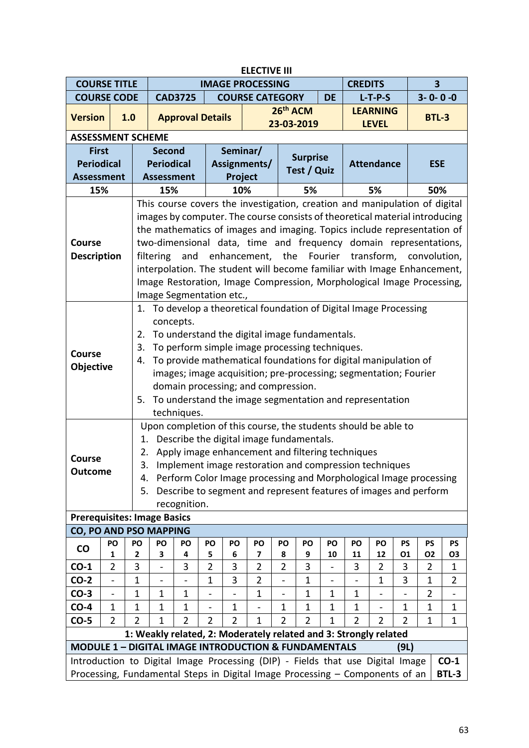|                                                                                |                          | <b>ELECTIVE III</b> |                                                                         |                                                                             |                |                |                         |                          |                 |                |                |                   |                |                         |                |  |
|--------------------------------------------------------------------------------|--------------------------|---------------------|-------------------------------------------------------------------------|-----------------------------------------------------------------------------|----------------|----------------|-------------------------|--------------------------|-----------------|----------------|----------------|-------------------|----------------|-------------------------|----------------|--|
| <b>COURSE TITLE</b>                                                            |                          |                     |                                                                         |                                                                             |                |                | <b>IMAGE PROCESSING</b> |                          |                 |                | <b>CREDITS</b> |                   |                | $\overline{\mathbf{3}}$ |                |  |
| <b>COURSE CODE</b>                                                             |                          |                     |                                                                         | <b>CAD3725</b>                                                              |                |                | <b>COURSE CATEGORY</b>  |                          |                 | <b>DE</b>      |                | $L-T-P-S$         |                | $3 - 0 - 0 - 0$         |                |  |
| <b>Version</b>                                                                 | 1.0                      |                     |                                                                         | <b>Approval Details</b>                                                     |                |                |                         | 26th ACM                 |                 |                |                | <b>LEARNING</b>   |                | <b>BTL-3</b>            |                |  |
|                                                                                |                          |                     |                                                                         |                                                                             |                |                |                         |                          | 23-03-2019      |                |                | <b>LEVEL</b>      |                |                         |                |  |
| <b>ASSESSMENT SCHEME</b>                                                       |                          |                     |                                                                         |                                                                             |                |                |                         |                          |                 |                |                |                   |                |                         |                |  |
| <b>First</b>                                                                   |                          |                     | <b>Second</b>                                                           |                                                                             |                | Seminar/       |                         |                          | <b>Surprise</b> |                |                |                   |                |                         |                |  |
| <b>Periodical</b>                                                              |                          |                     | <b>Periodical</b>                                                       |                                                                             |                |                | Assignments/            |                          | Test / Quiz     |                |                | <b>Attendance</b> |                | <b>ESE</b>              |                |  |
| <b>Assessment</b>                                                              |                          |                     | <b>Assessment</b>                                                       |                                                                             |                | Project        |                         |                          |                 |                |                |                   |                |                         |                |  |
| 15%                                                                            |                          |                     | 15%                                                                     |                                                                             |                | 10%            |                         |                          | 5%              |                |                | 5%                |                | 50%                     |                |  |
|                                                                                |                          |                     |                                                                         | This course covers the investigation, creation and manipulation of digital  |                |                |                         |                          |                 |                |                |                   |                |                         |                |  |
|                                                                                |                          |                     |                                                                         | images by computer. The course consists of theoretical material introducing |                |                |                         |                          |                 |                |                |                   |                |                         |                |  |
|                                                                                |                          |                     | the mathematics of images and imaging. Topics include representation of |                                                                             |                |                |                         |                          |                 |                |                |                   |                |                         |                |  |
| <b>Course</b>                                                                  |                          |                     | two-dimensional data, time and frequency domain representations,        |                                                                             |                |                |                         |                          |                 |                |                |                   |                |                         |                |  |
| <b>Description</b>                                                             |                          |                     | enhancement, the Fourier transform,<br>filtering<br>and<br>convolution, |                                                                             |                |                |                         |                          |                 |                |                |                   |                |                         |                |  |
|                                                                                |                          |                     | interpolation. The student will become familiar with Image Enhancement, |                                                                             |                |                |                         |                          |                 |                |                |                   |                |                         |                |  |
|                                                                                |                          |                     |                                                                         | Image Restoration, Image Compression, Morphological Image Processing,       |                |                |                         |                          |                 |                |                |                   |                |                         |                |  |
|                                                                                |                          |                     |                                                                         | Image Segmentation etc.,                                                    |                |                |                         |                          |                 |                |                |                   |                |                         |                |  |
|                                                                                |                          |                     |                                                                         | 1. To develop a theoretical foundation of Digital Image Processing          |                |                |                         |                          |                 |                |                |                   |                |                         |                |  |
|                                                                                |                          |                     | concepts.                                                               |                                                                             |                |                |                         |                          |                 |                |                |                   |                |                         |                |  |
|                                                                                |                          | 2.                  |                                                                         | To understand the digital image fundamentals.                               |                |                |                         |                          |                 |                |                |                   |                |                         |                |  |
| Course                                                                         |                          | 3.                  |                                                                         | To perform simple image processing techniques.                              |                |                |                         |                          |                 |                |                |                   |                |                         |                |  |
|                                                                                |                          | 4.                  |                                                                         | To provide mathematical foundations for digital manipulation of             |                |                |                         |                          |                 |                |                |                   |                |                         |                |  |
| Objective                                                                      |                          |                     |                                                                         | images; image acquisition; pre-processing; segmentation; Fourier            |                |                |                         |                          |                 |                |                |                   |                |                         |                |  |
|                                                                                |                          |                     |                                                                         | domain processing; and compression.                                         |                |                |                         |                          |                 |                |                |                   |                |                         |                |  |
|                                                                                |                          | 5.                  |                                                                         | To understand the image segmentation and representation                     |                |                |                         |                          |                 |                |                |                   |                |                         |                |  |
|                                                                                |                          |                     |                                                                         | techniques.                                                                 |                |                |                         |                          |                 |                |                |                   |                |                         |                |  |
|                                                                                |                          |                     |                                                                         | Upon completion of this course, the students should be able to              |                |                |                         |                          |                 |                |                |                   |                |                         |                |  |
|                                                                                |                          | 1.                  |                                                                         | Describe the digital image fundamentals.                                    |                |                |                         |                          |                 |                |                |                   |                |                         |                |  |
|                                                                                |                          | 2.                  |                                                                         | Apply image enhancement and filtering techniques                            |                |                |                         |                          |                 |                |                |                   |                |                         |                |  |
| <b>Course</b>                                                                  |                          | 3.                  |                                                                         | Implement image restoration and compression techniques                      |                |                |                         |                          |                 |                |                |                   |                |                         |                |  |
| <b>Outcome</b>                                                                 |                          | 4.                  |                                                                         | Perform Color Image processing and Morphological Image processing           |                |                |                         |                          |                 |                |                |                   |                |                         |                |  |
|                                                                                |                          | 5.                  |                                                                         | Describe to segment and represent features of images and perform            |                |                |                         |                          |                 |                |                |                   |                |                         |                |  |
|                                                                                |                          |                     |                                                                         | recognition.                                                                |                |                |                         |                          |                 |                |                |                   |                |                         |                |  |
| <b>Prerequisites: Image Basics</b>                                             |                          |                     |                                                                         |                                                                             |                |                |                         |                          |                 |                |                |                   |                |                         |                |  |
| <b>CO, PO AND PSO MAPPING</b>                                                  |                          |                     |                                                                         |                                                                             |                |                |                         |                          |                 |                |                |                   |                |                         |                |  |
| <b>CO</b>                                                                      | PO                       | PO                  | PO                                                                      | PO                                                                          | PO             | PO             | PO                      | PO                       | PO              | PO             | PO             | PO                | <b>PS</b>      | <b>PS</b>               | <b>PS</b>      |  |
|                                                                                | 1                        | 2                   | 3                                                                       | 4                                                                           | 5              | 6              | 7                       | 8                        | 9               | 10             | 11             | 12                | 01             | <b>O2</b>               | O <sub>3</sub> |  |
| $CO-1$                                                                         | $\overline{2}$           | 3                   |                                                                         | 3                                                                           | $\overline{2}$ | 3              | $\overline{2}$          | $\overline{2}$           | 3               |                | 3              | $\overline{2}$    | 3              | $\overline{2}$          | 1              |  |
| $CO-2$                                                                         | $\overline{\phantom{0}}$ | $\mathbf{1}$        | $\overline{\phantom{0}}$                                                |                                                                             | $\mathbf 1$    | 3              | $\overline{2}$          | $\overline{\phantom{0}}$ | 1               | $\overline{a}$ |                | 1                 | 3              | $\mathbf 1$             | $\overline{2}$ |  |
| $CO-3$                                                                         |                          | $\mathbf{1}$        | 1                                                                       | $\mathbf 1$                                                                 |                |                | $\mathbf 1$             |                          | $\mathbf 1$     | $\mathbf{1}$   | 1              |                   |                | $\overline{2}$          |                |  |
| $CO-4$                                                                         | $\mathbf{1}$             | 1                   | 1                                                                       | 1                                                                           |                | 1              |                         | $\mathbf{1}$             | 1               | $\mathbf 1$    | 1              |                   | 1              | 1                       | 1              |  |
| $CO-5$                                                                         | $\overline{2}$           | $\overline{2}$      | 1                                                                       | $\overline{2}$                                                              | $\overline{2}$ | $\overline{2}$ | 1                       | $\overline{2}$           | $\overline{2}$  | $\mathbf{1}$   | $\overline{2}$ | $\overline{2}$    | $\overline{2}$ | 1                       | $\mathbf 1$    |  |
|                                                                                |                          |                     |                                                                         | 1: Weakly related, 2: Moderately related and 3: Strongly related            |                |                |                         |                          |                 |                |                |                   |                |                         |                |  |
| <b>MODULE 1 - DIGITAL IMAGE INTRODUCTION &amp; FUNDAMENTALS</b>                |                          |                     |                                                                         |                                                                             |                |                |                         |                          |                 |                |                |                   | (9L)           |                         |                |  |
| Introduction to Digital Image Processing (DIP) - Fields that use Digital Image |                          |                     |                                                                         |                                                                             |                |                |                         |                          |                 |                |                |                   |                |                         | $CO-1$         |  |
| Processing, Fundamental Steps in Digital Image Processing - Components of an   |                          |                     |                                                                         |                                                                             |                |                |                         |                          |                 |                |                |                   |                |                         | BTL-3          |  |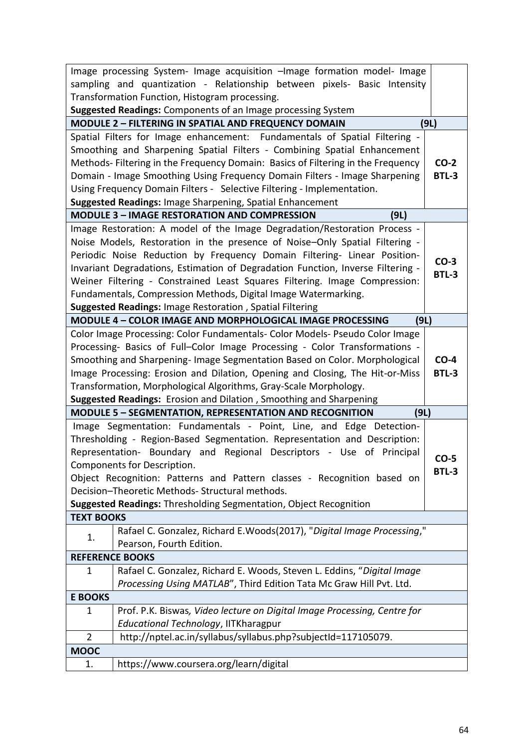|                        | Image processing System- Image acquisition -Image formation model- Image         |              |
|------------------------|----------------------------------------------------------------------------------|--------------|
|                        | sampling and quantization - Relationship between pixels- Basic Intensity         |              |
|                        | Transformation Function, Histogram processing.                                   |              |
|                        | Suggested Readings: Components of an Image processing System                     |              |
|                        | <b>MODULE 2 - FILTERING IN SPATIAL AND FREQUENCY DOMAIN</b>                      | (9L)         |
|                        | Spatial Filters for Image enhancement: Fundamentals of Spatial Filtering -       |              |
|                        | Smoothing and Sharpening Spatial Filters - Combining Spatial Enhancement         |              |
|                        | Methods- Filtering in the Frequency Domain: Basics of Filtering in the Frequency | $CO-2$       |
|                        | Domain - Image Smoothing Using Frequency Domain Filters - Image Sharpening       | <b>BTL-3</b> |
|                        | Using Frequency Domain Filters - Selective Filtering - Implementation.           |              |
|                        | Suggested Readings: Image Sharpening, Spatial Enhancement                        |              |
|                        | <b>MODULE 3 - IMAGE RESTORATION AND COMPRESSION</b><br>(9L)                      |              |
|                        | Image Restoration: A model of the Image Degradation/Restoration Process -        |              |
|                        | Noise Models, Restoration in the presence of Noise-Only Spatial Filtering -      |              |
|                        | Periodic Noise Reduction by Frequency Domain Filtering- Linear Position-         | $CO-3$       |
|                        | Invariant Degradations, Estimation of Degradation Function, Inverse Filtering -  | <b>BTL-3</b> |
|                        | Weiner Filtering - Constrained Least Squares Filtering. Image Compression:       |              |
|                        | Fundamentals, Compression Methods, Digital Image Watermarking.                   |              |
|                        | Suggested Readings: Image Restoration, Spatial Filtering                         |              |
|                        | MODULE 4 - COLOR IMAGE AND MORPHOLOGICAL IMAGE PROCESSING<br>(9L)                |              |
|                        | Color Image Processing: Color Fundamentals- Color Models- Pseudo Color Image     |              |
|                        | Processing- Basics of Full-Color Image Processing - Color Transformations -      |              |
|                        | Smoothing and Sharpening- Image Segmentation Based on Color. Morphological       | $CO-4$       |
|                        | Image Processing: Erosion and Dilation, Opening and Closing, The Hit-or-Miss     | <b>BTL-3</b> |
|                        | Transformation, Morphological Algorithms, Gray-Scale Morphology.                 |              |
|                        | Suggested Readings: Erosion and Dilation, Smoothing and Sharpening               |              |
|                        | <b>MODULE 5 - SEGMENTATION, REPRESENTATION AND RECOGNITION</b><br>(9L)           |              |
|                        | Image Segmentation: Fundamentals - Point, Line, and Edge Detection-              |              |
|                        | Thresholding - Region-Based Segmentation. Representation and Description:        |              |
|                        | Representation- Boundary and Regional Descriptors - Use of Principal             | CO-5         |
|                        | Components for Description.                                                      | <b>BTL-3</b> |
|                        | Object Recognition: Patterns and Pattern classes - Recognition based on          |              |
|                        | Decision-Theoretic Methods- Structural methods.                                  |              |
|                        | Suggested Readings: Thresholding Segmentation, Object Recognition                |              |
| <b>TEXT BOOKS</b>      |                                                                                  |              |
| 1.                     | Rafael C. Gonzalez, Richard E. Woods(2017), "Digital Image Processing,"          |              |
|                        | Pearson, Fourth Edition.                                                         |              |
| <b>REFERENCE BOOKS</b> |                                                                                  |              |
| 1                      | Rafael C. Gonzalez, Richard E. Woods, Steven L. Eddins, "Digital Image           |              |
|                        | Processing Using MATLAB", Third Edition Tata Mc Graw Hill Pvt. Ltd.              |              |
| <b>E BOOKS</b>         |                                                                                  |              |
| 1                      | Prof. P.K. Biswas, Video lecture on Digital Image Processing, Centre for         |              |
|                        | Educational Technology, IITKharagpur                                             |              |
| $\overline{2}$         | http://nptel.ac.in/syllabus/syllabus.php?subjectId=117105079.                    |              |
| <b>MOOC</b>            |                                                                                  |              |
| 1.                     | https://www.coursera.org/learn/digital                                           |              |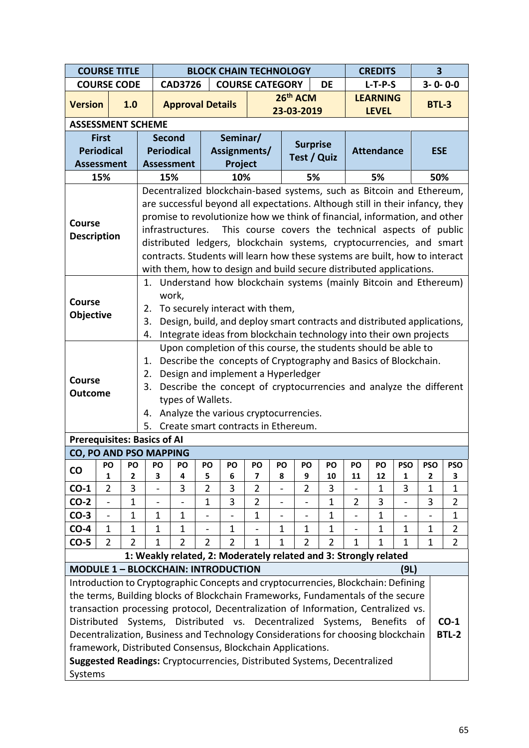|                                                                                                                                   | <b>COURSE TITLE</b>                                                      |                |                              | <b>BLOCK CHAIN TECHNOLOGY</b>                                                           |                          |                               |                                  |                          |                                                    |                |                |                   | <b>CREDITS</b>           |                              |                     |  |
|-----------------------------------------------------------------------------------------------------------------------------------|--------------------------------------------------------------------------|----------------|------------------------------|-----------------------------------------------------------------------------------------|--------------------------|-------------------------------|----------------------------------|--------------------------|----------------------------------------------------|----------------|----------------|-------------------|--------------------------|------------------------------|---------------------|--|
|                                                                                                                                   | <b>COURSE CODE</b>                                                       |                |                              | <b>CAD3726</b>                                                                          |                          | <b>COURSE CATEGORY</b>        |                                  |                          |                                                    | <b>DE</b>      |                | $L-T-P-S$         |                          | $3 - 0 - 0 - 0$              |                     |  |
| <b>Version</b>                                                                                                                    |                                                                          | 1.0            |                              | <b>Approval Details</b>                                                                 |                          |                               |                                  |                          | 26th ACM                                           |                |                | <b>LEARNING</b>   |                          | <b>BTL-3</b>                 |                     |  |
|                                                                                                                                   |                                                                          |                |                              |                                                                                         |                          |                               |                                  |                          | 23-03-2019                                         |                |                | <b>LEVEL</b>      |                          |                              |                     |  |
| <b>ASSESSMENT SCHEME</b>                                                                                                          |                                                                          |                |                              |                                                                                         |                          |                               |                                  |                          |                                                    |                |                |                   |                          |                              |                     |  |
|                                                                                                                                   | <b>First</b>                                                             |                |                              | <b>Second</b>                                                                           |                          | Seminar/                      |                                  |                          | <b>Surprise</b>                                    |                |                |                   |                          |                              |                     |  |
|                                                                                                                                   | <b>Periodical</b>                                                        |                |                              | <b>Periodical</b>                                                                       |                          | Assignments/                  |                                  |                          | Test / Quiz                                        |                |                | <b>Attendance</b> |                          | <b>ESE</b>                   |                     |  |
| <b>Assessment</b>                                                                                                                 |                                                                          |                |                              | <b>Assessment</b>                                                                       |                          | Project                       |                                  |                          |                                                    |                |                |                   |                          |                              |                     |  |
|                                                                                                                                   | 15%                                                                      |                |                              | 15%<br>Decentralized blockchain-based systems, such as Bitcoin and Ethereum,            |                          | 10%                           |                                  |                          | 5%                                                 |                |                | 5%                |                          | 50%                          |                     |  |
|                                                                                                                                   |                                                                          |                |                              | are successful beyond all expectations. Although still in their infancy, they           |                          |                               |                                  |                          |                                                    |                |                |                   |                          |                              |                     |  |
|                                                                                                                                   |                                                                          |                |                              | promise to revolutionize how we think of financial, information, and other              |                          |                               |                                  |                          |                                                    |                |                |                   |                          |                              |                     |  |
| <b>Course</b>                                                                                                                     |                                                                          |                |                              | infrastructures.                                                                        |                          |                               |                                  |                          | This course covers the technical aspects of public |                |                |                   |                          |                              |                     |  |
| <b>Description</b>                                                                                                                |                                                                          |                |                              | distributed ledgers, blockchain systems, cryptocurrencies, and smart                    |                          |                               |                                  |                          |                                                    |                |                |                   |                          |                              |                     |  |
|                                                                                                                                   |                                                                          |                |                              | contracts. Students will learn how these systems are built, how to interact             |                          |                               |                                  |                          |                                                    |                |                |                   |                          |                              |                     |  |
| with them, how to design and build secure distributed applications.                                                               |                                                                          |                |                              |                                                                                         |                          |                               |                                  |                          |                                                    |                |                |                   |                          |                              |                     |  |
| Understand how blockchain systems (mainly Bitcoin and Ethereum)<br>1.                                                             |                                                                          |                |                              |                                                                                         |                          |                               |                                  |                          |                                                    |                |                |                   |                          |                              |                     |  |
|                                                                                                                                   | work,<br><b>Course</b>                                                   |                |                              |                                                                                         |                          |                               |                                  |                          |                                                    |                |                |                   |                          |                              |                     |  |
| To securely interact with them,<br>2.<br>Objective<br>Design, build, and deploy smart contracts and distributed applications,     |                                                                          |                |                              |                                                                                         |                          |                               |                                  |                          |                                                    |                |                |                   |                          |                              |                     |  |
|                                                                                                                                   |                                                                          |                | 3.                           |                                                                                         |                          |                               |                                  |                          |                                                    |                |                |                   |                          |                              |                     |  |
|                                                                                                                                   | Integrate ideas from blockchain technology into their own projects<br>4. |                |                              |                                                                                         |                          |                               |                                  |                          |                                                    |                |                |                   |                          |                              |                     |  |
| Upon completion of this course, the students should be able to<br>Describe the concepts of Cryptography and Basics of Blockchain. |                                                                          |                |                              |                                                                                         |                          |                               |                                  |                          |                                                    |                |                |                   |                          |                              |                     |  |
|                                                                                                                                   |                                                                          |                | 1.                           |                                                                                         |                          |                               |                                  |                          |                                                    |                |                |                   |                          |                              |                     |  |
| <b>Course</b>                                                                                                                     |                                                                          |                | 2.<br>3.                     | Design and implement a Hyperledger                                                      |                          |                               |                                  |                          |                                                    |                |                |                   |                          |                              |                     |  |
| <b>Outcome</b>                                                                                                                    |                                                                          |                |                              | Describe the concept of cryptocurrencies and analyze the different<br>types of Wallets. |                          |                               |                                  |                          |                                                    |                |                |                   |                          |                              |                     |  |
|                                                                                                                                   |                                                                          |                | 4.                           | Analyze the various cryptocurrencies.                                                   |                          |                               |                                  |                          |                                                    |                |                |                   |                          |                              |                     |  |
|                                                                                                                                   |                                                                          |                |                              | 5. Create smart contracts in Ethereum.                                                  |                          |                               |                                  |                          |                                                    |                |                |                   |                          |                              |                     |  |
| <b>Prerequisites: Basics of AI</b>                                                                                                |                                                                          |                |                              |                                                                                         |                          |                               |                                  |                          |                                                    |                |                |                   |                          |                              |                     |  |
| <b>CO, PO AND PSO MAPPING</b>                                                                                                     |                                                                          |                |                              |                                                                                         |                          |                               |                                  |                          |                                                    |                |                |                   |                          |                              |                     |  |
| <b>CO</b>                                                                                                                         | PO                                                                       | PO             | PO                           | PO                                                                                      | PO                       | PO                            | PO                               | PO                       | PO                                                 | PO             | PO             | PO                | <b>PSO</b>               | <b>PSO</b>                   | <b>PSO</b>          |  |
| $CO-1$                                                                                                                            | 1<br>$\overline{2}$                                                      | 2<br>3         | 3                            | 4<br>3                                                                                  | 5<br>$\overline{2}$      | 6<br>3                        | $\overline{7}$<br>$\overline{2}$ | 8                        | 9<br>2                                             | 10<br>3        | 11             | 12                | $\mathbf{1}$<br>3        | $\mathbf{2}$<br>$\mathbf{1}$ | 3                   |  |
| $CO-2$                                                                                                                            | $\overline{a}$                                                           | $\mathbf 1$    | $\qquad \qquad \blacksquare$ |                                                                                         | $\mathbf{1}$             | 3                             | $\overline{2}$                   | $\blacksquare$           | $\overline{\phantom{0}}$                           | $\mathbf{1}$   | $\overline{2}$ | 1<br>3            | $\overline{\phantom{a}}$ | 3                            | 1<br>$\overline{2}$ |  |
| $CO-3$                                                                                                                            | $\blacksquare$                                                           | $\mathbf 1$    | $\mathbf{1}$                 | $\mathbf{1}$                                                                            |                          |                               | $\mathbf{1}$                     | $\overline{\phantom{0}}$ | $\qquad \qquad \blacksquare$                       | $\mathbf{1}$   |                | $\mathbf{1}$      | $\overline{\phantom{0}}$ |                              | $\mathbf 1$         |  |
| $CO-4$                                                                                                                            | $\mathbf{1}$                                                             | $\mathbf{1}$   | $\mathbf{1}$                 | $\mathbf{1}$                                                                            | $\overline{\phantom{0}}$ | 1                             |                                  | $\mathbf{1}$             | $\mathbf{1}$                                       | $\mathbf{1}$   |                | $\mathbf{1}$      | $\mathbf 1$              | $\mathbf 1$                  | $\overline{2}$      |  |
| $CO-5$                                                                                                                            | 2                                                                        | $\overline{2}$ | $\mathbf 1$                  | $\overline{2}$                                                                          | $\overline{2}$           | $\overline{2}$                | $\mathbf{1}$                     | 1                        | $\overline{2}$                                     | $\overline{2}$ | 1              | $\mathbf{1}$      | 1                        | $\mathbf 1$                  | $\overline{2}$      |  |
|                                                                                                                                   |                                                                          |                |                              | 1: Weakly related, 2: Moderately related and 3: Strongly related                        |                          |                               |                                  |                          |                                                    |                |                |                   |                          |                              |                     |  |
|                                                                                                                                   |                                                                          |                |                              | <b>MODULE 1 - BLOCKCHAIN: INTRODUCTION</b>                                              |                          |                               |                                  |                          |                                                    |                |                |                   | (9L)                     |                              |                     |  |
|                                                                                                                                   |                                                                          |                |                              | Introduction to Cryptographic Concepts and cryptocurrencies, Blockchain: Defining       |                          |                               |                                  |                          |                                                    |                |                |                   |                          |                              |                     |  |
|                                                                                                                                   |                                                                          |                |                              | the terms, Building blocks of Blockchain Frameworks, Fundamentals of the secure         |                          |                               |                                  |                          |                                                    |                |                |                   |                          |                              |                     |  |
|                                                                                                                                   |                                                                          |                |                              | transaction processing protocol, Decentralization of Information, Centralized vs.       |                          |                               |                                  |                          |                                                    |                |                |                   |                          |                              |                     |  |
| Distributed                                                                                                                       |                                                                          |                | Systems,                     |                                                                                         |                          | Distributed vs. Decentralized |                                  |                          |                                                    | Systems,       |                | <b>Benefits</b>   |                          | of                           | $CO-1$              |  |
|                                                                                                                                   |                                                                          |                |                              | Decentralization, Business and Technology Considerations for choosing blockchain        |                          |                               |                                  |                          |                                                    |                |                |                   |                          |                              | <b>BTL-2</b>        |  |
|                                                                                                                                   |                                                                          |                |                              | framework, Distributed Consensus, Blockchain Applications.                              |                          |                               |                                  |                          |                                                    |                |                |                   |                          |                              |                     |  |
| Suggested Readings: Cryptocurrencies, Distributed Systems, Decentralized                                                          |                                                                          |                |                              |                                                                                         |                          |                               |                                  |                          |                                                    |                |                |                   |                          |                              |                     |  |
| Systems                                                                                                                           |                                                                          |                |                              |                                                                                         |                          |                               |                                  |                          |                                                    |                |                |                   |                          |                              |                     |  |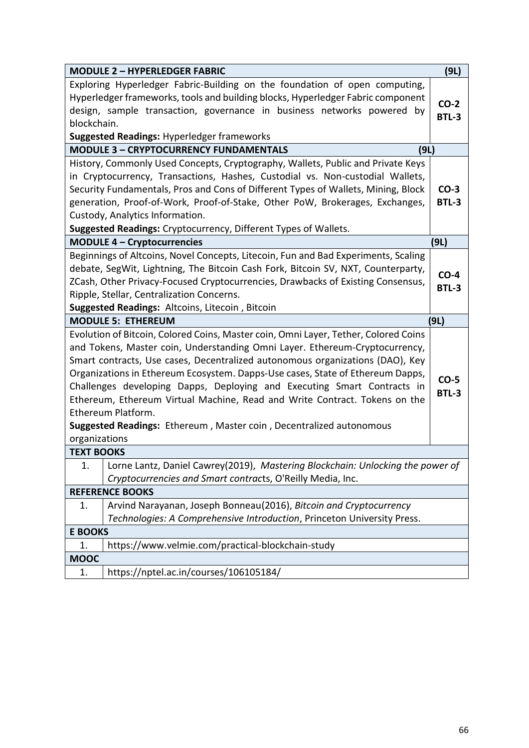|                   | <b>MODULE 2 - HYPERLEDGER FABRIC</b>                                                                                                                                                                                                                                                                                                                                                                                                                                                                                                                                                        | (9L)                   |
|-------------------|---------------------------------------------------------------------------------------------------------------------------------------------------------------------------------------------------------------------------------------------------------------------------------------------------------------------------------------------------------------------------------------------------------------------------------------------------------------------------------------------------------------------------------------------------------------------------------------------|------------------------|
| blockchain.       | Exploring Hyperledger Fabric-Building on the foundation of open computing,<br>Hyperledger frameworks, tools and building blocks, Hyperledger Fabric component<br>design, sample transaction, governance in business networks powered by                                                                                                                                                                                                                                                                                                                                                     | $CO-2$<br><b>BTL-3</b> |
|                   | <b>Suggested Readings: Hyperledger frameworks</b>                                                                                                                                                                                                                                                                                                                                                                                                                                                                                                                                           |                        |
|                   | <b>MODULE 3 - CRYPTOCURRENCY FUNDAMENTALS</b><br>(9L)                                                                                                                                                                                                                                                                                                                                                                                                                                                                                                                                       |                        |
|                   | History, Commonly Used Concepts, Cryptography, Wallets, Public and Private Keys<br>in Cryptocurrency, Transactions, Hashes, Custodial vs. Non-custodial Wallets,<br>Security Fundamentals, Pros and Cons of Different Types of Wallets, Mining, Block<br>generation, Proof-of-Work, Proof-of-Stake, Other PoW, Brokerages, Exchanges,<br>Custody, Analytics Information.<br>Suggested Readings: Cryptocurrency, Different Types of Wallets.                                                                                                                                                 | $CO-3$<br><b>BTL-3</b> |
|                   | <b>MODULE 4 - Cryptocurrencies</b>                                                                                                                                                                                                                                                                                                                                                                                                                                                                                                                                                          | (9L)                   |
|                   | Beginnings of Altcoins, Novel Concepts, Litecoin, Fun and Bad Experiments, Scaling<br>debate, SegWit, Lightning, The Bitcoin Cash Fork, Bitcoin SV, NXT, Counterparty,<br>ZCash, Other Privacy-Focused Cryptocurrencies, Drawbacks of Existing Consensus,<br>Ripple, Stellar, Centralization Concerns.<br>Suggested Readings: Altcoins, Litecoin, Bitcoin                                                                                                                                                                                                                                   | $CO-4$<br><b>BTL-3</b> |
|                   | <b>MODULE 5: ETHEREUM</b>                                                                                                                                                                                                                                                                                                                                                                                                                                                                                                                                                                   | (9L)                   |
| organizations     | Evolution of Bitcoin, Colored Coins, Master coin, Omni Layer, Tether, Colored Coins<br>and Tokens, Master coin, Understanding Omni Layer. Ethereum-Cryptocurrency,<br>Smart contracts, Use cases, Decentralized autonomous organizations (DAO), Key<br>Organizations in Ethereum Ecosystem. Dapps-Use cases, State of Ethereum Dapps,<br>Challenges developing Dapps, Deploying and Executing Smart Contracts in<br>Ethereum, Ethereum Virtual Machine, Read and Write Contract. Tokens on the<br>Ethereum Platform.<br>Suggested Readings: Ethereum, Master coin, Decentralized autonomous | $CO-5$<br><b>BTL-3</b> |
| <b>TEXT BOOKS</b> |                                                                                                                                                                                                                                                                                                                                                                                                                                                                                                                                                                                             |                        |
| 1.                | Lorne Lantz, Daniel Cawrey(2019), Mastering Blockchain: Unlocking the power of<br>Cryptocurrencies and Smart contracts, O'Reilly Media, Inc.                                                                                                                                                                                                                                                                                                                                                                                                                                                |                        |
|                   | <b>REFERENCE BOOKS</b>                                                                                                                                                                                                                                                                                                                                                                                                                                                                                                                                                                      |                        |
| 1.                | Arvind Narayanan, Joseph Bonneau(2016), Bitcoin and Cryptocurrency<br>Technologies: A Comprehensive Introduction, Princeton University Press.                                                                                                                                                                                                                                                                                                                                                                                                                                               |                        |
| <b>E BOOKS</b>    |                                                                                                                                                                                                                                                                                                                                                                                                                                                                                                                                                                                             |                        |
| 1.                | https://www.velmie.com/practical-blockchain-study                                                                                                                                                                                                                                                                                                                                                                                                                                                                                                                                           |                        |
| <b>MOOC</b>       |                                                                                                                                                                                                                                                                                                                                                                                                                                                                                                                                                                                             |                        |
| 1.                | https://nptel.ac.in/courses/106105184/                                                                                                                                                                                                                                                                                                                                                                                                                                                                                                                                                      |                        |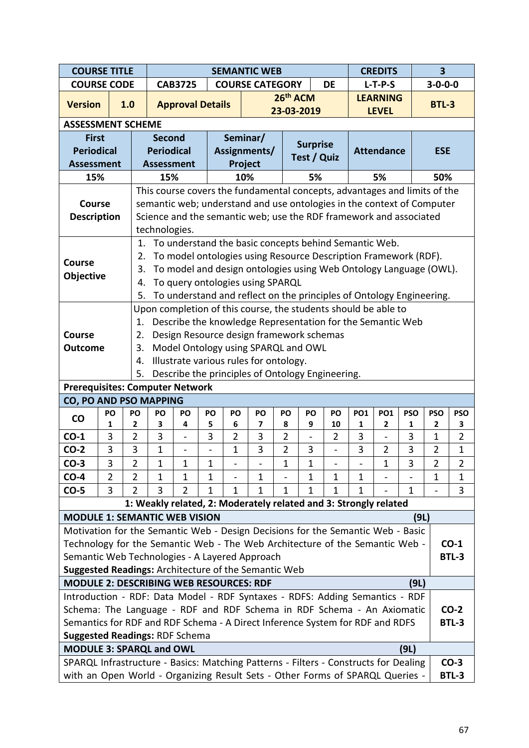| <b>COURSE TITLE</b>                                                                                           |                                                                                               |     |                     |                                                                                                                              |                         |                   | <b>SEMANTIC WEB</b>      |                                                                                                          |                |                 |                                          | <b>CREDITS</b> |                   | $\overline{\mathbf{3}}$ |                 |                               |
|---------------------------------------------------------------------------------------------------------------|-----------------------------------------------------------------------------------------------|-----|---------------------|------------------------------------------------------------------------------------------------------------------------------|-------------------------|-------------------|--------------------------|----------------------------------------------------------------------------------------------------------|----------------|-----------------|------------------------------------------|----------------|-------------------|-------------------------|-----------------|-------------------------------|
| <b>COURSE CODE</b>                                                                                            |                                                                                               |     |                     |                                                                                                                              | <b>CAB3725</b>          |                   |                          | <b>COURSE CATEGORY</b>                                                                                   |                |                 | <b>DE</b>                                |                | $L-T-P-S$         |                         | $3 - 0 - 0 - 0$ |                               |
| <b>Version</b>                                                                                                |                                                                                               | 1.0 |                     |                                                                                                                              | <b>Approval Details</b> |                   |                          |                                                                                                          | 26th ACM       |                 |                                          |                | <b>LEARNING</b>   |                         | <b>BTL-3</b>    |                               |
|                                                                                                               |                                                                                               |     |                     |                                                                                                                              |                         |                   |                          |                                                                                                          |                | 23-03-2019      |                                          |                | <b>LEVEL</b>      |                         |                 |                               |
| <b>ASSESSMENT SCHEME</b>                                                                                      |                                                                                               |     |                     |                                                                                                                              |                         |                   |                          |                                                                                                          |                |                 |                                          |                |                   |                         |                 |                               |
| <b>First</b>                                                                                                  |                                                                                               |     |                     | <b>Second</b>                                                                                                                |                         |                   |                          | Seminar/                                                                                                 |                | <b>Surprise</b> |                                          |                |                   |                         |                 |                               |
| <b>Periodical</b>                                                                                             |                                                                                               |     |                     | <b>Periodical</b>                                                                                                            |                         |                   |                          | Assignments/                                                                                             |                | Test / Quiz     |                                          |                | <b>Attendance</b> |                         | <b>ESE</b>      |                               |
| <b>Assessment</b>                                                                                             |                                                                                               |     |                     | <b>Assessment</b>                                                                                                            |                         |                   |                          | Project                                                                                                  |                |                 |                                          |                |                   |                         |                 |                               |
| 15%                                                                                                           |                                                                                               |     |                     | 15%                                                                                                                          |                         |                   |                          | 10%                                                                                                      |                | 5%              |                                          |                | 5%                |                         | 50%             |                               |
|                                                                                                               |                                                                                               |     |                     |                                                                                                                              |                         |                   |                          | This course covers the fundamental concepts, advantages and limits of the                                |                |                 |                                          |                |                   |                         |                 |                               |
| Course                                                                                                        |                                                                                               |     |                     |                                                                                                                              |                         |                   |                          | semantic web; understand and use ontologies in the context of Computer                                   |                |                 |                                          |                |                   |                         |                 |                               |
| <b>Description</b>                                                                                            |                                                                                               |     |                     |                                                                                                                              |                         |                   |                          | Science and the semantic web; use the RDF framework and associated                                       |                |                 |                                          |                |                   |                         |                 |                               |
|                                                                                                               |                                                                                               |     |                     | technologies.                                                                                                                |                         |                   |                          |                                                                                                          |                |                 |                                          |                |                   |                         |                 |                               |
|                                                                                                               |                                                                                               |     | 1.                  |                                                                                                                              |                         |                   |                          | To understand the basic concepts behind Semantic Web.                                                    |                |                 |                                          |                |                   |                         |                 |                               |
| <b>Course</b>                                                                                                 |                                                                                               |     | 2.                  |                                                                                                                              |                         |                   |                          | To model ontologies using Resource Description Framework (RDF).                                          |                |                 |                                          |                |                   |                         |                 |                               |
| Objective                                                                                                     |                                                                                               |     | 3.                  |                                                                                                                              |                         |                   |                          | To model and design ontologies using Web Ontology Language (OWL).                                        |                |                 |                                          |                |                   |                         |                 |                               |
|                                                                                                               |                                                                                               |     | 4.<br>5.            |                                                                                                                              |                         |                   |                          | To query ontologies using SPARQL<br>To understand and reflect on the principles of Ontology Engineering. |                |                 |                                          |                |                   |                         |                 |                               |
|                                                                                                               |                                                                                               |     |                     |                                                                                                                              |                         |                   |                          |                                                                                                          |                |                 |                                          |                |                   |                         |                 |                               |
|                                                                                                               |                                                                                               |     | 1.                  | Upon completion of this course, the students should be able to<br>Describe the knowledge Representation for the Semantic Web |                         |                   |                          |                                                                                                          |                |                 |                                          |                |                   |                         |                 |                               |
| <b>Course</b>                                                                                                 |                                                                                               |     | 2.                  |                                                                                                                              |                         |                   |                          | Design Resource design framework schemas                                                                 |                |                 |                                          |                |                   |                         |                 |                               |
| <b>Outcome</b>                                                                                                |                                                                                               |     | 3.                  |                                                                                                                              |                         |                   |                          | Model Ontology using SPARQL and OWL                                                                      |                |                 |                                          |                |                   |                         |                 |                               |
|                                                                                                               |                                                                                               |     | 4.                  |                                                                                                                              |                         |                   |                          |                                                                                                          |                |                 |                                          |                |                   |                         |                 |                               |
| Illustrate various rules for ontology.<br>5.<br>Describe the principles of Ontology Engineering.              |                                                                                               |     |                     |                                                                                                                              |                         |                   |                          |                                                                                                          |                |                 |                                          |                |                   |                         |                 |                               |
| <b>Prerequisites: Computer Network</b>                                                                        |                                                                                               |     |                     |                                                                                                                              |                         |                   |                          |                                                                                                          |                |                 |                                          |                |                   |                         |                 |                               |
| CO, PO AND PSO MAPPING                                                                                        |                                                                                               |     |                     |                                                                                                                              |                         |                   |                          |                                                                                                          |                |                 |                                          |                |                   |                         |                 |                               |
| co                                                                                                            | PO                                                                                            |     | PO                  | PO                                                                                                                           | PO                      | PO                | PO                       | PO                                                                                                       | PO             | PO              | PO                                       | <b>PO1</b>     | <b>PO1</b>        | <b>PSO</b>              | <b>PSO</b>      | <b>PSO</b>                    |
|                                                                                                               | $\mathbf{1}$                                                                                  |     | $\mathbf{2}$        | 3                                                                                                                            | 4                       | 5                 | 6                        | 7                                                                                                        | 8              | 9               | 10                                       | 1              | $\mathbf{2}$      | 1                       | $\overline{2}$  | 3                             |
| $CO-1$                                                                                                        | 3                                                                                             |     | $\overline{2}$      | 3                                                                                                                            |                         | 3                 | $\overline{2}$           | 3                                                                                                        | $\overline{2}$ |                 | $\overline{2}$                           | 3              |                   | 3                       | 1               | $\overline{2}$                |
| $CO-2$                                                                                                        | 3                                                                                             |     | 3                   | $\mathbf 1$                                                                                                                  |                         |                   | 1                        | 3                                                                                                        | $\overline{2}$ | 3               |                                          | 3              | $\overline{2}$    | 3                       | $\overline{2}$  | $\mathbf 1$                   |
| CO-3<br>$CO-4$                                                                                                | 3<br>$\overline{2}$                                                                           |     | 2<br>$\overline{2}$ | 1<br>$\mathbf{1}$                                                                                                            | 1<br>$\mathbf{1}$       | 1<br>$\mathbf{1}$ | $\overline{\phantom{0}}$ | $\mathbf{1}$                                                                                             | 1              | 1<br>1          | $\overline{\phantom{a}}$<br>$\mathbf{1}$ | $\mathbf{1}$   | 1                 | 3                       | 2<br>1          | $\overline{L}$<br>$\mathbf 1$ |
| $CO-5$                                                                                                        | 3                                                                                             |     | $\overline{2}$      | 3                                                                                                                            | $\overline{2}$          | $\mathbf{1}$      | 1                        | 1                                                                                                        | 1              | 1               | 1                                        | 1              |                   | 1                       |                 | 3                             |
|                                                                                                               |                                                                                               |     |                     |                                                                                                                              |                         |                   |                          | 1: Weakly related, 2: Moderately related and 3: Strongly related                                         |                |                 |                                          |                |                   |                         |                 |                               |
| <b>MODULE 1: SEMANTIC WEB VISION</b>                                                                          |                                                                                               |     |                     |                                                                                                                              |                         |                   |                          |                                                                                                          |                |                 |                                          |                |                   | (9L)                    |                 |                               |
| Motivation for the Semantic Web - Design Decisions for the Semantic Web - Basic                               |                                                                                               |     |                     |                                                                                                                              |                         |                   |                          |                                                                                                          |                |                 |                                          |                |                   |                         |                 |                               |
| Technology for the Semantic Web - The Web Architecture of the Semantic Web -                                  |                                                                                               |     |                     |                                                                                                                              |                         |                   |                          |                                                                                                          |                |                 |                                          |                |                   |                         |                 | $CO-1$                        |
|                                                                                                               |                                                                                               |     |                     |                                                                                                                              |                         |                   |                          |                                                                                                          |                |                 |                                          |                |                   |                         |                 | <b>BTL-3</b>                  |
| Semantic Web Technologies - A Layered Approach<br><b>Suggested Readings: Architecture of the Semantic Web</b> |                                                                                               |     |                     |                                                                                                                              |                         |                   |                          |                                                                                                          |                |                 |                                          |                |                   |                         |                 |                               |
|                                                                                                               | <b>MODULE 2: DESCRIBING WEB RESOURCES: RDF</b><br>(9L)                                        |     |                     |                                                                                                                              |                         |                   |                          |                                                                                                          |                |                 |                                          |                |                   |                         |                 |                               |
| Introduction - RDF: Data Model - RDF Syntaxes - RDFS: Adding Semantics - RDF                                  |                                                                                               |     |                     |                                                                                                                              |                         |                   |                          |                                                                                                          |                |                 |                                          |                |                   |                         |                 |                               |
| Schema: The Language - RDF and RDF Schema in RDF Schema - An Axiomatic                                        |                                                                                               |     |                     |                                                                                                                              |                         |                   |                          |                                                                                                          |                |                 |                                          |                |                   |                         |                 | $CO-2$                        |
|                                                                                                               | <b>BTL-3</b><br>Semantics for RDF and RDF Schema - A Direct Inference System for RDF and RDFS |     |                     |                                                                                                                              |                         |                   |                          |                                                                                                          |                |                 |                                          |                |                   |                         |                 |                               |
|                                                                                                               | <b>Suggested Readings: RDF Schema</b>                                                         |     |                     |                                                                                                                              |                         |                   |                          |                                                                                                          |                |                 |                                          |                |                   |                         |                 |                               |
|                                                                                                               | <b>MODULE 3: SPARQL and OWL</b><br>(9L)                                                       |     |                     |                                                                                                                              |                         |                   |                          |                                                                                                          |                |                 |                                          |                |                   |                         |                 |                               |
| SPARQL Infrastructure - Basics: Matching Patterns - Filters - Constructs for Dealing                          |                                                                                               |     |                     |                                                                                                                              |                         |                   |                          |                                                                                                          |                |                 |                                          |                |                   |                         |                 | $CO-3$                        |
| with an Open World - Organizing Result Sets - Other Forms of SPARQL Queries -                                 |                                                                                               |     |                     |                                                                                                                              |                         |                   |                          |                                                                                                          |                |                 |                                          |                |                   |                         |                 | <b>BTL-3</b>                  |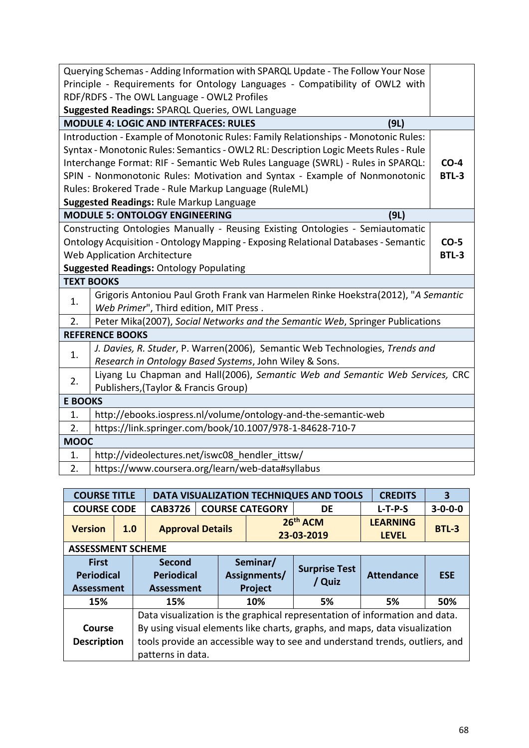|                                                     | Querying Schemas - Adding Information with SPARQL Update - The Follow Your Nose<br>Principle - Requirements for Ontology Languages - Compatibility of OWL2 with |              |  |  |  |  |  |
|-----------------------------------------------------|-----------------------------------------------------------------------------------------------------------------------------------------------------------------|--------------|--|--|--|--|--|
|                                                     | RDF/RDFS - The OWL Language - OWL2 Profiles                                                                                                                     |              |  |  |  |  |  |
|                                                     | Suggested Readings: SPARQL Queries, OWL Language                                                                                                                |              |  |  |  |  |  |
|                                                     | <b>MODULE 4: LOGIC AND INTERFACES: RULES</b><br>(9L)                                                                                                            |              |  |  |  |  |  |
|                                                     | Introduction - Example of Monotonic Rules: Family Relationships - Monotonic Rules:                                                                              |              |  |  |  |  |  |
|                                                     | Syntax - Monotonic Rules: Semantics - OWL2 RL: Description Logic Meets Rules - Rule                                                                             |              |  |  |  |  |  |
|                                                     | Interchange Format: RIF - Semantic Web Rules Language (SWRL) - Rules in SPARQL:                                                                                 | $CO-4$       |  |  |  |  |  |
|                                                     | SPIN - Nonmonotonic Rules: Motivation and Syntax - Example of Nonmonotonic                                                                                      | <b>BTL-3</b> |  |  |  |  |  |
|                                                     | Rules: Brokered Trade - Rule Markup Language (RuleML)                                                                                                           |              |  |  |  |  |  |
|                                                     | <b>Suggested Readings: Rule Markup Language</b>                                                                                                                 |              |  |  |  |  |  |
|                                                     | <b>MODULE 5: ONTOLOGY ENGINEERING</b><br>(9L)                                                                                                                   |              |  |  |  |  |  |
|                                                     | Constructing Ontologies Manually - Reusing Existing Ontologies - Semiautomatic                                                                                  |              |  |  |  |  |  |
|                                                     | Ontology Acquisition - Ontology Mapping - Exposing Relational Databases - Semantic                                                                              | $CO-5$       |  |  |  |  |  |
| <b>Web Application Architecture</b><br><b>BTL-3</b> |                                                                                                                                                                 |              |  |  |  |  |  |
|                                                     | <b>Suggested Readings: Ontology Populating</b>                                                                                                                  |              |  |  |  |  |  |
|                                                     | <b>TEXT BOOKS</b>                                                                                                                                               |              |  |  |  |  |  |
| 1.                                                  | Grigoris Antoniou Paul Groth Frank van Harmelen Rinke Hoekstra(2012), "A Semantic                                                                               |              |  |  |  |  |  |
|                                                     | Web Primer", Third edition, MIT Press.                                                                                                                          |              |  |  |  |  |  |
| 2.                                                  | Peter Mika(2007), Social Networks and the Semantic Web, Springer Publications                                                                                   |              |  |  |  |  |  |
|                                                     | <b>REFERENCE BOOKS</b>                                                                                                                                          |              |  |  |  |  |  |
| 1.                                                  | J. Davies, R. Studer, P. Warren(2006), Semantic Web Technologies, Trends and                                                                                    |              |  |  |  |  |  |
|                                                     | Research in Ontology Based Systems, John Wiley & Sons.                                                                                                          |              |  |  |  |  |  |
| 2.                                                  | Liyang Lu Chapman and Hall(2006), Semantic Web and Semantic Web Services, CRC                                                                                   |              |  |  |  |  |  |
|                                                     | Publishers, (Taylor & Francis Group)                                                                                                                            |              |  |  |  |  |  |
| <b>E BOOKS</b>                                      |                                                                                                                                                                 |              |  |  |  |  |  |
| 1.                                                  | http://ebooks.iospress.nl/volume/ontology-and-the-semantic-web                                                                                                  |              |  |  |  |  |  |
| 2.                                                  | https://link.springer.com/book/10.1007/978-1-84628-710-7                                                                                                        |              |  |  |  |  |  |
| <b>MOOC</b>                                         |                                                                                                                                                                 |              |  |  |  |  |  |
| 1.                                                  | http://videolectures.net/iswc08 hendler ittsw/                                                                                                                  |              |  |  |  |  |  |
| 2.                                                  | https://www.coursera.org/learn/web-data#syllabus                                                                                                                |              |  |  |  |  |  |

| <b>COURSE TITLE</b>                                    |     |                                                                             | <b>DATA VISUALIZATION TECHNIQUES AND TOOLS</b><br><b>CREDITS</b><br>3 |                                            |                                                                       |                                |                   |                 |  |  |  |  |
|--------------------------------------------------------|-----|-----------------------------------------------------------------------------|-----------------------------------------------------------------------|--------------------------------------------|-----------------------------------------------------------------------|--------------------------------|-------------------|-----------------|--|--|--|--|
| <b>COURSE CODE</b>                                     |     | <b>CAB3726</b>                                                              |                                                                       |                                            | <b>COURSE CATEGORY</b>                                                | DE                             | $L-T-P-S$         | $3 - 0 - 0 - 0$ |  |  |  |  |
| <b>Version</b>                                         | 1.0 | <b>Approval Details</b>                                                     |                                                                       |                                            | 26 <sup>th</sup> ACM<br><b>LEARNING</b><br>23-03-2019<br><b>LEVEL</b> |                                |                   | <b>BTL-3</b>    |  |  |  |  |
| <b>ASSESSMENT SCHEME</b>                               |     |                                                                             |                                                                       |                                            |                                                                       |                                |                   |                 |  |  |  |  |
| <b>First</b><br><b>Periodical</b><br><b>Assessment</b> |     | Second<br><b>Periodical</b><br><b>Assessment</b>                            |                                                                       | Seminar/<br>Assignments/<br><b>Project</b> |                                                                       | <b>Surprise Test</b><br>/ Quiz | <b>Attendance</b> | <b>ESE</b>      |  |  |  |  |
| 15%                                                    |     | 15%                                                                         |                                                                       |                                            | 10%                                                                   | 5%                             | 5%                | 50%             |  |  |  |  |
|                                                        |     | Data visualization is the graphical representation of information and data. |                                                                       |                                            |                                                                       |                                |                   |                 |  |  |  |  |
| Course                                                 |     | By using visual elements like charts, graphs, and maps, data visualization  |                                                                       |                                            |                                                                       |                                |                   |                 |  |  |  |  |
| <b>Description</b>                                     |     | tools provide an accessible way to see and understand trends, outliers, and |                                                                       |                                            |                                                                       |                                |                   |                 |  |  |  |  |
|                                                        |     |                                                                             |                                                                       | patterns in data.                          |                                                                       |                                |                   |                 |  |  |  |  |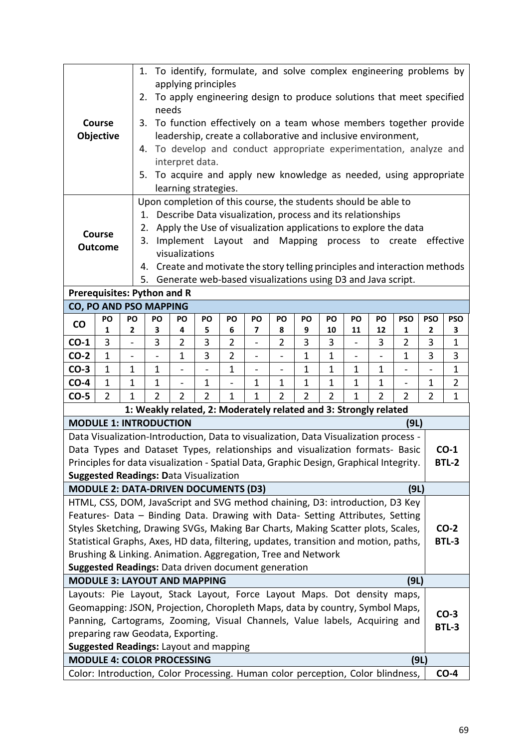|                                                                                                                                         |                                                                                                                                 |                   |                                                                                                                               |                                                                                                                                                                                  |                | 1. To identify, formulate, and solve complex engineering problems by |              |                |                    |                |              |                |                |                |                |
|-----------------------------------------------------------------------------------------------------------------------------------------|---------------------------------------------------------------------------------------------------------------------------------|-------------------|-------------------------------------------------------------------------------------------------------------------------------|----------------------------------------------------------------------------------------------------------------------------------------------------------------------------------|----------------|----------------------------------------------------------------------|--------------|----------------|--------------------|----------------|--------------|----------------|----------------|----------------|----------------|
|                                                                                                                                         |                                                                                                                                 |                   |                                                                                                                               | applying principles                                                                                                                                                              |                |                                                                      |              |                |                    |                |              |                |                |                |                |
|                                                                                                                                         |                                                                                                                                 |                   | 2.<br>needs                                                                                                                   |                                                                                                                                                                                  |                | To apply engineering design to produce solutions that meet specified |              |                |                    |                |              |                |                |                |                |
|                                                                                                                                         | Course                                                                                                                          |                   |                                                                                                                               |                                                                                                                                                                                  |                | 3. To function effectively on a team whose members together provide  |              |                |                    |                |              |                |                |                |                |
|                                                                                                                                         | Objective                                                                                                                       |                   |                                                                                                                               |                                                                                                                                                                                  |                | leadership, create a collaborative and inclusive environment,        |              |                |                    |                |              |                |                |                |                |
|                                                                                                                                         |                                                                                                                                 | 4.                |                                                                                                                               |                                                                                                                                                                                  |                | To develop and conduct appropriate experimentation, analyze and      |              |                |                    |                |              |                |                |                |                |
|                                                                                                                                         |                                                                                                                                 |                   |                                                                                                                               | interpret data.                                                                                                                                                                  |                |                                                                      |              |                |                    |                |              |                |                |                |                |
|                                                                                                                                         |                                                                                                                                 | 5.                |                                                                                                                               |                                                                                                                                                                                  |                | To acquire and apply new knowledge as needed, using appropriate      |              |                |                    |                |              |                |                |                |                |
|                                                                                                                                         |                                                                                                                                 |                   |                                                                                                                               | learning strategies.                                                                                                                                                             |                |                                                                      |              |                |                    |                |              |                |                |                |                |
|                                                                                                                                         |                                                                                                                                 |                   |                                                                                                                               |                                                                                                                                                                                  |                | Upon completion of this course, the students should be able to       |              |                |                    |                |              |                |                |                |                |
|                                                                                                                                         |                                                                                                                                 |                   | 1.                                                                                                                            |                                                                                                                                                                                  |                | Describe Data visualization, process and its relationships           |              |                |                    |                |              |                |                |                |                |
|                                                                                                                                         | <b>Course</b>                                                                                                                   |                   | 2.                                                                                                                            |                                                                                                                                                                                  |                | Apply the Use of visualization applications to explore the data      |              |                |                    |                |              |                |                |                |                |
|                                                                                                                                         | <b>Outcome</b>                                                                                                                  |                   | 3.                                                                                                                            |                                                                                                                                                                                  |                | Implement Layout and                                                 |              |                | Mapping process to |                |              |                | create         |                | effective      |
| visualizations                                                                                                                          |                                                                                                                                 |                   |                                                                                                                               |                                                                                                                                                                                  |                |                                                                      |              |                |                    |                |              |                |                |                |                |
|                                                                                                                                         | Create and motivate the story telling principles and interaction methods<br>4.                                                  |                   |                                                                                                                               |                                                                                                                                                                                  |                |                                                                      |              |                |                    |                |              |                |                |                |                |
| Generate web-based visualizations using D3 and Java script.<br>5.                                                                       |                                                                                                                                 |                   |                                                                                                                               |                                                                                                                                                                                  |                |                                                                      |              |                |                    |                |              |                |                |                |                |
|                                                                                                                                         | <b>Prerequisites: Python and R</b><br><b>CO, PO AND PSO MAPPING</b>                                                             |                   |                                                                                                                               |                                                                                                                                                                                  |                |                                                                      |              |                |                    |                |              |                |                |                |                |
|                                                                                                                                         | PO                                                                                                                              | PO                | PO                                                                                                                            | PO                                                                                                                                                                               | PO             | PO                                                                   | PO           | PO             | PO                 | PO             | PO           | PO             | <b>PSO</b>     | <b>PSO</b>     | <b>PSO</b>     |
| <b>CO</b>                                                                                                                               | 1                                                                                                                               | 2                 | 3                                                                                                                             | 4                                                                                                                                                                                | 5              | 6                                                                    | 7            | 8              | 9                  | 10             | 11           | 12             | 1              | $\mathbf{2}$   | 3              |
| $CO-1$                                                                                                                                  | 3                                                                                                                               |                   | 3                                                                                                                             | 2                                                                                                                                                                                | 3              | $\overline{2}$                                                       |              | 2              | 3                  | 3              |              | 3              | $\overline{2}$ | 3              | 1              |
| $CO-2$                                                                                                                                  | $\mathbf{1}$                                                                                                                    | $\qquad \qquad -$ |                                                                                                                               | 3<br>$\overline{2}$<br>$\mathbf{1}$<br>$\mathbf{1}$<br>3<br>1<br>1<br>3<br>$\overline{\phantom{0}}$<br>$\overline{\phantom{m}}$<br>$\qquad \qquad -$<br>$\overline{\phantom{a}}$ |                |                                                                      |              |                |                    |                |              |                |                |                |                |
| $CO-3$                                                                                                                                  | $\mathbf{1}$                                                                                                                    | 1                 | $\mathbf{1}$<br>$\mathbf{1}$<br>$\mathbf{1}$<br>$\mathbf{1}$<br>$\mathbf{1}$<br>$\mathbf 1$<br>$\mathbf{1}$<br>$\overline{a}$ |                                                                                                                                                                                  |                |                                                                      |              |                |                    |                |              |                |                |                |                |
| $CO-4$                                                                                                                                  | $\mathbf{1}$                                                                                                                    | 1                 | $\mathbf{1}$                                                                                                                  | $\blacksquare$                                                                                                                                                                   | $\mathbf 1$    | $\overline{\phantom{0}}$                                             | $\mathbf 1$  | $\mathbf 1$    | $\mathbf{1}$       | $\mathbf 1$    | $\mathbf 1$  | $\mathbf 1$    | $\blacksquare$ | 1              | $\overline{2}$ |
| $CO-5$                                                                                                                                  | $\overline{2}$                                                                                                                  | $\overline{1}$    | $\overline{2}$                                                                                                                | $\overline{2}$                                                                                                                                                                   | $\overline{2}$ | $\mathbf{1}$                                                         | $\mathbf{1}$ | $\overline{2}$ | $\overline{2}$     | $\overline{2}$ | $\mathbf{1}$ | $\overline{2}$ | $\overline{2}$ | $\overline{2}$ | $\mathbf{1}$   |
|                                                                                                                                         |                                                                                                                                 |                   |                                                                                                                               |                                                                                                                                                                                  |                | 1: Weakly related, 2: Moderately related and 3: Strongly related     |              |                |                    |                |              |                |                |                |                |
| <b>MODULE 1: INTRODUCTION</b>                                                                                                           |                                                                                                                                 |                   |                                                                                                                               |                                                                                                                                                                                  |                |                                                                      |              |                |                    |                |              |                | (9L)           |                |                |
| Data Visualization-Introduction, Data to visualization, Data Visualization process -                                                    |                                                                                                                                 |                   |                                                                                                                               |                                                                                                                                                                                  |                |                                                                      |              |                |                    |                |              |                |                |                |                |
| Data Types and Dataset Types, relationships and visualization formats- Basic                                                            |                                                                                                                                 |                   |                                                                                                                               |                                                                                                                                                                                  |                |                                                                      |              |                |                    |                |              |                |                |                | $CO-1$         |
| Principles for data visualization - Spatial Data, Graphic Design, Graphical Integrity.<br><b>Suggested Readings: Data Visualization</b> |                                                                                                                                 |                   |                                                                                                                               |                                                                                                                                                                                  |                |                                                                      |              |                |                    |                |              |                |                |                | <b>BTL-2</b>   |
| <b>MODULE 2: DATA-DRIVEN DOCUMENTS (D3)</b>                                                                                             |                                                                                                                                 |                   |                                                                                                                               |                                                                                                                                                                                  |                |                                                                      |              |                |                    |                |              |                | (9L)           |                |                |
| HTML, CSS, DOM, JavaScript and SVG method chaining, D3: introduction, D3 Key                                                            |                                                                                                                                 |                   |                                                                                                                               |                                                                                                                                                                                  |                |                                                                      |              |                |                    |                |              |                |                |                |                |
| Features- Data - Binding Data. Drawing with Data- Setting Attributes, Setting                                                           |                                                                                                                                 |                   |                                                                                                                               |                                                                                                                                                                                  |                |                                                                      |              |                |                    |                |              |                |                |                |                |
| Styles Sketching, Drawing SVGs, Making Bar Charts, Making Scatter plots, Scales,                                                        |                                                                                                                                 |                   |                                                                                                                               |                                                                                                                                                                                  |                |                                                                      |              |                |                    |                |              |                |                |                | $CO-2$         |
| Statistical Graphs, Axes, HD data, filtering, updates, transition and motion, paths,                                                    |                                                                                                                                 |                   |                                                                                                                               |                                                                                                                                                                                  |                |                                                                      |              |                |                    |                |              |                |                |                | BTL-3          |
| Brushing & Linking. Animation. Aggregation, Tree and Network                                                                            |                                                                                                                                 |                   |                                                                                                                               |                                                                                                                                                                                  |                |                                                                      |              |                |                    |                |              |                |                |                |                |
| Suggested Readings: Data driven document generation                                                                                     |                                                                                                                                 |                   |                                                                                                                               |                                                                                                                                                                                  |                |                                                                      |              |                |                    |                |              |                |                |                |                |
| <b>MODULE 3: LAYOUT AND MAPPING</b>                                                                                                     |                                                                                                                                 |                   |                                                                                                                               |                                                                                                                                                                                  |                |                                                                      |              |                |                    |                |              |                | (9L)           |                |                |
| Layouts: Pie Layout, Stack Layout, Force Layout Maps. Dot density maps,                                                                 |                                                                                                                                 |                   |                                                                                                                               |                                                                                                                                                                                  |                |                                                                      |              |                |                    |                |              |                |                |                |                |
| Geomapping: JSON, Projection, Choropleth Maps, data by country, Symbol Maps,<br>$CO-3$                                                  |                                                                                                                                 |                   |                                                                                                                               |                                                                                                                                                                                  |                |                                                                      |              |                |                    |                |              |                |                |                |                |
|                                                                                                                                         | Panning, Cartograms, Zooming, Visual Channels, Value labels, Acquiring and<br><b>BTL-3</b><br>preparing raw Geodata, Exporting. |                   |                                                                                                                               |                                                                                                                                                                                  |                |                                                                      |              |                |                    |                |              |                |                |                |                |
|                                                                                                                                         |                                                                                                                                 |                   |                                                                                                                               |                                                                                                                                                                                  |                |                                                                      |              |                |                    |                |              |                |                |                |                |
| <b>Suggested Readings: Layout and mapping</b>                                                                                           |                                                                                                                                 |                   |                                                                                                                               |                                                                                                                                                                                  |                |                                                                      |              |                |                    |                |              |                |                |                |                |
|                                                                                                                                         | <b>MODULE 4: COLOR PROCESSING</b><br>(9L)                                                                                       |                   |                                                                                                                               |                                                                                                                                                                                  |                |                                                                      |              |                |                    |                |              |                |                |                |                |
|                                                                                                                                         | Color: Introduction, Color Processing. Human color perception, Color blindness,<br>$CO-4$                                       |                   |                                                                                                                               |                                                                                                                                                                                  |                |                                                                      |              |                |                    |                |              |                |                |                |                |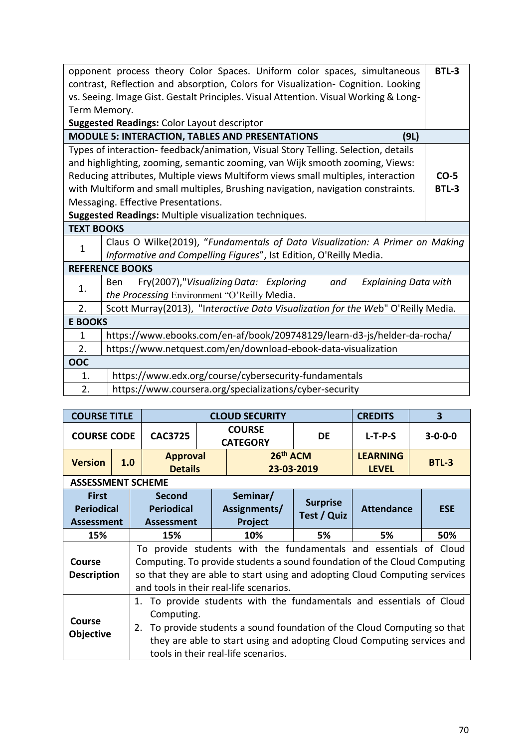|                                                                              | opponent process theory Color Spaces. Uniform color spaces, simultaneous<br>contrast, Reflection and absorption, Colors for Visualization- Cognition. Looking | <b>BTL-3</b> |  |  |  |  |  |  |  |  |
|------------------------------------------------------------------------------|---------------------------------------------------------------------------------------------------------------------------------------------------------------|--------------|--|--|--|--|--|--|--|--|
|                                                                              | vs. Seeing. Image Gist. Gestalt Principles. Visual Attention. Visual Working & Long-                                                                          |              |  |  |  |  |  |  |  |  |
| Term Memory.                                                                 |                                                                                                                                                               |              |  |  |  |  |  |  |  |  |
| <b>Suggested Readings: Color Layout descriptor</b>                           |                                                                                                                                                               |              |  |  |  |  |  |  |  |  |
|                                                                              | <b>MODULE 5: INTERACTION, TABLES AND PRESENTATIONS</b><br>(9L)                                                                                                |              |  |  |  |  |  |  |  |  |
|                                                                              | Types of interaction-feedback/animation, Visual Story Telling. Selection, details                                                                             |              |  |  |  |  |  |  |  |  |
|                                                                              |                                                                                                                                                               |              |  |  |  |  |  |  |  |  |
| and highlighting, zooming, semantic zooming, van Wijk smooth zooming, Views: |                                                                                                                                                               |              |  |  |  |  |  |  |  |  |
|                                                                              | Reducing attributes, Multiple views Multiform views small multiples, interaction<br>$CO-5$                                                                    |              |  |  |  |  |  |  |  |  |
|                                                                              | with Multiform and small multiples, Brushing navigation, navigation constraints.<br>BTL-3                                                                     |              |  |  |  |  |  |  |  |  |
|                                                                              | Messaging. Effective Presentations.<br>Suggested Readings: Multiple visualization techniques.                                                                 |              |  |  |  |  |  |  |  |  |
| <b>TEXT BOOKS</b>                                                            |                                                                                                                                                               |              |  |  |  |  |  |  |  |  |
|                                                                              | Claus O Wilke(2019), "Fundamentals of Data Visualization: A Primer on Making                                                                                  |              |  |  |  |  |  |  |  |  |
| $\mathbf{1}$                                                                 | Informative and Compelling Figures", Ist Edition, O'Reilly Media.                                                                                             |              |  |  |  |  |  |  |  |  |
|                                                                              | <b>REFERENCE BOOKS</b>                                                                                                                                        |              |  |  |  |  |  |  |  |  |
|                                                                              | Fry(2007),"Visualizing Data: Exploring<br><b>Explaining Data with</b><br>and<br>Ben                                                                           |              |  |  |  |  |  |  |  |  |
| 1.                                                                           | the Processing Environment "O'Reilly Media.                                                                                                                   |              |  |  |  |  |  |  |  |  |
| 2.                                                                           | Scott Murray(2013), "Interactive Data Visualization for the Web" O'Reilly Media.                                                                              |              |  |  |  |  |  |  |  |  |
| <b>E BOOKS</b>                                                               |                                                                                                                                                               |              |  |  |  |  |  |  |  |  |
| 1                                                                            | https://www.ebooks.com/en-af/book/209748129/learn-d3-js/helder-da-rocha/                                                                                      |              |  |  |  |  |  |  |  |  |
| 2.                                                                           | https://www.netquest.com/en/download-ebook-data-visualization                                                                                                 |              |  |  |  |  |  |  |  |  |
| OOC                                                                          |                                                                                                                                                               |              |  |  |  |  |  |  |  |  |
| 1.                                                                           | https://www.edx.org/course/cybersecurity-fundamentals                                                                                                         |              |  |  |  |  |  |  |  |  |
| 2.                                                                           | https://www.coursera.org/specializations/cyber-security                                                                                                       |              |  |  |  |  |  |  |  |  |
|                                                                              |                                                                                                                                                               |              |  |  |  |  |  |  |  |  |

| <b>COURSE TITLE</b>                                                                                                                                                                                                                                                                                                     |     |                                                         |  | <b>CLOUD SECURITY</b>                                                                                                                                                                                                                                                  |                                | <b>CREDITS</b>                  | 3               |  |  |
|-------------------------------------------------------------------------------------------------------------------------------------------------------------------------------------------------------------------------------------------------------------------------------------------------------------------------|-----|---------------------------------------------------------|--|------------------------------------------------------------------------------------------------------------------------------------------------------------------------------------------------------------------------------------------------------------------------|--------------------------------|---------------------------------|-----------------|--|--|
| <b>COURSE CODE</b>                                                                                                                                                                                                                                                                                                      |     | <b>CAC3725</b>                                          |  | <b>COURSE</b><br><b>CATEGORY</b>                                                                                                                                                                                                                                       | <b>DE</b>                      | $L-T-P-S$                       | $3 - 0 - 0 - 0$ |  |  |
| <b>Version</b>                                                                                                                                                                                                                                                                                                          | 1.0 | <b>Approval</b><br><b>Details</b>                       |  | 26 <sup>th</sup> ACM                                                                                                                                                                                                                                                   | 23-03-2019                     | <b>LEARNING</b><br><b>LEVEL</b> | BTL-3           |  |  |
| <b>ASSESSMENT SCHEME</b>                                                                                                                                                                                                                                                                                                |     |                                                         |  |                                                                                                                                                                                                                                                                        |                                |                                 |                 |  |  |
| <b>First</b><br><b>Periodical</b><br><b>Assessment</b>                                                                                                                                                                                                                                                                  |     | <b>Second</b><br><b>Periodical</b><br><b>Assessment</b> |  | Seminar/<br>Assignments/<br>Project                                                                                                                                                                                                                                    | <b>Surprise</b><br>Test / Quiz | <b>Attendance</b>               | <b>ESE</b>      |  |  |
| 15%                                                                                                                                                                                                                                                                                                                     |     | 15%                                                     |  | 10%                                                                                                                                                                                                                                                                    | 5%                             | 5%                              | 50%             |  |  |
| <b>Course</b><br><b>Description</b>                                                                                                                                                                                                                                                                                     |     |                                                         |  | To provide students with the fundamentals and essentials of Cloud<br>Computing. To provide students a sound foundation of the Cloud Computing<br>so that they are able to start using and adopting Cloud Computing services<br>and tools in their real-life scenarios. |                                |                                 |                 |  |  |
| 1. To provide students with the fundamentals and essentials of Cloud<br>Computing.<br><b>Course</b><br>To provide students a sound foundation of the Cloud Computing so that<br>2.<br><b>Objective</b><br>they are able to start using and adopting Cloud Computing services and<br>tools in their real-life scenarios. |     |                                                         |  |                                                                                                                                                                                                                                                                        |                                |                                 |                 |  |  |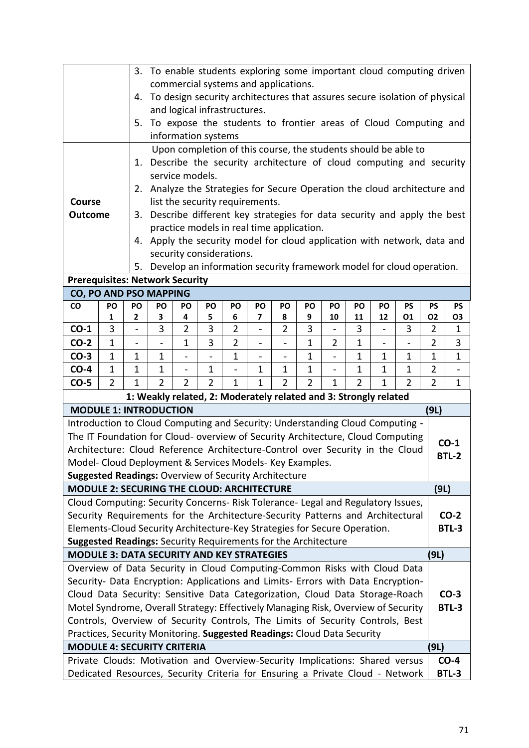| 3. To enable students exploring some important cloud computing driven<br>commercial systems and applications.                                                                       |                                                                                                                  |                |                          |                                                                                                                                                                                                               |                |                |                                                                                  |                |                |              |                |                          |                                                                            |                |                 |
|-------------------------------------------------------------------------------------------------------------------------------------------------------------------------------------|------------------------------------------------------------------------------------------------------------------|----------------|--------------------------|---------------------------------------------------------------------------------------------------------------------------------------------------------------------------------------------------------------|----------------|----------------|----------------------------------------------------------------------------------|----------------|----------------|--------------|----------------|--------------------------|----------------------------------------------------------------------------|----------------|-----------------|
|                                                                                                                                                                                     |                                                                                                                  | 4.             |                          |                                                                                                                                                                                                               |                |                |                                                                                  |                |                |              |                |                          | To design security architectures that assures secure isolation of physical |                |                 |
|                                                                                                                                                                                     |                                                                                                                  |                |                          | and logical infrastructures.                                                                                                                                                                                  |                |                |                                                                                  |                |                |              |                |                          |                                                                            |                |                 |
|                                                                                                                                                                                     |                                                                                                                  | 5.             |                          |                                                                                                                                                                                                               |                |                |                                                                                  |                |                |              |                |                          | To expose the students to frontier areas of Cloud Computing and            |                |                 |
|                                                                                                                                                                                     |                                                                                                                  |                |                          | information systems                                                                                                                                                                                           |                |                |                                                                                  |                |                |              |                |                          |                                                                            |                |                 |
|                                                                                                                                                                                     |                                                                                                                  |                |                          |                                                                                                                                                                                                               |                |                |                                                                                  |                |                |              |                |                          | Upon completion of this course, the students should be able to             |                |                 |
|                                                                                                                                                                                     |                                                                                                                  | 1.             |                          |                                                                                                                                                                                                               |                |                |                                                                                  |                |                |              |                |                          | Describe the security architecture of cloud computing and security         |                |                 |
|                                                                                                                                                                                     |                                                                                                                  |                |                          | service models.                                                                                                                                                                                               |                |                |                                                                                  |                |                |              |                |                          |                                                                            |                |                 |
| Course                                                                                                                                                                              |                                                                                                                  |                |                          |                                                                                                                                                                                                               |                |                | list the security requirements.                                                  |                |                |              |                |                          | 2. Analyze the Strategies for Secure Operation the cloud architecture and  |                |                 |
| <b>Outcome</b>                                                                                                                                                                      |                                                                                                                  | 3.             |                          |                                                                                                                                                                                                               |                |                |                                                                                  |                |                |              |                |                          | Describe different key strategies for data security and apply the best     |                |                 |
|                                                                                                                                                                                     |                                                                                                                  |                |                          |                                                                                                                                                                                                               |                |                | practice models in real time application.                                        |                |                |              |                |                          |                                                                            |                |                 |
|                                                                                                                                                                                     |                                                                                                                  | 4.             |                          |                                                                                                                                                                                                               |                |                |                                                                                  |                |                |              |                |                          | Apply the security model for cloud application with network, data and      |                |                 |
|                                                                                                                                                                                     |                                                                                                                  |                |                          | security considerations.                                                                                                                                                                                      |                |                |                                                                                  |                |                |              |                |                          |                                                                            |                |                 |
|                                                                                                                                                                                     |                                                                                                                  | 5.             |                          |                                                                                                                                                                                                               |                |                |                                                                                  |                |                |              |                |                          | Develop an information security framework model for cloud operation.       |                |                 |
|                                                                                                                                                                                     | <b>Prerequisites: Network Security</b>                                                                           |                |                          |                                                                                                                                                                                                               |                |                |                                                                                  |                |                |              |                |                          |                                                                            |                |                 |
| CO                                                                                                                                                                                  | CO, PO AND PSO MAPPING<br>PO<br>PO<br>PO<br>PO<br>PO<br>PO<br>PO<br>PO<br>PO<br>PO<br>PS<br>PS<br>PO<br>PO<br>PS |                |                          |                                                                                                                                                                                                               |                |                |                                                                                  |                |                |              |                |                          |                                                                            |                |                 |
|                                                                                                                                                                                     | 1                                                                                                                | 2              | 3                        | 4                                                                                                                                                                                                             | 5              | 6              | 7                                                                                | 8              | 9              | 10           | 11             | 12                       | 01                                                                         | <b>O2</b>      | O3              |
| $CO-1$                                                                                                                                                                              | 3                                                                                                                | $\overline{a}$ | 3                        | $\overline{2}$                                                                                                                                                                                                | 3              | $\overline{2}$ | $\overline{\phantom{0}}$                                                         | $\overline{2}$ | 3              |              | 3              | $\overline{\phantom{0}}$ | 3                                                                          | $\overline{2}$ | $\mathbf{1}$    |
| $CO-2$                                                                                                                                                                              | $\mathbf{1}$                                                                                                     | $\blacksquare$ | $\overline{\phantom{0}}$ | 3<br>$\overline{2}$<br>$\mathbf{1}$<br>$\mathbf{1}$<br>$\mathbf{1}$<br>$\overline{2}$<br>$\overline{\phantom{0}}$<br>$\qquad \qquad \blacksquare$<br>$\qquad \qquad \blacksquare$                             |                |                |                                                                                  |                |                |              |                |                          | $\overline{2}$                                                             | 3              |                 |
| $CO-3$                                                                                                                                                                              | $\mathbf{1}$                                                                                                     | $\mathbf 1$    | $\mathbf 1$              | $\mathbf{1}$<br>$\mathbf 1$<br>$\mathbf{1}$<br>$\mathbf{1}$<br>$\mathbf{1}$<br>$\overline{a}$<br>$\overline{\phantom{0}}$<br>$\overline{\phantom{0}}$<br>$\overline{\phantom{0}}$<br>$\overline{\phantom{a}}$ |                |                |                                                                                  |                |                |              |                |                          | $\mathbf{1}$                                                               | $\mathbf{1}$   |                 |
| $CO-4$                                                                                                                                                                              | $\mathbf{1}$                                                                                                     | $\mathbf 1$    |                          | $\mathbf 1$<br>$\mathbf{1}$<br>$\mathbf{1}$<br>1<br>$\mathbf{1}$<br>$\mathbf 1$<br>$\mathbf{1}$<br>$\mathbf{1}$<br>$\overline{\phantom{a}}$<br>$\overline{\phantom{0}}$<br>$\overline{\phantom{0}}$           |                |                |                                                                                  |                |                |              |                |                          |                                                                            | 2              | $\blacksquare$  |
| $CO-5$                                                                                                                                                                              | $\overline{2}$                                                                                                   | $\mathbf{1}$   | $\overline{2}$           | $\overline{2}$                                                                                                                                                                                                | $\overline{2}$ | $\mathbf{1}$   | $\mathbf{1}$<br>1: Weakly related, 2: Moderately related and 3: Strongly related | $\overline{2}$ | $\overline{2}$ | $\mathbf{1}$ | $\overline{2}$ | $\mathbf{1}$             | $\overline{2}$                                                             | $\overline{2}$ | $\mathbf{1}$    |
| <b>MODULE 1: INTRODUCTION</b>                                                                                                                                                       |                                                                                                                  |                |                          |                                                                                                                                                                                                               |                |                |                                                                                  |                |                |              |                |                          |                                                                            | (9L)           |                 |
| Introduction to Cloud Computing and Security: Understanding Cloud Computing -                                                                                                       |                                                                                                                  |                |                          |                                                                                                                                                                                                               |                |                |                                                                                  |                |                |              |                |                          |                                                                            |                |                 |
| The IT Foundation for Cloud- overview of Security Architecture, Cloud Computing                                                                                                     |                                                                                                                  |                |                          |                                                                                                                                                                                                               |                |                |                                                                                  |                |                |              |                |                          |                                                                            |                |                 |
| Architecture: Cloud Reference Architecture-Control over Security in the Cloud                                                                                                       |                                                                                                                  |                |                          |                                                                                                                                                                                                               |                |                |                                                                                  |                |                |              |                |                          |                                                                            |                | $CO-1$<br>BTL-2 |
| Model- Cloud Deployment & Services Models- Key Examples.                                                                                                                            |                                                                                                                  |                |                          |                                                                                                                                                                                                               |                |                |                                                                                  |                |                |              |                |                          |                                                                            |                |                 |
| <b>Suggested Readings: Overview of Security Architecture</b>                                                                                                                        |                                                                                                                  |                |                          |                                                                                                                                                                                                               |                |                |                                                                                  |                |                |              |                |                          |                                                                            |                |                 |
| <b>MODULE 2: SECURING THE CLOUD: ARCHITECTURE</b>                                                                                                                                   |                                                                                                                  |                |                          |                                                                                                                                                                                                               |                |                |                                                                                  |                |                |              |                |                          |                                                                            | (9L)           |                 |
| Cloud Computing: Security Concerns- Risk Tolerance- Legal and Regulatory Issues,<br>Security Requirements for the Architecture-Security Patterns and Architectural                  |                                                                                                                  |                |                          |                                                                                                                                                                                                               |                |                |                                                                                  |                |                |              |                |                          |                                                                            |                | $CO-2$          |
| Elements-Cloud Security Architecture-Key Strategies for Secure Operation.                                                                                                           |                                                                                                                  |                |                          |                                                                                                                                                                                                               |                |                |                                                                                  |                |                |              |                |                          |                                                                            |                | <b>BTL-3</b>    |
| <b>Suggested Readings: Security Requirements for the Architecture</b>                                                                                                               |                                                                                                                  |                |                          |                                                                                                                                                                                                               |                |                |                                                                                  |                |                |              |                |                          |                                                                            |                |                 |
| <b>MODULE 3: DATA SECURITY AND KEY STRATEGIES</b>                                                                                                                                   |                                                                                                                  |                |                          |                                                                                                                                                                                                               |                |                |                                                                                  |                |                |              |                |                          |                                                                            | (9L)           |                 |
| Overview of Data Security in Cloud Computing-Common Risks with Cloud Data                                                                                                           |                                                                                                                  |                |                          |                                                                                                                                                                                                               |                |                |                                                                                  |                |                |              |                |                          |                                                                            |                |                 |
| Security- Data Encryption: Applications and Limits- Errors with Data Encryption-                                                                                                    |                                                                                                                  |                |                          |                                                                                                                                                                                                               |                |                |                                                                                  |                |                |              |                |                          |                                                                            |                |                 |
| Cloud Data Security: Sensitive Data Categorization, Cloud Data Storage-Roach<br>$CO-3$                                                                                              |                                                                                                                  |                |                          |                                                                                                                                                                                                               |                |                |                                                                                  |                |                |              |                |                          |                                                                            |                |                 |
| Motel Syndrome, Overall Strategy: Effectively Managing Risk, Overview of Security<br><b>BTL-3</b><br>Controls, Overview of Security Controls, The Limits of Security Controls, Best |                                                                                                                  |                |                          |                                                                                                                                                                                                               |                |                |                                                                                  |                |                |              |                |                          |                                                                            |                |                 |
| Practices, Security Monitoring. Suggested Readings: Cloud Data Security                                                                                                             |                                                                                                                  |                |                          |                                                                                                                                                                                                               |                |                |                                                                                  |                |                |              |                |                          |                                                                            |                |                 |
| <b>MODULE 4: SECURITY CRITERIA</b><br>(9L)                                                                                                                                          |                                                                                                                  |                |                          |                                                                                                                                                                                                               |                |                |                                                                                  |                |                |              |                |                          |                                                                            |                |                 |
| Private Clouds: Motivation and Overview-Security Implications: Shared versus                                                                                                        |                                                                                                                  |                |                          |                                                                                                                                                                                                               |                |                |                                                                                  | $CO-4$         |                |              |                |                          |                                                                            |                |                 |
| Dedicated Resources, Security Criteria for Ensuring a Private Cloud - Network                                                                                                       |                                                                                                                  |                |                          |                                                                                                                                                                                                               |                |                |                                                                                  |                |                |              | <b>BTL-3</b>   |                          |                                                                            |                |                 |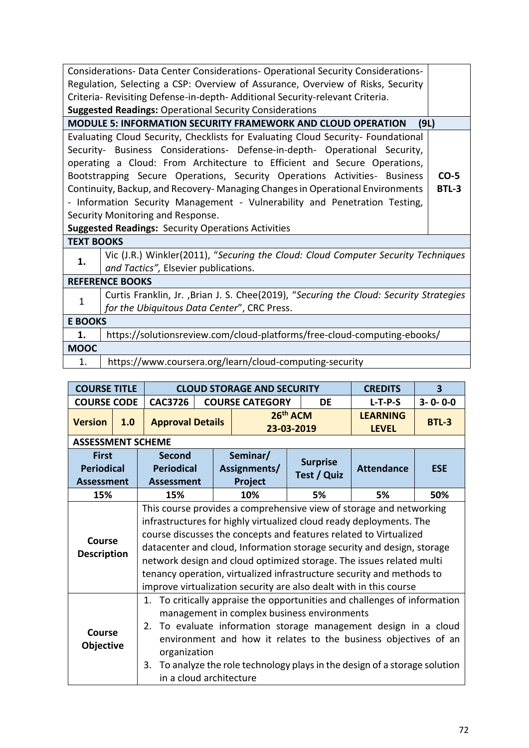|                                                                            | Considerations- Data Center Considerations- Operational Security Considerations-        |  |  |  |  |  |  |  |
|----------------------------------------------------------------------------|-----------------------------------------------------------------------------------------|--|--|--|--|--|--|--|
|                                                                            | Regulation, Selecting a CSP: Overview of Assurance, Overview of Risks, Security         |  |  |  |  |  |  |  |
|                                                                            | Criteria- Revisiting Defense-in-depth- Additional Security-relevant Criteria.           |  |  |  |  |  |  |  |
| <b>Suggested Readings: Operational Security Considerations</b>             |                                                                                         |  |  |  |  |  |  |  |
|                                                                            | <b>MODULE 5: INFORMATION SECURITY FRAMEWORK AND CLOUD OPERATION</b><br>(9L)             |  |  |  |  |  |  |  |
|                                                                            | Evaluating Cloud Security, Checklists for Evaluating Cloud Security- Foundational       |  |  |  |  |  |  |  |
| Security- Business Considerations- Defense-in-depth- Operational Security, |                                                                                         |  |  |  |  |  |  |  |
| operating a Cloud: From Architecture to Efficient and Secure Operations,   |                                                                                         |  |  |  |  |  |  |  |
|                                                                            | Bootstrapping Secure Operations, Security Operations Activities- Business<br>$CO-5$     |  |  |  |  |  |  |  |
|                                                                            | Continuity, Backup, and Recovery- Managing Changes in Operational Environments<br>BTL-3 |  |  |  |  |  |  |  |
|                                                                            | - Information Security Management - Vulnerability and Penetration Testing,              |  |  |  |  |  |  |  |
|                                                                            | Security Monitoring and Response.                                                       |  |  |  |  |  |  |  |
|                                                                            | <b>Suggested Readings: Security Operations Activities</b>                               |  |  |  |  |  |  |  |
| <b>TEXT BOOKS</b>                                                          |                                                                                         |  |  |  |  |  |  |  |
|                                                                            | Vic (J.R.) Winkler(2011), "Securing the Cloud: Cloud Computer Security Techniques       |  |  |  |  |  |  |  |
| 1.                                                                         | and Tactics", Elsevier publications.                                                    |  |  |  |  |  |  |  |
|                                                                            | <b>REFERENCE BOOKS</b>                                                                  |  |  |  |  |  |  |  |
| $\mathbf{1}$                                                               | Curtis Franklin, Jr. , Brian J. S. Chee(2019), "Securing the Cloud: Security Strategies |  |  |  |  |  |  |  |
|                                                                            | for the Ubiquitous Data Center", CRC Press.                                             |  |  |  |  |  |  |  |
| <b>E BOOKS</b>                                                             |                                                                                         |  |  |  |  |  |  |  |
| 1.                                                                         | https://solutionsreview.com/cloud-platforms/free-cloud-computing-ebooks/                |  |  |  |  |  |  |  |
| <b>MOOC</b>                                                                |                                                                                         |  |  |  |  |  |  |  |
| 1.                                                                         | https://www.coursera.org/learn/cloud-computing-security                                 |  |  |  |  |  |  |  |
|                                                                            |                                                                                         |  |  |  |  |  |  |  |

| <b>COURSE TITLE</b>                                    |     |                                                                                                                                                                                                                                                                                                                                                                                                                                                                   | <b>CLOUD STORAGE AND SECURITY</b> | <b>CREDITS</b>                      | 3                    |                                |                                 |                 |  |  |
|--------------------------------------------------------|-----|-------------------------------------------------------------------------------------------------------------------------------------------------------------------------------------------------------------------------------------------------------------------------------------------------------------------------------------------------------------------------------------------------------------------------------------------------------------------|-----------------------------------|-------------------------------------|----------------------|--------------------------------|---------------------------------|-----------------|--|--|
| <b>COURSE CODE</b>                                     |     | <b>CAC3726</b>                                                                                                                                                                                                                                                                                                                                                                                                                                                    |                                   | <b>COURSE CATEGORY</b>              |                      | DE                             | $L-T-P-S$                       | $3 - 0 - 0 - 0$ |  |  |
| <b>Version</b>                                         | 1.0 | <b>Approval Details</b>                                                                                                                                                                                                                                                                                                                                                                                                                                           |                                   | 23-03-2019                          | 26 <sup>th</sup> ACM |                                | <b>LEARNING</b><br><b>LEVEL</b> | <b>BTL-3</b>    |  |  |
| <b>ASSESSMENT SCHEME</b>                               |     |                                                                                                                                                                                                                                                                                                                                                                                                                                                                   |                                   |                                     |                      |                                |                                 |                 |  |  |
| <b>First</b><br><b>Periodical</b><br><b>Assessment</b> |     | <b>Second</b><br><b>Periodical</b><br><b>Assessment</b>                                                                                                                                                                                                                                                                                                                                                                                                           |                                   | Seminar/<br>Assignments/<br>Project |                      | <b>Surprise</b><br>Test / Quiz | <b>Attendance</b>               | <b>ESE</b>      |  |  |
| 15%                                                    |     | 15%                                                                                                                                                                                                                                                                                                                                                                                                                                                               |                                   | 10%                                 |                      | 5%                             | 5%                              | 50%             |  |  |
| Course<br><b>Description</b>                           |     | This course provides a comprehensive view of storage and networking<br>infrastructures for highly virtualized cloud ready deployments. The<br>course discusses the concepts and features related to Virtualized<br>datacenter and cloud, Information storage security and design, storage<br>network design and cloud optimized storage. The issues related multi<br>tenancy operation, virtualized infrastructure security and methods to                        |                                   |                                     |                      |                                |                                 |                 |  |  |
| <b>Course</b><br>Objective                             |     | improve virtualization security are also dealt with in this course<br>1. To critically appraise the opportunities and challenges of information<br>management in complex business environments<br>To evaluate information storage management design in a cloud<br>2.<br>environment and how it relates to the business objectives of an<br>organization<br>3. To analyze the role technology plays in the design of a storage solution<br>in a cloud architecture |                                   |                                     |                      |                                |                                 |                 |  |  |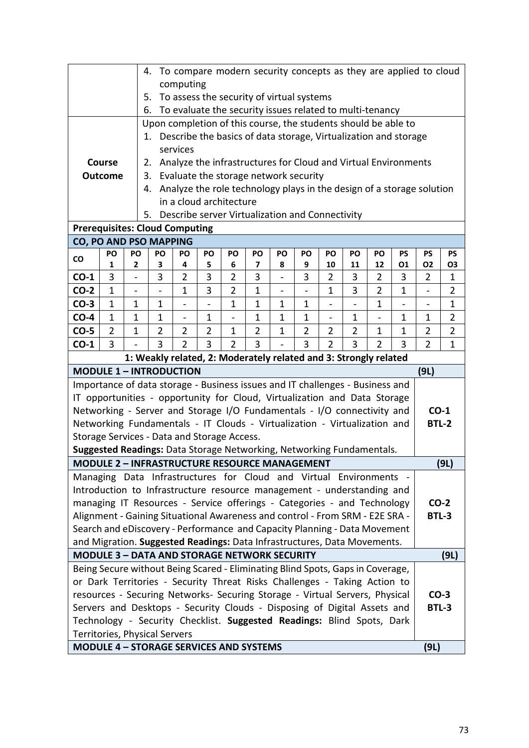| 4. To compare modern security concepts as they are applied to cloud<br>computing<br>To assess the security of virtual systems<br>5.<br>To evaluate the security issues related to multi-tenancy<br>6. |                                                                                                                                                                                                                                           |                                                                                                                                                                                                                                                                  |                                                                                                                                                                                                                                    |          |  |  |                                                                |  |  |  |  |  |  |              |      |
|-------------------------------------------------------------------------------------------------------------------------------------------------------------------------------------------------------|-------------------------------------------------------------------------------------------------------------------------------------------------------------------------------------------------------------------------------------------|------------------------------------------------------------------------------------------------------------------------------------------------------------------------------------------------------------------------------------------------------------------|------------------------------------------------------------------------------------------------------------------------------------------------------------------------------------------------------------------------------------|----------|--|--|----------------------------------------------------------------|--|--|--|--|--|--|--------------|------|
|                                                                                                                                                                                                       |                                                                                                                                                                                                                                           |                                                                                                                                                                                                                                                                  |                                                                                                                                                                                                                                    |          |  |  |                                                                |  |  |  |  |  |  |              |      |
|                                                                                                                                                                                                       |                                                                                                                                                                                                                                           |                                                                                                                                                                                                                                                                  |                                                                                                                                                                                                                                    |          |  |  |                                                                |  |  |  |  |  |  |              |      |
|                                                                                                                                                                                                       |                                                                                                                                                                                                                                           |                                                                                                                                                                                                                                                                  | Upon completion of this course, the students should be able to                                                                                                                                                                     |          |  |  |                                                                |  |  |  |  |  |  |              |      |
|                                                                                                                                                                                                       |                                                                                                                                                                                                                                           |                                                                                                                                                                                                                                                                  | 1. Describe the basics of data storage, Virtualization and storage                                                                                                                                                                 |          |  |  |                                                                |  |  |  |  |  |  |              |      |
|                                                                                                                                                                                                       |                                                                                                                                                                                                                                           |                                                                                                                                                                                                                                                                  |                                                                                                                                                                                                                                    | services |  |  |                                                                |  |  |  |  |  |  |              |      |
|                                                                                                                                                                                                       | <b>Course</b>                                                                                                                                                                                                                             |                                                                                                                                                                                                                                                                  | 2.                                                                                                                                                                                                                                 |          |  |  | Analyze the infrastructures for Cloud and Virtual Environments |  |  |  |  |  |  |              |      |
|                                                                                                                                                                                                       | <b>Outcome</b>                                                                                                                                                                                                                            |                                                                                                                                                                                                                                                                  | 3.                                                                                                                                                                                                                                 |          |  |  | Evaluate the storage network security                          |  |  |  |  |  |  |              |      |
|                                                                                                                                                                                                       | Analyze the role technology plays in the design of a storage solution<br>4.<br>in a cloud architecture                                                                                                                                    |                                                                                                                                                                                                                                                                  |                                                                                                                                                                                                                                    |          |  |  |                                                                |  |  |  |  |  |  |              |      |
|                                                                                                                                                                                                       |                                                                                                                                                                                                                                           |                                                                                                                                                                                                                                                                  |                                                                                                                                                                                                                                    |          |  |  |                                                                |  |  |  |  |  |  |              |      |
|                                                                                                                                                                                                       | Describe server Virtualization and Connectivity<br>5.                                                                                                                                                                                     |                                                                                                                                                                                                                                                                  |                                                                                                                                                                                                                                    |          |  |  |                                                                |  |  |  |  |  |  |              |      |
|                                                                                                                                                                                                       | <b>Prerequisites: Cloud Computing</b>                                                                                                                                                                                                     |                                                                                                                                                                                                                                                                  |                                                                                                                                                                                                                                    |          |  |  |                                                                |  |  |  |  |  |  |              |      |
|                                                                                                                                                                                                       | <b>CO, PO AND PSO MAPPING</b>                                                                                                                                                                                                             |                                                                                                                                                                                                                                                                  |                                                                                                                                                                                                                                    |          |  |  |                                                                |  |  |  |  |  |  |              |      |
| co                                                                                                                                                                                                    | PO<br>PO<br>PO<br>PO<br>PO<br>PO<br>PO<br>PO<br><b>PS</b><br><b>PS</b><br><b>PS</b><br>PO<br>PO<br>PO<br>PO<br>2<br>4<br>8<br>9<br>01<br>1                                                                                                |                                                                                                                                                                                                                                                                  |                                                                                                                                                                                                                                    |          |  |  |                                                                |  |  |  |  |  |  |              |      |
| $CO-1$                                                                                                                                                                                                | 3                                                                                                                                                                                                                                         | <b>O2</b><br>3<br>6<br>7<br>10<br>11<br>12<br>5<br>O <sub>3</sub><br>3<br>3<br>$\overline{2}$<br>3<br>3<br>$\overline{2}$<br>$\overline{2}$<br>3<br>$\overline{2}$<br>3<br>$\overline{2}$<br>$\mathbf 1$<br>$\overline{\phantom{a}}$<br>$\overline{\phantom{0}}$ |                                                                                                                                                                                                                                    |          |  |  |                                                                |  |  |  |  |  |  |              |      |
| $CO-2$                                                                                                                                                                                                | $\mathbf{1}$                                                                                                                                                                                                                              | 3<br>$\overline{2}$<br>3<br>$\overline{2}$<br>$\overline{2}$<br>$\mathbf{1}$<br>$\mathbf{1}$<br>$\mathbf{1}$<br>$\mathbf{1}$<br>$\overline{a}$<br>$\overline{a}$<br>$\overline{\phantom{0}}$                                                                     |                                                                                                                                                                                                                                    |          |  |  |                                                                |  |  |  |  |  |  |              |      |
| $CO-3$                                                                                                                                                                                                | $\mathbf 1$                                                                                                                                                                                                                               |                                                                                                                                                                                                                                                                  | $\mathbf{1}$<br>1<br>1<br>$\mathbf{1}$<br>$\mathbf 1$<br>1<br>$\mathbf 1$<br>1<br>$\overline{\phantom{0}}$<br>$\overline{\phantom{0}}$<br>$\overline{\phantom{0}}$<br>$\overline{\phantom{a}}$<br>$\blacksquare$<br>$\overline{a}$ |          |  |  |                                                                |  |  |  |  |  |  |              |      |
| $CO-4$                                                                                                                                                                                                |                                                                                                                                                                                                                                           |                                                                                                                                                                                                                                                                  | $\mathbf{1}$<br>$\overline{2}$<br>$\mathbf{1}$<br>$\mathbf 1$<br>$\mathbf{1}$<br>$\mathbf{1}$<br>$\mathbf{1}$<br>$\mathbf 1$<br>1<br>$\overline{a}$<br>$\overline{\phantom{0}}$<br>$\overline{\phantom{0}}$                        |          |  |  |                                                                |  |  |  |  |  |  |              |      |
| $CO-5$                                                                                                                                                                                                | 1<br>$\mathbf{1}$<br>$\overline{2}$<br>$\overline{2}$<br>$\overline{2}$<br>$\overline{2}$<br>$\overline{2}$<br>$\overline{2}$<br>$\overline{2}$<br>$\overline{2}$<br>$\mathbf{1}$<br>$\overline{2}$<br>$\overline{2}$<br>1<br>1<br>1<br>1 |                                                                                                                                                                                                                                                                  |                                                                                                                                                                                                                                    |          |  |  |                                                                |  |  |  |  |  |  |              |      |
| $CO-1$                                                                                                                                                                                                | 3<br>$\overline{2}$<br>3<br>$\overline{2}$<br>3<br>3<br>3<br>3<br>$\overline{2}$<br>$\overline{2}$<br>3<br>$\overline{2}$<br>$\mathbf{1}$                                                                                                 |                                                                                                                                                                                                                                                                  |                                                                                                                                                                                                                                    |          |  |  |                                                                |  |  |  |  |  |  |              |      |
|                                                                                                                                                                                                       |                                                                                                                                                                                                                                           |                                                                                                                                                                                                                                                                  | 1: Weakly related, 2: Moderately related and 3: Strongly related                                                                                                                                                                   |          |  |  |                                                                |  |  |  |  |  |  |              |      |
| <b>MODULE 1 - INTRODUCTION</b>                                                                                                                                                                        |                                                                                                                                                                                                                                           |                                                                                                                                                                                                                                                                  |                                                                                                                                                                                                                                    |          |  |  |                                                                |  |  |  |  |  |  | (9L)         |      |
| Importance of data storage - Business issues and IT challenges - Business and                                                                                                                         |                                                                                                                                                                                                                                           |                                                                                                                                                                                                                                                                  |                                                                                                                                                                                                                                    |          |  |  |                                                                |  |  |  |  |  |  |              |      |
| IT opportunities - opportunity for Cloud, Virtualization and Data Storage                                                                                                                             |                                                                                                                                                                                                                                           |                                                                                                                                                                                                                                                                  |                                                                                                                                                                                                                                    |          |  |  |                                                                |  |  |  |  |  |  |              |      |
| Networking - Server and Storage I/O Fundamentals - I/O connectivity and                                                                                                                               |                                                                                                                                                                                                                                           |                                                                                                                                                                                                                                                                  |                                                                                                                                                                                                                                    |          |  |  |                                                                |  |  |  |  |  |  | $CO-1$       |      |
| Networking Fundamentals - IT Clouds - Virtualization - Virtualization and                                                                                                                             |                                                                                                                                                                                                                                           |                                                                                                                                                                                                                                                                  |                                                                                                                                                                                                                                    |          |  |  |                                                                |  |  |  |  |  |  | <b>BTL-2</b> |      |
| Storage Services - Data and Storage Access.                                                                                                                                                           |                                                                                                                                                                                                                                           |                                                                                                                                                                                                                                                                  |                                                                                                                                                                                                                                    |          |  |  |                                                                |  |  |  |  |  |  |              |      |
| Suggested Readings: Data Storage Networking, Networking Fundamentals.                                                                                                                                 |                                                                                                                                                                                                                                           |                                                                                                                                                                                                                                                                  |                                                                                                                                                                                                                                    |          |  |  |                                                                |  |  |  |  |  |  |              |      |
| MODULE 2 – INFRASTRUCTURE RESOURCE MANAGEMENT                                                                                                                                                         |                                                                                                                                                                                                                                           |                                                                                                                                                                                                                                                                  |                                                                                                                                                                                                                                    |          |  |  |                                                                |  |  |  |  |  |  |              | (9L) |
| Managing Data Infrastructures for Cloud and Virtual Environments -                                                                                                                                    |                                                                                                                                                                                                                                           |                                                                                                                                                                                                                                                                  |                                                                                                                                                                                                                                    |          |  |  |                                                                |  |  |  |  |  |  |              |      |
| Introduction to Infrastructure resource management - understanding and<br>managing IT Resources - Service offerings - Categories - and Technology                                                     |                                                                                                                                                                                                                                           |                                                                                                                                                                                                                                                                  |                                                                                                                                                                                                                                    |          |  |  |                                                                |  |  |  |  |  |  | $CO-2$       |      |
| Alignment - Gaining Situational Awareness and control - From SRM - E2E SRA -                                                                                                                          |                                                                                                                                                                                                                                           |                                                                                                                                                                                                                                                                  |                                                                                                                                                                                                                                    |          |  |  |                                                                |  |  |  |  |  |  | <b>BTL-3</b> |      |
| Search and eDiscovery - Performance and Capacity Planning - Data Movement                                                                                                                             |                                                                                                                                                                                                                                           |                                                                                                                                                                                                                                                                  |                                                                                                                                                                                                                                    |          |  |  |                                                                |  |  |  |  |  |  |              |      |
| and Migration. Suggested Readings: Data Infrastructures, Data Movements.                                                                                                                              |                                                                                                                                                                                                                                           |                                                                                                                                                                                                                                                                  |                                                                                                                                                                                                                                    |          |  |  |                                                                |  |  |  |  |  |  |              |      |
| <b>MODULE 3 - DATA AND STORAGE NETWORK SECURITY</b>                                                                                                                                                   |                                                                                                                                                                                                                                           |                                                                                                                                                                                                                                                                  |                                                                                                                                                                                                                                    |          |  |  |                                                                |  |  |  |  |  |  |              | (9L) |
| Being Secure without Being Scared - Eliminating Blind Spots, Gaps in Coverage,                                                                                                                        |                                                                                                                                                                                                                                           |                                                                                                                                                                                                                                                                  |                                                                                                                                                                                                                                    |          |  |  |                                                                |  |  |  |  |  |  |              |      |
| or Dark Territories - Security Threat Risks Challenges - Taking Action to                                                                                                                             |                                                                                                                                                                                                                                           |                                                                                                                                                                                                                                                                  |                                                                                                                                                                                                                                    |          |  |  |                                                                |  |  |  |  |  |  |              |      |
| resources - Securing Networks- Securing Storage - Virtual Servers, Physical                                                                                                                           |                                                                                                                                                                                                                                           |                                                                                                                                                                                                                                                                  |                                                                                                                                                                                                                                    |          |  |  |                                                                |  |  |  |  |  |  | $CO-3$       |      |
| Servers and Desktops - Security Clouds - Disposing of Digital Assets and                                                                                                                              |                                                                                                                                                                                                                                           |                                                                                                                                                                                                                                                                  |                                                                                                                                                                                                                                    |          |  |  |                                                                |  |  |  |  |  |  | BTL-3        |      |
| Technology - Security Checklist. Suggested Readings: Blind Spots, Dark                                                                                                                                |                                                                                                                                                                                                                                           |                                                                                                                                                                                                                                                                  |                                                                                                                                                                                                                                    |          |  |  |                                                                |  |  |  |  |  |  |              |      |
| Territories, Physical Servers                                                                                                                                                                         |                                                                                                                                                                                                                                           |                                                                                                                                                                                                                                                                  |                                                                                                                                                                                                                                    |          |  |  |                                                                |  |  |  |  |  |  |              |      |
| <b>MODULE 4 - STORAGE SERVICES AND SYSTEMS</b>                                                                                                                                                        |                                                                                                                                                                                                                                           |                                                                                                                                                                                                                                                                  |                                                                                                                                                                                                                                    |          |  |  |                                                                |  |  |  |  |  |  | (9L)         |      |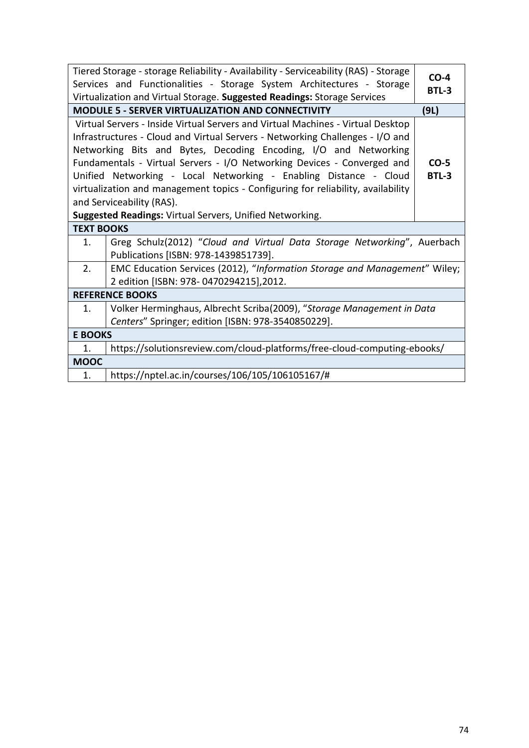| Tiered Storage - storage Reliability - Availability - Serviceability (RAS) - Storage<br>Services and Functionalities - Storage System Architectures - Storage<br>Virtualization and Virtual Storage. Suggested Readings: Storage Services                                                                                                                                                                                                                                                             | $CO-4$<br>BTL-3        |
|-------------------------------------------------------------------------------------------------------------------------------------------------------------------------------------------------------------------------------------------------------------------------------------------------------------------------------------------------------------------------------------------------------------------------------------------------------------------------------------------------------|------------------------|
| <b>MODULE 5 - SERVER VIRTUALIZATION AND CONNECTIVITY</b>                                                                                                                                                                                                                                                                                                                                                                                                                                              | (9L)                   |
| Virtual Servers - Inside Virtual Servers and Virtual Machines - Virtual Desktop<br>Infrastructures - Cloud and Virtual Servers - Networking Challenges - I/O and<br>Networking Bits and Bytes, Decoding Encoding, I/O and Networking<br>Fundamentals - Virtual Servers - I/O Networking Devices - Converged and<br>Unified Networking - Local Networking - Enabling Distance - Cloud<br>virtualization and management topics - Configuring for reliability, availability<br>and Serviceability (RAS). | $CO-5$<br><b>BTL-3</b> |
| Suggested Readings: Virtual Servers, Unified Networking.<br><b>TEXT BOOKS</b>                                                                                                                                                                                                                                                                                                                                                                                                                         |                        |
| Greg Schulz(2012) "Cloud and Virtual Data Storage Networking", Auerbach<br>1.                                                                                                                                                                                                                                                                                                                                                                                                                         |                        |
| Publications [ISBN: 978-1439851739].                                                                                                                                                                                                                                                                                                                                                                                                                                                                  |                        |
| 2.<br>EMC Education Services (2012), "Information Storage and Management" Wiley;                                                                                                                                                                                                                                                                                                                                                                                                                      |                        |
| 2 edition [ISBN: 978-0470294215],2012.                                                                                                                                                                                                                                                                                                                                                                                                                                                                |                        |
| <b>REFERENCE BOOKS</b>                                                                                                                                                                                                                                                                                                                                                                                                                                                                                |                        |
| Volker Herminghaus, Albrecht Scriba(2009), "Storage Management in Data<br>1.<br>Centers" Springer; edition [ISBN: 978-3540850229].                                                                                                                                                                                                                                                                                                                                                                    |                        |
| <b>E BOOKS</b>                                                                                                                                                                                                                                                                                                                                                                                                                                                                                        |                        |
| https://solutionsreview.com/cloud-platforms/free-cloud-computing-ebooks/<br>1.                                                                                                                                                                                                                                                                                                                                                                                                                        |                        |
| <b>MOOC</b>                                                                                                                                                                                                                                                                                                                                                                                                                                                                                           |                        |
| https://nptel.ac.in/courses/106/105/106105167/#<br>1.                                                                                                                                                                                                                                                                                                                                                                                                                                                 |                        |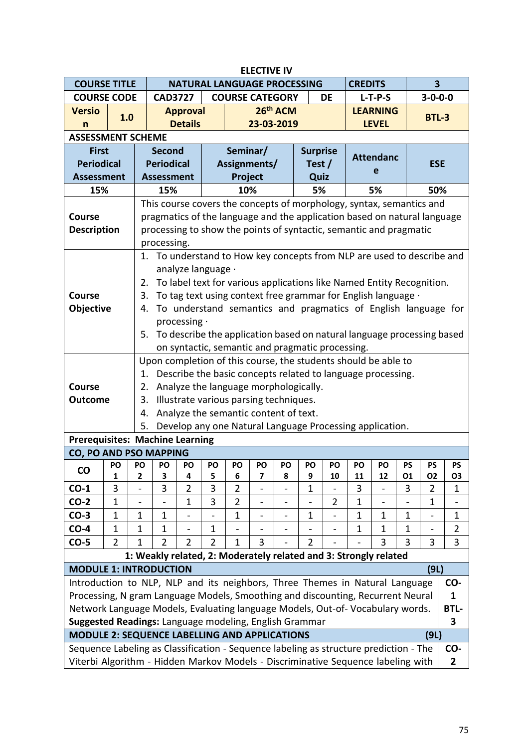| <b>ELECTIVE IV</b><br><b>NATURAL LANGUAGE PROCESSING</b><br>3<br><b>COURSE TITLE</b><br><b>CREDITS</b> |                |    |                                                                                                                                         |                          |         |                |                                                  |         |                 |                |                                                          |                  |              |              |                |  |
|--------------------------------------------------------------------------------------------------------|----------------|----|-----------------------------------------------------------------------------------------------------------------------------------------|--------------------------|---------|----------------|--------------------------------------------------|---------|-----------------|----------------|----------------------------------------------------------|------------------|--------------|--------------|----------------|--|
|                                                                                                        |                |    |                                                                                                                                         |                          |         |                |                                                  |         |                 |                |                                                          |                  |              |              |                |  |
| <b>COURSE CODE</b>                                                                                     |                |    | $3 - 0 - 0 - 0$<br><b>CAD3727</b><br><b>COURSE CATEGORY</b><br><b>DE</b><br>$L-T-P-S$<br>26th ACM<br><b>LEARNING</b><br><b>Approval</b> |                          |         |                |                                                  |         |                 |                |                                                          |                  |              |              |                |  |
| <b>Versio</b>                                                                                          | 1.0            |    |                                                                                                                                         |                          |         |                |                                                  |         |                 |                |                                                          |                  |              | <b>BTL-3</b> |                |  |
| n                                                                                                      |                |    |                                                                                                                                         | <b>Details</b>           |         |                | 23-03-2019                                       |         |                 |                |                                                          | <b>LEVEL</b>     |              |              |                |  |
| <b>ASSESSMENT SCHEME</b>                                                                               |                |    |                                                                                                                                         |                          |         |                |                                                  |         |                 |                |                                                          |                  |              |              |                |  |
| <b>First</b>                                                                                           |                |    | <b>Second</b>                                                                                                                           |                          |         | Seminar/       |                                                  |         | <b>Surprise</b> |                |                                                          | <b>Attendanc</b> |              |              |                |  |
| <b>Periodical</b>                                                                                      |                |    | <b>Periodical</b>                                                                                                                       |                          |         |                | Assignments/                                     |         | Test /          |                |                                                          | e                |              | <b>ESE</b>   |                |  |
| <b>Assessment</b>                                                                                      |                |    | <b>Assessment</b>                                                                                                                       |                          |         | Project        |                                                  |         | Quiz            |                |                                                          |                  |              |              |                |  |
| 15%                                                                                                    |                |    | 15%                                                                                                                                     |                          |         | 10%            |                                                  |         | 5%              |                |                                                          | 5%               |              | 50%          |                |  |
|                                                                                                        |                |    | This course covers the concepts of morphology, syntax, semantics and                                                                    |                          |         |                |                                                  |         |                 |                |                                                          |                  |              |              |                |  |
| <b>Course</b>                                                                                          |                |    | pragmatics of the language and the application based on natural language                                                                |                          |         |                |                                                  |         |                 |                |                                                          |                  |              |              |                |  |
| <b>Description</b>                                                                                     |                |    | processing to show the points of syntactic, semantic and pragmatic                                                                      |                          |         |                |                                                  |         |                 |                |                                                          |                  |              |              |                |  |
|                                                                                                        |                |    | processing.                                                                                                                             |                          |         |                |                                                  |         |                 |                |                                                          |                  |              |              |                |  |
|                                                                                                        |                |    | 1. To understand to How key concepts from NLP are used to describe and<br>analyze language ·                                            |                          |         |                |                                                  |         |                 |                |                                                          |                  |              |              |                |  |
|                                                                                                        |                |    |                                                                                                                                         |                          |         |                |                                                  |         |                 |                |                                                          |                  |              |              |                |  |
|                                                                                                        |                | 2. | To label text for various applications like Named Entity Recognition.                                                                   |                          |         |                |                                                  |         |                 |                |                                                          |                  |              |              |                |  |
| <b>Course</b>                                                                                          |                | 3. | To tag text using context free grammar for English language .                                                                           |                          |         |                |                                                  |         |                 |                |                                                          |                  |              |              |                |  |
| <b>Objective</b>                                                                                       |                | 4. | To understand semantics and pragmatics of English language for                                                                          |                          |         |                |                                                  |         |                 |                |                                                          |                  |              |              |                |  |
|                                                                                                        |                |    |                                                                                                                                         | processing $\cdot$       |         |                |                                                  |         |                 |                |                                                          |                  |              |              |                |  |
|                                                                                                        |                |    | 5. To describe the application based on natural language processing based                                                               |                          |         |                |                                                  |         |                 |                |                                                          |                  |              |              |                |  |
|                                                                                                        |                |    |                                                                                                                                         |                          |         |                | on syntactic, semantic and pragmatic processing. |         |                 |                |                                                          |                  |              |              |                |  |
|                                                                                                        |                |    | Upon completion of this course, the students should be able to                                                                          |                          |         |                |                                                  |         |                 |                |                                                          |                  |              |              |                |  |
|                                                                                                        |                |    | 1. Describe the basic concepts related to language processing.                                                                          |                          |         |                |                                                  |         |                 |                |                                                          |                  |              |              |                |  |
| <b>Course</b>                                                                                          |                | 2. |                                                                                                                                         |                          |         |                | Analyze the language morphologically.            |         |                 |                |                                                          |                  |              |              |                |  |
| <b>Outcome</b>                                                                                         |                | 3. |                                                                                                                                         |                          |         |                | Illustrate various parsing techniques.           |         |                 |                |                                                          |                  |              |              |                |  |
|                                                                                                        |                | 4. |                                                                                                                                         |                          |         |                | Analyze the semantic content of text.            |         |                 |                |                                                          |                  |              |              |                |  |
|                                                                                                        |                | 5. |                                                                                                                                         |                          |         |                |                                                  |         |                 |                | Develop any one Natural Language Processing application. |                  |              |              |                |  |
| <b>Prerequisites: Machine Learning</b>                                                                 |                |    |                                                                                                                                         |                          |         |                |                                                  |         |                 |                |                                                          |                  |              |              |                |  |
| CO, PO AND PSO MAPPING                                                                                 |                |    |                                                                                                                                         |                          |         |                |                                                  |         |                 |                |                                                          |                  |              |              |                |  |
| <b>CO</b>                                                                                              | 1              | 2  | PO   PO   PO   PO  <br>3                                                                                                                | 4                        | PO<br>5 | PO<br>6        | PO<br>7                                          | PO<br>8 | PO<br>9         | PO<br>10       | PO<br>11                                                 | PO<br>12         | PS<br>01     | PS<br>02     | PS<br>03       |  |
| $CO-1$                                                                                                 | 3              |    | 3                                                                                                                                       | 2                        | 3       | 2              |                                                  |         | 1               |                | 3                                                        |                  | 3            | 2            | 1              |  |
| $CO-2$                                                                                                 | $\mathbf{1}$   |    |                                                                                                                                         | $\mathbf 1$              | 3       | $\overline{2}$ | $\overline{\phantom{0}}$                         |         |                 | $\overline{2}$ | $\mathbf 1$                                              |                  |              | $\mathbf 1$  |                |  |
| $CO-3$                                                                                                 | $\mathbf{1}$   | 1  | $\mathbf{1}$                                                                                                                            | $\overline{\phantom{a}}$ |         | 1              | $\overline{\phantom{0}}$                         |         | $\mathbf 1$     |                | $\mathbf{1}$                                             | $\mathbf{1}$     | $\mathbf{1}$ |              | $\mathbf{1}$   |  |
| $CO-4$                                                                                                 | $\mathbf{1}$   | 1  | $\mathbf 1$                                                                                                                             |                          | 1       |                |                                                  |         |                 |                | $\mathbf{1}$                                             | $\mathbf{1}$     | $\mathbf{1}$ |              | $\overline{2}$ |  |
| $CO-5$                                                                                                 | $\overline{2}$ | 1  | 2                                                                                                                                       | 2                        | 2       | 1              | 3                                                |         | $\overline{2}$  |                |                                                          | 3                | 3            | 3            | 3              |  |
|                                                                                                        |                |    | 1: Weakly related, 2: Moderately related and 3: Strongly related                                                                        |                          |         |                |                                                  |         |                 |                |                                                          |                  |              |              |                |  |
| <b>MODULE 1: INTRODUCTION</b>                                                                          |                |    |                                                                                                                                         |                          |         |                |                                                  |         |                 |                |                                                          |                  |              | (9L)         |                |  |
| Introduction to NLP, NLP and its neighbors, Three Themes in Natural Language                           |                |    |                                                                                                                                         |                          |         |                |                                                  |         |                 |                |                                                          |                  |              |              | CO-            |  |
| Processing, N gram Language Models, Smoothing and discounting, Recurrent Neural                        |                |    |                                                                                                                                         |                          |         |                |                                                  |         |                 |                |                                                          |                  |              |              | 1              |  |
| Network Language Models, Evaluating language Models, Out-of- Vocabulary words.                         |                |    |                                                                                                                                         |                          |         |                |                                                  |         |                 |                |                                                          |                  |              |              | <b>BTL-</b>    |  |
| Suggested Readings: Language modeling, English Grammar                                                 |                |    |                                                                                                                                         |                          |         |                |                                                  |         |                 |                |                                                          |                  |              |              | 3              |  |
| <b>MODULE 2: SEQUENCE LABELLING AND APPLICATIONS</b>                                                   |                |    |                                                                                                                                         |                          |         |                |                                                  |         |                 |                |                                                          |                  |              | (9L)         |                |  |
| Sequence Labeling as Classification - Sequence labeling as structure prediction - The                  |                |    |                                                                                                                                         |                          |         |                |                                                  |         |                 |                |                                                          |                  |              |              | CO-            |  |
| Viterbi Algorithm - Hidden Markov Models - Discriminative Sequence labeling with                       |                |    |                                                                                                                                         |                          |         |                |                                                  |         |                 |                |                                                          |                  |              |              | $\mathbf{2}$   |  |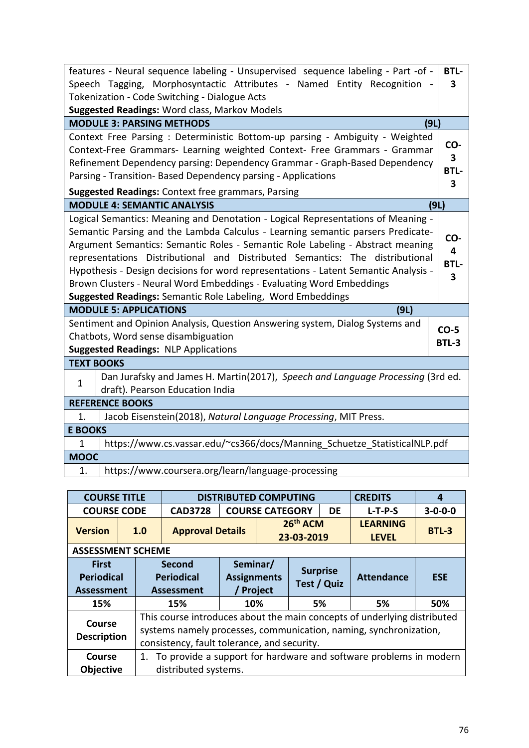| features - Neural sequence labeling - Unsupervised sequence labeling - Part -of -                                                                                                                                                                                                                                                                                                                                                                                                                                                                                                                                   | <b>BTL-</b>                                        |
|---------------------------------------------------------------------------------------------------------------------------------------------------------------------------------------------------------------------------------------------------------------------------------------------------------------------------------------------------------------------------------------------------------------------------------------------------------------------------------------------------------------------------------------------------------------------------------------------------------------------|----------------------------------------------------|
| Speech Tagging, Morphosyntactic Attributes - Named Entity Recognition                                                                                                                                                                                                                                                                                                                                                                                                                                                                                                                                               | 3                                                  |
| Tokenization - Code Switching - Dialogue Acts                                                                                                                                                                                                                                                                                                                                                                                                                                                                                                                                                                       |                                                    |
| Suggested Readings: Word class, Markov Models                                                                                                                                                                                                                                                                                                                                                                                                                                                                                                                                                                       |                                                    |
| <b>MODULE 3: PARSING METHODS</b>                                                                                                                                                                                                                                                                                                                                                                                                                                                                                                                                                                                    | (9L)                                               |
| Context Free Parsing: Deterministic Bottom-up parsing - Ambiguity - Weighted<br>Context-Free Grammars- Learning weighted Context- Free Grammars - Grammar<br>Refinement Dependency parsing: Dependency Grammar - Graph-Based Dependency<br>Parsing - Transition- Based Dependency parsing - Applications<br>Suggested Readings: Context free grammars, Parsing                                                                                                                                                                                                                                                      | CO-<br>$\overline{\mathbf{3}}$<br><b>BTL-</b><br>3 |
| <b>MODULE 4: SEMANTIC ANALYSIS</b>                                                                                                                                                                                                                                                                                                                                                                                                                                                                                                                                                                                  | (9L)                                               |
| Logical Semantics: Meaning and Denotation - Logical Representations of Meaning -<br>Semantic Parsing and the Lambda Calculus - Learning semantic parsers Predicate-<br>Argument Semantics: Semantic Roles - Semantic Role Labeling - Abstract meaning<br>representations Distributional and Distributed Semantics: The distributional<br>Hypothesis - Design decisions for word representations - Latent Semantic Analysis -<br>Brown Clusters - Neural Word Embeddings - Evaluating Word Embeddings<br><b>Suggested Readings: Semantic Role Labeling, Word Embeddings</b><br><b>MODULE 5: APPLICATIONS</b><br>(9L) | CO-<br>4<br><b>BTL-</b><br>3                       |
| Sentiment and Opinion Analysis, Question Answering system, Dialog Systems and                                                                                                                                                                                                                                                                                                                                                                                                                                                                                                                                       | $CO-5$                                             |
| Chatbots, Word sense disambiguation                                                                                                                                                                                                                                                                                                                                                                                                                                                                                                                                                                                 | <b>BTL-3</b>                                       |
| <b>Suggested Readings: NLP Applications</b>                                                                                                                                                                                                                                                                                                                                                                                                                                                                                                                                                                         |                                                    |
| <b>TEXT BOOKS</b>                                                                                                                                                                                                                                                                                                                                                                                                                                                                                                                                                                                                   |                                                    |
| Dan Jurafsky and James H. Martin(2017), Speech and Language Processing (3rd ed.<br>1<br>draft). Pearson Education India                                                                                                                                                                                                                                                                                                                                                                                                                                                                                             |                                                    |
| <b>REFERENCE BOOKS</b>                                                                                                                                                                                                                                                                                                                                                                                                                                                                                                                                                                                              |                                                    |
| Jacob Eisenstein(2018), Natural Language Processing, MIT Press.<br>1.                                                                                                                                                                                                                                                                                                                                                                                                                                                                                                                                               |                                                    |
| <b>E BOOKS</b>                                                                                                                                                                                                                                                                                                                                                                                                                                                                                                                                                                                                      |                                                    |
|                                                                                                                                                                                                                                                                                                                                                                                                                                                                                                                                                                                                                     |                                                    |
| https://www.cs.vassar.edu/~cs366/docs/Manning_Schuetze_StatisticalNLP.pdf<br>$\mathbf{1}$                                                                                                                                                                                                                                                                                                                                                                                                                                                                                                                           |                                                    |
| <b>MOOC</b>                                                                                                                                                                                                                                                                                                                                                                                                                                                                                                                                                                                                         |                                                    |

| <b>COURSE TITLE</b>                                    |  | <b>DISTRIBUTED COMPUTING</b><br><b>CREDITS</b>                                                                                                |                                                  |                   |                        |                        |           |                                                                   |                 |  |
|--------------------------------------------------------|--|-----------------------------------------------------------------------------------------------------------------------------------------------|--------------------------------------------------|-------------------|------------------------|------------------------|-----------|-------------------------------------------------------------------|-----------------|--|
| <b>COURSE CODE</b>                                     |  |                                                                                                                                               | <b>CAD3728</b>                                   |                   | <b>COURSE CATEGORY</b> |                        | <b>DE</b> | $L-T-P-S$                                                         | $3 - 0 - 0 - 0$ |  |
| <b>Version</b>                                         |  | 1.0                                                                                                                                           | <b>Approval Details</b>                          |                   |                        | 26th ACM<br>23-03-2019 |           | <b>LEARNING</b><br><b>LEVEL</b>                                   | <b>BTL-3</b>    |  |
| <b>ASSESSMENT SCHEME</b>                               |  |                                                                                                                                               |                                                  |                   |                        |                        |           |                                                                   |                 |  |
| <b>First</b><br><b>Periodical</b><br><b>Assessment</b> |  |                                                                                                                                               | <b>Second</b><br><b>Periodical</b><br>Assessment | <b>Attendance</b> | <b>ESE</b>             |                        |           |                                                                   |                 |  |
| 15%                                                    |  |                                                                                                                                               | 15%                                              | 10%               |                        | 5%                     |           | 5%                                                                | 50%             |  |
| Course<br><b>Description</b>                           |  | This course introduces about the main concepts of underlying distributed<br>systems namely processes, communication, naming, synchronization, |                                                  |                   |                        |                        |           |                                                                   |                 |  |
| Course<br><b>Objective</b>                             |  | 1.                                                                                                                                            | distributed systems.                             |                   |                        |                        |           | To provide a support for hardware and software problems in modern |                 |  |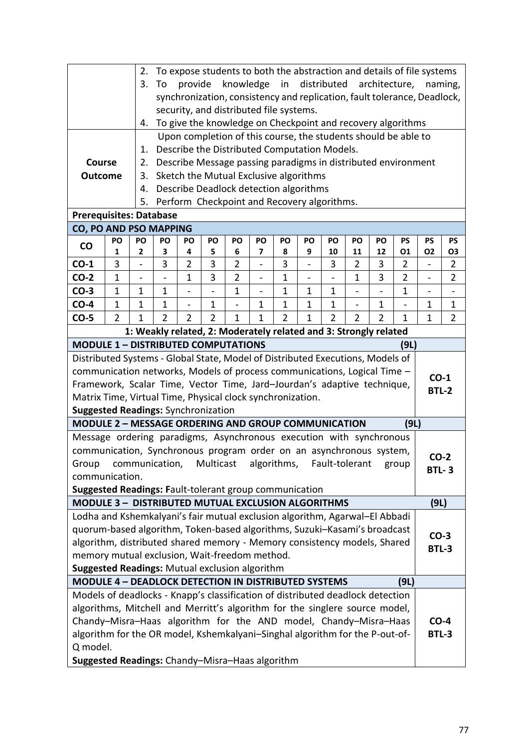| To expose students to both the abstraction and details of file systems<br>2.<br>distributed<br>3.<br>knowledge<br>in<br>architecture,<br>provide<br>To<br>naming,<br>synchronization, consistency and replication, fault tolerance, Deadlock,                                  |              |                                                                                                                                                                        |                |                          |                          |                |                                                                                                                |              |                |                          |                          |                          |                |                                          |                   |
|--------------------------------------------------------------------------------------------------------------------------------------------------------------------------------------------------------------------------------------------------------------------------------|--------------|------------------------------------------------------------------------------------------------------------------------------------------------------------------------|----------------|--------------------------|--------------------------|----------------|----------------------------------------------------------------------------------------------------------------|--------------|----------------|--------------------------|--------------------------|--------------------------|----------------|------------------------------------------|-------------------|
|                                                                                                                                                                                                                                                                                |              |                                                                                                                                                                        |                |                          |                          |                |                                                                                                                |              |                |                          |                          |                          |                |                                          |                   |
|                                                                                                                                                                                                                                                                                |              |                                                                                                                                                                        |                |                          |                          |                |                                                                                                                |              |                |                          |                          |                          |                |                                          |                   |
|                                                                                                                                                                                                                                                                                |              |                                                                                                                                                                        |                |                          |                          |                | security, and distributed file systems.                                                                        |              |                |                          |                          |                          |                |                                          |                   |
|                                                                                                                                                                                                                                                                                |              | 4.                                                                                                                                                                     |                |                          |                          |                | To give the knowledge on Checkpoint and recovery algorithms                                                    |              |                |                          |                          |                          |                |                                          |                   |
|                                                                                                                                                                                                                                                                                |              | 1.                                                                                                                                                                     |                |                          |                          |                | Upon completion of this course, the students should be able to<br>Describe the Distributed Computation Models. |              |                |                          |                          |                          |                |                                          |                   |
| Course                                                                                                                                                                                                                                                                         |              | 2.                                                                                                                                                                     |                |                          |                          |                | Describe Message passing paradigms in distributed environment                                                  |              |                |                          |                          |                          |                |                                          |                   |
| <b>Outcome</b>                                                                                                                                                                                                                                                                 |              | 3.                                                                                                                                                                     |                |                          |                          |                | Sketch the Mutual Exclusive algorithms                                                                         |              |                |                          |                          |                          |                |                                          |                   |
|                                                                                                                                                                                                                                                                                |              | 4.                                                                                                                                                                     |                |                          |                          |                | Describe Deadlock detection algorithms                                                                         |              |                |                          |                          |                          |                |                                          |                   |
|                                                                                                                                                                                                                                                                                |              | 5.                                                                                                                                                                     |                |                          |                          |                | Perform Checkpoint and Recovery algorithms.                                                                    |              |                |                          |                          |                          |                |                                          |                   |
|                                                                                                                                                                                                                                                                                |              |                                                                                                                                                                        |                |                          |                          |                |                                                                                                                |              |                |                          |                          |                          |                |                                          |                   |
| <b>Prerequisites: Database</b><br><b>CO, PO AND PSO MAPPING</b>                                                                                                                                                                                                                |              |                                                                                                                                                                        |                |                          |                          |                |                                                                                                                |              |                |                          |                          |                          |                |                                          |                   |
| PO<br><b>PS</b><br><b>PS</b><br>PO<br>PO<br>PO<br>PO<br>PO<br>PO<br>PO<br>PO<br>PO<br>PO<br><b>PS</b><br>PO<br>$\mathsf{co}$<br>5<br>3<br>7<br>8<br>9<br>10<br>11<br>12<br>01<br><b>O2</b><br>1<br>2<br>4<br>6<br>03                                                           |              |                                                                                                                                                                        |                |                          |                          |                |                                                                                                                |              |                |                          |                          |                          |                |                                          |                   |
| $\overline{3}$<br>$\overline{3}$<br>3<br>$\overline{2}$<br>$\overline{2}$<br>3<br>$\overline{2}$<br>3<br>$CO-1$<br>3<br>$\overline{2}$<br>$\qquad \qquad \blacksquare$<br>$\overline{\phantom{0}}$<br>$\overline{a}$                                                           |              |                                                                                                                                                                        |                |                          |                          |                |                                                                                                                |              |                |                          |                          |                          |                | $\overline{2}$                           |                   |
|                                                                                                                                                                                                                                                                                |              |                                                                                                                                                                        | 3              |                          |                          |                |                                                                                                                |              |                |                          |                          |                          |                |                                          |                   |
| $CO-2$                                                                                                                                                                                                                                                                         | $\mathbf{1}$ |                                                                                                                                                                        | $\overline{a}$ | $\mathbf{1}$             |                          | $\overline{2}$ | $\overline{a}$                                                                                                 | $\mathbf{1}$ | $\overline{a}$ | $\overline{\phantom{0}}$ | $\mathbf{1}$             | 3                        | $\overline{2}$ | $\overline{a}$                           | $\overline{2}$    |
| $CO-3$                                                                                                                                                                                                                                                                         | $\mathbf{1}$ | $\mathbf 1$                                                                                                                                                            | $\mathbf{1}$   | $\overline{\phantom{0}}$ | $\overline{\phantom{0}}$ | $\mathbf{1}$   | $\qquad \qquad \blacksquare$                                                                                   | $\mathbf 1$  | $\mathbf 1$    | $\mathbf{1}$             | $\overline{\phantom{0}}$ | $\overline{\phantom{0}}$ | $\mathbf{1}$   | $\overline{\phantom{0}}$<br>$\mathbf{1}$ | $\qquad \qquad -$ |
| $CO-4$                                                                                                                                                                                                                                                                         |              | $\mathbf{1}$<br>$\mathbf{1}$<br>$\mathbf{1}$<br>$\mathbf{1}$<br>$\mathbf{1}$<br>$\mathbf 1$<br>$\mathbf{1}$<br>$\mathbf{1}$<br>$\mathbf 1$<br>$\overline{\phantom{0}}$ |                |                          |                          |                |                                                                                                                |              |                |                          |                          |                          |                |                                          | 1                 |
| $\overline{2}$<br>$\overline{2}$<br>$\overline{2}$<br>$\overline{2}$<br>$\overline{2}$<br>$\mathbf{1}$<br>$\overline{2}$<br>$CO-5$<br>$\mathbf{1}$<br>$\overline{2}$<br>$\overline{2}$<br>1<br>1<br>1<br>1<br>1: Weakly related, 2: Moderately related and 3: Strongly related |              |                                                                                                                                                                        |                |                          |                          |                |                                                                                                                |              |                |                          |                          |                          |                | $\overline{2}$                           |                   |
|                                                                                                                                                                                                                                                                                |              |                                                                                                                                                                        |                |                          |                          |                |                                                                                                                |              |                |                          |                          |                          |                |                                          |                   |
| <b>MODULE 1 - DISTRIBUTED COMPUTATIONS</b>                                                                                                                                                                                                                                     |              |                                                                                                                                                                        |                |                          |                          |                |                                                                                                                |              |                |                          |                          |                          | (9L)           |                                          |                   |
| Distributed Systems - Global State, Model of Distributed Executions, Models of<br>communication networks, Models of process communications, Logical Time -                                                                                                                     |              |                                                                                                                                                                        |                |                          |                          |                |                                                                                                                |              |                |                          |                          |                          |                |                                          |                   |
| Framework, Scalar Time, Vector Time, Jard-Jourdan's adaptive technique,                                                                                                                                                                                                        |              |                                                                                                                                                                        |                |                          |                          |                |                                                                                                                |              |                |                          |                          |                          |                | $CO-1$                                   |                   |
| Matrix Time, Virtual Time, Physical clock synchronization.                                                                                                                                                                                                                     |              |                                                                                                                                                                        |                |                          |                          |                |                                                                                                                |              |                |                          |                          |                          |                | <b>BTL-2</b>                             |                   |
| <b>Suggested Readings: Synchronization</b>                                                                                                                                                                                                                                     |              |                                                                                                                                                                        |                |                          |                          |                |                                                                                                                |              |                |                          |                          |                          |                |                                          |                   |
| <b>MODULE 2 - MESSAGE ORDERING AND GROUP COMMUNICATION</b>                                                                                                                                                                                                                     |              |                                                                                                                                                                        |                |                          |                          |                |                                                                                                                |              |                |                          |                          |                          | (9L)           |                                          |                   |
| Message ordering paradigms, Asynchronous execution with synchronous                                                                                                                                                                                                            |              |                                                                                                                                                                        |                |                          |                          |                |                                                                                                                |              |                |                          |                          |                          |                |                                          |                   |
| communication, Synchronous program order on an asynchronous system,                                                                                                                                                                                                            |              |                                                                                                                                                                        |                |                          |                          |                |                                                                                                                |              |                |                          |                          |                          |                |                                          |                   |
| Group                                                                                                                                                                                                                                                                          |              | communication,                                                                                                                                                         |                |                          | Multicast                |                | algorithms, Fault-tolerant                                                                                     |              |                |                          |                          |                          | group          | $CO-2$<br><b>BTL-3</b>                   |                   |
| communication.                                                                                                                                                                                                                                                                 |              |                                                                                                                                                                        |                |                          |                          |                |                                                                                                                |              |                |                          |                          |                          |                |                                          |                   |
| Suggested Readings: Fault-tolerant group communication                                                                                                                                                                                                                         |              |                                                                                                                                                                        |                |                          |                          |                |                                                                                                                |              |                |                          |                          |                          |                |                                          |                   |
| MODULE 3 - DISTRIBUTED MUTUAL EXCLUSION ALGORITHMS                                                                                                                                                                                                                             |              |                                                                                                                                                                        |                |                          |                          |                |                                                                                                                |              |                |                          |                          |                          |                | (9L)                                     |                   |
| Lodha and Kshemkalyani's fair mutual exclusion algorithm, Agarwal-El Abbadi                                                                                                                                                                                                    |              |                                                                                                                                                                        |                |                          |                          |                |                                                                                                                |              |                |                          |                          |                          |                |                                          |                   |
| quorum-based algorithm, Token-based algorithms, Suzuki-Kasami's broadcast                                                                                                                                                                                                      |              |                                                                                                                                                                        |                |                          |                          |                |                                                                                                                |              |                |                          |                          |                          |                | $CO-3$                                   |                   |
| algorithm, distributed shared memory - Memory consistency models, Shared                                                                                                                                                                                                       |              |                                                                                                                                                                        |                |                          |                          |                |                                                                                                                |              |                |                          |                          |                          |                | <b>BTL-3</b>                             |                   |
| memory mutual exclusion, Wait-freedom method.                                                                                                                                                                                                                                  |              |                                                                                                                                                                        |                |                          |                          |                |                                                                                                                |              |                |                          |                          |                          |                |                                          |                   |
| Suggested Readings: Mutual exclusion algorithm<br><b>MODULE 4 - DEADLOCK DETECTION IN DISTRIBUTED SYSTEMS</b>                                                                                                                                                                  |              |                                                                                                                                                                        |                |                          |                          |                |                                                                                                                |              |                |                          |                          |                          | (9L)           |                                          |                   |
| Models of deadlocks - Knapp's classification of distributed deadlock detection                                                                                                                                                                                                 |              |                                                                                                                                                                        |                |                          |                          |                |                                                                                                                |              |                |                          |                          |                          |                |                                          |                   |
| algorithms, Mitchell and Merritt's algorithm for the singlere source model,                                                                                                                                                                                                    |              |                                                                                                                                                                        |                |                          |                          |                |                                                                                                                |              |                |                          |                          |                          |                |                                          |                   |
| Chandy-Misra-Haas algorithm for the AND model, Chandy-Misra-Haas                                                                                                                                                                                                               |              |                                                                                                                                                                        |                |                          |                          |                |                                                                                                                |              |                |                          |                          |                          |                | $CO-4$                                   |                   |
| algorithm for the OR model, Kshemkalyani-Singhal algorithm for the P-out-of-                                                                                                                                                                                                   |              |                                                                                                                                                                        |                |                          |                          |                |                                                                                                                |              |                |                          |                          |                          |                | <b>BTL-3</b>                             |                   |
| Q model.                                                                                                                                                                                                                                                                       |              |                                                                                                                                                                        |                |                          |                          |                |                                                                                                                |              |                |                          |                          |                          |                |                                          |                   |
| Suggested Readings: Chandy-Misra-Haas algorithm                                                                                                                                                                                                                                |              |                                                                                                                                                                        |                |                          |                          |                |                                                                                                                |              |                |                          |                          |                          |                |                                          |                   |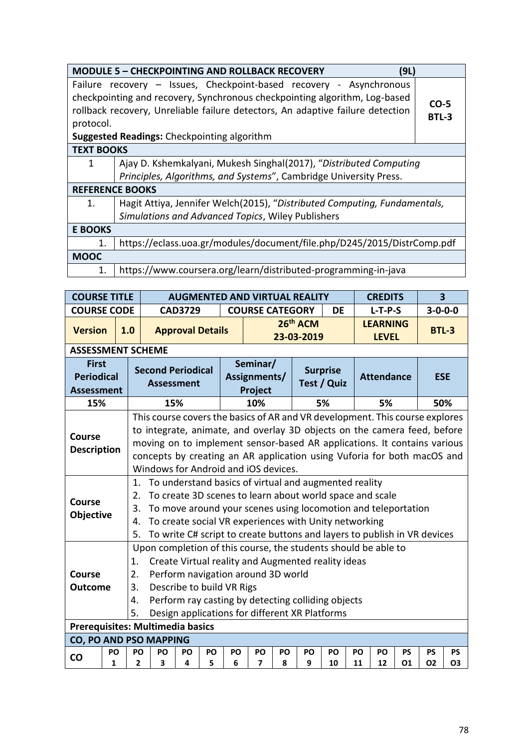|                   | <b>MODULE 5 - CHECKPOINTING AND ROLLBACK RECOVERY</b><br>(9L)                  |        |
|-------------------|--------------------------------------------------------------------------------|--------|
|                   | Failure recovery - Issues, Checkpoint-based recovery - Asynchronous            |        |
|                   | checkpointing and recovery, Synchronous checkpointing algorithm, Log-based     | $CO-5$ |
|                   | rollback recovery, Unreliable failure detectors, An adaptive failure detection | BTL-3  |
| protocol.         |                                                                                |        |
|                   | <b>Suggested Readings:</b> Checkpointing algorithm                             |        |
| <b>TEXT BOOKS</b> |                                                                                |        |
| 1                 | Ajay D. Kshemkalyani, Mukesh Singhal(2017), "Distributed Computing             |        |
|                   | Principles, Algorithms, and Systems", Cambridge University Press.              |        |
|                   | <b>REFERENCE BOOKS</b>                                                         |        |
| $\mathbf{1}$ .    | Hagit Attiya, Jennifer Welch (2015), "Distributed Computing, Fundamentals,     |        |
|                   | Simulations and Advanced Topics, Wiley Publishers                              |        |
| <b>E BOOKS</b>    |                                                                                |        |
| 1.                | https://eclass.uoa.gr/modules/document/file.php/D245/2015/DistrComp.pdf        |        |
| <b>MOOC</b>       |                                                                                |        |
| 1.                | https://www.coursera.org/learn/distributed-programming-in-java                 |        |

| <b>COURSE TITLE</b>                                    |         |                                                                                                                                                                                                                                                                                                                               |                                                                                                                                                                                                                                                                                                                                                         |                         |         |         |                                     |                | <b>AUGMENTED AND VIRTUAL REALITY</b> |                                |          | <b>CREDITS</b>                  | $\overline{\mathbf{3}}$ |                        |                        |
|--------------------------------------------------------|---------|-------------------------------------------------------------------------------------------------------------------------------------------------------------------------------------------------------------------------------------------------------------------------------------------------------------------------------|---------------------------------------------------------------------------------------------------------------------------------------------------------------------------------------------------------------------------------------------------------------------------------------------------------------------------------------------------------|-------------------------|---------|---------|-------------------------------------|----------------|--------------------------------------|--------------------------------|----------|---------------------------------|-------------------------|------------------------|------------------------|
| <b>COURSE CODE</b>                                     |         |                                                                                                                                                                                                                                                                                                                               |                                                                                                                                                                                                                                                                                                                                                         | <b>CAD3729</b>          |         |         | <b>COURSE CATEGORY</b>              |                |                                      | <b>DE</b>                      |          | $L-T-P-S$                       |                         | $3 - 0 - 0 - 0$        |                        |
| <b>Version</b>                                         |         | 1.0                                                                                                                                                                                                                                                                                                                           |                                                                                                                                                                                                                                                                                                                                                         | <b>Approval Details</b> |         |         |                                     |                | 26 <sup>th</sup> ACM<br>23-03-2019   |                                |          | <b>LEARNING</b><br><b>LEVEL</b> |                         | <b>BTL-3</b>           |                        |
| <b>ASSESSMENT SCHEME</b>                               |         |                                                                                                                                                                                                                                                                                                                               |                                                                                                                                                                                                                                                                                                                                                         |                         |         |         |                                     |                |                                      |                                |          |                                 |                         |                        |                        |
| <b>First</b><br><b>Periodical</b><br><b>Assessment</b> |         |                                                                                                                                                                                                                                                                                                                               | <b>Second Periodical</b><br><b>Assessment</b>                                                                                                                                                                                                                                                                                                           |                         |         |         | Seminar/<br>Assignments/<br>Project |                |                                      | <b>Surprise</b><br>Test / Quiz |          | <b>Attendance</b>               |                         | <b>ESE</b>             |                        |
| 15%                                                    |         |                                                                                                                                                                                                                                                                                                                               | 15%                                                                                                                                                                                                                                                                                                                                                     |                         |         |         | 10%                                 |                |                                      | 5%                             |          | 5%                              |                         | 50%                    |                        |
| <b>Course</b><br><b>Description</b>                    |         |                                                                                                                                                                                                                                                                                                                               | This course covers the basics of AR and VR development. This course explores<br>to integrate, animate, and overlay 3D objects on the camera feed, before<br>moving on to implement sensor-based AR applications. It contains various<br>concepts by creating an AR application using Vuforia for both macOS and<br>Windows for Android and iOS devices. |                         |         |         |                                     |                |                                      |                                |          |                                 |                         |                        |                        |
| <b>Course</b><br><b>Objective</b>                      |         | 1.<br>2.<br>3.<br>4.<br>5.                                                                                                                                                                                                                                                                                                    | To understand basics of virtual and augmented reality<br>To create 3D scenes to learn about world space and scale<br>To move around your scenes using locomotion and teleportation<br>To create social VR experiences with Unity networking<br>To write C# script to create buttons and layers to publish in VR devices                                 |                         |         |         |                                     |                |                                      |                                |          |                                 |                         |                        |                        |
| <b>Course</b><br><b>Outcome</b>                        |         | Upon completion of this course, the students should be able to<br>Create Virtual reality and Augmented reality ideas<br>1.<br>Perform navigation around 3D world<br>2.<br>Describe to build VR Rigs<br>3.<br>Perform ray casting by detecting colliding objects<br>4.<br>Design applications for different XR Platforms<br>5. |                                                                                                                                                                                                                                                                                                                                                         |                         |         |         |                                     |                |                                      |                                |          |                                 |                         |                        |                        |
| Prerequisites: Multimedia basics                       |         |                                                                                                                                                                                                                                                                                                                               |                                                                                                                                                                                                                                                                                                                                                         |                         |         |         |                                     |                |                                      |                                |          |                                 |                         |                        |                        |
| CO, PO AND PSO MAPPING                                 |         |                                                                                                                                                                                                                                                                                                                               |                                                                                                                                                                                                                                                                                                                                                         |                         |         |         |                                     |                |                                      |                                |          |                                 |                         |                        |                        |
| CO                                                     | PO<br>1 | PO<br>$\overline{2}$                                                                                                                                                                                                                                                                                                          | PO<br>3                                                                                                                                                                                                                                                                                                                                                 | PO<br>4                 | PO<br>5 | PO<br>6 | <b>PO</b><br>7                      | <b>PO</b><br>8 | PO<br>9                              | PO<br>10                       | PO<br>11 | PO<br>12                        | <b>PS</b><br>01         | <b>PS</b><br><b>O2</b> | <b>PS</b><br><b>O3</b> |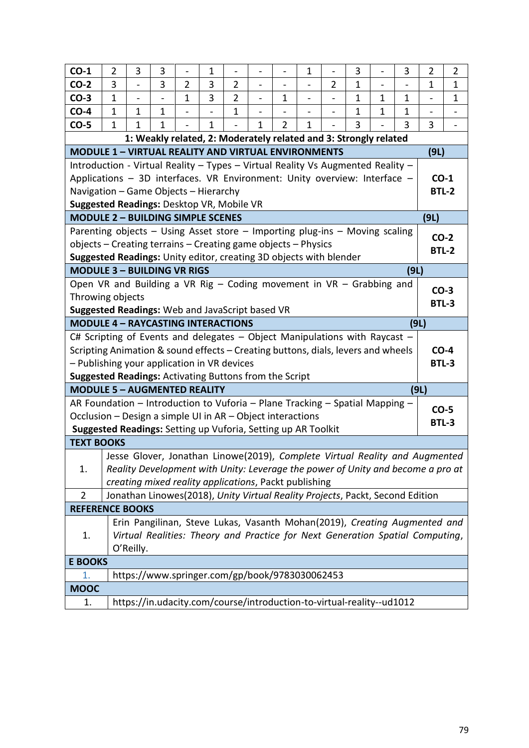| $CO-1$                                                                           | 2                                                                                                                                            | 3              | 3 |                                                                                 | 1              |                |                          |                | 1                        |                | 3            |              | 3            | 2            | $\overline{2}$ |  |  |
|----------------------------------------------------------------------------------|----------------------------------------------------------------------------------------------------------------------------------------------|----------------|---|---------------------------------------------------------------------------------|----------------|----------------|--------------------------|----------------|--------------------------|----------------|--------------|--------------|--------------|--------------|----------------|--|--|
| $CO-2$                                                                           | 3                                                                                                                                            | $\overline{a}$ | 3 | $\overline{2}$                                                                  | $\overline{3}$ | $\overline{2}$ | $\overline{\phantom{0}}$ |                | $\overline{\phantom{0}}$ | $\overline{2}$ | $\mathbf 1$  |              |              | 1            | 1              |  |  |
| $CO-3$                                                                           | $\mathbf{1}$                                                                                                                                 |                |   | $\mathbf{1}$                                                                    | 3              | $\overline{2}$ |                          | $\mathbf{1}$   |                          |                | $\mathbf{1}$ | $\mathbf{1}$ | $\mathbf{1}$ |              | $\mathbf 1$    |  |  |
| $CO-4$                                                                           | $\mathbf{1}$                                                                                                                                 | 1              | 1 |                                                                                 |                | $\mathbf{1}$   |                          |                |                          |                | 1            | $\mathbf{1}$ | $\mathbf{1}$ |              |                |  |  |
| $CO-5$                                                                           | $\mathbf{1}$                                                                                                                                 | 1              | 1 |                                                                                 | 1              |                | 1                        | $\overline{2}$ | 1                        |                | 3            |              | 3            | 3            |                |  |  |
|                                                                                  |                                                                                                                                              |                |   | 1: Weakly related, 2: Moderately related and 3: Strongly related                |                |                |                          |                |                          |                |              |              |              |              |                |  |  |
| <b>MODULE 1 - VIRTUAL REALITY AND VIRTUAL ENVIRONMENTS</b>                       |                                                                                                                                              |                |   |                                                                                 |                |                |                          |                |                          |                |              |              |              | (9L)         |                |  |  |
| Introduction - Virtual Reality - Types - Virtual Reality Vs Augmented Reality -  |                                                                                                                                              |                |   |                                                                                 |                |                |                          |                |                          |                |              |              |              |              |                |  |  |
| Applications - 3D interfaces. VR Environment: Unity overview: Interface -        |                                                                                                                                              |                |   |                                                                                 |                |                |                          |                |                          |                |              |              |              | $CO-1$       |                |  |  |
| Navigation - Game Objects - Hierarchy                                            |                                                                                                                                              |                |   |                                                                                 |                |                |                          |                |                          |                |              |              |              | <b>BTL-2</b> |                |  |  |
| Suggested Readings: Desktop VR, Mobile VR                                        |                                                                                                                                              |                |   |                                                                                 |                |                |                          |                |                          |                |              |              |              |              |                |  |  |
| <b>MODULE 2 - BUILDING SIMPLE SCENES</b>                                         |                                                                                                                                              |                |   |                                                                                 |                |                |                          |                |                          |                |              |              |              | (9L)         |                |  |  |
|                                                                                  | Parenting objects - Using Asset store - Importing plug-ins - Moving scaling<br>objects - Creating terrains - Creating game objects - Physics |                |   |                                                                                 |                |                |                          |                |                          |                |              |              |              |              |                |  |  |
|                                                                                  |                                                                                                                                              |                |   |                                                                                 |                |                |                          |                |                          |                |              |              |              |              |                |  |  |
|                                                                                  | Suggested Readings: Unity editor, creating 3D objects with blender<br>(9L)                                                                   |                |   |                                                                                 |                |                |                          |                |                          |                |              |              |              |              |                |  |  |
|                                                                                  | <b>MODULE 3 - BUILDING VR RIGS</b>                                                                                                           |                |   |                                                                                 |                |                |                          |                |                          |                |              |              |              |              |                |  |  |
|                                                                                  | Open VR and Building a VR Rig - Coding movement in VR - Grabbing and                                                                         |                |   |                                                                                 |                |                |                          |                |                          |                |              |              |              |              |                |  |  |
| Throwing objects                                                                 |                                                                                                                                              |                |   |                                                                                 |                |                |                          |                |                          |                |              |              |              |              | $CO-3$         |  |  |
| Suggested Readings: Web and JavaScript based VR                                  |                                                                                                                                              |                |   |                                                                                 |                |                |                          |                |                          |                |              |              |              | <b>BTL-3</b> |                |  |  |
| <b>MODULE 4 - RAYCASTING INTERACTIONS</b>                                        |                                                                                                                                              |                |   |                                                                                 |                |                |                          |                |                          |                |              |              | (9L)         |              |                |  |  |
| C# Scripting of Events and delegates $-$ Object Manipulations with Raycast $-$   |                                                                                                                                              |                |   |                                                                                 |                |                |                          |                |                          |                |              |              |              |              |                |  |  |
| Scripting Animation & sound effects - Creating buttons, dials, levers and wheels |                                                                                                                                              |                |   |                                                                                 |                |                |                          |                |                          |                |              |              |              | $CO-4$       |                |  |  |
| - Publishing your application in VR devices                                      |                                                                                                                                              |                |   |                                                                                 |                |                |                          |                |                          |                |              |              |              | <b>BTL-3</b> |                |  |  |
| <b>Suggested Readings: Activating Buttons from the Script</b>                    |                                                                                                                                              |                |   |                                                                                 |                |                |                          |                |                          |                |              |              |              | (9L)         |                |  |  |
| <b>MODULE 5 - AUGMENTED REALITY</b>                                              |                                                                                                                                              |                |   |                                                                                 |                |                |                          |                |                          |                |              |              |              |              |                |  |  |
| AR Foundation – Introduction to Vuforia – Plane Tracking – Spatial Mapping –     |                                                                                                                                              |                |   |                                                                                 |                |                |                          |                |                          |                |              |              |              | $CO-5$       |                |  |  |
| Occlusion - Design a simple UI in AR - Object interactions                       |                                                                                                                                              |                |   |                                                                                 |                |                |                          |                |                          |                |              |              |              | <b>BTL-3</b> |                |  |  |
| Suggested Readings: Setting up Vuforia, Setting up AR Toolkit                    |                                                                                                                                              |                |   |                                                                                 |                |                |                          |                |                          |                |              |              |              |              |                |  |  |
| <b>TEXT BOOKS</b>                                                                |                                                                                                                                              |                |   |                                                                                 |                |                |                          |                |                          |                |              |              |              |              |                |  |  |
|                                                                                  |                                                                                                                                              |                |   | Jesse Glover, Jonathan Linowe(2019), Complete Virtual Reality and Augmented     |                |                |                          |                |                          |                |              |              |              |              |                |  |  |
| 1.                                                                               |                                                                                                                                              |                |   | Reality Development with Unity: Leverage the power of Unity and become a pro at |                |                |                          |                |                          |                |              |              |              |              |                |  |  |
|                                                                                  |                                                                                                                                              |                |   | creating mixed reality applications, Packt publishing                           |                |                |                          |                |                          |                |              |              |              |              |                |  |  |
| $\overline{2}$                                                                   |                                                                                                                                              |                |   | Jonathan Linowes(2018), Unity Virtual Reality Projects, Packt, Second Edition   |                |                |                          |                |                          |                |              |              |              |              |                |  |  |
| <b>REFERENCE BOOKS</b>                                                           |                                                                                                                                              |                |   |                                                                                 |                |                |                          |                |                          |                |              |              |              |              |                |  |  |
|                                                                                  |                                                                                                                                              |                |   | Erin Pangilinan, Steve Lukas, Vasanth Mohan(2019), Creating Augmented and       |                |                |                          |                |                          |                |              |              |              |              |                |  |  |
| 1.                                                                               |                                                                                                                                              |                |   | Virtual Realities: Theory and Practice for Next Generation Spatial Computing,   |                |                |                          |                |                          |                |              |              |              |              |                |  |  |
| O'Reilly.<br><b>E BOOKS</b>                                                      |                                                                                                                                              |                |   |                                                                                 |                |                |                          |                |                          |                |              |              |              |              |                |  |  |
|                                                                                  |                                                                                                                                              |                |   |                                                                                 |                |                |                          |                |                          |                |              |              |              |              |                |  |  |
| 1.<br><b>MOOC</b>                                                                |                                                                                                                                              |                |   | https://www.springer.com/gp/book/9783030062453                                  |                |                |                          |                |                          |                |              |              |              |              |                |  |  |
|                                                                                  |                                                                                                                                              |                |   |                                                                                 |                |                |                          |                |                          |                |              |              |              |              |                |  |  |
| 1.                                                                               |                                                                                                                                              |                |   | https://in.udacity.com/course/introduction-to-virtual-reality--ud1012           |                |                |                          |                |                          |                |              |              |              |              |                |  |  |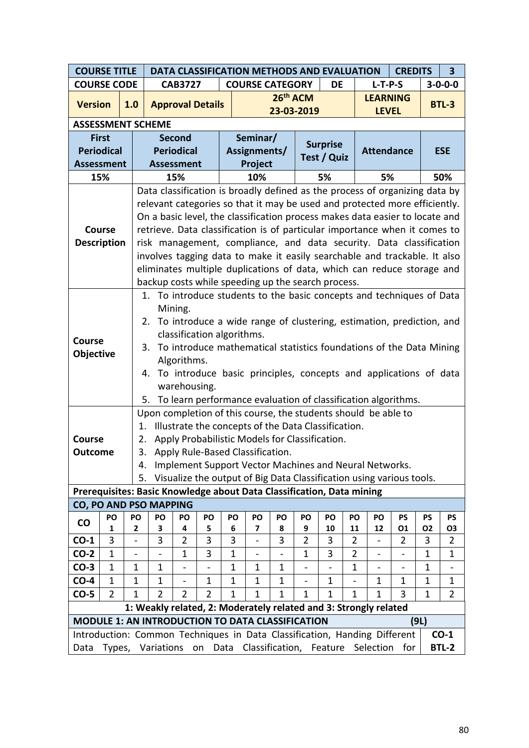| <b>COURSE TITLE</b>                                                       | DATA CLASSIFICATION METHODS AND EVALUATION<br><b>CREDITS</b><br>$\overline{\mathbf{3}}$ |                                                                                                                           |                                                                                                                                                                                                  |                     |                                  |              |                          |                 |                              |                                                     |              |                                                                              |                               |             |                          |
|---------------------------------------------------------------------------|-----------------------------------------------------------------------------------------|---------------------------------------------------------------------------------------------------------------------------|--------------------------------------------------------------------------------------------------------------------------------------------------------------------------------------------------|---------------------|----------------------------------|--------------|--------------------------|-----------------|------------------------------|-----------------------------------------------------|--------------|------------------------------------------------------------------------------|-------------------------------|-------------|--------------------------|
| <b>COURSE CODE</b>                                                        |                                                                                         | $3 - 0 - 0 - 0$<br>$L-T-P-S$<br><b>COURSE CATEGORY</b><br><b>CAB3727</b><br>DE<br>26 <sup>th</sup> ACM<br><b>LEARNING</b> |                                                                                                                                                                                                  |                     |                                  |              |                          |                 |                              |                                                     |              |                                                                              |                               |             |                          |
| <b>Version</b>                                                            |                                                                                         | 1.0                                                                                                                       |                                                                                                                                                                                                  |                     | <b>Approval Details</b>          |              |                          |                 |                              |                                                     |              |                                                                              |                               |             | <b>BTL-3</b>             |
|                                                                           |                                                                                         |                                                                                                                           |                                                                                                                                                                                                  |                     |                                  |              |                          | 23-03-2019      |                              |                                                     |              | <b>LEVEL</b>                                                                 |                               |             |                          |
| <b>ASSESSMENT SCHEME</b>                                                  |                                                                                         |                                                                                                                           |                                                                                                                                                                                                  |                     |                                  |              |                          |                 |                              |                                                     |              |                                                                              |                               |             |                          |
| <b>First</b>                                                              |                                                                                         |                                                                                                                           |                                                                                                                                                                                                  | <b>Second</b>       |                                  |              | Seminar/                 |                 |                              | <b>Surprise</b>                                     |              |                                                                              |                               |             |                          |
| <b>Periodical</b>                                                         |                                                                                         |                                                                                                                           |                                                                                                                                                                                                  | <b>Periodical</b>   |                                  |              | Assignments/             |                 |                              | Test / Quiz                                         |              | <b>Attendance</b>                                                            |                               |             | <b>ESE</b>               |
| <b>Assessment</b>                                                         |                                                                                         |                                                                                                                           | <b>Assessment</b>                                                                                                                                                                                |                     |                                  |              | Project                  |                 |                              |                                                     |              |                                                                              |                               |             |                          |
| 15%                                                                       |                                                                                         |                                                                                                                           |                                                                                                                                                                                                  | 15%                 |                                  |              | 10%                      |                 |                              | 5%                                                  |              | 5%                                                                           |                               |             | 50%                      |
|                                                                           |                                                                                         |                                                                                                                           |                                                                                                                                                                                                  |                     |                                  |              |                          |                 |                              |                                                     |              | Data classification is broadly defined as the process of organizing data by  |                               |             |                          |
|                                                                           |                                                                                         |                                                                                                                           |                                                                                                                                                                                                  |                     |                                  |              |                          |                 |                              |                                                     |              | relevant categories so that it may be used and protected more efficiently.   |                               |             |                          |
|                                                                           |                                                                                         |                                                                                                                           |                                                                                                                                                                                                  |                     |                                  |              |                          |                 |                              |                                                     |              | On a basic level, the classification process makes data easier to locate and |                               |             |                          |
| <b>Course</b>                                                             |                                                                                         |                                                                                                                           |                                                                                                                                                                                                  |                     |                                  |              |                          |                 |                              |                                                     |              | retrieve. Data classification is of particular importance when it comes to   |                               |             |                          |
| <b>Description</b>                                                        |                                                                                         |                                                                                                                           |                                                                                                                                                                                                  |                     |                                  |              |                          |                 |                              |                                                     |              | risk management, compliance, and data security. Data classification          |                               |             |                          |
|                                                                           |                                                                                         |                                                                                                                           | involves tagging data to make it easily searchable and trackable. It also<br>eliminates multiple duplications of data, which can reduce storage and                                              |                     |                                  |              |                          |                 |                              |                                                     |              |                                                                              |                               |             |                          |
|                                                                           |                                                                                         |                                                                                                                           |                                                                                                                                                                                                  |                     |                                  |              |                          |                 |                              |                                                     |              |                                                                              |                               |             |                          |
|                                                                           |                                                                                         |                                                                                                                           | backup costs while speeding up the search process.<br>1. To introduce students to the basic concepts and techniques of Data                                                                      |                     |                                  |              |                          |                 |                              |                                                     |              |                                                                              |                               |             |                          |
|                                                                           |                                                                                         |                                                                                                                           |                                                                                                                                                                                                  | Mining.             |                                  |              |                          |                 |                              |                                                     |              |                                                                              |                               |             |                          |
|                                                                           |                                                                                         |                                                                                                                           |                                                                                                                                                                                                  |                     |                                  |              |                          |                 |                              |                                                     |              | 2. To introduce a wide range of clustering, estimation, prediction, and      |                               |             |                          |
|                                                                           |                                                                                         |                                                                                                                           |                                                                                                                                                                                                  |                     | classification algorithms.       |              |                          |                 |                              |                                                     |              |                                                                              |                               |             |                          |
| Course                                                                    |                                                                                         |                                                                                                                           | 3.                                                                                                                                                                                               |                     |                                  |              |                          |                 |                              |                                                     |              | To introduce mathematical statistics foundations of the Data Mining          |                               |             |                          |
| <b>Objective</b>                                                          |                                                                                         |                                                                                                                           |                                                                                                                                                                                                  | Algorithms.         |                                  |              |                          |                 |                              |                                                     |              |                                                                              |                               |             |                          |
|                                                                           |                                                                                         |                                                                                                                           |                                                                                                                                                                                                  |                     |                                  |              |                          |                 |                              |                                                     |              | 4. To introduce basic principles, concepts and applications of data          |                               |             |                          |
|                                                                           |                                                                                         |                                                                                                                           |                                                                                                                                                                                                  | warehousing.        |                                  |              |                          |                 |                              |                                                     |              |                                                                              |                               |             |                          |
|                                                                           |                                                                                         |                                                                                                                           | 5.                                                                                                                                                                                               |                     |                                  |              |                          |                 |                              |                                                     |              | To learn performance evaluation of classification algorithms.                |                               |             |                          |
|                                                                           |                                                                                         |                                                                                                                           |                                                                                                                                                                                                  |                     |                                  |              |                          |                 |                              |                                                     |              | Upon completion of this course, the students should be able to               |                               |             |                          |
|                                                                           |                                                                                         | 1.                                                                                                                        |                                                                                                                                                                                                  |                     |                                  |              |                          |                 |                              | Illustrate the concepts of the Data Classification. |              |                                                                              |                               |             |                          |
| Course                                                                    |                                                                                         | 2.                                                                                                                        |                                                                                                                                                                                                  |                     |                                  |              |                          |                 |                              | Apply Probabilistic Models for Classification.      |              |                                                                              |                               |             |                          |
| <b>Outcome</b>                                                            |                                                                                         | 3.                                                                                                                        |                                                                                                                                                                                                  |                     | Apply Rule-Based Classification. |              |                          |                 |                              |                                                     |              |                                                                              |                               |             |                          |
|                                                                           |                                                                                         | 4.                                                                                                                        |                                                                                                                                                                                                  |                     |                                  |              |                          |                 |                              |                                                     |              | Implement Support Vector Machines and Neural Networks.                       |                               |             |                          |
|                                                                           |                                                                                         | 5.                                                                                                                        |                                                                                                                                                                                                  |                     |                                  |              |                          |                 |                              |                                                     |              | Visualize the output of Big Data Classification using various tools.         |                               |             |                          |
| Prerequisites: Basic Knowledge about Data Classification, Data mining     |                                                                                         |                                                                                                                           |                                                                                                                                                                                                  |                     |                                  |              |                          |                 |                              |                                                     |              |                                                                              |                               |             |                          |
| CO, PO AND PSO MAPPING                                                    |                                                                                         |                                                                                                                           |                                                                                                                                                                                                  |                     |                                  |              |                          |                 |                              |                                                     |              |                                                                              |                               |             |                          |
| CO                                                                        | PO                                                                                      | PO                                                                                                                        | PO                                                                                                                                                                                               | PO                  | PO                               | PO           | PO                       | PO              | PO                           | PO                                                  | PO           | PO                                                                           | PS                            | PS          | PS                       |
|                                                                           | 1<br>3                                                                                  | 2<br>$\overline{\phantom{0}}$                                                                                             | 3<br>3                                                                                                                                                                                           | 4<br>$\overline{2}$ | 5<br>3                           | 6<br>3       | 7                        | 8<br>3          | 9<br>$\overline{2}$          | 10<br>3                                             | 11<br>2      | 12                                                                           | 01<br>$\overline{2}$          | O2<br>3     | O3<br>$\overline{2}$     |
| $CO-1$<br>$CO-2$                                                          | 1                                                                                       |                                                                                                                           |                                                                                                                                                                                                  | 1                   | 3                                | $\mathbf{1}$ | $\overline{\phantom{0}}$ |                 | $\mathbf{1}$                 | 3                                                   | 2            | $\overline{\phantom{0}}$                                                     |                               | $\mathbf 1$ | 1                        |
| $CO-3$                                                                    | 1                                                                                       | $\qquad \qquad \blacksquare$<br>1                                                                                         | 1                                                                                                                                                                                                | -                   | $\qquad \qquad \blacksquare$     | 1            | -<br>$\mathbf 1$         | 1               | $\qquad \qquad \blacksquare$ | $\qquad \qquad -$                                   | $\mathbf{1}$ | -<br>$\overline{\phantom{0}}$                                                | -<br>$\overline{\phantom{0}}$ | 1           | $\overline{\phantom{0}}$ |
| $CO-4$                                                                    | 1                                                                                       | 1                                                                                                                         | 1<br>1<br>1<br>$\mathbf 1$<br>1<br>1<br>$\mathbf{1}$<br>1<br>$\mathbf 1$<br>1                                                                                                                    |                     |                                  |              |                          |                 |                              |                                                     |              |                                                                              |                               |             |                          |
| $CO-5$                                                                    | $\overline{2}$                                                                          |                                                                                                                           | $\overline{2}$<br>$\mathbf 1$<br>$\overline{2}$<br>$\overline{2}$<br>$\mathbf 1$<br>$\mathbf{1}$<br>$\mathbf{1}$<br>$\mathbf{1}$<br>3<br>$\overline{2}$<br>1<br>$\mathbf{1}$<br>$\mathbf 1$<br>1 |                     |                                  |              |                          |                 |                              |                                                     |              |                                                                              |                               |             |                          |
|                                                                           |                                                                                         |                                                                                                                           |                                                                                                                                                                                                  |                     |                                  |              |                          |                 |                              |                                                     |              | 1: Weakly related, 2: Moderately related and 3: Strongly related             |                               |             |                          |
| <b>MODULE 1: AN INTRODUCTION TO DATA CLASSIFICATION</b>                   |                                                                                         |                                                                                                                           |                                                                                                                                                                                                  |                     |                                  |              |                          |                 |                              |                                                     |              |                                                                              |                               | (9L)        |                          |
| Introduction: Common Techniques in Data Classification, Handing Different |                                                                                         |                                                                                                                           |                                                                                                                                                                                                  |                     |                                  |              |                          |                 |                              |                                                     |              |                                                                              |                               |             | $CO-1$                   |
| Data                                                                      | Types,                                                                                  |                                                                                                                           | Variations                                                                                                                                                                                       |                     | on Data                          |              |                          | Classification, |                              | Feature                                             |              | Selection                                                                    | for                           |             | <b>BTL-2</b>             |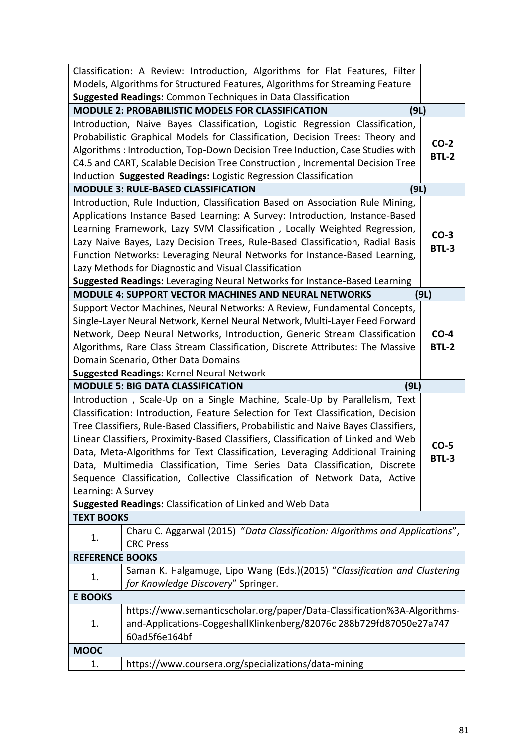|                        | Classification: A Review: Introduction, Algorithms for Flat Features, Filter         |              |
|------------------------|--------------------------------------------------------------------------------------|--------------|
|                        | Models, Algorithms for Structured Features, Algorithms for Streaming Feature         |              |
|                        | <b>Suggested Readings: Common Techniques in Data Classification</b>                  |              |
|                        | MODULE 2: PROBABILISTIC MODELS FOR CLASSIFICATION<br>(9L)                            |              |
|                        | Introduction, Naive Bayes Classification, Logistic Regression Classification,        |              |
|                        | Probabilistic Graphical Models for Classification, Decision Trees: Theory and        | $CO-2$       |
|                        | Algorithms: Introduction, Top-Down Decision Tree Induction, Case Studies with        | <b>BTL-2</b> |
|                        | C4.5 and CART, Scalable Decision Tree Construction, Incremental Decision Tree        |              |
|                        | Induction Suggested Readings: Logistic Regression Classification                     |              |
|                        | <b>MODULE 3: RULE-BASED CLASSIFICATION</b><br>(9L)                                   |              |
|                        | Introduction, Rule Induction, Classification Based on Association Rule Mining,       |              |
|                        | Applications Instance Based Learning: A Survey: Introduction, Instance-Based         |              |
|                        | Learning Framework, Lazy SVM Classification, Locally Weighted Regression,            | $CO-3$       |
|                        | Lazy Naive Bayes, Lazy Decision Trees, Rule-Based Classification, Radial Basis       | <b>BTL-3</b> |
|                        | Function Networks: Leveraging Neural Networks for Instance-Based Learning,           |              |
|                        | Lazy Methods for Diagnostic and Visual Classification                                |              |
|                        | Suggested Readings: Leveraging Neural Networks for Instance-Based Learning           |              |
|                        | <b>MODULE 4: SUPPORT VECTOR MACHINES AND NEURAL NETWORKS</b>                         | (9L)         |
|                        | Support Vector Machines, Neural Networks: A Review, Fundamental Concepts,            |              |
|                        | Single-Layer Neural Network, Kernel Neural Network, Multi-Layer Feed Forward         |              |
|                        | Network, Deep Neural Networks, Introduction, Generic Stream Classification           | $CO-4$       |
|                        | Algorithms, Rare Class Stream Classification, Discrete Attributes: The Massive       | <b>BTL-2</b> |
|                        | Domain Scenario, Other Data Domains                                                  |              |
|                        |                                                                                      |              |
|                        | <b>Suggested Readings: Kernel Neural Network</b>                                     |              |
|                        | <b>MODULE 5: BIG DATA CLASSIFICATION</b><br>(9L)                                     |              |
|                        | Introduction, Scale-Up on a Single Machine, Scale-Up by Parallelism, Text            |              |
|                        | Classification: Introduction, Feature Selection for Text Classification, Decision    |              |
|                        | Tree Classifiers, Rule-Based Classifiers, Probabilistic and Naive Bayes Classifiers, |              |
|                        | Linear Classifiers, Proximity-Based Classifiers, Classification of Linked and Web    | $CO-5$       |
|                        | Data, Meta-Algorithms for Text Classification, Leveraging Additional Training        | BTL-3        |
|                        | Data, Multimedia Classification, Time Series Data Classification, Discrete           |              |
|                        | Sequence Classification, Collective Classification of Network Data, Active           |              |
| Learning: A Survey     |                                                                                      |              |
|                        | Suggested Readings: Classification of Linked and Web Data                            |              |
| <b>TEXT BOOKS</b>      |                                                                                      |              |
| 1.                     | Charu C. Aggarwal (2015) "Data Classification: Algorithms and Applications",         |              |
|                        | <b>CRC Press</b>                                                                     |              |
| <b>REFERENCE BOOKS</b> |                                                                                      |              |
| 1.                     | Saman K. Halgamuge, Lipo Wang (Eds.)(2015) "Classification and Clustering            |              |
|                        | for Knowledge Discovery" Springer.                                                   |              |
| <b>E BOOKS</b>         |                                                                                      |              |
|                        | https://www.semanticscholar.org/paper/Data-Classification%3A-Algorithms-             |              |
| 1.                     | and-Applications-CoggeshallKlinkenberg/82076c 288b729fd87050e27a747                  |              |
|                        | 60ad5f6e164bf                                                                        |              |
| <b>MOOC</b><br>1.      | https://www.coursera.org/specializations/data-mining                                 |              |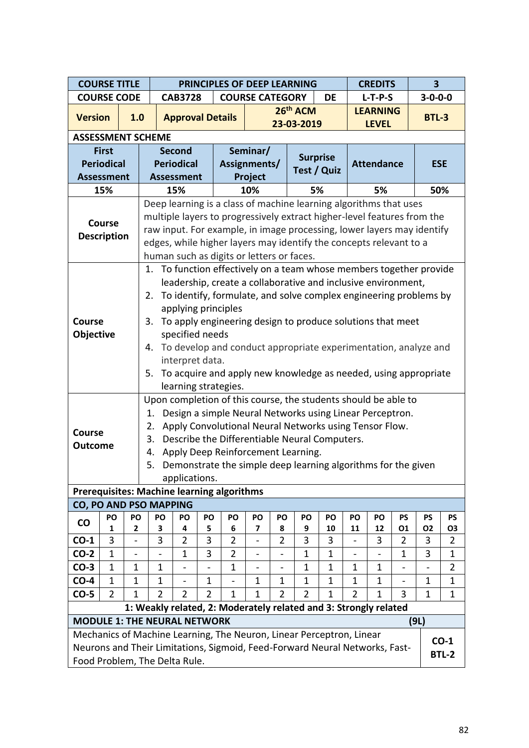| <b>COURSE TITLE</b> |                                                                         |                              |                                                                                                                                              |                                                                                                                                 |                                                                                                                 |                      |                          |                |                                                                     |             |                          | <b>CREDITS</b> |                          | $\overline{\mathbf{3}}$ |                             |  |
|---------------------|-------------------------------------------------------------------------|------------------------------|----------------------------------------------------------------------------------------------------------------------------------------------|---------------------------------------------------------------------------------------------------------------------------------|-----------------------------------------------------------------------------------------------------------------|----------------------|--------------------------|----------------|---------------------------------------------------------------------|-------------|--------------------------|----------------|--------------------------|-------------------------|-----------------------------|--|
| <b>COURSE CODE</b>  |                                                                         |                              | PRINCIPLES OF DEEP LEARNING<br><b>CAB3728</b><br><b>COURSE CATEGORY</b><br>DE<br>$L-T-P-S$<br>26 <sup>th</sup> ACM<br><b>LEARNING</b><br>1.0 |                                                                                                                                 |                                                                                                                 |                      |                          |                |                                                                     |             |                          |                | $3 - 0 - 0 - 0$          |                         |                             |  |
| <b>Version</b>      |                                                                         |                              | <b>Approval Details</b><br>23-03-2019<br><b>ASSESSMENT SCHEME</b>                                                                            |                                                                                                                                 |                                                                                                                 |                      |                          |                |                                                                     |             |                          |                |                          | <b>BTL-3</b>            |                             |  |
|                     |                                                                         |                              | <b>LEVEL</b><br>Seminar/<br><b>Second</b>                                                                                                    |                                                                                                                                 |                                                                                                                 |                      |                          |                |                                                                     |             |                          |                |                          |                         |                             |  |
|                     |                                                                         |                              |                                                                                                                                              | <b>Surprise</b><br><b>Periodical</b><br>Assignments/<br><b>Attendance</b><br><b>Test / Quiz</b><br>Project<br><b>Assessment</b> |                                                                                                                 |                      |                          |                |                                                                     |             |                          |                |                          |                         |                             |  |
|                     | <b>First</b>                                                            |                              |                                                                                                                                              |                                                                                                                                 |                                                                                                                 |                      |                          |                |                                                                     |             |                          |                |                          |                         |                             |  |
|                     | <b>Periodical</b>                                                       |                              |                                                                                                                                              |                                                                                                                                 |                                                                                                                 |                      |                          |                |                                                                     |             |                          |                |                          | <b>ESE</b>              |                             |  |
| <b>Assessment</b>   |                                                                         |                              |                                                                                                                                              |                                                                                                                                 |                                                                                                                 |                      |                          |                |                                                                     |             |                          |                |                          |                         |                             |  |
|                     | 15%                                                                     |                              | Deep learning is a class of machine learning algorithms that uses                                                                            | 15%                                                                                                                             |                                                                                                                 |                      | 10%                      |                | 5%                                                                  |             |                          | 5%             |                          | 50%                     |                             |  |
|                     |                                                                         |                              | multiple layers to progressively extract higher-level features from the                                                                      |                                                                                                                                 |                                                                                                                 |                      |                          |                |                                                                     |             |                          |                |                          |                         |                             |  |
|                     | <b>Course</b>                                                           |                              | raw input. For example, in image processing, lower layers may identify                                                                       |                                                                                                                                 |                                                                                                                 |                      |                          |                |                                                                     |             |                          |                |                          |                         |                             |  |
| <b>Description</b>  |                                                                         |                              |                                                                                                                                              |                                                                                                                                 |                                                                                                                 |                      |                          |                |                                                                     |             |                          |                |                          |                         |                             |  |
|                     |                                                                         |                              |                                                                                                                                              |                                                                                                                                 | edges, while higher layers may identify the concepts relevant to a<br>human such as digits or letters or faces. |                      |                          |                |                                                                     |             |                          |                |                          |                         |                             |  |
|                     |                                                                         |                              |                                                                                                                                              |                                                                                                                                 |                                                                                                                 |                      |                          |                | 1. To function effectively on a team whose members together provide |             |                          |                |                          |                         |                             |  |
|                     |                                                                         |                              | leadership, create a collaborative and inclusive environment,                                                                                |                                                                                                                                 |                                                                                                                 |                      |                          |                |                                                                     |             |                          |                |                          |                         |                             |  |
|                     | To identify, formulate, and solve complex engineering problems by<br>2. |                              |                                                                                                                                              |                                                                                                                                 |                                                                                                                 |                      |                          |                |                                                                     |             |                          |                |                          |                         |                             |  |
|                     |                                                                         |                              |                                                                                                                                              |                                                                                                                                 |                                                                                                                 | applying principles  |                          |                |                                                                     |             |                          |                |                          |                         |                             |  |
| <b>Course</b>       |                                                                         |                              | 3.                                                                                                                                           |                                                                                                                                 |                                                                                                                 |                      |                          |                | To apply engineering design to produce solutions that meet          |             |                          |                |                          |                         |                             |  |
| Objective           |                                                                         |                              |                                                                                                                                              | specified needs                                                                                                                 |                                                                                                                 |                      |                          |                |                                                                     |             |                          |                |                          |                         |                             |  |
|                     |                                                                         |                              | 4.                                                                                                                                           |                                                                                                                                 |                                                                                                                 |                      |                          |                | To develop and conduct appropriate experimentation, analyze and     |             |                          |                |                          |                         |                             |  |
|                     |                                                                         |                              |                                                                                                                                              | interpret data.                                                                                                                 |                                                                                                                 |                      |                          |                |                                                                     |             |                          |                |                          |                         |                             |  |
|                     |                                                                         |                              | 5. To acquire and apply new knowledge as needed, using appropriate                                                                           |                                                                                                                                 |                                                                                                                 |                      |                          |                |                                                                     |             |                          |                |                          |                         |                             |  |
|                     |                                                                         |                              |                                                                                                                                              |                                                                                                                                 |                                                                                                                 | learning strategies. |                          |                |                                                                     |             |                          |                |                          |                         |                             |  |
|                     |                                                                         |                              | Upon completion of this course, the students should be able to                                                                               |                                                                                                                                 |                                                                                                                 |                      |                          |                |                                                                     |             |                          |                |                          |                         |                             |  |
|                     |                                                                         |                              | 1.                                                                                                                                           |                                                                                                                                 |                                                                                                                 |                      |                          |                | Design a simple Neural Networks using Linear Perceptron.            |             |                          |                |                          |                         |                             |  |
| <b>Course</b>       |                                                                         |                              | 2.                                                                                                                                           |                                                                                                                                 |                                                                                                                 |                      |                          |                | Apply Convolutional Neural Networks using Tensor Flow.              |             |                          |                |                          |                         |                             |  |
| <b>Outcome</b>      |                                                                         |                              | 3.                                                                                                                                           |                                                                                                                                 |                                                                                                                 |                      |                          |                | Describe the Differentiable Neural Computers.                       |             |                          |                |                          |                         |                             |  |
|                     |                                                                         |                              | 4.                                                                                                                                           |                                                                                                                                 |                                                                                                                 |                      |                          |                | Apply Deep Reinforcement Learning.                                  |             |                          |                |                          |                         |                             |  |
|                     |                                                                         |                              | 5.                                                                                                                                           |                                                                                                                                 |                                                                                                                 |                      |                          |                | Demonstrate the simple deep learning algorithms for the given       |             |                          |                |                          |                         |                             |  |
|                     |                                                                         |                              |                                                                                                                                              | applications.                                                                                                                   |                                                                                                                 |                      |                          |                |                                                                     |             |                          |                |                          |                         |                             |  |
|                     |                                                                         |                              | <b>Prerequisites: Machine learning algorithms</b>                                                                                            |                                                                                                                                 |                                                                                                                 |                      |                          |                |                                                                     |             |                          |                |                          |                         |                             |  |
|                     |                                                                         |                              | CO, PO AND PSO MAPPING                                                                                                                       |                                                                                                                                 |                                                                                                                 |                      |                          |                |                                                                     |             |                          |                |                          |                         |                             |  |
| $\mathsf{co}$       | PO<br>1                                                                 | PO<br>2                      | PO<br>3                                                                                                                                      | PO<br>4                                                                                                                         | PO<br>5                                                                                                         | PO<br>6              | PO<br>7                  | PO<br>8        | PO<br>9                                                             | PO<br>10    | PO<br>11                 | PO<br>12       | PS<br>01                 | <b>PS</b><br><b>O2</b>  | <b>PS</b><br>O <sub>3</sub> |  |
| $CO-1$              | 3                                                                       | $\overline{\phantom{a}}$     | 3                                                                                                                                            | $\overline{2}$                                                                                                                  | 3                                                                                                               | $\overline{2}$       | $\overline{\phantom{a}}$ | $\overline{2}$ | 3                                                                   | 3           | $\overline{\phantom{0}}$ | 3              | $\overline{2}$           | 3                       | $\overline{2}$              |  |
| $CO-2$              | $\mathbf{1}$                                                            | $\qquad \qquad \blacksquare$ |                                                                                                                                              | $\mathbf{1}$                                                                                                                    | 3                                                                                                               | $\overline{2}$       |                          | -              | $\mathbf{1}$                                                        | $\mathbf 1$ |                          |                | $\mathbf{1}$             | 3                       | $\mathbf{1}$                |  |
| $CO-3$              | $\mathbf{1}$                                                            | $\mathbf{1}$                 | $\mathbf 1$                                                                                                                                  | $\overline{\phantom{0}}$                                                                                                        |                                                                                                                 | $\mathbf{1}$         | $\overline{\phantom{a}}$ | $\blacksquare$ | $\mathbf{1}$                                                        | 1           | 1                        | $\mathbf{1}$   | $\overline{\phantom{0}}$ | $\overline{a}$          | $\overline{2}$              |  |
| $CO-4$              | $\mathbf{1}$                                                            | 1                            | $\mathbf 1$                                                                                                                                  | -                                                                                                                               | $\mathbf{1}$                                                                                                    |                      | $\mathbf 1$              | $\mathbf 1$    | $\mathbf 1$                                                         | 1           | 1                        | $\mathbf 1$    | $\overline{\phantom{0}}$ | 1                       | $\mathbf 1$                 |  |
| $CO-5$              | $\overline{2}$                                                          | 1                            | $\overline{2}$                                                                                                                               | $\overline{2}$                                                                                                                  | $\overline{2}$                                                                                                  | $\mathbf 1$          | $\mathbf{1}$             | $\overline{2}$ | $\overline{2}$                                                      | 1           | $\overline{2}$           | $\mathbf{1}$   | 3                        | 1                       | $\mathbf{1}$                |  |
|                     |                                                                         |                              | 1: Weakly related, 2: Moderately related and 3: Strongly related                                                                             |                                                                                                                                 |                                                                                                                 |                      |                          |                |                                                                     |             |                          |                |                          |                         |                             |  |
|                     |                                                                         |                              | <b>MODULE 1: THE NEURAL NETWORK</b>                                                                                                          |                                                                                                                                 |                                                                                                                 |                      |                          |                |                                                                     |             |                          |                |                          | (9L)                    |                             |  |
|                     |                                                                         |                              | Mechanics of Machine Learning, The Neuron, Linear Perceptron, Linear                                                                         |                                                                                                                                 |                                                                                                                 |                      |                          |                |                                                                     |             |                          |                |                          |                         |                             |  |
|                     |                                                                         |                              | $CO-1$<br>Neurons and Their Limitations, Sigmoid, Feed-Forward Neural Networks, Fast-<br><b>BTL-2</b>                                        |                                                                                                                                 |                                                                                                                 |                      |                          |                |                                                                     |             |                          |                |                          |                         |                             |  |
|                     |                                                                         |                              | Food Problem, The Delta Rule.                                                                                                                |                                                                                                                                 |                                                                                                                 |                      |                          |                |                                                                     |             |                          |                |                          |                         |                             |  |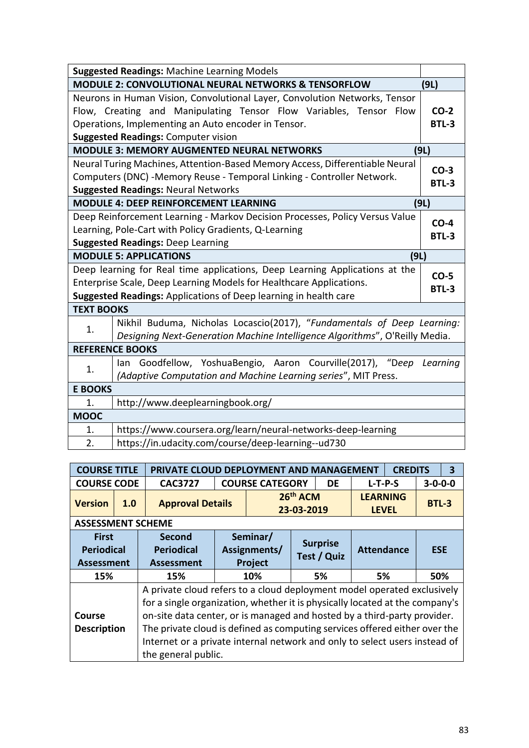| <b>Suggested Readings: Machine Learning Models</b>                                                                                                                                                                                                    |                                                                                                                                                        |      |  |  |  |  |  |  |  |
|-------------------------------------------------------------------------------------------------------------------------------------------------------------------------------------------------------------------------------------------------------|--------------------------------------------------------------------------------------------------------------------------------------------------------|------|--|--|--|--|--|--|--|
|                                                                                                                                                                                                                                                       | <b>MODULE 2: CONVOLUTIONAL NEURAL NETWORKS &amp; TENSORFLOW</b>                                                                                        | (9L) |  |  |  |  |  |  |  |
| Neurons in Human Vision, Convolutional Layer, Convolution Networks, Tensor<br>Flow, Creating and Manipulating Tensor Flow Variables, Tensor Flow<br>Operations, Implementing an Auto encoder in Tensor.<br><b>Suggested Readings: Computer vision</b> |                                                                                                                                                        |      |  |  |  |  |  |  |  |
|                                                                                                                                                                                                                                                       | <b>MODULE 3: MEMORY AUGMENTED NEURAL NETWORKS</b>                                                                                                      | (9L) |  |  |  |  |  |  |  |
| Neural Turing Machines, Attention-Based Memory Access, Differentiable Neural<br>Computers (DNC) -Memory Reuse - Temporal Linking - Controller Network.<br><b>Suggested Readings: Neural Networks</b>                                                  |                                                                                                                                                        |      |  |  |  |  |  |  |  |
|                                                                                                                                                                                                                                                       | <b>MODULE 4: DEEP REINFORCEMENT LEARNING</b>                                                                                                           | (9L) |  |  |  |  |  |  |  |
| Deep Reinforcement Learning - Markov Decision Processes, Policy Versus Value<br>Learning, Pole-Cart with Policy Gradients, Q-Learning<br><b>Suggested Readings: Deep Learning</b>                                                                     |                                                                                                                                                        |      |  |  |  |  |  |  |  |
|                                                                                                                                                                                                                                                       | <b>MODULE 5: APPLICATIONS</b><br>(9L)                                                                                                                  |      |  |  |  |  |  |  |  |
| Deep learning for Real time applications, Deep Learning Applications at the<br>$CO-5$<br>Enterprise Scale, Deep Learning Models for Healthcare Applications.<br>BTL-3<br>Suggested Readings: Applications of Deep learning in health care             |                                                                                                                                                        |      |  |  |  |  |  |  |  |
| <b>TEXT BOOKS</b>                                                                                                                                                                                                                                     |                                                                                                                                                        |      |  |  |  |  |  |  |  |
| 1.                                                                                                                                                                                                                                                    | Nikhil Buduma, Nicholas Locascio(2017), "Fundamentals of Deep Learning:<br>Designing Next-Generation Machine Intelligence Algorithms", O'Reilly Media. |      |  |  |  |  |  |  |  |
|                                                                                                                                                                                                                                                       | <b>REFERENCE BOOKS</b>                                                                                                                                 |      |  |  |  |  |  |  |  |
| 1.                                                                                                                                                                                                                                                    | lan Goodfellow, YoshuaBengio, Aaron Courville(2017), "Deep<br>Learning<br>(Adaptive Computation and Machine Learning series", MIT Press.               |      |  |  |  |  |  |  |  |
| <b>E BOOKS</b>                                                                                                                                                                                                                                        |                                                                                                                                                        |      |  |  |  |  |  |  |  |
| 1.                                                                                                                                                                                                                                                    | http://www.deeplearningbook.org/                                                                                                                       |      |  |  |  |  |  |  |  |
| <b>MOOC</b>                                                                                                                                                                                                                                           |                                                                                                                                                        |      |  |  |  |  |  |  |  |
| 1.                                                                                                                                                                                                                                                    | https://www.coursera.org/learn/neural-networks-deep-learning                                                                                           |      |  |  |  |  |  |  |  |
| 2.                                                                                                                                                                                                                                                    | https://in.udacity.com/course/deep-learning--ud730                                                                                                     |      |  |  |  |  |  |  |  |

| <b>COURSE TITLE</b>                                    |     | PRIVATE CLOUD DEPLOYMENT AND MANAGEMENT<br>3<br><b>CREDITS</b>                                                                                                                                                                                                                                                                                                                                                         |                                            |  |                                |                                 |                   |       |                 |  |  |  |
|--------------------------------------------------------|-----|------------------------------------------------------------------------------------------------------------------------------------------------------------------------------------------------------------------------------------------------------------------------------------------------------------------------------------------------------------------------------------------------------------------------|--------------------------------------------|--|--------------------------------|---------------------------------|-------------------|-------|-----------------|--|--|--|
| <b>COURSE CODE</b>                                     |     | <b>CAC3727</b>                                                                                                                                                                                                                                                                                                                                                                                                         |                                            |  | <b>COURSE CATEGORY</b>         |                                 | $L-T-P-S$         |       | $3 - 0 - 0 - 0$ |  |  |  |
| <b>Version</b>                                         | 1.0 | <b>Approval Details</b>                                                                                                                                                                                                                                                                                                                                                                                                | 26th ACM<br>23-03-2019                     |  |                                | <b>LEARNING</b><br><b>LEVEL</b> |                   | BTL-3 |                 |  |  |  |
| <b>ASSESSMENT SCHEME</b>                               |     |                                                                                                                                                                                                                                                                                                                                                                                                                        |                                            |  |                                |                                 |                   |       |                 |  |  |  |
| <b>First</b><br><b>Periodical</b><br><b>Assessment</b> |     | Second<br><b>Periodical</b><br><b>Assessment</b>                                                                                                                                                                                                                                                                                                                                                                       | Seminar/<br>Assignments/<br><b>Project</b> |  | <b>Surprise</b><br>Test / Quiz |                                 | <b>Attendance</b> |       | <b>ESE</b>      |  |  |  |
| 15%                                                    |     | 15%                                                                                                                                                                                                                                                                                                                                                                                                                    | 10%                                        |  |                                | 5%                              | 5%                |       | 50%             |  |  |  |
| Course<br><b>Description</b>                           |     | A private cloud refers to a cloud deployment model operated exclusively<br>for a single organization, whether it is physically located at the company's<br>on-site data center, or is managed and hosted by a third-party provider.<br>The private cloud is defined as computing services offered either over the<br>Internet or a private internal network and only to select users instead of<br>the general public. |                                            |  |                                |                                 |                   |       |                 |  |  |  |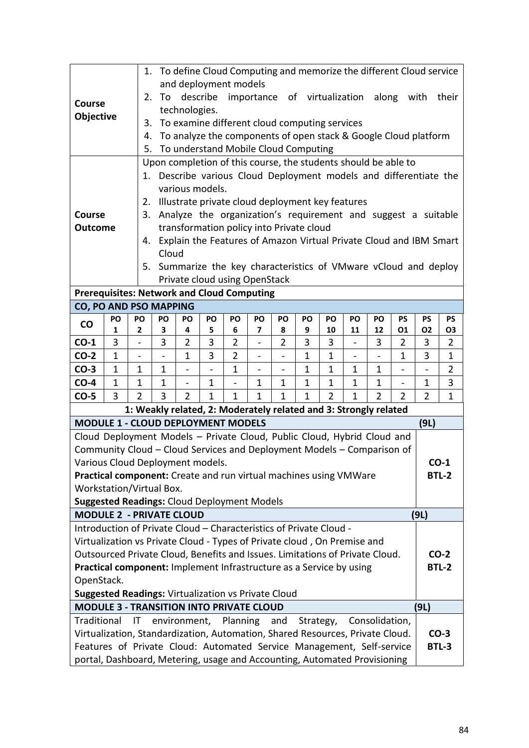|                                                                                                                                                          |              |                         |                                                                       |                          |              |                               |              |                |                                                                  |                |             |                |                          |                | 1. To define Cloud Computing and memorize the different Cloud service |
|----------------------------------------------------------------------------------------------------------------------------------------------------------|--------------|-------------------------|-----------------------------------------------------------------------|--------------------------|--------------|-------------------------------|--------------|----------------|------------------------------------------------------------------|----------------|-------------|----------------|--------------------------|----------------|-----------------------------------------------------------------------|
|                                                                                                                                                          |              |                         |                                                                       |                          |              | and deployment models         |              |                |                                                                  |                |             |                |                          |                |                                                                       |
| <b>Course</b>                                                                                                                                            |              | 2.                      | To                                                                    |                          |              |                               |              |                |                                                                  |                |             |                |                          |                | their                                                                 |
|                                                                                                                                                          |              |                         | describe importance of virtualization along with<br>technologies.     |                          |              |                               |              |                |                                                                  |                |             |                |                          |                |                                                                       |
| Objective                                                                                                                                                |              |                         | To examine different cloud computing services<br>3.                   |                          |              |                               |              |                |                                                                  |                |             |                |                          |                |                                                                       |
|                                                                                                                                                          |              |                         | To analyze the components of open stack & Google Cloud platform<br>4. |                          |              |                               |              |                |                                                                  |                |             |                |                          |                |                                                                       |
|                                                                                                                                                          |              | 5.                      |                                                                       |                          |              |                               |              |                | To understand Mobile Cloud Computing                             |                |             |                |                          |                |                                                                       |
|                                                                                                                                                          |              |                         |                                                                       |                          |              |                               |              |                | Upon completion of this course, the students should be able to   |                |             |                |                          |                |                                                                       |
|                                                                                                                                                          |              | 1.                      |                                                                       |                          |              |                               |              |                |                                                                  |                |             |                |                          |                | Describe various Cloud Deployment models and differentiate the        |
|                                                                                                                                                          |              |                         |                                                                       | various models.          |              |                               |              |                |                                                                  |                |             |                |                          |                |                                                                       |
|                                                                                                                                                          |              | 2.                      |                                                                       |                          |              |                               |              |                | Illustrate private cloud deployment key features                 |                |             |                |                          |                |                                                                       |
| <b>Course</b>                                                                                                                                            |              | 3.                      |                                                                       |                          |              |                               |              |                | Analyze the organization's requirement and suggest a suitable    |                |             |                |                          |                |                                                                       |
| <b>Outcome</b>                                                                                                                                           |              |                         |                                                                       |                          |              |                               |              |                | transformation policy into Private cloud                         |                |             |                |                          |                |                                                                       |
|                                                                                                                                                          |              | 4.                      |                                                                       |                          |              |                               |              |                |                                                                  |                |             |                |                          |                | Explain the Features of Amazon Virtual Private Cloud and IBM Smart    |
|                                                                                                                                                          |              |                         | Cloud                                                                 |                          |              |                               |              |                |                                                                  |                |             |                |                          |                |                                                                       |
|                                                                                                                                                          |              | 5.                      |                                                                       |                          |              |                               |              |                |                                                                  |                |             |                |                          |                | Summarize the key characteristics of VMware vCloud and deploy         |
|                                                                                                                                                          |              |                         |                                                                       |                          |              | Private cloud using OpenStack |              |                |                                                                  |                |             |                |                          |                |                                                                       |
| <b>Prerequisites: Network and Cloud Computing</b><br><b>CO, PO AND PSO MAPPING</b>                                                                       |              |                         |                                                                       |                          |              |                               |              |                |                                                                  |                |             |                |                          |                |                                                                       |
|                                                                                                                                                          | PO           | PO                      | PO                                                                    | PO                       | PO           | PO                            | PO           | PO             | PO                                                               | PO             | PO          | PO             | <b>PS</b>                | <b>PS</b>      | PS                                                                    |
| $\mathsf{co}\,$                                                                                                                                          | 1            | $\overline{2}$          | 3                                                                     | 4                        | 5            | 6                             | 7            | 8              | 9                                                                | 10             | 11          | 12             | 01                       | 02             | <b>O3</b>                                                             |
| $CO-1$                                                                                                                                                   | 3            |                         | 3                                                                     | 2                        | 3            | $\overline{2}$                |              | $\overline{2}$ | 3                                                                | 3              |             | 3              | 2                        | 3              | 2                                                                     |
| $CO-2$                                                                                                                                                   | $\mathbf 1$  |                         |                                                                       | $\mathbf{1}$             | 3            | $\overline{2}$                |              |                | 1                                                                | $\mathbf{1}$   |             |                | 1                        | 3              | 1                                                                     |
| $CO-3$                                                                                                                                                   | $\mathbf{1}$ | $\mathbf{1}$            | $\mathbf{1}$                                                          | $\overline{\phantom{0}}$ |              | $\mathbf{1}$                  |              | $\overline{a}$ | $\mathbf{1}$                                                     | $\mathbf{1}$   | $\mathbf 1$ | 1              | $\overline{a}$           |                | $\overline{2}$                                                        |
| $CO-4$                                                                                                                                                   | $\mathbf{1}$ | $\mathbf 1$             | 1                                                                     | $\overline{\phantom{0}}$ | 1            |                               | 1            | $\mathbf 1$    | 1                                                                | $\mathbf{1}$   | 1           | $\mathbf{1}$   | $\overline{\phantom{0}}$ | $\mathbf{1}$   | 3                                                                     |
| $CO-5$                                                                                                                                                   | 3            | $\overline{2}$          | 3                                                                     | $\overline{2}$           | $\mathbf{1}$ | $\mathbf{1}$                  | $\mathbf{1}$ | $\mathbf{1}$   | $\mathbf{1}$                                                     | $\overline{2}$ | $\mathbf 1$ | $\overline{2}$ | $\overline{2}$           | $\overline{2}$ | 1                                                                     |
|                                                                                                                                                          |              |                         |                                                                       |                          |              |                               |              |                | 1: Weakly related, 2: Moderately related and 3: Strongly related |                |             |                |                          |                |                                                                       |
| <b>MODULE 1 - CLOUD DEPLOYMENT MODELS</b>                                                                                                                |              |                         |                                                                       |                          |              |                               |              |                |                                                                  |                |             |                |                          | (9L)           |                                                                       |
| Cloud Deployment Models - Private Cloud, Public Cloud, Hybrid Cloud and                                                                                  |              |                         |                                                                       |                          |              |                               |              |                |                                                                  |                |             |                |                          |                |                                                                       |
| Community Cloud - Cloud Services and Deployment Models - Comparison of                                                                                   |              |                         |                                                                       |                          |              |                               |              |                |                                                                  |                |             |                |                          |                |                                                                       |
| Various Cloud Deployment models.                                                                                                                         |              |                         |                                                                       |                          |              |                               |              |                |                                                                  |                |             |                |                          |                | $CO-1$                                                                |
| Practical component: Create and run virtual machines using VMWare                                                                                        |              |                         |                                                                       |                          |              |                               |              |                |                                                                  |                |             |                |                          |                | <b>BTL-2</b>                                                          |
| Workstation/Virtual Box.<br><b>Suggested Readings: Cloud Deployment Models</b>                                                                           |              |                         |                                                                       |                          |              |                               |              |                |                                                                  |                |             |                |                          |                |                                                                       |
| <b>MODULE 2 - PRIVATE CLOUD</b>                                                                                                                          |              |                         |                                                                       |                          |              |                               |              |                |                                                                  |                |             |                |                          | (9L)           |                                                                       |
| Introduction of Private Cloud - Characteristics of Private Cloud -                                                                                       |              |                         |                                                                       |                          |              |                               |              |                |                                                                  |                |             |                |                          |                |                                                                       |
|                                                                                                                                                          |              |                         |                                                                       |                          |              |                               |              |                |                                                                  |                |             |                |                          |                |                                                                       |
| Virtualization vs Private Cloud - Types of Private cloud, On Premise and<br>Outsourced Private Cloud, Benefits and Issues. Limitations of Private Cloud. |              |                         |                                                                       |                          |              |                               |              |                | $CO-2$                                                           |                |             |                |                          |                |                                                                       |
| Practical component: Implement Infrastructure as a Service by using                                                                                      |              |                         |                                                                       |                          |              |                               |              |                | <b>BTL-2</b>                                                     |                |             |                |                          |                |                                                                       |
| OpenStack.                                                                                                                                               |              |                         |                                                                       |                          |              |                               |              |                |                                                                  |                |             |                |                          |                |                                                                       |
| <b>Suggested Readings: Virtualization vs Private Cloud</b>                                                                                               |              |                         |                                                                       |                          |              |                               |              |                |                                                                  |                |             |                |                          |                |                                                                       |
| <b>MODULE 3 - TRANSITION INTO PRIVATE CLOUD</b>                                                                                                          |              |                         |                                                                       |                          |              |                               |              |                |                                                                  |                |             |                |                          | (9L)           |                                                                       |
| Traditional                                                                                                                                              |              | $\overline{\mathsf{I}}$ |                                                                       | environment,             |              | Planning                      |              | and            | Strategy,                                                        |                |             | Consolidation, |                          |                |                                                                       |
| Virtualization, Standardization, Automation, Shared Resources, Private Cloud.                                                                            |              |                         |                                                                       |                          |              |                               |              |                |                                                                  |                |             |                |                          |                | $CO-3$                                                                |
| Features of Private Cloud: Automated Service Management, Self-service                                                                                    |              |                         |                                                                       |                          |              |                               |              |                |                                                                  |                |             |                |                          |                | BTL-3                                                                 |
| portal, Dashboard, Metering, usage and Accounting, Automated Provisioning                                                                                |              |                         |                                                                       |                          |              |                               |              |                |                                                                  |                |             |                |                          |                |                                                                       |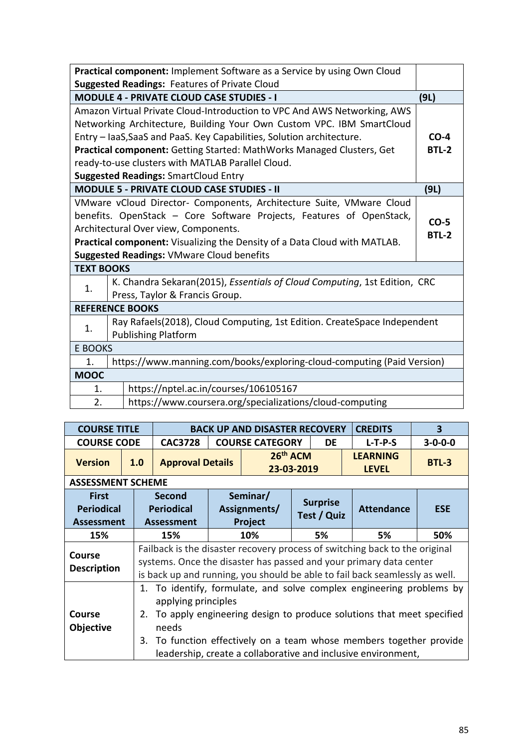| Practical component: Implement Software as a Service by using Own Cloud |                                                                                   |              |  |  |  |  |  |  |  |  |
|-------------------------------------------------------------------------|-----------------------------------------------------------------------------------|--------------|--|--|--|--|--|--|--|--|
| <b>Suggested Readings: Features of Private Cloud</b>                    |                                                                                   |              |  |  |  |  |  |  |  |  |
|                                                                         | <b>MODULE 4 - PRIVATE CLOUD CASE STUDIES - I</b><br>(9L)                          |              |  |  |  |  |  |  |  |  |
|                                                                         | Amazon Virtual Private Cloud-Introduction to VPC And AWS Networking, AWS          |              |  |  |  |  |  |  |  |  |
|                                                                         | Networking Architecture, Building Your Own Custom VPC. IBM SmartCloud             |              |  |  |  |  |  |  |  |  |
|                                                                         | Entry - IaaS, SaaS and PaaS. Key Capabilities, Solution architecture.             | $CO-4$       |  |  |  |  |  |  |  |  |
|                                                                         | Practical component: Getting Started: MathWorks Managed Clusters, Get             | BTL-2        |  |  |  |  |  |  |  |  |
|                                                                         | ready-to-use clusters with MATLAB Parallel Cloud.                                 |              |  |  |  |  |  |  |  |  |
|                                                                         | <b>Suggested Readings: SmartCloud Entry</b>                                       |              |  |  |  |  |  |  |  |  |
|                                                                         | <b>MODULE 5 - PRIVATE CLOUD CASE STUDIES - II</b>                                 | (9L)         |  |  |  |  |  |  |  |  |
|                                                                         | VMware vCloud Director- Components, Architecture Suite, VMware Cloud              |              |  |  |  |  |  |  |  |  |
|                                                                         | benefits. OpenStack - Core Software Projects, Features of OpenStack,              | $CO-5$       |  |  |  |  |  |  |  |  |
|                                                                         | Architectural Over view, Components.                                              | <b>BTL-2</b> |  |  |  |  |  |  |  |  |
|                                                                         | <b>Practical component:</b> Visualizing the Density of a Data Cloud with MATLAB.  |              |  |  |  |  |  |  |  |  |
|                                                                         | <b>Suggested Readings: VMware Cloud benefits</b>                                  |              |  |  |  |  |  |  |  |  |
| <b>TEXT BOOKS</b>                                                       |                                                                                   |              |  |  |  |  |  |  |  |  |
| 1.                                                                      | K. Chandra Sekaran(2015), <i>Essentials of Cloud Computing</i> , 1st Edition, CRC |              |  |  |  |  |  |  |  |  |
|                                                                         | Press, Taylor & Francis Group.                                                    |              |  |  |  |  |  |  |  |  |
|                                                                         | <b>REFERENCE BOOKS</b>                                                            |              |  |  |  |  |  |  |  |  |
| 1.                                                                      | Ray Rafaels(2018), Cloud Computing, 1st Edition. CreateSpace Independent          |              |  |  |  |  |  |  |  |  |
|                                                                         | <b>Publishing Platform</b>                                                        |              |  |  |  |  |  |  |  |  |
| E BOOKS                                                                 |                                                                                   |              |  |  |  |  |  |  |  |  |
| 1.                                                                      | https://www.manning.com/books/exploring-cloud-computing (Paid Version)            |              |  |  |  |  |  |  |  |  |
| <b>MOOC</b>                                                             |                                                                                   |              |  |  |  |  |  |  |  |  |
| 1.                                                                      | https://nptel.ac.in/courses/106105167                                             |              |  |  |  |  |  |  |  |  |
| 2.<br>https://www.coursera.org/specializations/cloud-computing          |                                                                                   |              |  |  |  |  |  |  |  |  |

| <b>COURSE TITLE</b>                                    |     |                                                                                                                                                                                                                                                                                                                                        | <b>BACK UP AND DISASTER RECOVERY</b> |                                     | <b>CREDITS</b>           | 3                              |    |                                 |                 |  |  |
|--------------------------------------------------------|-----|----------------------------------------------------------------------------------------------------------------------------------------------------------------------------------------------------------------------------------------------------------------------------------------------------------------------------------------|--------------------------------------|-------------------------------------|--------------------------|--------------------------------|----|---------------------------------|-----------------|--|--|
| <b>COURSE CODE</b>                                     |     | <b>CAC3728</b>                                                                                                                                                                                                                                                                                                                         | <b>COURSE CATEGORY</b>               |                                     |                          | <b>DE</b>                      |    | $L-T-P-S$                       | $3 - 0 - 0 - 0$ |  |  |
| <b>Version</b><br>1.0                                  |     | <b>Approval Details</b>                                                                                                                                                                                                                                                                                                                |                                      |                                     | $26th$ ACM<br>23-03-2019 |                                |    | <b>LEARNING</b><br><b>LEVEL</b> | <b>BTL-3</b>    |  |  |
| <b>ASSESSMENT SCHEME</b>                               |     |                                                                                                                                                                                                                                                                                                                                        |                                      |                                     |                          |                                |    |                                 |                 |  |  |
| <b>First</b><br><b>Periodical</b><br><b>Assessment</b> |     | Second<br><b>Periodical</b><br><b>Assessment</b>                                                                                                                                                                                                                                                                                       |                                      | Seminar/<br>Assignments/<br>Project |                          | <b>Surprise</b><br>Test / Quiz |    | <b>Attendance</b>               | <b>ESE</b>      |  |  |
| 15%                                                    | 15% |                                                                                                                                                                                                                                                                                                                                        | 10%                                  | 5%                                  |                          |                                | 5% | 50%                             |                 |  |  |
| <b>Course</b><br><b>Description</b>                    |     | Failback is the disaster recovery process of switching back to the original<br>systems. Once the disaster has passed and your primary data center<br>is back up and running, you should be able to fail back seamlessly as well.                                                                                                       |                                      |                                     |                          |                                |    |                                 |                 |  |  |
| Course<br><b>Objective</b>                             |     | To identify, formulate, and solve complex engineering problems by<br>$1_{\cdot}$<br>applying principles<br>To apply engineering design to produce solutions that meet specified<br>2.<br>needs<br>3. To function effectively on a team whose members together provide<br>leadership, create a collaborative and inclusive environment, |                                      |                                     |                          |                                |    |                                 |                 |  |  |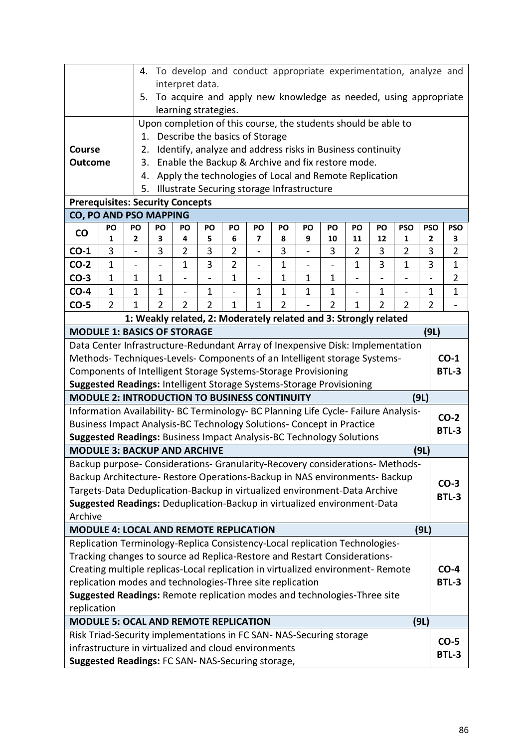|                                                                                         | 4. To develop and conduct appropriate experimentation, analyze and |                                                         |                                                                                                                  |                          |                |                |                              |                |                                                                  |                          |                |                |                          |                |                |
|-----------------------------------------------------------------------------------------|--------------------------------------------------------------------|---------------------------------------------------------|------------------------------------------------------------------------------------------------------------------|--------------------------|----------------|----------------|------------------------------|----------------|------------------------------------------------------------------|--------------------------|----------------|----------------|--------------------------|----------------|----------------|
|                                                                                         |                                                                    |                                                         | interpret data.<br>To acquire and apply new knowledge as needed, using appropriate                               |                          |                |                |                              |                |                                                                  |                          |                |                |                          |                |                |
|                                                                                         |                                                                    | 5.                                                      |                                                                                                                  |                          |                |                |                              |                |                                                                  |                          |                |                |                          |                |                |
|                                                                                         | learning strategies.                                               |                                                         |                                                                                                                  |                          |                |                |                              |                |                                                                  |                          |                |                |                          |                |                |
| Upon completion of this course, the students should be able to                          |                                                                    |                                                         |                                                                                                                  |                          |                |                |                              |                |                                                                  |                          |                |                |                          |                |                |
|                                                                                         | 1. Describe the basics of Storage                                  |                                                         |                                                                                                                  |                          |                |                |                              |                |                                                                  |                          |                |                |                          |                |                |
| <b>Course</b>                                                                           | Identify, analyze and address risks in Business continuity<br>2.   |                                                         |                                                                                                                  |                          |                |                |                              |                |                                                                  |                          |                |                |                          |                |                |
| <b>Outcome</b>                                                                          |                                                                    | Enable the Backup & Archive and fix restore mode.<br>3. |                                                                                                                  |                          |                |                |                              |                |                                                                  |                          |                |                |                          |                |                |
|                                                                                         |                                                                    |                                                         | Apply the technologies of Local and Remote Replication<br>4.<br>Illustrate Securing storage Infrastructure<br>5. |                          |                |                |                              |                |                                                                  |                          |                |                |                          |                |                |
| <b>Prerequisites: Security Concepts</b>                                                 |                                                                    |                                                         |                                                                                                                  |                          |                |                |                              |                |                                                                  |                          |                |                |                          |                |                |
| CO, PO AND PSO MAPPING                                                                  |                                                                    |                                                         |                                                                                                                  |                          |                |                |                              |                |                                                                  |                          |                |                |                          |                |                |
|                                                                                         | PO                                                                 | PO                                                      | PO                                                                                                               | PO                       | PO             | PO             | PO                           | PO             | PO                                                               | PO                       | PO             | PO             | <b>PSO</b>               | <b>PSO</b>     | <b>PSO</b>     |
| <b>CO</b>                                                                               | 1                                                                  | $\overline{2}$                                          | 3                                                                                                                | 4                        | 5              | 6              | 7                            | 8              | 9                                                                | 10                       | 11             | 12             | 1                        | $\mathbf{2}$   | 3              |
| $CO-1$                                                                                  | 3                                                                  | $\overline{a}$                                          | 3                                                                                                                | 2                        | 3              | $\overline{2}$ | $\overline{a}$               | 3              | $\overline{a}$                                                   | 3                        | 2              | 3              | $\overline{2}$           | 3              | $\overline{2}$ |
| $CO-2$                                                                                  | $\mathbf{1}$                                                       | $\blacksquare$                                          |                                                                                                                  | $\mathbf{1}$             | 3              | $\overline{2}$ | $\qquad \qquad \blacksquare$ | $\mathbf{1}$   | $\overline{\phantom{0}}$                                         | $\overline{\phantom{0}}$ | 1              | 3              | $\mathbf{1}$             | 3              | $\mathbf 1$    |
| $CO-3$                                                                                  | $\mathbf{1}$                                                       | $\mathbf{1}$                                            | $\mathbf{1}$                                                                                                     | $\overline{a}$           | $\overline{a}$ | $\mathbf{1}$   | $\overline{a}$               | $\mathbf{1}$   | $\mathbf{1}$                                                     | $\mathbf{1}$             | $\overline{a}$ |                | $\overline{a}$           | $\overline{a}$ | $\overline{2}$ |
| $CO-4$                                                                                  | $\mathbf{1}$                                                       | $\mathbf{1}$                                            | $\mathbf{1}$                                                                                                     | $\overline{\phantom{0}}$ | 1              |                | 1                            | $\mathbf{1}$   | 1                                                                | 1                        | -              | $\mathbf{1}$   | $\overline{\phantom{0}}$ | 1              | $\mathbf{1}$   |
| $CO-5$                                                                                  | $\overline{2}$                                                     | $\mathbf{1}$                                            | $\overline{2}$                                                                                                   | $\overline{2}$           | $\overline{2}$ | 1              | 1                            | $\overline{2}$ |                                                                  | $\overline{2}$           | $\mathbf{1}$   | $\overline{2}$ | $\overline{2}$           | $\overline{2}$ |                |
|                                                                                         |                                                                    |                                                         |                                                                                                                  |                          |                |                |                              |                | 1: Weakly related, 2: Moderately related and 3: Strongly related |                          |                |                |                          |                |                |
| <b>MODULE 1: BASICS OF STORAGE</b>                                                      |                                                                    |                                                         |                                                                                                                  |                          |                |                |                              |                |                                                                  |                          |                |                |                          | (9L)           |                |
| Data Center Infrastructure-Redundant Array of Inexpensive Disk: Implementation          |                                                                    |                                                         |                                                                                                                  |                          |                |                |                              |                |                                                                  |                          |                |                |                          |                |                |
| Methods-Techniques-Levels- Components of an Intelligent storage Systems-                |                                                                    |                                                         |                                                                                                                  |                          |                |                |                              |                |                                                                  |                          |                |                |                          |                | $CO-1$         |
| Components of Intelligent Storage Systems-Storage Provisioning                          |                                                                    |                                                         |                                                                                                                  |                          |                |                |                              |                |                                                                  |                          |                |                |                          |                | <b>BTL-3</b>   |
| Suggested Readings: Intelligent Storage Systems-Storage Provisioning                    |                                                                    |                                                         |                                                                                                                  |                          |                |                |                              |                |                                                                  |                          |                |                |                          |                |                |
| <b>MODULE 2: INTRODUCTION TO BUSINESS CONTINUITY</b>                                    |                                                                    |                                                         |                                                                                                                  |                          |                |                |                              |                |                                                                  |                          |                |                |                          | (9L)           |                |
| Information Availability- BC Terminology- BC Planning Life Cycle- Failure Analysis-     |                                                                    |                                                         |                                                                                                                  |                          |                |                |                              |                |                                                                  |                          |                |                |                          |                | $CO-2$         |
| Business Impact Analysis-BC Technology Solutions- Concept in Practice                   |                                                                    |                                                         |                                                                                                                  |                          |                |                |                              |                |                                                                  |                          |                |                |                          |                | <b>BTL-3</b>   |
| Suggested Readings: Business Impact Analysis-BC Technology Solutions                    |                                                                    |                                                         |                                                                                                                  |                          |                |                |                              |                |                                                                  |                          |                |                |                          |                |                |
| <b>MODULE 3: BACKUP AND ARCHIVE</b>                                                     |                                                                    |                                                         |                                                                                                                  |                          |                |                |                              |                |                                                                  |                          |                |                |                          | (9L)           |                |
| Backup purpose- Considerations- Granularity-Recovery considerations- Methods-           |                                                                    |                                                         |                                                                                                                  |                          |                |                |                              |                |                                                                  |                          |                |                |                          |                |                |
| Backup Architecture- Restore Operations-Backup in NAS environments- Backup              |                                                                    |                                                         |                                                                                                                  |                          |                |                |                              |                |                                                                  |                          |                |                |                          |                | $CO-3$         |
| Targets-Data Deduplication-Backup in virtualized environment-Data Archive               |                                                                    |                                                         |                                                                                                                  |                          |                |                |                              |                |                                                                  |                          |                |                |                          |                | BTL-3          |
| Suggested Readings: Deduplication-Backup in virtualized environment-Data<br>Archive     |                                                                    |                                                         |                                                                                                                  |                          |                |                |                              |                |                                                                  |                          |                |                |                          |                |                |
| <b>MODULE 4: LOCAL AND REMOTE REPLICATION</b>                                           |                                                                    |                                                         |                                                                                                                  |                          |                |                |                              |                |                                                                  |                          |                |                |                          |                |                |
| Replication Terminology-Replica Consistency-Local replication Technologies-             |                                                                    |                                                         |                                                                                                                  |                          |                |                |                              |                |                                                                  |                          |                |                |                          | (9L)           |                |
| Tracking changes to source ad Replica-Restore and Restart Considerations-               |                                                                    |                                                         |                                                                                                                  |                          |                |                |                              |                |                                                                  |                          |                |                |                          |                |                |
| Creating multiple replicas-Local replication in virtualized environment- Remote         |                                                                    |                                                         |                                                                                                                  |                          |                |                |                              |                |                                                                  |                          |                |                |                          |                | $CO-4$         |
| replication modes and technologies-Three site replication                               |                                                                    |                                                         |                                                                                                                  |                          |                |                |                              |                |                                                                  |                          |                |                |                          |                | BTL-3          |
|                                                                                         |                                                                    |                                                         |                                                                                                                  |                          |                |                |                              |                |                                                                  |                          |                |                |                          |                |                |
| Suggested Readings: Remote replication modes and technologies-Three site<br>replication |                                                                    |                                                         |                                                                                                                  |                          |                |                |                              |                |                                                                  |                          |                |                |                          |                |                |
| (9L)<br><b>MODULE 5: OCAL AND REMOTE REPLICATION</b>                                    |                                                                    |                                                         |                                                                                                                  |                          |                |                |                              |                |                                                                  |                          |                |                |                          |                |                |
| Risk Triad-Security implementations in FC SAN- NAS-Securing storage                     |                                                                    |                                                         |                                                                                                                  |                          |                |                |                              |                |                                                                  |                          |                |                |                          |                |                |
| infrastructure in virtualized and cloud environments                                    |                                                                    |                                                         |                                                                                                                  |                          |                |                |                              |                |                                                                  |                          |                |                |                          |                | $CO-5$         |
| Suggested Readings: FC SAN- NAS-Securing storage,                                       |                                                                    |                                                         |                                                                                                                  |                          |                |                |                              | <b>BTL-3</b>   |                                                                  |                          |                |                |                          |                |                |